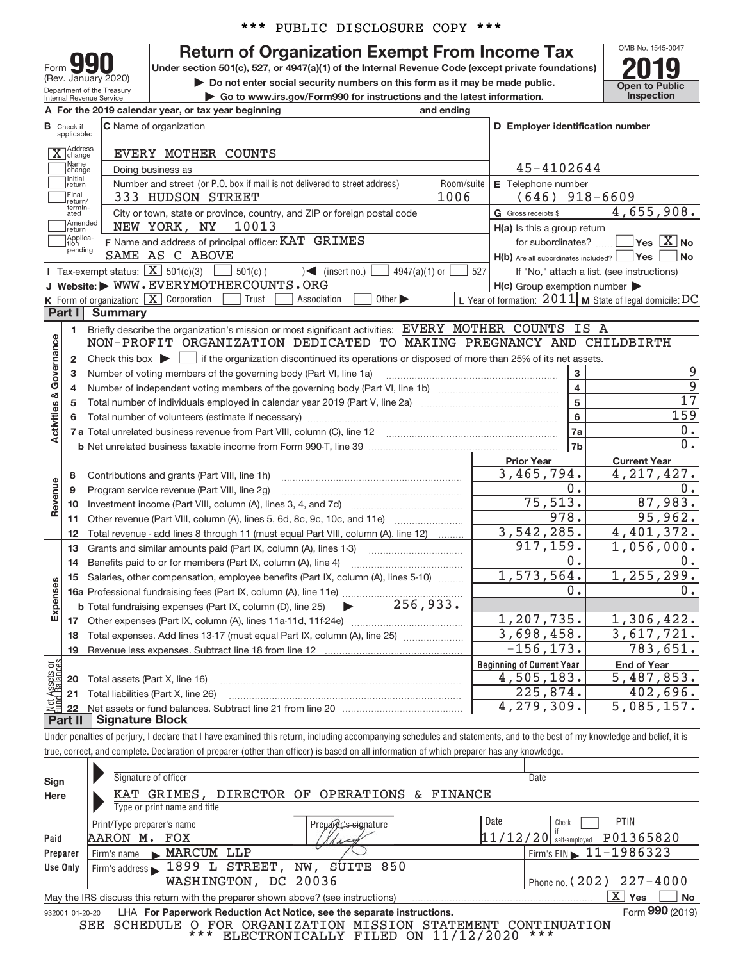\*\*\* PUBLIC DISCLOSURE COPY \*\*\*

## Department of the Treasury Form **gg** (Rev. January 2020)

Internal Revenue Service

**Return of Organization Exempt From Income Tax** 

**Under section 501(c), 527, or 4947(a)(1) of the Internal Revenue Code (except private foundations)**



**| Do not enter social security numbers on this form as it may be made public.** <br> **• Go to www.irs.gov/Form990 for instructions and the latest information.** <br> **• Go to www.irs.gov/Form990 for instructions and the latest in | Go to www.irs.gov/Form990 for instructions and the latest information. Inspection**

|                         |                                  | A For the 2019 calendar year, or tax year beginning                                                                                                 | and ending     |                                                     |                                                           |  |  |  |
|-------------------------|----------------------------------|-----------------------------------------------------------------------------------------------------------------------------------------------------|----------------|-----------------------------------------------------|-----------------------------------------------------------|--|--|--|
|                         | <b>B</b> Check if<br>applicable: | <b>C</b> Name of organization                                                                                                                       |                | D Employer identification number                    |                                                           |  |  |  |
|                         | X Address                        | EVERY MOTHER COUNTS                                                                                                                                 |                |                                                     |                                                           |  |  |  |
|                         | Name<br>change                   | Doing business as                                                                                                                                   | 45-4102644     |                                                     |                                                           |  |  |  |
|                         | Initial<br>return                | Number and street (or P.O. box if mail is not delivered to street address)                                                                          | Room/suite     | E Telephone number                                  |                                                           |  |  |  |
|                         | Final<br>return/                 | 333 HUDSON STREET                                                                                                                                   | 1006           | $(646)$ 918-6609                                    |                                                           |  |  |  |
|                         | termin-<br>ated                  | City or town, state or province, country, and ZIP or foreign postal code                                                                            |                | G Gross receipts \$                                 | 4,655,908.                                                |  |  |  |
|                         | Amended<br>return                | 10013<br>NEW YORK, NY                                                                                                                               |                | $H(a)$ is this a group return                       |                                                           |  |  |  |
|                         | Applica-<br>tion<br>pending      | F Name and address of principal officer: KAT GRIMES                                                                                                 |                | for subordinates?                                   | $\Box$ Yes $[\overline{\mathrm{X}}]$ No                   |  |  |  |
|                         |                                  | SAME AS C ABOVE                                                                                                                                     |                | $H(b)$ Are all subordinates included? $\Box$ Yes    | No                                                        |  |  |  |
|                         |                                  | <b>I</b> Tax-exempt status: $\boxed{\mathbf{X}}$ 501(c)(3)<br>$\sqrt{\frac{1}{1}}$ (insert no.)<br>$4947(a)(1)$ or<br>$501(c)$ (                    | 527            |                                                     | If "No," attach a list. (see instructions)                |  |  |  |
|                         |                                  | J Website: WWW.EVERYMOTHERCOUNTS.ORG                                                                                                                |                | $H(c)$ Group exemption number $\blacktriangleright$ |                                                           |  |  |  |
|                         |                                  | <b>K</b> Form of organization: $\boxed{\mathbf{X}}$ Corporation<br>Trust<br>Association<br>Other $\blacktriangleright$                              |                |                                                     | L Year of formation: $2011$ M State of legal domicile: DC |  |  |  |
|                         | Part I                           | <b>Summary</b>                                                                                                                                      |                |                                                     |                                                           |  |  |  |
|                         | 1                                | Briefly describe the organization's mission or most significant activities: EVERY MOTHER COUNTS IS A                                                |                |                                                     |                                                           |  |  |  |
|                         |                                  | NON-PROFIT ORGANIZATION DEDICATED TO MAKING PREGNANCY AND CHILDBIRTH                                                                                |                |                                                     |                                                           |  |  |  |
| Governance              | $\mathbf{2}$                     | Check this box $\blacktriangleright$ $\blacksquare$ if the organization discontinued its operations or disposed of more than 25% of its net assets. |                |                                                     | 9                                                         |  |  |  |
|                         | з                                | Number of voting members of the governing body (Part VI, line 1a)                                                                                   |                | 3<br>$\overline{\mathbf{4}}$                        | 9                                                         |  |  |  |
|                         | 4                                |                                                                                                                                                     |                | 5                                                   | $\overline{17}$                                           |  |  |  |
|                         | 5                                |                                                                                                                                                     | $6\phantom{a}$ | 159                                                 |                                                           |  |  |  |
| <b>Activities &amp;</b> |                                  |                                                                                                                                                     |                | 7a                                                  | 0.                                                        |  |  |  |
|                         |                                  |                                                                                                                                                     |                | 7b                                                  | 0.                                                        |  |  |  |
|                         |                                  |                                                                                                                                                     |                | <b>Prior Year</b>                                   | <b>Current Year</b>                                       |  |  |  |
|                         | 8                                | Contributions and grants (Part VIII, line 1h)                                                                                                       |                | 3,465,794.                                          | 4, 217, 427.                                              |  |  |  |
|                         | 9                                | Program service revenue (Part VIII, line 2g)                                                                                                        |                | 0.                                                  | 0.                                                        |  |  |  |
| Revenue                 |                                  |                                                                                                                                                     |                | 75, 513.                                            | 87,983.                                                   |  |  |  |
|                         | 11                               | Other revenue (Part VIII, column (A), lines 5, 6d, 8c, 9c, 10c, and 11e)                                                                            |                | 978.                                                | 95,962.                                                   |  |  |  |
|                         | 12                               | Total revenue - add lines 8 through 11 (must equal Part VIII, column (A), line 12)                                                                  |                | 3, 542, 285.<br>4,401,372.                          |                                                           |  |  |  |
|                         | 13                               | Grants and similar amounts paid (Part IX, column (A), lines 1-3)                                                                                    |                | 917, 159.                                           | $\overline{1,056}$ ,000.                                  |  |  |  |
|                         | 14                               | Benefits paid to or for members (Part IX, column (A), line 4)                                                                                       |                | 0.                                                  | 0.                                                        |  |  |  |
|                         | 15                               | Salaries, other compensation, employee benefits (Part IX, column (A), lines 5-10)                                                                   |                | 1,573,564.                                          | 1, 255, 299.                                              |  |  |  |
| Expenses                |                                  |                                                                                                                                                     |                | 0.                                                  | 0.                                                        |  |  |  |
|                         |                                  | $\blacktriangleright$ 256,933.<br><b>b</b> Total fundraising expenses (Part IX, column (D), line 25)                                                |                |                                                     |                                                           |  |  |  |
|                         |                                  |                                                                                                                                                     |                | 1,207,735.                                          | 1,306,422.                                                |  |  |  |
|                         |                                  | 18 Total expenses. Add lines 13-17 (must equal Part IX, column (A), line 25) <i>manumer</i> and                                                     |                | 3,698,458.                                          | 3,617,721.                                                |  |  |  |
|                         | 19                               |                                                                                                                                                     |                | $-156, 173.$                                        | $\overline{783,}651.$                                     |  |  |  |
| bg:                     |                                  |                                                                                                                                                     |                | <b>Beginning of Current Year</b>                    | <b>End of Year</b>                                        |  |  |  |
| Assets<br>d Balanc      |                                  | 20 Total assets (Part X, line 16)                                                                                                                   |                | 4,505,183.                                          | 5,487,853.                                                |  |  |  |
|                         | 21                               | Total liabilities (Part X, line 26)                                                                                                                 |                | 225,874.                                            | 402,696.                                                  |  |  |  |
|                         | 22<br>Part II                    | <b>Signature Block</b>                                                                                                                              |                | 4,279,309.                                          | 5,085,157.                                                |  |  |  |
|                         |                                  |                                                                                                                                                     |                |                                                     |                                                           |  |  |  |

Under penalties of perjury, I declare that I have examined this return, including accompanying schedules and statements, and to the best of my knowledge and belief, it is true, correct, and complete. Declaration of preparer (other than officer) is based on all information of which preparer has any knowledge.

| Sign<br>Here    | Signature of officer<br>KAT GRIMES, DIRECTOR OF OPERATIONS & FINANCE<br>Type or print name and title                     | Date                                   |
|-----------------|--------------------------------------------------------------------------------------------------------------------------|----------------------------------------|
|                 | Date<br>Preparer's signature<br>Print/Type preparer's name                                                               | <b>PTIN</b><br>Check                   |
| Paid            | 11/12/20 <br>AARON M. FOX<br>110                                                                                         | P01365820<br>self-employed             |
| Preparer        | Firm's name MARCUM LLP                                                                                                   | Firm's EIN $\triangleright$ 11-1986323 |
| Use Only        | SUITE 850<br>Firm's address $\blacktriangleright$ 1899 L STREET,<br>NW,                                                  |                                        |
|                 | WASHINGTON, DC 20036                                                                                                     | Phone no. $(202)$ $227 - 4000$         |
|                 | May the IRS discuss this return with the preparer shown above? (see instructions)                                        | $\mathbf{X}$<br><b>No</b><br>Yes       |
| 932001 01-20-20 | LHA For Paperwork Reduction Act Notice, see the separate instructions.                                                   | Form 990 (2019)                        |
|                 | ORGANIZATION<br>SEE<br>MISSION<br>SCHEDULE<br>FOR<br>STATEMENT<br>$\circ$<br>* * *<br>ELECTRONICALLY FILED ON 11/12/2020 | CONTINUATION<br>***                    |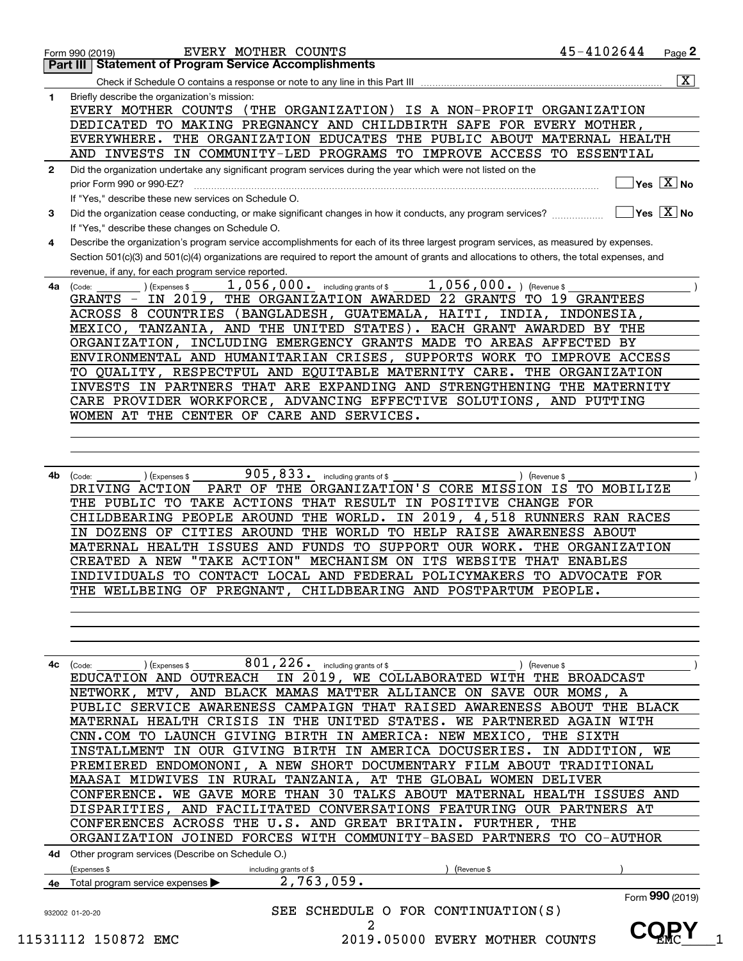|              | <b>Part III   Statement of Program Service Accomplishments</b>                                                                                                  |
|--------------|-----------------------------------------------------------------------------------------------------------------------------------------------------------------|
|              | $\overline{\mathbf{x}}$                                                                                                                                         |
| 1            | Briefly describe the organization's mission:                                                                                                                    |
|              | EVERY MOTHER COUNTS (THE ORGANIZATION) IS A NON-PROFIT ORGANIZATION                                                                                             |
|              | DEDICATED TO MAKING PREGNANCY AND CHILDBIRTH SAFE FOR EVERY MOTHER,                                                                                             |
|              | EVERYWHERE. THE ORGANIZATION EDUCATES THE PUBLIC ABOUT MATERNAL HEALTH                                                                                          |
|              | AND INVESTS IN COMMUNITY-LED PROGRAMS TO IMPROVE ACCESS TO ESSENTIAL                                                                                            |
| $\mathbf{2}$ | Did the organization undertake any significant program services during the year which were not listed on the                                                    |
|              | $\overline{\ }$ Yes $\overline{\rm X}$ No<br>prior Form 990 or 990-EZ?                                                                                          |
|              | If "Yes." describe these new services on Schedule O.                                                                                                            |
| 3            | $\boxed{\phantom{1}}$ Yes $\boxed{\text{X}}$ No<br>Did the organization cease conducting, or make significant changes in how it conducts, any program services? |
|              | If "Yes," describe these changes on Schedule O.                                                                                                                 |
| 4            | Describe the organization's program service accomplishments for each of its three largest program services, as measured by expenses.                            |
|              | Section 501(c)(3) and 501(c)(4) organizations are required to report the amount of grants and allocations to others, the total expenses, and                    |
|              | revenue, if any, for each program service reported.                                                                                                             |
| 4a           | $1$ , 056, 000. ) (Revenue \$<br>1,056,000. including grants of \$<br>(Expenses \$<br>(Code:                                                                    |
|              | GRANTS - IN 2019, THE ORGANIZATION AWARDED 22 GRANTS TO 19 GRANTEES                                                                                             |
|              | ACROSS 8 COUNTRIES (BANGLADESH, GUATEMALA, HAITI, INDIA, INDONESIA,                                                                                             |
|              | MEXICO, TANZANIA, AND THE UNITED STATES). EACH GRANT AWARDED BY THE                                                                                             |
|              | ORGANIZATION, INCLUDING EMERGENCY GRANTS MADE TO AREAS AFFECTED BY                                                                                              |
|              | ENVIRONMENTAL AND HUMANITARIAN CRISES, SUPPORTS WORK TO IMPROVE ACCESS                                                                                          |
|              | TO QUALITY, RESPECTFUL AND EQUITABLE MATERNITY CARE. THE ORGANIZATION                                                                                           |
|              |                                                                                                                                                                 |
|              | INVESTS IN PARTNERS THAT ARE EXPANDING AND STRENGTHENING THE MATERNITY                                                                                          |
|              | CARE PROVIDER WORKFORCE, ADVANCING EFFECTIVE SOLUTIONS, AND PUTTING                                                                                             |
|              | WOMEN AT THE CENTER OF CARE AND SERVICES.                                                                                                                       |
|              |                                                                                                                                                                 |
|              |                                                                                                                                                                 |
|              |                                                                                                                                                                 |
| 4b           | 905,833. including grants of \$<br>) (Expenses \$<br>(Code:<br>) (Revenue \$                                                                                    |
|              | PART OF THE ORGANIZATION'S CORE MISSION IS TO MOBILIZE<br>DRIVING ACTION                                                                                        |
|              | THE PUBLIC TO TAKE ACTIONS THAT RESULT IN POSITIVE CHANGE FOR                                                                                                   |
|              | CHILDBEARING PEOPLE AROUND THE WORLD. IN 2019, 4,518 RUNNERS RAN RACES                                                                                          |
|              | IN DOZENS OF CITIES AROUND THE WORLD TO HELP RAISE AWARENESS ABOUT                                                                                              |
|              | MATERNAL HEALTH ISSUES AND FUNDS TO SUPPORT OUR WORK. THE ORGANIZATION                                                                                          |
|              | CREATED A NEW "TAKE ACTION" MECHANISM ON ITS WEBSITE THAT ENABLES                                                                                               |
|              | INDIVIDUALS TO CONTACT LOCAL AND FEDERAL POLICYMAKERS TO ADVOCATE FOR                                                                                           |
|              | THE WELLBEING OF PREGNANT, CHILDBEARING AND POSTPARTUM PEOPLE.                                                                                                  |
|              |                                                                                                                                                                 |
|              |                                                                                                                                                                 |
|              |                                                                                                                                                                 |
|              |                                                                                                                                                                 |
|              |                                                                                                                                                                 |
| 4c           | 801, 226. including grants of \$<br>(Expenses \$<br>Revenue \$<br>(Code:                                                                                        |
|              | IN 2019, WE COLLABORATED WITH<br>EDUCATION AND OUTREACH<br>THE BROADCAST                                                                                        |
|              | NETWORK, MTV, AND BLACK MAMAS MATTER ALLIANCE ON SAVE OUR MOMS, A                                                                                               |
|              | PUBLIC SERVICE AWARENESS CAMPAIGN THAT RAISED AWARENESS ABOUT THE BLACK                                                                                         |
|              |                                                                                                                                                                 |
|              | MATERNAL HEALTH CRISIS IN THE UNITED STATES. WE PARTNERED AGAIN WITH                                                                                            |
|              | CNN.COM TO LAUNCH GIVING BIRTH IN AMERICA: NEW MEXICO, THE SIXTH                                                                                                |
|              | INSTALLMENT IN OUR GIVING BIRTH IN AMERICA DOCUSERIES.<br>IN ADDITION, WE                                                                                       |
|              | PREMIERED ENDOMONONI, A NEW SHORT DOCUMENTARY FILM ABOUT TRADITIONAL                                                                                            |
|              | MAASAI MIDWIVES IN RURAL TANZANIA, AT THE GLOBAL WOMEN DELIVER                                                                                                  |
|              | CONFERENCE. WE GAVE MORE THAN 30 TALKS ABOUT MATERNAL HEALTH ISSUES AND                                                                                         |
|              | DISPARITIES, AND FACILITATED CONVERSATIONS FEATURING OUR PARTNERS AT                                                                                            |
|              | CONFERENCES ACROSS THE U.S. AND GREAT BRITAIN. FURTHER, THE                                                                                                     |
|              | ORGANIZATION JOINED FORCES WITH COMMUNITY-BASED PARTNERS TO CO-AUTHOR                                                                                           |
|              | 4d Other program services (Describe on Schedule O.)                                                                                                             |
|              | (Expenses \$<br>(Revenue \$<br>including grants of \$                                                                                                           |
|              | 2,763,059.<br>Total program service expenses ▶                                                                                                                  |
|              | Form 990 (2019)                                                                                                                                                 |
|              | SEE SCHEDULE O FOR CONTINUATION(S)<br>932002 01-20-20                                                                                                           |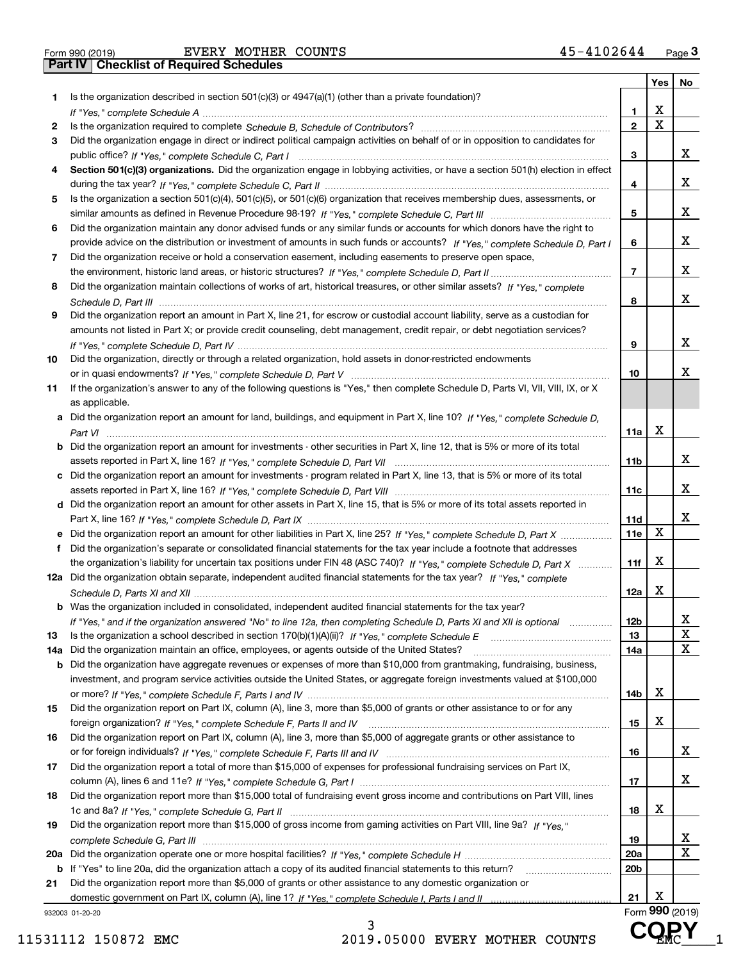Form 990 (2019) EVERY MOTHER COUNTS 4 5-41 0 2 6 4 4 <sub>Page</sub> 3<br>**Part IV | Checklist of Required Schedules** 

|     |                                                                                                                                       |                         |             | Yes   No        |
|-----|---------------------------------------------------------------------------------------------------------------------------------------|-------------------------|-------------|-----------------|
| 1   | Is the organization described in section $501(c)(3)$ or $4947(a)(1)$ (other than a private foundation)?                               |                         |             |                 |
|     |                                                                                                                                       | 1                       | х           |                 |
| 2   |                                                                                                                                       | $\overline{2}$          | $\mathbf X$ |                 |
| 3   | Did the organization engage in direct or indirect political campaign activities on behalf of or in opposition to candidates for       |                         |             |                 |
|     |                                                                                                                                       | 3                       |             | х               |
| 4   | Section 501(c)(3) organizations. Did the organization engage in lobbying activities, or have a section 501(h) election in effect      |                         |             |                 |
|     |                                                                                                                                       | 4                       |             | х               |
| 5   | Is the organization a section 501(c)(4), 501(c)(5), or 501(c)(6) organization that receives membership dues, assessments, or          |                         |             |                 |
|     |                                                                                                                                       | 5                       |             | x               |
| 6   | Did the organization maintain any donor advised funds or any similar funds or accounts for which donors have the right to             |                         |             |                 |
|     | provide advice on the distribution or investment of amounts in such funds or accounts? If "Yes," complete Schedule D, Part I          | 6                       |             | х               |
| 7   | Did the organization receive or hold a conservation easement, including easements to preserve open space,                             |                         |             |                 |
|     |                                                                                                                                       | $\overline{\mathbf{r}}$ |             | х               |
| 8   | Did the organization maintain collections of works of art, historical treasures, or other similar assets? If "Yes," complete          |                         |             |                 |
|     |                                                                                                                                       | 8                       |             | х               |
| 9   | Did the organization report an amount in Part X, line 21, for escrow or custodial account liability, serve as a custodian for         |                         |             |                 |
|     | amounts not listed in Part X; or provide credit counseling, debt management, credit repair, or debt negotiation services?             |                         |             |                 |
|     |                                                                                                                                       |                         |             | х               |
|     |                                                                                                                                       | 9                       |             |                 |
| 10  | Did the organization, directly or through a related organization, hold assets in donor-restricted endowments                          |                         |             |                 |
|     |                                                                                                                                       | 10                      |             | х               |
| 11  | If the organization's answer to any of the following questions is "Yes," then complete Schedule D, Parts VI, VII, VIII, IX, or X      |                         |             |                 |
|     | as applicable.                                                                                                                        |                         |             |                 |
|     | a Did the organization report an amount for land, buildings, and equipment in Part X, line 10? If "Yes," complete Schedule D.         |                         |             |                 |
|     |                                                                                                                                       | 11a                     | х           |                 |
|     | <b>b</b> Did the organization report an amount for investments - other securities in Part X, line 12, that is 5% or more of its total |                         |             |                 |
|     |                                                                                                                                       | 11b                     |             | х               |
|     | c Did the organization report an amount for investments - program related in Part X, line 13, that is 5% or more of its total         |                         |             |                 |
|     |                                                                                                                                       | 11c                     |             | х               |
|     | d Did the organization report an amount for other assets in Part X, line 15, that is 5% or more of its total assets reported in       |                         |             |                 |
|     |                                                                                                                                       | 11d                     |             | х               |
|     | e Did the organization report an amount for other liabilities in Part X, line 25? If "Yes," complete Schedule D, Part X               | <b>11e</b>              | X           |                 |
| f   | Did the organization's separate or consolidated financial statements for the tax year include a footnote that addresses               |                         |             |                 |
|     | the organization's liability for uncertain tax positions under FIN 48 (ASC 740)? If "Yes," complete Schedule D, Part X                | 11f                     | X           |                 |
|     | 12a Did the organization obtain separate, independent audited financial statements for the tax year? If "Yes," complete               |                         |             |                 |
|     |                                                                                                                                       | 12a                     | X           |                 |
|     | <b>b</b> Was the organization included in consolidated, independent audited financial statements for the tax year?                    |                         |             |                 |
|     | If "Yes," and if the organization answered "No" to line 12a, then completing Schedule D, Parts XI and XII is optional                 | 12 <sub>b</sub>         |             | Х               |
| 13  | Is the organization a school described in section 170(b)(1)(A)(ii)? If "Yes," complete Schedule E                                     | 13                      |             | X               |
| 14a | Did the organization maintain an office, employees, or agents outside of the United States?                                           | 14a                     |             | х               |
| b   | Did the organization have aggregate revenues or expenses of more than \$10,000 from grantmaking, fundraising, business,               |                         |             |                 |
|     | investment, and program service activities outside the United States, or aggregate foreign investments valued at \$100,000            |                         |             |                 |
|     |                                                                                                                                       | 14b                     | x           |                 |
| 15  | Did the organization report on Part IX, column (A), line 3, more than \$5,000 of grants or other assistance to or for any             |                         |             |                 |
|     |                                                                                                                                       | 15                      | х           |                 |
|     | Did the organization report on Part IX, column (A), line 3, more than \$5,000 of aggregate grants or other assistance to              |                         |             |                 |
| 16  |                                                                                                                                       | 16                      |             | x               |
|     |                                                                                                                                       |                         |             |                 |
| 17  | Did the organization report a total of more than \$15,000 of expenses for professional fundraising services on Part IX,               |                         |             | x               |
|     |                                                                                                                                       | 17                      |             |                 |
| 18  | Did the organization report more than \$15,000 total of fundraising event gross income and contributions on Part VIII, lines          |                         |             |                 |
|     |                                                                                                                                       | 18                      | x           |                 |
| 19  | Did the organization report more than \$15,000 of gross income from gaming activities on Part VIII, line 9a? If "Yes."                |                         |             |                 |
|     |                                                                                                                                       | 19                      |             | x               |
|     |                                                                                                                                       | 20a                     |             | х               |
| b   | If "Yes" to line 20a, did the organization attach a copy of its audited financial statements to this return?                          | 20b                     |             |                 |
| 21  | Did the organization report more than \$5,000 of grants or other assistance to any domestic organization or                           |                         |             |                 |
|     |                                                                                                                                       | 21                      | х           |                 |
|     | 932003 01-20-20                                                                                                                       |                         |             | Form 990 (2019) |

**Form 990** (2019)

**ENCY** 

3 11531112 150872 EMC 2019.05000 EVERY MOTHER COUNTS  $\mathbf{G} \cdot \mathbf{M} \cdot \mathbf{C} = 1$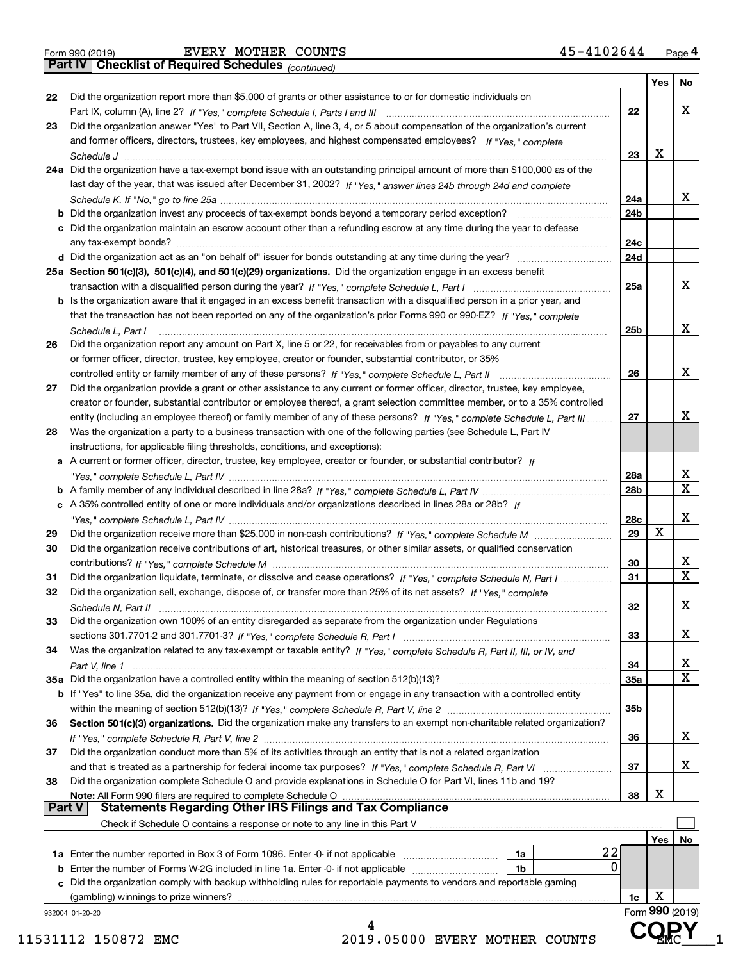|  | Form 990 (2019) |  |
|--|-----------------|--|
|  |                 |  |

*(continued)*

| Did the organization report more than \$5,000 of grants or other assistance to or for domestic individuals on<br>22<br>Did the organization answer "Yes" to Part VII, Section A, line 3, 4, or 5 about compensation of the organization's current<br>and former officers, directors, trustees, key employees, and highest compensated employees? If "Yes," complete<br>Х<br>23<br>24a Did the organization have a tax-exempt bond issue with an outstanding principal amount of more than \$100,000 as of the<br>last day of the year, that was issued after December 31, 2002? If "Yes," answer lines 24b through 24d and complete<br>24a<br>24 <sub>b</sub><br>c Did the organization maintain an escrow account other than a refunding escrow at any time during the year to defease<br>24c<br>24d<br>25a Section 501(c)(3), 501(c)(4), and 501(c)(29) organizations. Did the organization engage in an excess benefit<br>25a<br>b Is the organization aware that it engaged in an excess benefit transaction with a disqualified person in a prior year, and<br>that the transaction has not been reported on any of the organization's prior Forms 990 or 990-EZ? If "Yes." complete<br>25b<br>Schedule L, Part I<br>Did the organization report any amount on Part X, line 5 or 22, for receivables from or payables to any current<br>or former officer, director, trustee, key employee, creator or founder, substantial contributor, or 35%<br>26<br>Did the organization provide a grant or other assistance to any current or former officer, director, trustee, key employee,<br>creator or founder, substantial contributor or employee thereof, a grant selection committee member, or to a 35% controlled<br>entity (including an employee thereof) or family member of any of these persons? If "Yes," complete Schedule L, Part III<br>27<br>Was the organization a party to a business transaction with one of the following parties (see Schedule L, Part IV<br>instructions, for applicable filing thresholds, conditions, and exceptions):<br>a A current or former officer, director, trustee, key employee, creator or founder, or substantial contributor? If<br>28a<br>28b<br>c A 35% controlled entity of one or more individuals and/or organizations described in lines 28a or 28b? If<br>28c<br>X<br>29<br>29<br>Did the organization receive contributions of art, historical treasures, or other similar assets, or qualified conservation<br>30<br>30<br>31<br>Did the organization liquidate, terminate, or dissolve and cease operations? If "Yes," complete Schedule N, Part I<br>31<br>Did the organization sell, exchange, dispose of, or transfer more than 25% of its net assets? If "Yes." complete<br>32<br>32<br>Did the organization own 100% of an entity disregarded as separate from the organization under Regulations<br>33<br>33<br>Was the organization related to any tax-exempt or taxable entity? If "Yes," complete Schedule R, Part II, III, or IV, and<br>34<br>34<br>35a Did the organization have a controlled entity within the meaning of section 512(b)(13)?<br>35a<br>b If "Yes" to line 35a, did the organization receive any payment from or engage in any transaction with a controlled entity<br>35 <sub>b</sub><br>Section 501(c)(3) organizations. Did the organization make any transfers to an exempt non-charitable related organization?<br>36<br>Did the organization conduct more than 5% of its activities through an entity that is not a related organization<br>37<br>Did the organization complete Schedule O and provide explanations in Schedule O for Part VI, lines 11b and 19?<br>х<br>Note: All Form 990 filers are required to complete Schedule O<br>38<br>  Part V<br><b>Statements Regarding Other IRS Filings and Tax Compliance</b><br>Check if Schedule O contains a response or note to any line in this Part V<br>Yes<br>22<br>1a<br>0<br><b>b</b> Enter the number of Forms W-2G included in line 1a. Enter -0- if not applicable<br>1b<br>Did the organization comply with backup withholding rules for reportable payments to vendors and reportable gaming<br>c<br>х<br>(gambling) winnings to prize winners?<br>1c<br>Form 990 (2019)<br>932004 01-20-20 |    |                                                    | Yes | No                      |
|-------------------------------------------------------------------------------------------------------------------------------------------------------------------------------------------------------------------------------------------------------------------------------------------------------------------------------------------------------------------------------------------------------------------------------------------------------------------------------------------------------------------------------------------------------------------------------------------------------------------------------------------------------------------------------------------------------------------------------------------------------------------------------------------------------------------------------------------------------------------------------------------------------------------------------------------------------------------------------------------------------------------------------------------------------------------------------------------------------------------------------------------------------------------------------------------------------------------------------------------------------------------------------------------------------------------------------------------------------------------------------------------------------------------------------------------------------------------------------------------------------------------------------------------------------------------------------------------------------------------------------------------------------------------------------------------------------------------------------------------------------------------------------------------------------------------------------------------------------------------------------------------------------------------------------------------------------------------------------------------------------------------------------------------------------------------------------------------------------------------------------------------------------------------------------------------------------------------------------------------------------------------------------------------------------------------------------------------------------------------------------------------------------------------------------------------------------------------------------------------------------------------------------------------------------------------------------------------------------------------------------------------------------------------------------------------------------------------------------------------------------------------------------------------------------------------------------------------------------------------------------------------------------------------------------------------------------------------------------------------------------------------------------------------------------------------------------------------------------------------------------------------------------------------------------------------------------------------------------------------------------------------------------------------------------------------------------------------------------------------------------------------------------------------------------------------------------------------------------------------------------------------------------------------------------------------------------------------------------------------------------------------------------------------------------------------------------------------------------------------------------------------------------------------------------------------------------------------------------------------------------------------------------------------------------------------------------------------------------------------------------------------------------------------------------------------------------------------------------------------------------------------------------------------------------------------------------------------------------------------------------------|----|----------------------------------------------------|-----|-------------------------|
|                                                                                                                                                                                                                                                                                                                                                                                                                                                                                                                                                                                                                                                                                                                                                                                                                                                                                                                                                                                                                                                                                                                                                                                                                                                                                                                                                                                                                                                                                                                                                                                                                                                                                                                                                                                                                                                                                                                                                                                                                                                                                                                                                                                                                                                                                                                                                                                                                                                                                                                                                                                                                                                                                                                                                                                                                                                                                                                                                                                                                                                                                                                                                                                                                                                                                                                                                                                                                                                                                                                                                                                                                                                                                                                                                                                                                                                                                                                                                                                                                                                                                                                                                                                                                                                             | 22 |                                                    |     |                         |
|                                                                                                                                                                                                                                                                                                                                                                                                                                                                                                                                                                                                                                                                                                                                                                                                                                                                                                                                                                                                                                                                                                                                                                                                                                                                                                                                                                                                                                                                                                                                                                                                                                                                                                                                                                                                                                                                                                                                                                                                                                                                                                                                                                                                                                                                                                                                                                                                                                                                                                                                                                                                                                                                                                                                                                                                                                                                                                                                                                                                                                                                                                                                                                                                                                                                                                                                                                                                                                                                                                                                                                                                                                                                                                                                                                                                                                                                                                                                                                                                                                                                                                                                                                                                                                                             |    |                                                    |     | X                       |
|                                                                                                                                                                                                                                                                                                                                                                                                                                                                                                                                                                                                                                                                                                                                                                                                                                                                                                                                                                                                                                                                                                                                                                                                                                                                                                                                                                                                                                                                                                                                                                                                                                                                                                                                                                                                                                                                                                                                                                                                                                                                                                                                                                                                                                                                                                                                                                                                                                                                                                                                                                                                                                                                                                                                                                                                                                                                                                                                                                                                                                                                                                                                                                                                                                                                                                                                                                                                                                                                                                                                                                                                                                                                                                                                                                                                                                                                                                                                                                                                                                                                                                                                                                                                                                                             | 23 |                                                    |     |                         |
|                                                                                                                                                                                                                                                                                                                                                                                                                                                                                                                                                                                                                                                                                                                                                                                                                                                                                                                                                                                                                                                                                                                                                                                                                                                                                                                                                                                                                                                                                                                                                                                                                                                                                                                                                                                                                                                                                                                                                                                                                                                                                                                                                                                                                                                                                                                                                                                                                                                                                                                                                                                                                                                                                                                                                                                                                                                                                                                                                                                                                                                                                                                                                                                                                                                                                                                                                                                                                                                                                                                                                                                                                                                                                                                                                                                                                                                                                                                                                                                                                                                                                                                                                                                                                                                             |    |                                                    |     |                         |
|                                                                                                                                                                                                                                                                                                                                                                                                                                                                                                                                                                                                                                                                                                                                                                                                                                                                                                                                                                                                                                                                                                                                                                                                                                                                                                                                                                                                                                                                                                                                                                                                                                                                                                                                                                                                                                                                                                                                                                                                                                                                                                                                                                                                                                                                                                                                                                                                                                                                                                                                                                                                                                                                                                                                                                                                                                                                                                                                                                                                                                                                                                                                                                                                                                                                                                                                                                                                                                                                                                                                                                                                                                                                                                                                                                                                                                                                                                                                                                                                                                                                                                                                                                                                                                                             |    |                                                    |     |                         |
|                                                                                                                                                                                                                                                                                                                                                                                                                                                                                                                                                                                                                                                                                                                                                                                                                                                                                                                                                                                                                                                                                                                                                                                                                                                                                                                                                                                                                                                                                                                                                                                                                                                                                                                                                                                                                                                                                                                                                                                                                                                                                                                                                                                                                                                                                                                                                                                                                                                                                                                                                                                                                                                                                                                                                                                                                                                                                                                                                                                                                                                                                                                                                                                                                                                                                                                                                                                                                                                                                                                                                                                                                                                                                                                                                                                                                                                                                                                                                                                                                                                                                                                                                                                                                                                             |    |                                                    |     |                         |
|                                                                                                                                                                                                                                                                                                                                                                                                                                                                                                                                                                                                                                                                                                                                                                                                                                                                                                                                                                                                                                                                                                                                                                                                                                                                                                                                                                                                                                                                                                                                                                                                                                                                                                                                                                                                                                                                                                                                                                                                                                                                                                                                                                                                                                                                                                                                                                                                                                                                                                                                                                                                                                                                                                                                                                                                                                                                                                                                                                                                                                                                                                                                                                                                                                                                                                                                                                                                                                                                                                                                                                                                                                                                                                                                                                                                                                                                                                                                                                                                                                                                                                                                                                                                                                                             |    |                                                    |     |                         |
|                                                                                                                                                                                                                                                                                                                                                                                                                                                                                                                                                                                                                                                                                                                                                                                                                                                                                                                                                                                                                                                                                                                                                                                                                                                                                                                                                                                                                                                                                                                                                                                                                                                                                                                                                                                                                                                                                                                                                                                                                                                                                                                                                                                                                                                                                                                                                                                                                                                                                                                                                                                                                                                                                                                                                                                                                                                                                                                                                                                                                                                                                                                                                                                                                                                                                                                                                                                                                                                                                                                                                                                                                                                                                                                                                                                                                                                                                                                                                                                                                                                                                                                                                                                                                                                             |    |                                                    |     | X                       |
|                                                                                                                                                                                                                                                                                                                                                                                                                                                                                                                                                                                                                                                                                                                                                                                                                                                                                                                                                                                                                                                                                                                                                                                                                                                                                                                                                                                                                                                                                                                                                                                                                                                                                                                                                                                                                                                                                                                                                                                                                                                                                                                                                                                                                                                                                                                                                                                                                                                                                                                                                                                                                                                                                                                                                                                                                                                                                                                                                                                                                                                                                                                                                                                                                                                                                                                                                                                                                                                                                                                                                                                                                                                                                                                                                                                                                                                                                                                                                                                                                                                                                                                                                                                                                                                             |    |                                                    |     |                         |
|                                                                                                                                                                                                                                                                                                                                                                                                                                                                                                                                                                                                                                                                                                                                                                                                                                                                                                                                                                                                                                                                                                                                                                                                                                                                                                                                                                                                                                                                                                                                                                                                                                                                                                                                                                                                                                                                                                                                                                                                                                                                                                                                                                                                                                                                                                                                                                                                                                                                                                                                                                                                                                                                                                                                                                                                                                                                                                                                                                                                                                                                                                                                                                                                                                                                                                                                                                                                                                                                                                                                                                                                                                                                                                                                                                                                                                                                                                                                                                                                                                                                                                                                                                                                                                                             |    |                                                    |     |                         |
|                                                                                                                                                                                                                                                                                                                                                                                                                                                                                                                                                                                                                                                                                                                                                                                                                                                                                                                                                                                                                                                                                                                                                                                                                                                                                                                                                                                                                                                                                                                                                                                                                                                                                                                                                                                                                                                                                                                                                                                                                                                                                                                                                                                                                                                                                                                                                                                                                                                                                                                                                                                                                                                                                                                                                                                                                                                                                                                                                                                                                                                                                                                                                                                                                                                                                                                                                                                                                                                                                                                                                                                                                                                                                                                                                                                                                                                                                                                                                                                                                                                                                                                                                                                                                                                             |    |                                                    |     |                         |
|                                                                                                                                                                                                                                                                                                                                                                                                                                                                                                                                                                                                                                                                                                                                                                                                                                                                                                                                                                                                                                                                                                                                                                                                                                                                                                                                                                                                                                                                                                                                                                                                                                                                                                                                                                                                                                                                                                                                                                                                                                                                                                                                                                                                                                                                                                                                                                                                                                                                                                                                                                                                                                                                                                                                                                                                                                                                                                                                                                                                                                                                                                                                                                                                                                                                                                                                                                                                                                                                                                                                                                                                                                                                                                                                                                                                                                                                                                                                                                                                                                                                                                                                                                                                                                                             |    |                                                    |     |                         |
|                                                                                                                                                                                                                                                                                                                                                                                                                                                                                                                                                                                                                                                                                                                                                                                                                                                                                                                                                                                                                                                                                                                                                                                                                                                                                                                                                                                                                                                                                                                                                                                                                                                                                                                                                                                                                                                                                                                                                                                                                                                                                                                                                                                                                                                                                                                                                                                                                                                                                                                                                                                                                                                                                                                                                                                                                                                                                                                                                                                                                                                                                                                                                                                                                                                                                                                                                                                                                                                                                                                                                                                                                                                                                                                                                                                                                                                                                                                                                                                                                                                                                                                                                                                                                                                             |    |                                                    |     |                         |
|                                                                                                                                                                                                                                                                                                                                                                                                                                                                                                                                                                                                                                                                                                                                                                                                                                                                                                                                                                                                                                                                                                                                                                                                                                                                                                                                                                                                                                                                                                                                                                                                                                                                                                                                                                                                                                                                                                                                                                                                                                                                                                                                                                                                                                                                                                                                                                                                                                                                                                                                                                                                                                                                                                                                                                                                                                                                                                                                                                                                                                                                                                                                                                                                                                                                                                                                                                                                                                                                                                                                                                                                                                                                                                                                                                                                                                                                                                                                                                                                                                                                                                                                                                                                                                                             |    |                                                    |     | X                       |
|                                                                                                                                                                                                                                                                                                                                                                                                                                                                                                                                                                                                                                                                                                                                                                                                                                                                                                                                                                                                                                                                                                                                                                                                                                                                                                                                                                                                                                                                                                                                                                                                                                                                                                                                                                                                                                                                                                                                                                                                                                                                                                                                                                                                                                                                                                                                                                                                                                                                                                                                                                                                                                                                                                                                                                                                                                                                                                                                                                                                                                                                                                                                                                                                                                                                                                                                                                                                                                                                                                                                                                                                                                                                                                                                                                                                                                                                                                                                                                                                                                                                                                                                                                                                                                                             |    |                                                    |     |                         |
|                                                                                                                                                                                                                                                                                                                                                                                                                                                                                                                                                                                                                                                                                                                                                                                                                                                                                                                                                                                                                                                                                                                                                                                                                                                                                                                                                                                                                                                                                                                                                                                                                                                                                                                                                                                                                                                                                                                                                                                                                                                                                                                                                                                                                                                                                                                                                                                                                                                                                                                                                                                                                                                                                                                                                                                                                                                                                                                                                                                                                                                                                                                                                                                                                                                                                                                                                                                                                                                                                                                                                                                                                                                                                                                                                                                                                                                                                                                                                                                                                                                                                                                                                                                                                                                             |    |                                                    |     |                         |
|                                                                                                                                                                                                                                                                                                                                                                                                                                                                                                                                                                                                                                                                                                                                                                                                                                                                                                                                                                                                                                                                                                                                                                                                                                                                                                                                                                                                                                                                                                                                                                                                                                                                                                                                                                                                                                                                                                                                                                                                                                                                                                                                                                                                                                                                                                                                                                                                                                                                                                                                                                                                                                                                                                                                                                                                                                                                                                                                                                                                                                                                                                                                                                                                                                                                                                                                                                                                                                                                                                                                                                                                                                                                                                                                                                                                                                                                                                                                                                                                                                                                                                                                                                                                                                                             |    |                                                    |     | X                       |
|                                                                                                                                                                                                                                                                                                                                                                                                                                                                                                                                                                                                                                                                                                                                                                                                                                                                                                                                                                                                                                                                                                                                                                                                                                                                                                                                                                                                                                                                                                                                                                                                                                                                                                                                                                                                                                                                                                                                                                                                                                                                                                                                                                                                                                                                                                                                                                                                                                                                                                                                                                                                                                                                                                                                                                                                                                                                                                                                                                                                                                                                                                                                                                                                                                                                                                                                                                                                                                                                                                                                                                                                                                                                                                                                                                                                                                                                                                                                                                                                                                                                                                                                                                                                                                                             | 26 |                                                    |     |                         |
|                                                                                                                                                                                                                                                                                                                                                                                                                                                                                                                                                                                                                                                                                                                                                                                                                                                                                                                                                                                                                                                                                                                                                                                                                                                                                                                                                                                                                                                                                                                                                                                                                                                                                                                                                                                                                                                                                                                                                                                                                                                                                                                                                                                                                                                                                                                                                                                                                                                                                                                                                                                                                                                                                                                                                                                                                                                                                                                                                                                                                                                                                                                                                                                                                                                                                                                                                                                                                                                                                                                                                                                                                                                                                                                                                                                                                                                                                                                                                                                                                                                                                                                                                                                                                                                             |    |                                                    |     |                         |
|                                                                                                                                                                                                                                                                                                                                                                                                                                                                                                                                                                                                                                                                                                                                                                                                                                                                                                                                                                                                                                                                                                                                                                                                                                                                                                                                                                                                                                                                                                                                                                                                                                                                                                                                                                                                                                                                                                                                                                                                                                                                                                                                                                                                                                                                                                                                                                                                                                                                                                                                                                                                                                                                                                                                                                                                                                                                                                                                                                                                                                                                                                                                                                                                                                                                                                                                                                                                                                                                                                                                                                                                                                                                                                                                                                                                                                                                                                                                                                                                                                                                                                                                                                                                                                                             |    |                                                    |     | X                       |
|                                                                                                                                                                                                                                                                                                                                                                                                                                                                                                                                                                                                                                                                                                                                                                                                                                                                                                                                                                                                                                                                                                                                                                                                                                                                                                                                                                                                                                                                                                                                                                                                                                                                                                                                                                                                                                                                                                                                                                                                                                                                                                                                                                                                                                                                                                                                                                                                                                                                                                                                                                                                                                                                                                                                                                                                                                                                                                                                                                                                                                                                                                                                                                                                                                                                                                                                                                                                                                                                                                                                                                                                                                                                                                                                                                                                                                                                                                                                                                                                                                                                                                                                                                                                                                                             | 27 |                                                    |     |                         |
|                                                                                                                                                                                                                                                                                                                                                                                                                                                                                                                                                                                                                                                                                                                                                                                                                                                                                                                                                                                                                                                                                                                                                                                                                                                                                                                                                                                                                                                                                                                                                                                                                                                                                                                                                                                                                                                                                                                                                                                                                                                                                                                                                                                                                                                                                                                                                                                                                                                                                                                                                                                                                                                                                                                                                                                                                                                                                                                                                                                                                                                                                                                                                                                                                                                                                                                                                                                                                                                                                                                                                                                                                                                                                                                                                                                                                                                                                                                                                                                                                                                                                                                                                                                                                                                             |    |                                                    |     |                         |
|                                                                                                                                                                                                                                                                                                                                                                                                                                                                                                                                                                                                                                                                                                                                                                                                                                                                                                                                                                                                                                                                                                                                                                                                                                                                                                                                                                                                                                                                                                                                                                                                                                                                                                                                                                                                                                                                                                                                                                                                                                                                                                                                                                                                                                                                                                                                                                                                                                                                                                                                                                                                                                                                                                                                                                                                                                                                                                                                                                                                                                                                                                                                                                                                                                                                                                                                                                                                                                                                                                                                                                                                                                                                                                                                                                                                                                                                                                                                                                                                                                                                                                                                                                                                                                                             |    |                                                    |     | х                       |
|                                                                                                                                                                                                                                                                                                                                                                                                                                                                                                                                                                                                                                                                                                                                                                                                                                                                                                                                                                                                                                                                                                                                                                                                                                                                                                                                                                                                                                                                                                                                                                                                                                                                                                                                                                                                                                                                                                                                                                                                                                                                                                                                                                                                                                                                                                                                                                                                                                                                                                                                                                                                                                                                                                                                                                                                                                                                                                                                                                                                                                                                                                                                                                                                                                                                                                                                                                                                                                                                                                                                                                                                                                                                                                                                                                                                                                                                                                                                                                                                                                                                                                                                                                                                                                                             | 28 |                                                    |     |                         |
|                                                                                                                                                                                                                                                                                                                                                                                                                                                                                                                                                                                                                                                                                                                                                                                                                                                                                                                                                                                                                                                                                                                                                                                                                                                                                                                                                                                                                                                                                                                                                                                                                                                                                                                                                                                                                                                                                                                                                                                                                                                                                                                                                                                                                                                                                                                                                                                                                                                                                                                                                                                                                                                                                                                                                                                                                                                                                                                                                                                                                                                                                                                                                                                                                                                                                                                                                                                                                                                                                                                                                                                                                                                                                                                                                                                                                                                                                                                                                                                                                                                                                                                                                                                                                                                             |    |                                                    |     |                         |
|                                                                                                                                                                                                                                                                                                                                                                                                                                                                                                                                                                                                                                                                                                                                                                                                                                                                                                                                                                                                                                                                                                                                                                                                                                                                                                                                                                                                                                                                                                                                                                                                                                                                                                                                                                                                                                                                                                                                                                                                                                                                                                                                                                                                                                                                                                                                                                                                                                                                                                                                                                                                                                                                                                                                                                                                                                                                                                                                                                                                                                                                                                                                                                                                                                                                                                                                                                                                                                                                                                                                                                                                                                                                                                                                                                                                                                                                                                                                                                                                                                                                                                                                                                                                                                                             |    |                                                    |     |                         |
|                                                                                                                                                                                                                                                                                                                                                                                                                                                                                                                                                                                                                                                                                                                                                                                                                                                                                                                                                                                                                                                                                                                                                                                                                                                                                                                                                                                                                                                                                                                                                                                                                                                                                                                                                                                                                                                                                                                                                                                                                                                                                                                                                                                                                                                                                                                                                                                                                                                                                                                                                                                                                                                                                                                                                                                                                                                                                                                                                                                                                                                                                                                                                                                                                                                                                                                                                                                                                                                                                                                                                                                                                                                                                                                                                                                                                                                                                                                                                                                                                                                                                                                                                                                                                                                             |    |                                                    |     | x                       |
|                                                                                                                                                                                                                                                                                                                                                                                                                                                                                                                                                                                                                                                                                                                                                                                                                                                                                                                                                                                                                                                                                                                                                                                                                                                                                                                                                                                                                                                                                                                                                                                                                                                                                                                                                                                                                                                                                                                                                                                                                                                                                                                                                                                                                                                                                                                                                                                                                                                                                                                                                                                                                                                                                                                                                                                                                                                                                                                                                                                                                                                                                                                                                                                                                                                                                                                                                                                                                                                                                                                                                                                                                                                                                                                                                                                                                                                                                                                                                                                                                                                                                                                                                                                                                                                             |    |                                                    |     | $\overline{\mathbf{x}}$ |
|                                                                                                                                                                                                                                                                                                                                                                                                                                                                                                                                                                                                                                                                                                                                                                                                                                                                                                                                                                                                                                                                                                                                                                                                                                                                                                                                                                                                                                                                                                                                                                                                                                                                                                                                                                                                                                                                                                                                                                                                                                                                                                                                                                                                                                                                                                                                                                                                                                                                                                                                                                                                                                                                                                                                                                                                                                                                                                                                                                                                                                                                                                                                                                                                                                                                                                                                                                                                                                                                                                                                                                                                                                                                                                                                                                                                                                                                                                                                                                                                                                                                                                                                                                                                                                                             |    |                                                    |     |                         |
|                                                                                                                                                                                                                                                                                                                                                                                                                                                                                                                                                                                                                                                                                                                                                                                                                                                                                                                                                                                                                                                                                                                                                                                                                                                                                                                                                                                                                                                                                                                                                                                                                                                                                                                                                                                                                                                                                                                                                                                                                                                                                                                                                                                                                                                                                                                                                                                                                                                                                                                                                                                                                                                                                                                                                                                                                                                                                                                                                                                                                                                                                                                                                                                                                                                                                                                                                                                                                                                                                                                                                                                                                                                                                                                                                                                                                                                                                                                                                                                                                                                                                                                                                                                                                                                             |    |                                                    |     | X                       |
|                                                                                                                                                                                                                                                                                                                                                                                                                                                                                                                                                                                                                                                                                                                                                                                                                                                                                                                                                                                                                                                                                                                                                                                                                                                                                                                                                                                                                                                                                                                                                                                                                                                                                                                                                                                                                                                                                                                                                                                                                                                                                                                                                                                                                                                                                                                                                                                                                                                                                                                                                                                                                                                                                                                                                                                                                                                                                                                                                                                                                                                                                                                                                                                                                                                                                                                                                                                                                                                                                                                                                                                                                                                                                                                                                                                                                                                                                                                                                                                                                                                                                                                                                                                                                                                             |    |                                                    |     |                         |
|                                                                                                                                                                                                                                                                                                                                                                                                                                                                                                                                                                                                                                                                                                                                                                                                                                                                                                                                                                                                                                                                                                                                                                                                                                                                                                                                                                                                                                                                                                                                                                                                                                                                                                                                                                                                                                                                                                                                                                                                                                                                                                                                                                                                                                                                                                                                                                                                                                                                                                                                                                                                                                                                                                                                                                                                                                                                                                                                                                                                                                                                                                                                                                                                                                                                                                                                                                                                                                                                                                                                                                                                                                                                                                                                                                                                                                                                                                                                                                                                                                                                                                                                                                                                                                                             |    |                                                    |     |                         |
|                                                                                                                                                                                                                                                                                                                                                                                                                                                                                                                                                                                                                                                                                                                                                                                                                                                                                                                                                                                                                                                                                                                                                                                                                                                                                                                                                                                                                                                                                                                                                                                                                                                                                                                                                                                                                                                                                                                                                                                                                                                                                                                                                                                                                                                                                                                                                                                                                                                                                                                                                                                                                                                                                                                                                                                                                                                                                                                                                                                                                                                                                                                                                                                                                                                                                                                                                                                                                                                                                                                                                                                                                                                                                                                                                                                                                                                                                                                                                                                                                                                                                                                                                                                                                                                             |    |                                                    |     | x                       |
|                                                                                                                                                                                                                                                                                                                                                                                                                                                                                                                                                                                                                                                                                                                                                                                                                                                                                                                                                                                                                                                                                                                                                                                                                                                                                                                                                                                                                                                                                                                                                                                                                                                                                                                                                                                                                                                                                                                                                                                                                                                                                                                                                                                                                                                                                                                                                                                                                                                                                                                                                                                                                                                                                                                                                                                                                                                                                                                                                                                                                                                                                                                                                                                                                                                                                                                                                                                                                                                                                                                                                                                                                                                                                                                                                                                                                                                                                                                                                                                                                                                                                                                                                                                                                                                             |    |                                                    |     | $\overline{\mathbf{x}}$ |
|                                                                                                                                                                                                                                                                                                                                                                                                                                                                                                                                                                                                                                                                                                                                                                                                                                                                                                                                                                                                                                                                                                                                                                                                                                                                                                                                                                                                                                                                                                                                                                                                                                                                                                                                                                                                                                                                                                                                                                                                                                                                                                                                                                                                                                                                                                                                                                                                                                                                                                                                                                                                                                                                                                                                                                                                                                                                                                                                                                                                                                                                                                                                                                                                                                                                                                                                                                                                                                                                                                                                                                                                                                                                                                                                                                                                                                                                                                                                                                                                                                                                                                                                                                                                                                                             |    |                                                    |     |                         |
|                                                                                                                                                                                                                                                                                                                                                                                                                                                                                                                                                                                                                                                                                                                                                                                                                                                                                                                                                                                                                                                                                                                                                                                                                                                                                                                                                                                                                                                                                                                                                                                                                                                                                                                                                                                                                                                                                                                                                                                                                                                                                                                                                                                                                                                                                                                                                                                                                                                                                                                                                                                                                                                                                                                                                                                                                                                                                                                                                                                                                                                                                                                                                                                                                                                                                                                                                                                                                                                                                                                                                                                                                                                                                                                                                                                                                                                                                                                                                                                                                                                                                                                                                                                                                                                             |    |                                                    |     | x                       |
|                                                                                                                                                                                                                                                                                                                                                                                                                                                                                                                                                                                                                                                                                                                                                                                                                                                                                                                                                                                                                                                                                                                                                                                                                                                                                                                                                                                                                                                                                                                                                                                                                                                                                                                                                                                                                                                                                                                                                                                                                                                                                                                                                                                                                                                                                                                                                                                                                                                                                                                                                                                                                                                                                                                                                                                                                                                                                                                                                                                                                                                                                                                                                                                                                                                                                                                                                                                                                                                                                                                                                                                                                                                                                                                                                                                                                                                                                                                                                                                                                                                                                                                                                                                                                                                             |    |                                                    |     |                         |
|                                                                                                                                                                                                                                                                                                                                                                                                                                                                                                                                                                                                                                                                                                                                                                                                                                                                                                                                                                                                                                                                                                                                                                                                                                                                                                                                                                                                                                                                                                                                                                                                                                                                                                                                                                                                                                                                                                                                                                                                                                                                                                                                                                                                                                                                                                                                                                                                                                                                                                                                                                                                                                                                                                                                                                                                                                                                                                                                                                                                                                                                                                                                                                                                                                                                                                                                                                                                                                                                                                                                                                                                                                                                                                                                                                                                                                                                                                                                                                                                                                                                                                                                                                                                                                                             |    |                                                    |     | X                       |
|                                                                                                                                                                                                                                                                                                                                                                                                                                                                                                                                                                                                                                                                                                                                                                                                                                                                                                                                                                                                                                                                                                                                                                                                                                                                                                                                                                                                                                                                                                                                                                                                                                                                                                                                                                                                                                                                                                                                                                                                                                                                                                                                                                                                                                                                                                                                                                                                                                                                                                                                                                                                                                                                                                                                                                                                                                                                                                                                                                                                                                                                                                                                                                                                                                                                                                                                                                                                                                                                                                                                                                                                                                                                                                                                                                                                                                                                                                                                                                                                                                                                                                                                                                                                                                                             |    |                                                    |     |                         |
|                                                                                                                                                                                                                                                                                                                                                                                                                                                                                                                                                                                                                                                                                                                                                                                                                                                                                                                                                                                                                                                                                                                                                                                                                                                                                                                                                                                                                                                                                                                                                                                                                                                                                                                                                                                                                                                                                                                                                                                                                                                                                                                                                                                                                                                                                                                                                                                                                                                                                                                                                                                                                                                                                                                                                                                                                                                                                                                                                                                                                                                                                                                                                                                                                                                                                                                                                                                                                                                                                                                                                                                                                                                                                                                                                                                                                                                                                                                                                                                                                                                                                                                                                                                                                                                             |    |                                                    |     |                         |
|                                                                                                                                                                                                                                                                                                                                                                                                                                                                                                                                                                                                                                                                                                                                                                                                                                                                                                                                                                                                                                                                                                                                                                                                                                                                                                                                                                                                                                                                                                                                                                                                                                                                                                                                                                                                                                                                                                                                                                                                                                                                                                                                                                                                                                                                                                                                                                                                                                                                                                                                                                                                                                                                                                                                                                                                                                                                                                                                                                                                                                                                                                                                                                                                                                                                                                                                                                                                                                                                                                                                                                                                                                                                                                                                                                                                                                                                                                                                                                                                                                                                                                                                                                                                                                                             |    |                                                    |     | $\overline{\mathbf{x}}$ |
|                                                                                                                                                                                                                                                                                                                                                                                                                                                                                                                                                                                                                                                                                                                                                                                                                                                                                                                                                                                                                                                                                                                                                                                                                                                                                                                                                                                                                                                                                                                                                                                                                                                                                                                                                                                                                                                                                                                                                                                                                                                                                                                                                                                                                                                                                                                                                                                                                                                                                                                                                                                                                                                                                                                                                                                                                                                                                                                                                                                                                                                                                                                                                                                                                                                                                                                                                                                                                                                                                                                                                                                                                                                                                                                                                                                                                                                                                                                                                                                                                                                                                                                                                                                                                                                             |    |                                                    |     | $\overline{\mathbf{x}}$ |
|                                                                                                                                                                                                                                                                                                                                                                                                                                                                                                                                                                                                                                                                                                                                                                                                                                                                                                                                                                                                                                                                                                                                                                                                                                                                                                                                                                                                                                                                                                                                                                                                                                                                                                                                                                                                                                                                                                                                                                                                                                                                                                                                                                                                                                                                                                                                                                                                                                                                                                                                                                                                                                                                                                                                                                                                                                                                                                                                                                                                                                                                                                                                                                                                                                                                                                                                                                                                                                                                                                                                                                                                                                                                                                                                                                                                                                                                                                                                                                                                                                                                                                                                                                                                                                                             |    |                                                    |     |                         |
|                                                                                                                                                                                                                                                                                                                                                                                                                                                                                                                                                                                                                                                                                                                                                                                                                                                                                                                                                                                                                                                                                                                                                                                                                                                                                                                                                                                                                                                                                                                                                                                                                                                                                                                                                                                                                                                                                                                                                                                                                                                                                                                                                                                                                                                                                                                                                                                                                                                                                                                                                                                                                                                                                                                                                                                                                                                                                                                                                                                                                                                                                                                                                                                                                                                                                                                                                                                                                                                                                                                                                                                                                                                                                                                                                                                                                                                                                                                                                                                                                                                                                                                                                                                                                                                             |    |                                                    |     |                         |
|                                                                                                                                                                                                                                                                                                                                                                                                                                                                                                                                                                                                                                                                                                                                                                                                                                                                                                                                                                                                                                                                                                                                                                                                                                                                                                                                                                                                                                                                                                                                                                                                                                                                                                                                                                                                                                                                                                                                                                                                                                                                                                                                                                                                                                                                                                                                                                                                                                                                                                                                                                                                                                                                                                                                                                                                                                                                                                                                                                                                                                                                                                                                                                                                                                                                                                                                                                                                                                                                                                                                                                                                                                                                                                                                                                                                                                                                                                                                                                                                                                                                                                                                                                                                                                                             | 36 |                                                    |     |                         |
|                                                                                                                                                                                                                                                                                                                                                                                                                                                                                                                                                                                                                                                                                                                                                                                                                                                                                                                                                                                                                                                                                                                                                                                                                                                                                                                                                                                                                                                                                                                                                                                                                                                                                                                                                                                                                                                                                                                                                                                                                                                                                                                                                                                                                                                                                                                                                                                                                                                                                                                                                                                                                                                                                                                                                                                                                                                                                                                                                                                                                                                                                                                                                                                                                                                                                                                                                                                                                                                                                                                                                                                                                                                                                                                                                                                                                                                                                                                                                                                                                                                                                                                                                                                                                                                             |    |                                                    |     | x                       |
|                                                                                                                                                                                                                                                                                                                                                                                                                                                                                                                                                                                                                                                                                                                                                                                                                                                                                                                                                                                                                                                                                                                                                                                                                                                                                                                                                                                                                                                                                                                                                                                                                                                                                                                                                                                                                                                                                                                                                                                                                                                                                                                                                                                                                                                                                                                                                                                                                                                                                                                                                                                                                                                                                                                                                                                                                                                                                                                                                                                                                                                                                                                                                                                                                                                                                                                                                                                                                                                                                                                                                                                                                                                                                                                                                                                                                                                                                                                                                                                                                                                                                                                                                                                                                                                             | 37 |                                                    |     |                         |
|                                                                                                                                                                                                                                                                                                                                                                                                                                                                                                                                                                                                                                                                                                                                                                                                                                                                                                                                                                                                                                                                                                                                                                                                                                                                                                                                                                                                                                                                                                                                                                                                                                                                                                                                                                                                                                                                                                                                                                                                                                                                                                                                                                                                                                                                                                                                                                                                                                                                                                                                                                                                                                                                                                                                                                                                                                                                                                                                                                                                                                                                                                                                                                                                                                                                                                                                                                                                                                                                                                                                                                                                                                                                                                                                                                                                                                                                                                                                                                                                                                                                                                                                                                                                                                                             |    |                                                    |     | X                       |
|                                                                                                                                                                                                                                                                                                                                                                                                                                                                                                                                                                                                                                                                                                                                                                                                                                                                                                                                                                                                                                                                                                                                                                                                                                                                                                                                                                                                                                                                                                                                                                                                                                                                                                                                                                                                                                                                                                                                                                                                                                                                                                                                                                                                                                                                                                                                                                                                                                                                                                                                                                                                                                                                                                                                                                                                                                                                                                                                                                                                                                                                                                                                                                                                                                                                                                                                                                                                                                                                                                                                                                                                                                                                                                                                                                                                                                                                                                                                                                                                                                                                                                                                                                                                                                                             | 38 |                                                    |     |                         |
|                                                                                                                                                                                                                                                                                                                                                                                                                                                                                                                                                                                                                                                                                                                                                                                                                                                                                                                                                                                                                                                                                                                                                                                                                                                                                                                                                                                                                                                                                                                                                                                                                                                                                                                                                                                                                                                                                                                                                                                                                                                                                                                                                                                                                                                                                                                                                                                                                                                                                                                                                                                                                                                                                                                                                                                                                                                                                                                                                                                                                                                                                                                                                                                                                                                                                                                                                                                                                                                                                                                                                                                                                                                                                                                                                                                                                                                                                                                                                                                                                                                                                                                                                                                                                                                             |    |                                                    |     |                         |
|                                                                                                                                                                                                                                                                                                                                                                                                                                                                                                                                                                                                                                                                                                                                                                                                                                                                                                                                                                                                                                                                                                                                                                                                                                                                                                                                                                                                                                                                                                                                                                                                                                                                                                                                                                                                                                                                                                                                                                                                                                                                                                                                                                                                                                                                                                                                                                                                                                                                                                                                                                                                                                                                                                                                                                                                                                                                                                                                                                                                                                                                                                                                                                                                                                                                                                                                                                                                                                                                                                                                                                                                                                                                                                                                                                                                                                                                                                                                                                                                                                                                                                                                                                                                                                                             |    |                                                    |     |                         |
|                                                                                                                                                                                                                                                                                                                                                                                                                                                                                                                                                                                                                                                                                                                                                                                                                                                                                                                                                                                                                                                                                                                                                                                                                                                                                                                                                                                                                                                                                                                                                                                                                                                                                                                                                                                                                                                                                                                                                                                                                                                                                                                                                                                                                                                                                                                                                                                                                                                                                                                                                                                                                                                                                                                                                                                                                                                                                                                                                                                                                                                                                                                                                                                                                                                                                                                                                                                                                                                                                                                                                                                                                                                                                                                                                                                                                                                                                                                                                                                                                                                                                                                                                                                                                                                             |    |                                                    |     |                         |
|                                                                                                                                                                                                                                                                                                                                                                                                                                                                                                                                                                                                                                                                                                                                                                                                                                                                                                                                                                                                                                                                                                                                                                                                                                                                                                                                                                                                                                                                                                                                                                                                                                                                                                                                                                                                                                                                                                                                                                                                                                                                                                                                                                                                                                                                                                                                                                                                                                                                                                                                                                                                                                                                                                                                                                                                                                                                                                                                                                                                                                                                                                                                                                                                                                                                                                                                                                                                                                                                                                                                                                                                                                                                                                                                                                                                                                                                                                                                                                                                                                                                                                                                                                                                                                                             |    |                                                    |     | No                      |
|                                                                                                                                                                                                                                                                                                                                                                                                                                                                                                                                                                                                                                                                                                                                                                                                                                                                                                                                                                                                                                                                                                                                                                                                                                                                                                                                                                                                                                                                                                                                                                                                                                                                                                                                                                                                                                                                                                                                                                                                                                                                                                                                                                                                                                                                                                                                                                                                                                                                                                                                                                                                                                                                                                                                                                                                                                                                                                                                                                                                                                                                                                                                                                                                                                                                                                                                                                                                                                                                                                                                                                                                                                                                                                                                                                                                                                                                                                                                                                                                                                                                                                                                                                                                                                                             |    |                                                    |     |                         |
|                                                                                                                                                                                                                                                                                                                                                                                                                                                                                                                                                                                                                                                                                                                                                                                                                                                                                                                                                                                                                                                                                                                                                                                                                                                                                                                                                                                                                                                                                                                                                                                                                                                                                                                                                                                                                                                                                                                                                                                                                                                                                                                                                                                                                                                                                                                                                                                                                                                                                                                                                                                                                                                                                                                                                                                                                                                                                                                                                                                                                                                                                                                                                                                                                                                                                                                                                                                                                                                                                                                                                                                                                                                                                                                                                                                                                                                                                                                                                                                                                                                                                                                                                                                                                                                             |    |                                                    |     |                         |
|                                                                                                                                                                                                                                                                                                                                                                                                                                                                                                                                                                                                                                                                                                                                                                                                                                                                                                                                                                                                                                                                                                                                                                                                                                                                                                                                                                                                                                                                                                                                                                                                                                                                                                                                                                                                                                                                                                                                                                                                                                                                                                                                                                                                                                                                                                                                                                                                                                                                                                                                                                                                                                                                                                                                                                                                                                                                                                                                                                                                                                                                                                                                                                                                                                                                                                                                                                                                                                                                                                                                                                                                                                                                                                                                                                                                                                                                                                                                                                                                                                                                                                                                                                                                                                                             |    |                                                    |     |                         |
|                                                                                                                                                                                                                                                                                                                                                                                                                                                                                                                                                                                                                                                                                                                                                                                                                                                                                                                                                                                                                                                                                                                                                                                                                                                                                                                                                                                                                                                                                                                                                                                                                                                                                                                                                                                                                                                                                                                                                                                                                                                                                                                                                                                                                                                                                                                                                                                                                                                                                                                                                                                                                                                                                                                                                                                                                                                                                                                                                                                                                                                                                                                                                                                                                                                                                                                                                                                                                                                                                                                                                                                                                                                                                                                                                                                                                                                                                                                                                                                                                                                                                                                                                                                                                                                             |    |                                                    |     |                         |
|                                                                                                                                                                                                                                                                                                                                                                                                                                                                                                                                                                                                                                                                                                                                                                                                                                                                                                                                                                                                                                                                                                                                                                                                                                                                                                                                                                                                                                                                                                                                                                                                                                                                                                                                                                                                                                                                                                                                                                                                                                                                                                                                                                                                                                                                                                                                                                                                                                                                                                                                                                                                                                                                                                                                                                                                                                                                                                                                                                                                                                                                                                                                                                                                                                                                                                                                                                                                                                                                                                                                                                                                                                                                                                                                                                                                                                                                                                                                                                                                                                                                                                                                                                                                                                                             |    |                                                    |     |                         |
|                                                                                                                                                                                                                                                                                                                                                                                                                                                                                                                                                                                                                                                                                                                                                                                                                                                                                                                                                                                                                                                                                                                                                                                                                                                                                                                                                                                                                                                                                                                                                                                                                                                                                                                                                                                                                                                                                                                                                                                                                                                                                                                                                                                                                                                                                                                                                                                                                                                                                                                                                                                                                                                                                                                                                                                                                                                                                                                                                                                                                                                                                                                                                                                                                                                                                                                                                                                                                                                                                                                                                                                                                                                                                                                                                                                                                                                                                                                                                                                                                                                                                                                                                                                                                                                             |    |                                                    |     |                         |
|                                                                                                                                                                                                                                                                                                                                                                                                                                                                                                                                                                                                                                                                                                                                                                                                                                                                                                                                                                                                                                                                                                                                                                                                                                                                                                                                                                                                                                                                                                                                                                                                                                                                                                                                                                                                                                                                                                                                                                                                                                                                                                                                                                                                                                                                                                                                                                                                                                                                                                                                                                                                                                                                                                                                                                                                                                                                                                                                                                                                                                                                                                                                                                                                                                                                                                                                                                                                                                                                                                                                                                                                                                                                                                                                                                                                                                                                                                                                                                                                                                                                                                                                                                                                                                                             |    | 2019.05000 EVERY MOTHER COUNTS<br>31112 150872 EMC |     |                         |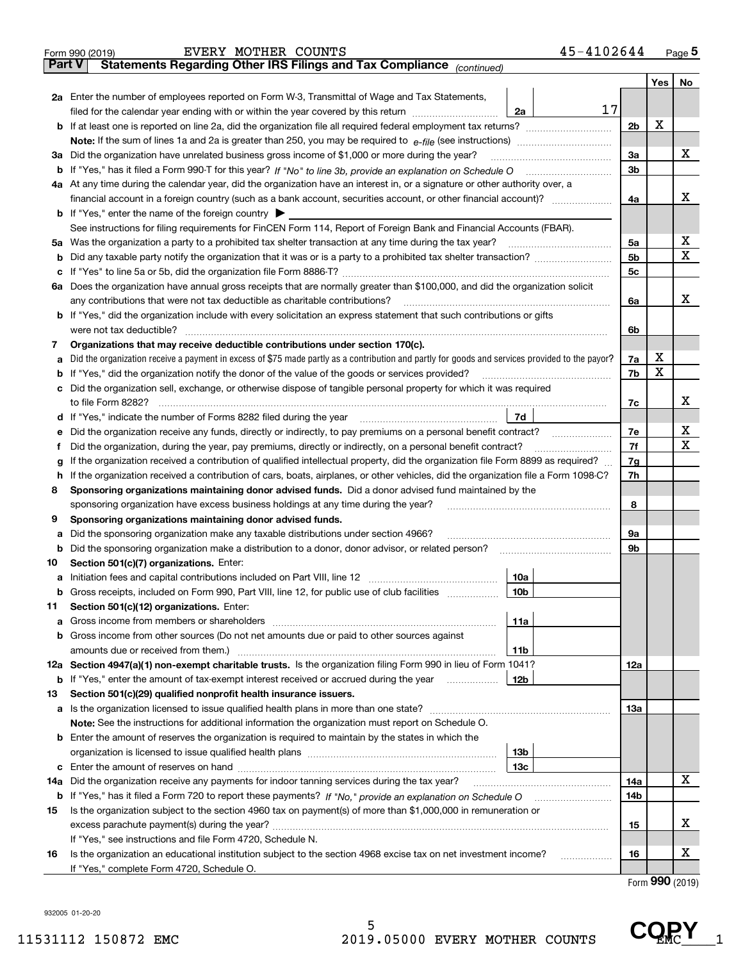| Part V | 45-4102644<br>EVERY MOTHER COUNTS<br>Form 990 (2019)<br>Statements Regarding Other IRS Filings and Tax Compliance (continued)                                                                                                                                                               |                |     | Page 5 |  |  |  |  |
|--------|---------------------------------------------------------------------------------------------------------------------------------------------------------------------------------------------------------------------------------------------------------------------------------------------|----------------|-----|--------|--|--|--|--|
|        |                                                                                                                                                                                                                                                                                             |                | Yes | No     |  |  |  |  |
|        | 2a Enter the number of employees reported on Form W-3, Transmittal of Wage and Tax Statements,<br>17<br>filed for the calendar year ending with or within the year covered by this return [11] [11] filed for the calendar year ending with or within the year covered by this return<br>2a |                |     |        |  |  |  |  |
|        | <b>b</b> If at least one is reported on line 2a, did the organization file all required federal employment tax returns?                                                                                                                                                                     |                |     |        |  |  |  |  |
|        |                                                                                                                                                                                                                                                                                             |                |     |        |  |  |  |  |
|        | 3a Did the organization have unrelated business gross income of \$1,000 or more during the year?                                                                                                                                                                                            | 3a             |     | x      |  |  |  |  |
|        |                                                                                                                                                                                                                                                                                             | 3 <sub>b</sub> |     |        |  |  |  |  |
|        | 4a At any time during the calendar year, did the organization have an interest in, or a signature or other authority over, a                                                                                                                                                                |                |     |        |  |  |  |  |
|        |                                                                                                                                                                                                                                                                                             | 4a             |     | x      |  |  |  |  |
|        | <b>b</b> If "Yes," enter the name of the foreign country $\blacktriangleright$                                                                                                                                                                                                              |                |     |        |  |  |  |  |
|        | See instructions for filing requirements for FinCEN Form 114, Report of Foreign Bank and Financial Accounts (FBAR).                                                                                                                                                                         |                |     |        |  |  |  |  |
|        | 5a Was the organization a party to a prohibited tax shelter transaction at any time during the tax year?                                                                                                                                                                                    | 5a             |     | х      |  |  |  |  |
| b      |                                                                                                                                                                                                                                                                                             | 5 <sub>b</sub> |     | X      |  |  |  |  |
| c      |                                                                                                                                                                                                                                                                                             | 5c             |     |        |  |  |  |  |
|        | 6a Does the organization have annual gross receipts that are normally greater than \$100,000, and did the organization solicit                                                                                                                                                              |                |     |        |  |  |  |  |
|        | any contributions that were not tax deductible as charitable contributions?                                                                                                                                                                                                                 | 6a             |     | х      |  |  |  |  |
|        | <b>b</b> If "Yes," did the organization include with every solicitation an express statement that such contributions or gifts                                                                                                                                                               |                |     |        |  |  |  |  |
|        | were not tax deductible?                                                                                                                                                                                                                                                                    | 6b             |     |        |  |  |  |  |
| 7      | Organizations that may receive deductible contributions under section 170(c).                                                                                                                                                                                                               |                |     |        |  |  |  |  |
|        | a Did the organization receive a payment in excess of \$75 made partly as a contribution and partly for goods and services provided to the payor?                                                                                                                                           | 7a             | х   |        |  |  |  |  |
| b      | If "Yes," did the organization notify the donor of the value of the goods or services provided?                                                                                                                                                                                             | 7b             | X   |        |  |  |  |  |
|        | c Did the organization sell, exchange, or otherwise dispose of tangible personal property for which it was required                                                                                                                                                                         |                |     |        |  |  |  |  |
|        | to file Form 8282?                                                                                                                                                                                                                                                                          | 7c             |     | х      |  |  |  |  |
|        | 7d<br>d If "Yes," indicate the number of Forms 8282 filed during the year                                                                                                                                                                                                                   |                |     |        |  |  |  |  |
| е      | Did the organization receive any funds, directly or indirectly, to pay premiums on a personal benefit contract?                                                                                                                                                                             | 7e             |     | х      |  |  |  |  |
| f      | Did the organization, during the year, pay premiums, directly or indirectly, on a personal benefit contract?                                                                                                                                                                                | 7f             |     | X      |  |  |  |  |
| g      | If the organization received a contribution of qualified intellectual property, did the organization file Form 8899 as required?                                                                                                                                                            | 7g             |     |        |  |  |  |  |
|        | h If the organization received a contribution of cars, boats, airplanes, or other vehicles, did the organization file a Form 1098-C?                                                                                                                                                        |                |     |        |  |  |  |  |
| 8      | Sponsoring organizations maintaining donor advised funds. Did a donor advised fund maintained by the                                                                                                                                                                                        |                |     |        |  |  |  |  |
|        | sponsoring organization have excess business holdings at any time during the year?                                                                                                                                                                                                          | 8              |     |        |  |  |  |  |
| 9      | Sponsoring organizations maintaining donor advised funds.                                                                                                                                                                                                                                   |                |     |        |  |  |  |  |
| а      | Did the sponsoring organization make any taxable distributions under section 4966?                                                                                                                                                                                                          | 9а             |     |        |  |  |  |  |
| b      | Did the sponsoring organization make a distribution to a donor, donor advisor, or related person?                                                                                                                                                                                           | 9b             |     |        |  |  |  |  |
| 10     | Section 501(c)(7) organizations. Enter:                                                                                                                                                                                                                                                     |                |     |        |  |  |  |  |
|        | 10a                                                                                                                                                                                                                                                                                         |                |     |        |  |  |  |  |
| b      | Gross receipts, included on Form 990, Part VIII, line 12, for public use of club facilities<br>10b                                                                                                                                                                                          |                |     |        |  |  |  |  |
| 11     | Section 501(c)(12) organizations. Enter:                                                                                                                                                                                                                                                    |                |     |        |  |  |  |  |
| а      | 11a                                                                                                                                                                                                                                                                                         |                |     |        |  |  |  |  |
| b      | Gross income from other sources (Do not net amounts due or paid to other sources against                                                                                                                                                                                                    |                |     |        |  |  |  |  |
|        | 11b                                                                                                                                                                                                                                                                                         |                |     |        |  |  |  |  |
|        | 12a Section 4947(a)(1) non-exempt charitable trusts. Is the organization filing Form 990 in lieu of Form 1041?                                                                                                                                                                              | 12a            |     |        |  |  |  |  |
| b      | If "Yes," enter the amount of tax-exempt interest received or accrued during the year<br>12b                                                                                                                                                                                                |                |     |        |  |  |  |  |
| 13     | Section 501(c)(29) qualified nonprofit health insurance issuers.                                                                                                                                                                                                                            |                |     |        |  |  |  |  |
|        |                                                                                                                                                                                                                                                                                             | 13a            |     |        |  |  |  |  |
|        | Note: See the instructions for additional information the organization must report on Schedule O.                                                                                                                                                                                           |                |     |        |  |  |  |  |
|        | <b>b</b> Enter the amount of reserves the organization is required to maintain by the states in which the                                                                                                                                                                                   |                |     |        |  |  |  |  |
|        | 13b                                                                                                                                                                                                                                                                                         |                |     |        |  |  |  |  |
|        | 13с                                                                                                                                                                                                                                                                                         |                |     |        |  |  |  |  |
| 14a    | Did the organization receive any payments for indoor tanning services during the tax year?                                                                                                                                                                                                  | 14a            |     | х      |  |  |  |  |
| b      |                                                                                                                                                                                                                                                                                             | 14b            |     |        |  |  |  |  |
| 15     | Is the organization subject to the section 4960 tax on payment(s) of more than \$1,000,000 in remuneration or                                                                                                                                                                               |                |     |        |  |  |  |  |
|        |                                                                                                                                                                                                                                                                                             | 15             |     | х      |  |  |  |  |
|        | If "Yes," see instructions and file Form 4720, Schedule N.                                                                                                                                                                                                                                  |                |     |        |  |  |  |  |
| 16     | Is the organization an educational institution subject to the section 4968 excise tax on net investment income?<br>.                                                                                                                                                                        | 16             |     | х      |  |  |  |  |
|        | If "Yes," complete Form 4720, Schedule O.                                                                                                                                                                                                                                                   |                |     |        |  |  |  |  |

Form (2019) **990**

932005 01-20-20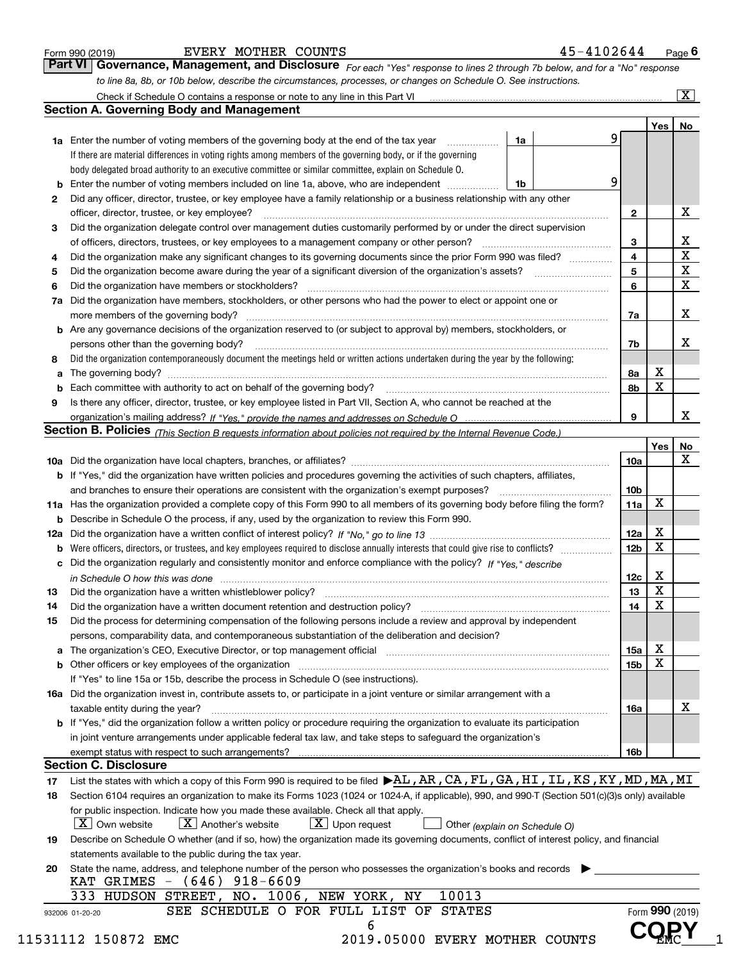| Form 990 (2019) |  |  |
|-----------------|--|--|

*For each "Yes" response to lines 2 through 7b below, and for a "No" response to line 8a, 8b, or 10b below, describe the circumstances, processes, or changes on Schedule O. See instructions.* Form 990 (2019) **EVERY MOTHER COUNTS 15-4102644** Page **6**<br>**Part VI** | Governance, Management, and Disclosure *For each "Yes" response to lines 2 through 7b below, and for a "No" response* 

|    |                                                                                                                                                                               |                               |   |                         | Yes             | No                      |  |  |
|----|-------------------------------------------------------------------------------------------------------------------------------------------------------------------------------|-------------------------------|---|-------------------------|-----------------|-------------------------|--|--|
|    | <b>1a</b> Enter the number of voting members of the governing body at the end of the tax year                                                                                 | 1a                            | 9 |                         |                 |                         |  |  |
|    | If there are material differences in voting rights among members of the governing body, or if the governing                                                                   |                               |   |                         |                 |                         |  |  |
|    | body delegated broad authority to an executive committee or similar committee, explain on Schedule O.                                                                         |                               |   |                         |                 |                         |  |  |
|    |                                                                                                                                                                               | 1b                            | 9 |                         |                 |                         |  |  |
| 2  | Did any officer, director, trustee, or key employee have a family relationship or a business relationship with any other                                                      |                               |   |                         |                 |                         |  |  |
|    | officer, director, trustee, or key employee?                                                                                                                                  |                               |   | $\mathbf{2}$            |                 | X                       |  |  |
| 3  | Did the organization delegate control over management duties customarily performed by or under the direct supervision                                                         |                               |   |                         |                 |                         |  |  |
|    |                                                                                                                                                                               |                               |   | 3                       |                 | X                       |  |  |
| 4  | Did the organization make any significant changes to its governing documents since the prior Form 990 was filed?                                                              |                               |   | $\overline{\mathbf{4}}$ |                 | $\overline{\textbf{X}}$ |  |  |
| 5  |                                                                                                                                                                               |                               |   | 5                       |                 | $\mathbf X$             |  |  |
| 6  | Did the organization have members or stockholders?                                                                                                                            |                               |   | 6                       |                 | $\mathbf x$             |  |  |
|    | 7a Did the organization have members, stockholders, or other persons who had the power to elect or appoint one or                                                             |                               |   |                         |                 |                         |  |  |
|    |                                                                                                                                                                               |                               |   | 7a                      |                 | x                       |  |  |
|    | <b>b</b> Are any governance decisions of the organization reserved to (or subject to approval by) members, stockholders, or                                                   |                               |   |                         |                 |                         |  |  |
|    | persons other than the governing body?                                                                                                                                        |                               |   | 7b                      |                 | х                       |  |  |
| 8  | Did the organization contemporaneously document the meetings held or written actions undertaken during the year by the following:                                             |                               |   |                         |                 |                         |  |  |
| a  |                                                                                                                                                                               |                               |   | 8a                      | X               |                         |  |  |
|    |                                                                                                                                                                               |                               |   | 8b                      | X               |                         |  |  |
| 9  | Is there any officer, director, trustee, or key employee listed in Part VII, Section A, who cannot be reached at the                                                          |                               |   |                         |                 |                         |  |  |
|    |                                                                                                                                                                               |                               |   | 9                       |                 | х                       |  |  |
|    | Section B. Policies (This Section B requests information about policies not required by the Internal Revenue Code.)                                                           |                               |   |                         |                 |                         |  |  |
|    |                                                                                                                                                                               |                               |   |                         | Yes             | No                      |  |  |
|    |                                                                                                                                                                               |                               |   | 10a                     |                 | X                       |  |  |
|    | <b>b</b> If "Yes," did the organization have written policies and procedures governing the activities of such chapters, affiliates,                                           |                               |   |                         |                 |                         |  |  |
|    |                                                                                                                                                                               |                               |   |                         |                 |                         |  |  |
|    |                                                                                                                                                                               |                               |   | 10 <sub>b</sub>         | X               |                         |  |  |
|    | 11a Has the organization provided a complete copy of this Form 990 to all members of its governing body before filing the form?                                               |                               |   | 11a                     |                 |                         |  |  |
|    | <b>b</b> Describe in Schedule O the process, if any, used by the organization to review this Form 990.                                                                        |                               |   |                         |                 |                         |  |  |
|    |                                                                                                                                                                               |                               |   | 12a                     | X               |                         |  |  |
| b  |                                                                                                                                                                               |                               |   | 12b                     | X               |                         |  |  |
|    | c Did the organization regularly and consistently monitor and enforce compliance with the policy? If "Yes," describe                                                          |                               |   |                         |                 |                         |  |  |
|    | in Schedule O how this was done manufactured and continuum control of the Schedule O how this was done manufactured and continuum control of the Schedule O how this was done |                               |   | 12c                     | х               |                         |  |  |
| 13 |                                                                                                                                                                               |                               |   | 13                      | X               |                         |  |  |
| 14 | Did the organization have a written document retention and destruction policy? manufactured and the organization have a written document retention and destruction policy?    |                               |   | 14                      | X               |                         |  |  |
| 15 | Did the process for determining compensation of the following persons include a review and approval by independent                                                            |                               |   |                         |                 |                         |  |  |
|    | persons, comparability data, and contemporaneous substantiation of the deliberation and decision?                                                                             |                               |   |                         |                 |                         |  |  |
|    |                                                                                                                                                                               |                               |   | 15a                     | X               |                         |  |  |
|    |                                                                                                                                                                               |                               |   | 15b                     | X               |                         |  |  |
|    | If "Yes" to line 15a or 15b, describe the process in Schedule O (see instructions).                                                                                           |                               |   |                         |                 |                         |  |  |
|    | 16a Did the organization invest in, contribute assets to, or participate in a joint venture or similar arrangement with a                                                     |                               |   |                         |                 |                         |  |  |
|    | taxable entity during the year?                                                                                                                                               |                               |   | 16a                     |                 | X                       |  |  |
|    | b If "Yes," did the organization follow a written policy or procedure requiring the organization to evaluate its participation                                                |                               |   |                         |                 |                         |  |  |
|    | in joint venture arrangements under applicable federal tax law, and take steps to safeguard the organization's                                                                |                               |   |                         |                 |                         |  |  |
|    | exempt status with respect to such arrangements?                                                                                                                              |                               |   | 16b                     |                 |                         |  |  |
|    | <b>Section C. Disclosure</b>                                                                                                                                                  |                               |   |                         |                 |                         |  |  |
| 17 | List the states with which a copy of this Form 990 is required to be filed $\blacktriangleright$ AL, AR, CA, FL, GA, HI, IL, KS, KY, MD, MA, MI                               |                               |   |                         |                 |                         |  |  |
| 18 | Section 6104 requires an organization to make its Forms 1023 (1024 or 1024-A, if applicable), 990, and 990-T (Section 501(c)(3)s only) available                              |                               |   |                         |                 |                         |  |  |
|    | for public inspection. Indicate how you made these available. Check all that apply.                                                                                           |                               |   |                         |                 |                         |  |  |
|    | $X$ Upon request<br>  X   Own website<br>$ X $ Another's website                                                                                                              | Other (explain on Schedule O) |   |                         |                 |                         |  |  |
| 19 | Describe on Schedule O whether (and if so, how) the organization made its governing documents, conflict of interest policy, and financial                                     |                               |   |                         |                 |                         |  |  |
|    | statements available to the public during the tax year.                                                                                                                       |                               |   |                         |                 |                         |  |  |
| 20 | State the name, address, and telephone number of the person who possesses the organization's books and records                                                                |                               |   |                         |                 |                         |  |  |
|    | KAT GRIMES - (646) 918-6609                                                                                                                                                   |                               |   |                         |                 |                         |  |  |
|    | 10013<br>333 HUDSON STREET, NO. 1006, NEW YORK, NY                                                                                                                            |                               |   |                         |                 |                         |  |  |
|    | SEE SCHEDULE O FOR FULL LIST OF STATES                                                                                                                                        |                               |   |                         | Form 990 (2019) |                         |  |  |
|    | 932006 01-20-20                                                                                                                                                               |                               |   |                         |                 |                         |  |  |
|    | 6                                                                                                                                                                             |                               |   |                         |                 |                         |  |  |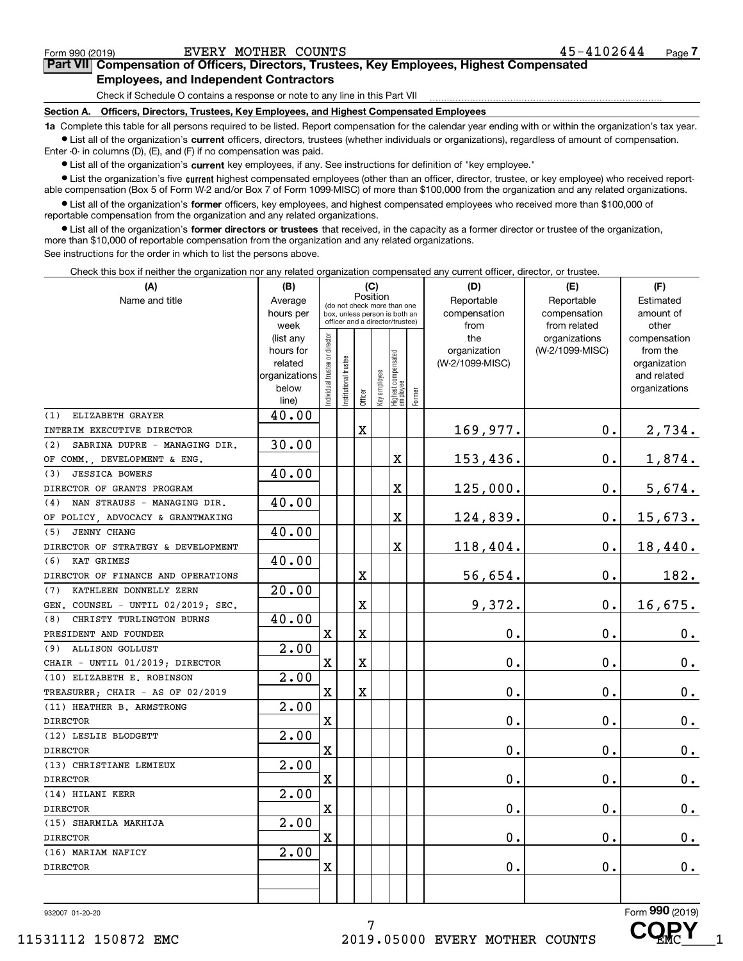**7Part VII Compensation of Officers, Directors, Trustees, Key Employees, Highest Compensated Employees, and Independent Contractors**

Check if Schedule O contains a response or note to any line in this Part VII

**Section A. Officers, Directors, Trustees, Key Employees, and Highest Compensated Employees**

**1a**  Complete this table for all persons required to be listed. Report compensation for the calendar year ending with or within the organization's tax year. **•** List all of the organization's current officers, directors, trustees (whether individuals or organizations), regardless of amount of compensation.

Enter -0- in columns (D), (E), and (F) if no compensation was paid.

● List all of the organization's **current** key employees, if any. See instructions for definition of "key employee."<br>● List the organization's five current bighest compensated employees (other than an officer, director, t

• List the organization's five current highest compensated employees (other than an officer, director, trustee, or key employee) who received report-■ List the organization's five current highest compensated employees (other than an officer, director, trustee, or key employee) who received report-<br>able compensation (Box 5 of Form W-2 and/or Box 7 of Form 1099-MISC) of

**•** List all of the organization's former officers, key employees, and highest compensated employees who received more than \$100,000 of reportable compensation from the organization and any related organizations.

**former directors or trustees**  ¥ List all of the organization's that received, in the capacity as a former director or trustee of the organization, more than \$10,000 of reportable compensation from the organization and any related organizations.

See instructions for the order in which to list the persons above.

Check this box if neither the organization nor any related organization compensated any current officer, director, or trustee.

| (A)                                  | (B)                  | (C)<br>Position               |                                                                  |             |              |                                  |        | (D)                             | (E)             | (F)                      |
|--------------------------------------|----------------------|-------------------------------|------------------------------------------------------------------|-------------|--------------|----------------------------------|--------|---------------------------------|-----------------|--------------------------|
| Name and title                       | Average              |                               | (do not check more than one                                      |             |              |                                  |        | Reportable                      | Reportable      | Estimated                |
|                                      | hours per            |                               | box, unless person is both an<br>officer and a director/trustee) |             |              |                                  |        | compensation                    | compensation    | amount of                |
|                                      | week                 |                               |                                                                  |             |              |                                  |        | from                            | from related    | other                    |
|                                      | (list any            |                               |                                                                  |             |              |                                  |        | the                             | organizations   | compensation             |
|                                      | hours for<br>related |                               |                                                                  |             |              |                                  |        | organization<br>(W-2/1099-MISC) | (W-2/1099-MISC) | from the<br>organization |
|                                      | organizations        |                               |                                                                  |             |              |                                  |        |                                 |                 | and related              |
|                                      | below                |                               |                                                                  |             |              |                                  |        |                                 |                 | organizations            |
|                                      | line)                | ndividual trustee or director | nstitutional trustee                                             | Officer     | Key employee | Highest compensated<br> employee | Former |                                 |                 |                          |
| ELIZABETH GRAYER<br>(1)              | 40.00                |                               |                                                                  |             |              |                                  |        |                                 |                 |                          |
| INTERIM EXECUTIVE DIRECTOR           |                      |                               |                                                                  | $\mathbf X$ |              |                                  |        | 169,977.                        | $\mathbf 0$ .   | 2,734.                   |
| SABRINA DUPRE - MANAGING DIR.<br>(2) | 30.00                |                               |                                                                  |             |              |                                  |        |                                 |                 |                          |
| OF COMM., DEVELOPMENT & ENG.         |                      |                               |                                                                  |             |              | X                                |        | 153,436.                        | 0.              | 1,874.                   |
| <b>JESSICA BOWERS</b><br>(3)         | 40.00                |                               |                                                                  |             |              |                                  |        |                                 |                 |                          |
| DIRECTOR OF GRANTS PROGRAM           |                      |                               |                                                                  |             |              | X                                |        | 125,000.                        | $0$ .           | 5,674.                   |
| NAN STRAUSS - MANAGING DIR.<br>(4)   | 40.00                |                               |                                                                  |             |              |                                  |        |                                 |                 |                          |
| OF POLICY, ADVOCACY & GRANTMAKING    |                      |                               |                                                                  |             |              | X                                |        | 124,839.                        | $0$ .           | 15,673.                  |
| JENNY CHANG<br>(5)                   | 40.00                |                               |                                                                  |             |              |                                  |        |                                 |                 |                          |
| DIRECTOR OF STRATEGY & DEVELOPMENT   |                      |                               |                                                                  |             |              | X                                |        | 118,404.                        | 0.              | 18,440.                  |
| KAT GRIMES<br>(6)                    | 40.00                |                               |                                                                  |             |              |                                  |        |                                 |                 |                          |
| DIRECTOR OF FINANCE AND OPERATIONS   |                      |                               |                                                                  | $\mathbf X$ |              |                                  |        | 56,654.                         | 0.              | 182.                     |
| KATHLEEN DONNELLY ZERN<br>(7)        | 20.00                |                               |                                                                  |             |              |                                  |        |                                 |                 |                          |
| GEN. COUNSEL - UNTIL 02/2019; SEC.   |                      |                               |                                                                  | $\mathbf X$ |              |                                  |        | 9,372.                          | $0$ .           | 16,675.                  |
| CHRISTY TURLINGTON BURNS<br>(8)      | 40.00                |                               |                                                                  |             |              |                                  |        |                                 |                 |                          |
| PRESIDENT AND FOUNDER                |                      | $\rm X$                       |                                                                  | $\mathbf X$ |              |                                  |        | 0.                              | 0.              | 0.                       |
| <b>ALLISON GOLLUST</b><br>(9)        | 2.00                 |                               |                                                                  |             |              |                                  |        |                                 |                 |                          |
| CHAIR - UNTIL 01/2019; DIRECTOR      |                      | $\mathbf x$                   |                                                                  | $\mathbf X$ |              |                                  |        | 0.                              | 0.              | $\mathbf 0$ .            |
| (10) ELIZABETH E. ROBINSON           | $\overline{2.00}$    |                               |                                                                  |             |              |                                  |        |                                 |                 |                          |
| TREASURER; CHAIR - AS OF 02/2019     |                      | $\mathbf X$                   |                                                                  | X           |              |                                  |        | 0.                              | 0.              | $0\cdot$                 |
| (11) HEATHER B. ARMSTRONG            | 2.00                 |                               |                                                                  |             |              |                                  |        |                                 |                 |                          |
| <b>DIRECTOR</b>                      |                      | $\mathbf X$                   |                                                                  |             |              |                                  |        | 0.                              | 0.              | 0.                       |
| (12) LESLIE BLODGETT                 | 2.00                 |                               |                                                                  |             |              |                                  |        |                                 |                 |                          |
| <b>DIRECTOR</b>                      |                      | X                             |                                                                  |             |              |                                  |        | 0.                              | 0.              | $\mathbf 0$ .            |
| (13) CHRISTIANE LEMIEUX              | 2.00                 |                               |                                                                  |             |              |                                  |        |                                 |                 |                          |
| <b>DIRECTOR</b>                      |                      | $\mathbf X$                   |                                                                  |             |              |                                  |        | 0.                              | 0.              | $\mathbf 0$ .            |
| (14) HILANI KERR                     | 2.00                 |                               |                                                                  |             |              |                                  |        |                                 |                 |                          |
| <b>DIRECTOR</b>                      |                      | $\mathbf X$                   |                                                                  |             |              |                                  |        | 0.                              | 0.              | $\mathbf 0$ .            |
| (15) SHARMILA MAKHIJA                | 2.00                 |                               |                                                                  |             |              |                                  |        |                                 |                 |                          |
| <b>DIRECTOR</b>                      |                      | $\mathbf X$                   |                                                                  |             |              |                                  |        | 0.                              | 0.              | 0.                       |
| (16) MARIAM NAFICY                   | 2.00                 |                               |                                                                  |             |              |                                  |        |                                 |                 |                          |
| <b>DIRECTOR</b>                      |                      | X                             |                                                                  |             |              |                                  |        | 0.                              | $0$ .           | $\mathbf 0$ .            |
|                                      |                      |                               |                                                                  |             |              |                                  |        |                                 |                 |                          |
|                                      |                      |                               |                                                                  |             |              |                                  |        |                                 |                 |                          |

7

932007 01-20-20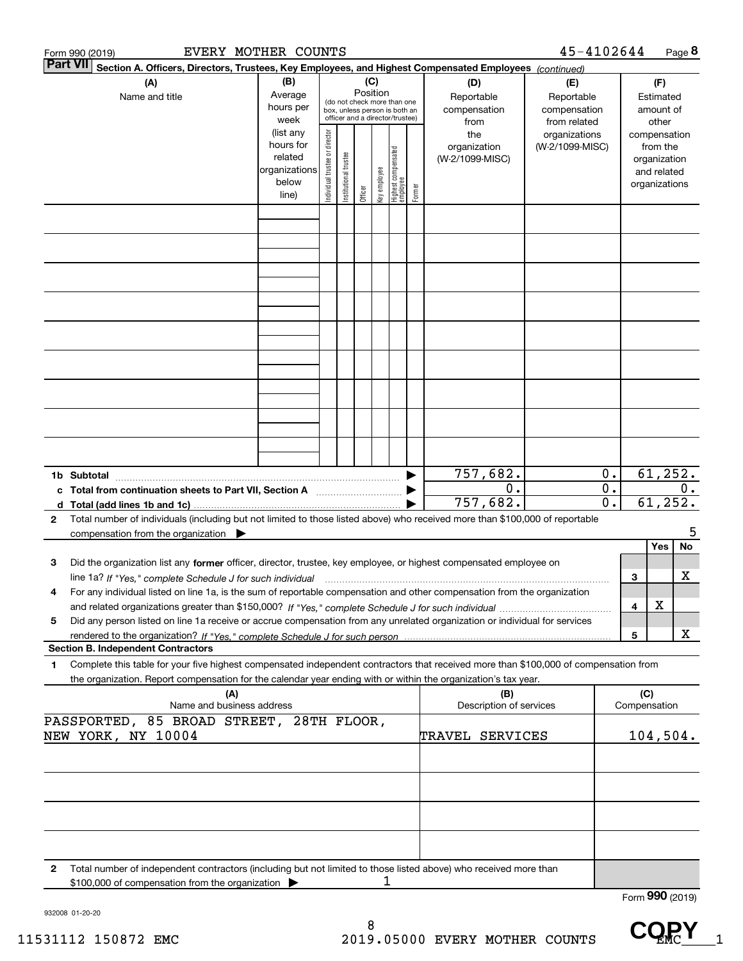|                 | EVERY MOTHER COUNTS<br>Form 990 (2019)                                                                                                                                                                                                                                   |                                                                      |                                                                                                                                                                 |  |         |              |                                  |        |                                        | 45-4102644                                        |                |                     | Page 8                                                                   |
|-----------------|--------------------------------------------------------------------------------------------------------------------------------------------------------------------------------------------------------------------------------------------------------------------------|----------------------------------------------------------------------|-----------------------------------------------------------------------------------------------------------------------------------------------------------------|--|---------|--------------|----------------------------------|--------|----------------------------------------|---------------------------------------------------|----------------|---------------------|--------------------------------------------------------------------------|
| <b>Part VII</b> | Section A. Officers, Directors, Trustees, Key Employees, and Highest Compensated Employees (continued)                                                                                                                                                                   |                                                                      |                                                                                                                                                                 |  |         |              |                                  |        |                                        |                                                   |                |                     |                                                                          |
|                 | (A)<br>Name and title                                                                                                                                                                                                                                                    | (B)<br>Average<br>hours per<br>week                                  | (C)<br>(D)<br>Position<br>Reportable<br>(do not check more than one<br>compensation<br>box, unless person is both an<br>officer and a director/trustee)<br>from |  |         |              |                                  |        |                                        | (E)<br>Reportable<br>compensation<br>from related |                |                     | (F)<br>Estimated<br>amount of<br>other                                   |
|                 |                                                                                                                                                                                                                                                                          | (list any<br>hours for<br>related<br>organizations<br>below<br>line) | Individual trustee or director<br>Institutional trustee                                                                                                         |  | Officer | Key employee | Highest compensated<br> employee | Former | the<br>organization<br>(W-2/1099-MISC) | organizations<br>(W-2/1099-MISC)                  |                |                     | compensation<br>from the<br>organization<br>and related<br>organizations |
|                 |                                                                                                                                                                                                                                                                          |                                                                      |                                                                                                                                                                 |  |         |              |                                  |        |                                        |                                                   |                |                     |                                                                          |
|                 |                                                                                                                                                                                                                                                                          |                                                                      |                                                                                                                                                                 |  |         |              |                                  |        |                                        |                                                   |                |                     |                                                                          |
|                 |                                                                                                                                                                                                                                                                          |                                                                      |                                                                                                                                                                 |  |         |              |                                  |        |                                        |                                                   |                |                     |                                                                          |
|                 |                                                                                                                                                                                                                                                                          |                                                                      |                                                                                                                                                                 |  |         |              |                                  |        |                                        |                                                   |                |                     |                                                                          |
|                 |                                                                                                                                                                                                                                                                          |                                                                      |                                                                                                                                                                 |  |         |              |                                  |        |                                        |                                                   |                |                     |                                                                          |
|                 |                                                                                                                                                                                                                                                                          |                                                                      |                                                                                                                                                                 |  |         |              |                                  |        |                                        |                                                   |                |                     |                                                                          |
|                 | c Total from continuation sheets to Part VII, Section A                                                                                                                                                                                                                  |                                                                      |                                                                                                                                                                 |  |         |              |                                  |        | 757,682.<br>0.                         |                                                   | $0$ .<br>$0$ . |                     | 61, 252.<br>0.                                                           |
| $\mathbf{2}$    | Total number of individuals (including but not limited to those listed above) who received more than \$100,000 of reportable<br>compensation from the organization $\blacktriangleright$                                                                                 |                                                                      |                                                                                                                                                                 |  |         |              |                                  |        | 757,682.                               |                                                   | 0.             |                     | 61, 252.<br>5                                                            |
| 3               | Did the organization list any former officer, director, trustee, key employee, or highest compensated employee on<br>line 1a? If "Yes," complete Schedule J for such individual manumanamental communities and the 1a? If "Yes," complete Schedule J for such individual |                                                                      |                                                                                                                                                                 |  |         |              |                                  |        |                                        |                                                   | 3              |                     | Yes<br>No<br>x                                                           |
|                 | For any individual listed on line 1a, is the sum of reportable compensation and other compensation from the organization                                                                                                                                                 |                                                                      |                                                                                                                                                                 |  |         |              |                                  |        |                                        |                                                   | 4              | X                   |                                                                          |
| 5               | Did any person listed on line 1a receive or accrue compensation from any unrelated organization or individual for services<br><b>Section B. Independent Contractors</b>                                                                                                  |                                                                      |                                                                                                                                                                 |  |         |              |                                  |        |                                        |                                                   | 5              |                     | x                                                                        |
| 1               | Complete this table for your five highest compensated independent contractors that received more than \$100,000 of compensation from<br>the organization. Report compensation for the calendar year ending with or within the organization's tax year.                   |                                                                      |                                                                                                                                                                 |  |         |              |                                  |        |                                        |                                                   |                |                     |                                                                          |
|                 | (A)<br>Name and business address<br>PASSPORTED, 85 BROAD STREET, 28TH FLOOR,                                                                                                                                                                                             |                                                                      |                                                                                                                                                                 |  |         |              |                                  |        | (B)<br>Description of services         |                                                   |                | (C)<br>Compensation |                                                                          |
|                 | NEW YORK, NY 10004                                                                                                                                                                                                                                                       |                                                                      |                                                                                                                                                                 |  |         |              |                                  |        | TRAVEL SERVICES                        |                                                   |                |                     | 104,504.                                                                 |
|                 |                                                                                                                                                                                                                                                                          |                                                                      |                                                                                                                                                                 |  |         |              |                                  |        |                                        |                                                   |                |                     |                                                                          |
|                 |                                                                                                                                                                                                                                                                          |                                                                      |                                                                                                                                                                 |  |         |              |                                  |        |                                        |                                                   |                |                     |                                                                          |
| 2               | Total number of independent contractors (including but not limited to those listed above) who received more than<br>\$100,000 of compensation from the organization                                                                                                      |                                                                      |                                                                                                                                                                 |  |         | 1            |                                  |        |                                        |                                                   |                |                     |                                                                          |
|                 |                                                                                                                                                                                                                                                                          |                                                                      |                                                                                                                                                                 |  |         |              |                                  |        |                                        |                                                   |                |                     | Form 990 (2019)                                                          |

932008 01-20-20

 $CQ_{MC}Y_{1}$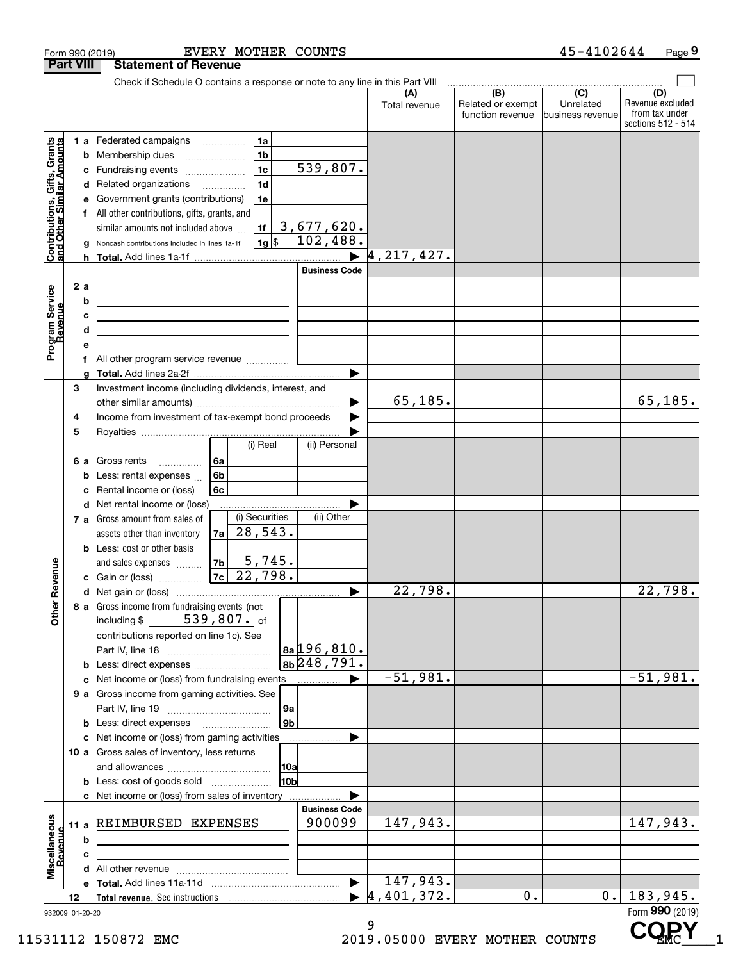| <b>Part VIII</b>                                          |    |        | <b>Statement of Revenue</b>                                                                                                                                                                                                                 |                |                     |                |                      |                        |                                                           |                                                   |                                                                 |
|-----------------------------------------------------------|----|--------|---------------------------------------------------------------------------------------------------------------------------------------------------------------------------------------------------------------------------------------------|----------------|---------------------|----------------|----------------------|------------------------|-----------------------------------------------------------|---------------------------------------------------|-----------------------------------------------------------------|
|                                                           |    |        | Check if Schedule O contains a response or note to any line in this Part VIII                                                                                                                                                               |                |                     |                |                      |                        |                                                           |                                                   |                                                                 |
|                                                           |    |        |                                                                                                                                                                                                                                             |                |                     |                |                      | (A<br>Total revenue    | $\overline{(B)}$<br>Related or exempt<br>function revenue | $\overline{(C)}$<br>Unrelated<br>business revenue | (D)<br>Revenue excluded<br>from tax under<br>sections 512 - 514 |
|                                                           |    |        | <b>1 a</b> Federated campaigns                                                                                                                                                                                                              |                | 1a                  |                |                      |                        |                                                           |                                                   |                                                                 |
|                                                           |    | b      | Membership dues                                                                                                                                                                                                                             |                | 1 <sub>b</sub>      |                |                      |                        |                                                           |                                                   |                                                                 |
|                                                           |    | с      | Fundraising events                                                                                                                                                                                                                          |                | 1 <sub>c</sub>      |                | 539,807.             |                        |                                                           |                                                   |                                                                 |
| Contributions, Gifts, Grants<br>and Other Similar Amounts |    | d      | Related organizations                                                                                                                                                                                                                       |                | 1 <sub>d</sub><br>. |                |                      |                        |                                                           |                                                   |                                                                 |
|                                                           |    |        | Government grants (contributions)                                                                                                                                                                                                           |                | 1e                  |                |                      |                        |                                                           |                                                   |                                                                 |
|                                                           |    | f      | All other contributions, gifts, grants, and                                                                                                                                                                                                 |                |                     |                |                      |                        |                                                           |                                                   |                                                                 |
|                                                           |    |        | similar amounts not included above                                                                                                                                                                                                          |                | 1f                  |                | 3,677,620.           |                        |                                                           |                                                   |                                                                 |
|                                                           |    |        | Noncash contributions included in lines 1a-1f                                                                                                                                                                                               |                | $1g$ \$             |                | 102,488.             |                        |                                                           |                                                   |                                                                 |
|                                                           |    | h      |                                                                                                                                                                                                                                             |                |                     |                |                      | 4, 217, 427.           |                                                           |                                                   |                                                                 |
|                                                           |    |        |                                                                                                                                                                                                                                             |                |                     |                | <b>Business Code</b> |                        |                                                           |                                                   |                                                                 |
| Program Service<br>Revenue                                |    | 2a     | <u> 1989 - Johann Stein, marwolaethau a bhann an t-Amhair an t-Amhair an t-Amhair an t-Amhair an t-Amhair an t-A</u>                                                                                                                        |                |                     |                |                      |                        |                                                           |                                                   |                                                                 |
|                                                           |    | b<br>c | the contract of the contract of the contract of the contract of the contract of                                                                                                                                                             |                |                     |                |                      |                        |                                                           |                                                   |                                                                 |
|                                                           |    | d      | <u> 1989 - John Harry Harry Harry Harry Harry Harry Harry Harry Harry Harry Harry Harry Harry Harry Harry Harry</u><br><u> 1989 - Johann Barbara, martin amerikan basar dan berasal dalam basa dalam basar dalam basar dalam basar dala</u> |                |                     |                |                      |                        |                                                           |                                                   |                                                                 |
|                                                           |    |        |                                                                                                                                                                                                                                             |                |                     |                |                      |                        |                                                           |                                                   |                                                                 |
|                                                           |    | f      |                                                                                                                                                                                                                                             |                |                     |                |                      |                        |                                                           |                                                   |                                                                 |
|                                                           |    |        |                                                                                                                                                                                                                                             |                |                     |                |                      |                        |                                                           |                                                   |                                                                 |
|                                                           | 3  |        | Investment income (including dividends, interest, and                                                                                                                                                                                       |                |                     |                |                      |                        |                                                           |                                                   |                                                                 |
|                                                           |    |        |                                                                                                                                                                                                                                             |                |                     |                |                      | 65, 185.               |                                                           |                                                   | 65, 185.                                                        |
|                                                           | 4  |        | Income from investment of tax-exempt bond proceeds                                                                                                                                                                                          |                |                     |                |                      |                        |                                                           |                                                   |                                                                 |
|                                                           | 5  |        |                                                                                                                                                                                                                                             |                |                     |                |                      |                        |                                                           |                                                   |                                                                 |
|                                                           |    |        |                                                                                                                                                                                                                                             |                | (i) Real            |                | (ii) Personal        |                        |                                                           |                                                   |                                                                 |
|                                                           |    | 6а     | Gross rents                                                                                                                                                                                                                                 | 6а             |                     |                |                      |                        |                                                           |                                                   |                                                                 |
|                                                           |    | b      | Less: rental expenses                                                                                                                                                                                                                       | 6 <sub>b</sub> |                     |                |                      |                        |                                                           |                                                   |                                                                 |
|                                                           |    | с      | Rental income or (loss)                                                                                                                                                                                                                     | 6c             |                     |                |                      |                        |                                                           |                                                   |                                                                 |
|                                                           |    | d      | Net rental income or (loss)<br>7 a Gross amount from sales of                                                                                                                                                                               |                | (i) Securities      |                | (ii) Other           |                        |                                                           |                                                   |                                                                 |
|                                                           |    |        | assets other than inventory                                                                                                                                                                                                                 | 7a             | 28,543.             |                |                      |                        |                                                           |                                                   |                                                                 |
|                                                           |    |        | <b>b</b> Less: cost or other basis                                                                                                                                                                                                          |                |                     |                |                      |                        |                                                           |                                                   |                                                                 |
|                                                           |    |        | and sales expenses                                                                                                                                                                                                                          | 7 <sub>b</sub> | 5,745.              |                |                      |                        |                                                           |                                                   |                                                                 |
| Revenue                                                   |    |        | Gain or (loss)                                                                                                                                                                                                                              |                | $7c$ 22,798.        |                |                      |                        |                                                           |                                                   |                                                                 |
|                                                           |    |        |                                                                                                                                                                                                                                             |                |                     |                | ▶                    | 22,798.                |                                                           |                                                   | 22,798.                                                         |
|                                                           |    |        | 8 a Gross income from fundraising events (not                                                                                                                                                                                               |                |                     |                |                      |                        |                                                           |                                                   |                                                                 |
| <b>Other</b>                                              |    |        | including \$                                                                                                                                                                                                                                |                | 539,807. of         |                |                      |                        |                                                           |                                                   |                                                                 |
|                                                           |    |        | contributions reported on line 1c). See                                                                                                                                                                                                     |                |                     |                |                      |                        |                                                           |                                                   |                                                                 |
|                                                           |    |        |                                                                                                                                                                                                                                             |                |                     |                | $ a_1 $ 196,810.     |                        |                                                           |                                                   |                                                                 |
|                                                           |    |        |                                                                                                                                                                                                                                             |                |                     |                | 8b 248, 791.         | $-51,981.$             |                                                           |                                                   | $-51, 981.$                                                     |
|                                                           |    | c      | Net income or (loss) from fundraising events                                                                                                                                                                                                |                |                     |                | ▶<br>.               |                        |                                                           |                                                   |                                                                 |
|                                                           |    |        | 9 a Gross income from gaming activities. See                                                                                                                                                                                                |                |                     | 9a             |                      |                        |                                                           |                                                   |                                                                 |
|                                                           |    |        | <b>b</b> Less: direct expenses <b>manually</b>                                                                                                                                                                                              |                |                     | 9 <sub>b</sub> |                      |                        |                                                           |                                                   |                                                                 |
|                                                           |    |        | c Net income or (loss) from gaming activities                                                                                                                                                                                               |                |                     |                |                      |                        |                                                           |                                                   |                                                                 |
|                                                           |    |        | 10 a Gross sales of inventory, less returns                                                                                                                                                                                                 |                |                     |                |                      |                        |                                                           |                                                   |                                                                 |
|                                                           |    |        |                                                                                                                                                                                                                                             |                |                     | 10a            |                      |                        |                                                           |                                                   |                                                                 |
|                                                           |    |        | <b>b</b> Less: cost of goods sold                                                                                                                                                                                                           |                |                     | 10bl           |                      |                        |                                                           |                                                   |                                                                 |
|                                                           |    |        | c Net income or (loss) from sales of inventory                                                                                                                                                                                              |                |                     |                |                      |                        |                                                           |                                                   |                                                                 |
|                                                           |    |        |                                                                                                                                                                                                                                             |                |                     |                | <b>Business Code</b> |                        |                                                           |                                                   |                                                                 |
| Miscellaneous<br>Revenue                                  |    | 11 a   | REIMBURSED EXPENSES                                                                                                                                                                                                                         |                |                     |                | 900099               | 147,943.               |                                                           |                                                   | 147,943.                                                        |
|                                                           |    | b      |                                                                                                                                                                                                                                             |                |                     |                |                      |                        |                                                           |                                                   |                                                                 |
|                                                           |    | с      |                                                                                                                                                                                                                                             |                |                     |                |                      |                        |                                                           |                                                   |                                                                 |
|                                                           |    |        |                                                                                                                                                                                                                                             |                |                     |                |                      |                        |                                                           |                                                   |                                                                 |
|                                                           |    |        |                                                                                                                                                                                                                                             |                |                     |                |                      | 147,943.<br>4,401,372. | 0.                                                        | $0$ .                                             | 183,945.                                                        |
| 932009 01-20-20                                           | 12 |        |                                                                                                                                                                                                                                             |                |                     |                |                      |                        |                                                           |                                                   | Form 990 (2019)                                                 |
|                                                           |    |        |                                                                                                                                                                                                                                             |                |                     |                |                      | a                      |                                                           |                                                   | <b>AARV</b>                                                     |

Form 990 (2019) EVERY MOTHER COUNTS 4 5-4102644 Page

11531112 150872 EMC 2019.05000 EVERY MOTHER COUNTS

**9**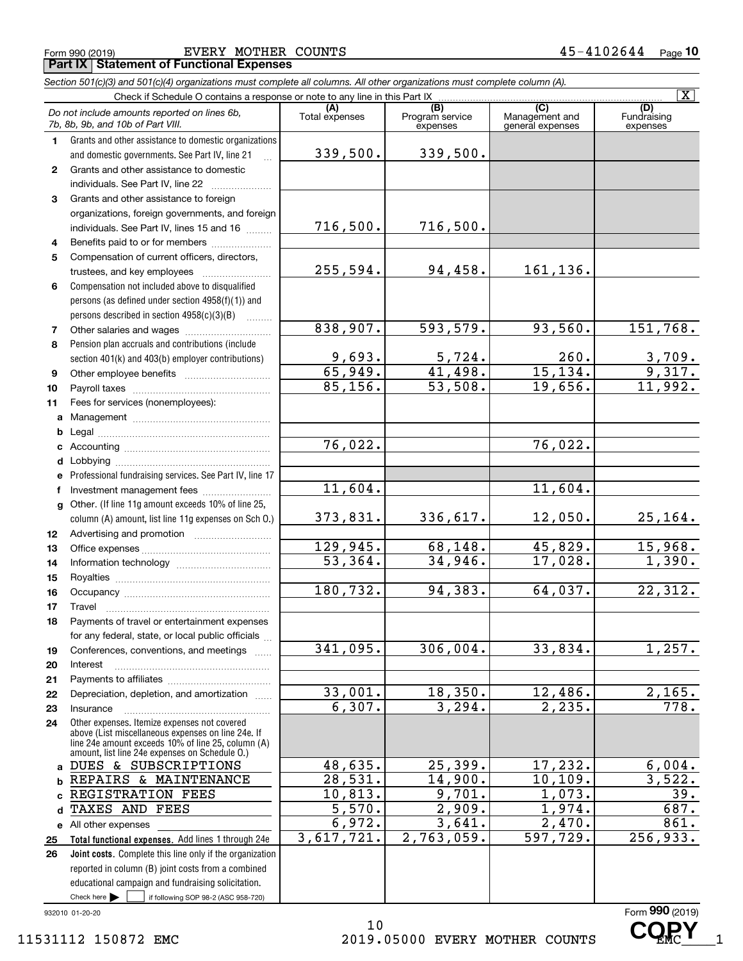|              | Section 501(c)(3) and 501(c)(4) organizations must complete all columns. All other organizations must complete column (A).<br>Check if Schedule O contains a response or note to any line in this Part IX |                       |                        |                       | $\overline{\mathbf{X}}$ |
|--------------|-----------------------------------------------------------------------------------------------------------------------------------------------------------------------------------------------------------|-----------------------|------------------------|-----------------------|-------------------------|
|              | Do not include amounts reported on lines 6b,                                                                                                                                                              | (A)<br>Total expenses | (B)<br>Program service | (C)<br>Management and | (D)<br>Fundraising      |
|              | 7b, 8b, 9b, and 10b of Part VIII.                                                                                                                                                                         |                       | expenses               | general expenses      | expenses                |
| $\mathbf{1}$ | Grants and other assistance to domestic organizations                                                                                                                                                     |                       |                        |                       |                         |
|              | and domestic governments. See Part IV, line 21                                                                                                                                                            | 339,500.              | 339,500.               |                       |                         |
| $\mathbf{2}$ | Grants and other assistance to domestic                                                                                                                                                                   |                       |                        |                       |                         |
|              | individuals. See Part IV, line 22                                                                                                                                                                         |                       |                        |                       |                         |
| 3            | Grants and other assistance to foreign                                                                                                                                                                    |                       |                        |                       |                         |
|              | organizations, foreign governments, and foreign                                                                                                                                                           |                       |                        |                       |                         |
|              | individuals. See Part IV, lines 15 and 16                                                                                                                                                                 | 716,500.              | 716,500.               |                       |                         |
| 4            | Benefits paid to or for members                                                                                                                                                                           |                       |                        |                       |                         |
| 5            | Compensation of current officers, directors,                                                                                                                                                              |                       |                        |                       |                         |
|              | trustees, and key employees                                                                                                                                                                               | 255,594.              | 94,458.                | 161,136.              |                         |
| 6            | Compensation not included above to disqualified                                                                                                                                                           |                       |                        |                       |                         |
|              | persons (as defined under section 4958(f)(1)) and                                                                                                                                                         |                       |                        |                       |                         |
|              | persons described in section 4958(c)(3)(B)                                                                                                                                                                | 838,907.              | 593,579.               | 93,560.               | 151,768.                |
| 7<br>8       | Pension plan accruals and contributions (include                                                                                                                                                          |                       |                        |                       |                         |
|              | section 401(k) and 403(b) employer contributions)                                                                                                                                                         | <u>9,693.</u>         | 5,724.                 | 260.                  |                         |
| 9            |                                                                                                                                                                                                           | 65,949.               | 41,498.                | 15, 134.              | $\frac{3,709}{9,317}$   |
| 10           |                                                                                                                                                                                                           | 85,156.               | 53,508.                | $\overline{19,656}$ . | 11,992.                 |
| 11           | Fees for services (nonemployees):                                                                                                                                                                         |                       |                        |                       |                         |
|              |                                                                                                                                                                                                           |                       |                        |                       |                         |
| b            |                                                                                                                                                                                                           |                       |                        |                       |                         |
|              |                                                                                                                                                                                                           | $\overline{76,022}$ . |                        | 76,022.               |                         |
| d            |                                                                                                                                                                                                           |                       |                        |                       |                         |
| е            | Professional fundraising services. See Part IV, line 17                                                                                                                                                   |                       |                        |                       |                         |
| f            | Investment management fees                                                                                                                                                                                | 11,604.               |                        | 11,604.               |                         |
|              | g Other. (If line 11g amount exceeds 10% of line 25,                                                                                                                                                      |                       |                        |                       |                         |
|              | column (A) amount, list line 11g expenses on Sch O.)                                                                                                                                                      | 373,831.              | 336,617.               | 12,050.               | <u>25,164.</u>          |
| 12           |                                                                                                                                                                                                           |                       |                        |                       |                         |
| 13           |                                                                                                                                                                                                           | 129,945.              | 68,148.                | 45,829.               | 15,968.                 |
| 14           |                                                                                                                                                                                                           | $\overline{53,364}$ . | 34,946.                | 17,028.               | 1,390.                  |
| 15           |                                                                                                                                                                                                           |                       |                        |                       |                         |
| 16           |                                                                                                                                                                                                           | 180,732.              | 94,383.                | 64,037.               | 22,312.                 |
| 17           |                                                                                                                                                                                                           |                       |                        |                       |                         |
| 18           | Payments of travel or entertainment expenses                                                                                                                                                              |                       |                        |                       |                         |
|              | for any federal, state, or local public officials                                                                                                                                                         | 341,095.              | 306,004.               | 33,834.               | 1,257.                  |
| 19           | Conferences, conventions, and meetings                                                                                                                                                                    |                       |                        |                       |                         |
| 20<br>21     | Interest                                                                                                                                                                                                  |                       |                        |                       |                         |
| 22           | Depreciation, depletion, and amortization                                                                                                                                                                 | 33,001.               | 18,350.                | 12,486.               | 2,165.                  |
| 23           | Insurance                                                                                                                                                                                                 | 6,307.                | 3,294.                 | 2, 235.               | 778.                    |
| 24           | Other expenses. Itemize expenses not covered                                                                                                                                                              |                       |                        |                       |                         |
|              | above (List miscellaneous expenses on line 24e. If                                                                                                                                                        |                       |                        |                       |                         |
|              | line 24e amount exceeds 10% of line 25, column (A)<br>amount, list line 24e expenses on Schedule O.)                                                                                                      |                       |                        |                       |                         |
| a            | DUES & SUBSCRIPTIONS                                                                                                                                                                                      | 48,635.               | 25,399.                | 17,232.               | 6,004.                  |
| b            | REPAIRS & MAINTENANCE                                                                                                                                                                                     | 28,531.               | 14,900.                | 10, 109.              | 3,522.                  |
|              | REGISTRATION FEES                                                                                                                                                                                         | 10,813.               | 9,701.                 | 1,073.                | 39.                     |
|              | TAXES AND<br>FEES                                                                                                                                                                                         | 5,570.                | 2,909.                 | 1,974.                | 687.                    |
|              | e All other expenses                                                                                                                                                                                      | 6,972.                | 3,641.                 | $\overline{2,470}$ .  | 861.                    |
| 25           | Total functional expenses. Add lines 1 through 24e                                                                                                                                                        | 3,617,721.            | 2,763,059.             | 597,729.              | 256,933.                |
| 26           | Joint costs. Complete this line only if the organization                                                                                                                                                  |                       |                        |                       |                         |
|              | reported in column (B) joint costs from a combined                                                                                                                                                        |                       |                        |                       |                         |
|              | educational campaign and fundraising solicitation.                                                                                                                                                        |                       |                        |                       |                         |
|              | Check here $\blacktriangleright$<br>if following SOP 98-2 (ASC 958-720)                                                                                                                                   |                       |                        |                       |                         |

932010 01-20-20

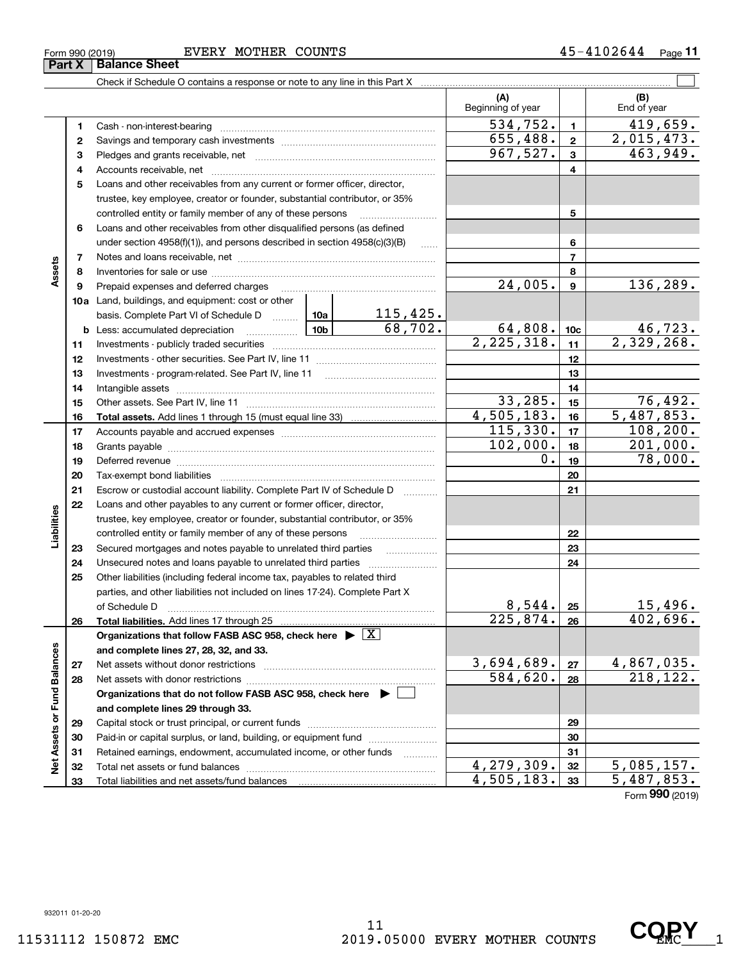#### Form 990 (2019) EVERY MOTHER COUNTS 4 5 – 41 0 2 6 4 4  $\,$  Page **Part X Balance Sheet**

Check if Schedule O contains a response or note to any line in this Part X

|                             |    |                                                                               |   |                    | (A)<br>Beginning of year     |                 | (B)<br>End of year            |
|-----------------------------|----|-------------------------------------------------------------------------------|---|--------------------|------------------------------|-----------------|-------------------------------|
|                             | 1  | Cash - non-interest-bearing                                                   |   |                    | 534,752.                     | $\mathbf{1}$    | 419,659.                      |
|                             | 2  |                                                                               |   |                    | 655,488.                     | $\mathbf{2}$    | 2,015,473.                    |
|                             | 3  |                                                                               |   |                    | 967,527.                     | 3               | 463,949.                      |
|                             | 4  |                                                                               |   |                    |                              | 4               |                               |
|                             | 5  | Loans and other receivables from any current or former officer, director,     |   |                    |                              |                 |                               |
|                             |    | trustee, key employee, creator or founder, substantial contributor, or 35%    |   |                    |                              |                 |                               |
|                             |    | controlled entity or family member of any of these persons                    |   |                    |                              | 5               |                               |
|                             | 6  | Loans and other receivables from other disqualified persons (as defined       |   |                    |                              |                 |                               |
|                             |    | under section $4958(f)(1)$ , and persons described in section $4958(c)(3)(B)$ |   | 1.1.1.1            |                              | 6               |                               |
|                             | 7  |                                                                               |   |                    |                              | $\overline{7}$  |                               |
| Assets                      | 8  |                                                                               |   |                    |                              | 8               |                               |
|                             | 9  | Prepaid expenses and deferred charges                                         |   |                    | 24,005.                      | 9               | 136,289.                      |
|                             |    | <b>10a</b> Land, buildings, and equipment: cost or other                      |   |                    |                              |                 |                               |
|                             |    | basis. Complete Part VI of Schedule D  10a                                    |   | 115,425.           |                              |                 |                               |
|                             | b  | <u>  10b</u> 10m<br>Less: accumulated depreciation                            |   | 68,702.            | $\frac{64,808.}{2,225,318.}$ | 10 <sub>c</sub> | $\frac{46,723}{2,329,268}$    |
|                             | 11 |                                                                               |   |                    |                              | 11              |                               |
|                             | 12 |                                                                               |   |                    |                              | 12              |                               |
|                             | 13 | Investments - program-related. See Part IV, line 11                           |   |                    |                              | 13              |                               |
|                             | 14 |                                                                               |   |                    |                              | 14              |                               |
|                             | 15 |                                                                               |   |                    | 33,285.                      | 15              | 76,492.                       |
|                             | 16 |                                                                               |   |                    | 4,505,183.                   | 16              | 5,487,853.                    |
|                             | 17 |                                                                               |   |                    | 115,330.                     | 17              | 108, 200.                     |
|                             | 18 |                                                                               |   |                    | 102,000.                     | 18              | 201,000.                      |
|                             | 19 |                                                                               |   |                    | 0.                           | 19              | 78,000.                       |
|                             | 20 |                                                                               |   |                    |                              | 20              |                               |
|                             | 21 | Escrow or custodial account liability. Complete Part IV of Schedule D         |   | .                  |                              | 21              |                               |
|                             | 22 | Loans and other payables to any current or former officer, director,          |   |                    |                              |                 |                               |
|                             |    | trustee, key employee, creator or founder, substantial contributor, or 35%    |   |                    |                              |                 |                               |
| Liabilities                 |    | controlled entity or family member of any of these persons                    |   |                    |                              | 22              |                               |
|                             | 23 | Secured mortgages and notes payable to unrelated third parties                | . |                    | 23                           |                 |                               |
|                             | 24 | Unsecured notes and loans payable to unrelated third parties                  |   |                    |                              | 24              |                               |
|                             | 25 | Other liabilities (including federal income tax, payables to related third    |   |                    |                              |                 |                               |
|                             |    | parties, and other liabilities not included on lines 17-24). Complete Part X  |   |                    |                              |                 |                               |
|                             |    | of Schedule D                                                                 |   |                    | 8,544.                       | 25              | 15,496.                       |
|                             | 26 |                                                                               |   |                    | 225,874.                     | 26              | 402,696.                      |
|                             |    | Organizations that follow FASB ASC 958, check here $\blacktriangleright$      |   | $\boxed{\text{X}}$ |                              |                 |                               |
|                             |    | and complete lines 27, 28, 32, and 33.                                        |   |                    |                              |                 |                               |
|                             | 27 | Net assets without donor restrictions                                         |   |                    | 3,694,689.                   | 27              | $\frac{4,867,035.}{218,122.}$ |
|                             | 28 |                                                                               |   |                    | 584,620.                     | 28              |                               |
|                             |    | Organizations that do not follow FASB ASC 958, check here ▶ □                 |   |                    |                              |                 |                               |
|                             |    | and complete lines 29 through 33.                                             |   |                    |                              |                 |                               |
| Net Assets or Fund Balances | 29 |                                                                               |   |                    |                              | 29              |                               |
|                             | 30 | Paid-in or capital surplus, or land, building, or equipment fund              |   |                    |                              | 30              |                               |
|                             | 31 | Retained earnings, endowment, accumulated income, or other funds              |   | .                  |                              | 31              |                               |
|                             | 32 | Total net assets or fund balances                                             |   |                    | 4,279,309.                   | 32              | 5,085,157.                    |
|                             | 33 | Total liabilities and net assets/fund balances                                |   |                    | 4,505,183.                   | 33              | 5,487,853.                    |
|                             |    |                                                                               |   |                    |                              |                 | Form 990 (2019)               |

 $\mathcal{L}^{\text{max}}$ 

CQRY<sub>1</sub>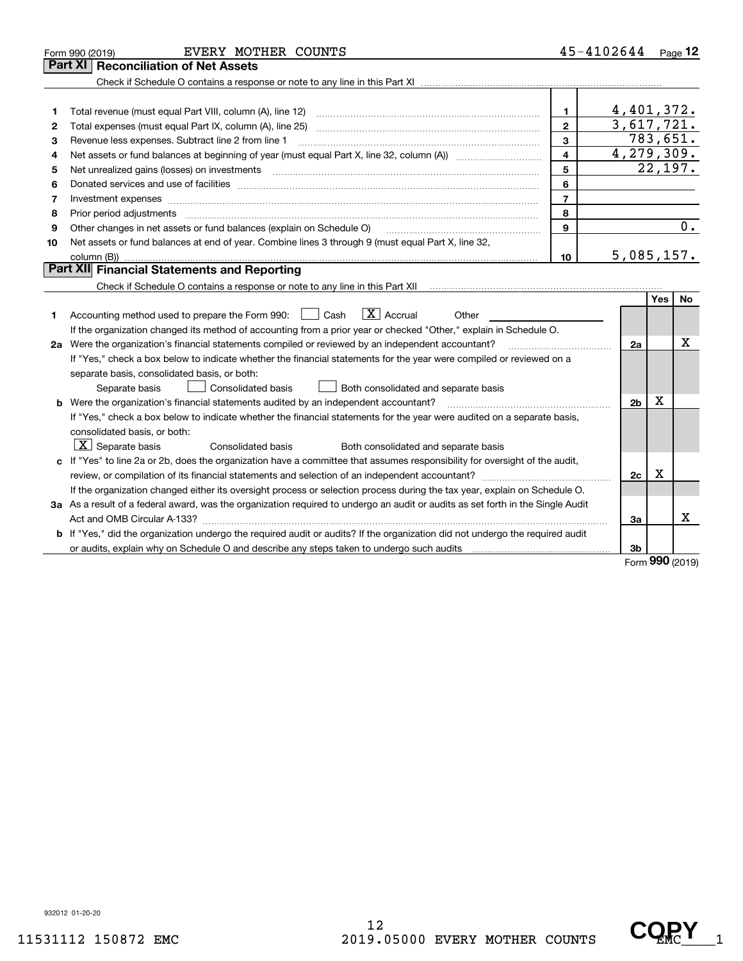|  | EVERY MOTHER | COUNT. |
|--|--------------|--------|
|--|--------------|--------|

Check if Schedule O contains a response or note to any line in this Part XI .................................. **Part XI Reconciliation of Net Assets**

| $\mathbf 1$  | Total revenue (must equal Part VIII, column (A), line 12)                                                                                                                                       |    | 4,401,372. |
|--------------|-------------------------------------------------------------------------------------------------------------------------------------------------------------------------------------------------|----|------------|
| $\mathbf{2}$ | Total expenses (must equal Part IX, column (A), line 25)                                                                                                                                        |    | 3,617,721. |
| 3            | Revenue less expenses. Subtract line 2 from line 1                                                                                                                                              |    | 783,651.   |
| 4            | Net assets or fund balances at beginning of year (must equal Part X, line 32, column (A))                                                                                                       |    | 4,279,309. |
| 5.           | Net unrealized gains (losses) on investments                                                                                                                                                    |    | 22,197.    |
| 6            | Donated services and use of facilities                                                                                                                                                          | 6  |            |
| 7            |                                                                                                                                                                                                 |    |            |
| 8            | Prior period adjustments                                                                                                                                                                        | 8  |            |
| 9            | Other changes in net assets or fund balances (explain on Schedule O)                                                                                                                            | 9  |            |
| 10           | Net assets or fund balances at end of year. Combine lines 3 through 9 (must equal Part X, line 32,                                                                                              |    |            |
|              | column (B))<br>$\mathbf{D}_{\mathbf{c}}$ will $\mathbf{E}_{\mathbf{c}}$ and $\mathbf{D}_{\mathbf{c}}$ and $\mathbf{D}_{\mathbf{c}}$ and $\mathbf{D}_{\mathbf{c}}$ and $\mathbf{D}_{\mathbf{c}}$ | 10 | 5,085,157. |
|              |                                                                                                                                                                                                 |    |            |

#### **Part XII Financial Statements and Reporting**

Check if Schedule O contains a response or note to any line in this Part XII **Construct the Check if Schedule O** contains a response or note to any line in this Part XII

|    |                                                                                                                                      |                | Yes | No |
|----|--------------------------------------------------------------------------------------------------------------------------------------|----------------|-----|----|
| 1  | $\vert X \vert$ Accrual<br>Accounting method used to prepare the Form 990:<br>Cash<br>Other                                          |                |     |    |
|    | If the organization changed its method of accounting from a prior year or checked "Other," explain in Schedule O.                    |                |     |    |
| 2а | Were the organization's financial statements compiled or reviewed by an independent accountant?                                      | 2a             |     | x  |
|    | If "Yes," check a box below to indicate whether the financial statements for the year were compiled or reviewed on a                 |                |     |    |
|    | separate basis, consolidated basis, or both:                                                                                         |                |     |    |
|    | Consolidated basis<br>Both consolidated and separate basis<br>Separate basis                                                         |                |     |    |
| b  | Were the organization's financial statements audited by an independent accountant?                                                   | 2 <sub>b</sub> | х   |    |
|    | If "Yes," check a box below to indicate whether the financial statements for the year were audited on a separate basis,              |                |     |    |
|    | consolidated basis, or both:                                                                                                         |                |     |    |
|    | $\overline{X}$ Separate basis<br>Consolidated basis<br>Both consolidated and separate basis                                          |                |     |    |
|    | c If "Yes" to line 2a or 2b, does the organization have a committee that assumes responsibility for oversight of the audit,          |                |     |    |
|    | review, or compilation of its financial statements and selection of an independent accountant?                                       | 2c             | х   |    |
|    | If the organization changed either its oversight process or selection process during the tax year, explain on Schedule O.            |                |     |    |
|    | 3a As a result of a federal award, was the organization required to undergo an audit or audits as set forth in the Single Audit      |                |     |    |
|    | Act and OMB Circular A-133?                                                                                                          | За             |     | х  |
|    | <b>b</b> If "Yes," did the organization undergo the required audit or audits? If the organization did not undergo the required audit |                |     |    |
|    | or audits, explain why on Schedule O and describe any steps taken to undergo such audits                                             | 3b             |     |    |

Form (2019) **990**

932012 01-20-20

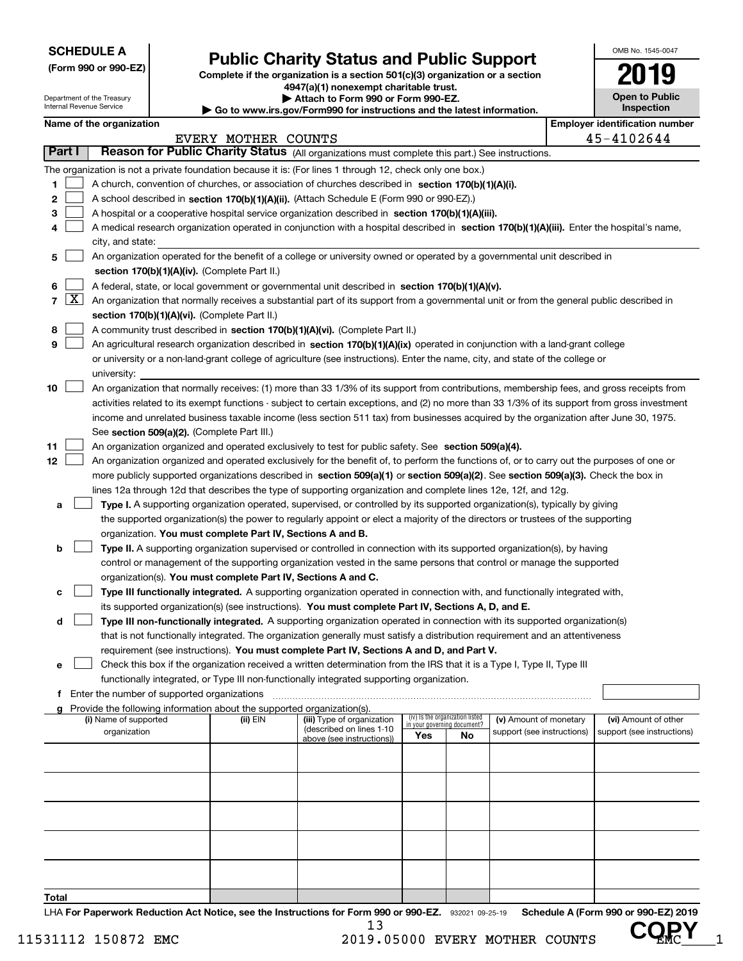Department of the Treasury Internal Revenue Service

**(Form 990 or 990-EZ)**

## **Public Charity Status and Public Support**

**Complete if the organization is a section 501(c)(3) organization or a section 4947(a)(1) nonexempt charitable trust.**

**| Attach to Form 990 or Form 990-EZ.** 

**| Go to www.irs.gov/Form990 for instructions and the latest information.**

| OMB No 1545-0047                    |
|-------------------------------------|
|                                     |
| <b>Open to Public</b><br>Inspection |

| Name of the organization |  |
|--------------------------|--|
|--------------------------|--|

|               |                     | Name of the organization                                                                                                                      |                     |                                                        |                             |                                 |                                                      | <b>Employer identification number</b>              |
|---------------|---------------------|-----------------------------------------------------------------------------------------------------------------------------------------------|---------------------|--------------------------------------------------------|-----------------------------|---------------------------------|------------------------------------------------------|----------------------------------------------------|
|               |                     |                                                                                                                                               | EVERY MOTHER COUNTS |                                                        |                             |                                 |                                                      | 45-4102644                                         |
| <b>Part I</b> |                     | Reason for Public Charity Status (All organizations must complete this part.) See instructions.                                               |                     |                                                        |                             |                                 |                                                      |                                                    |
|               |                     | The organization is not a private foundation because it is: (For lines 1 through 12, check only one box.)                                     |                     |                                                        |                             |                                 |                                                      |                                                    |
| 1             |                     | A church, convention of churches, or association of churches described in section 170(b)(1)(A)(i).                                            |                     |                                                        |                             |                                 |                                                      |                                                    |
| 2             |                     | A school described in section 170(b)(1)(A)(ii). (Attach Schedule E (Form 990 or 990-EZ).)                                                     |                     |                                                        |                             |                                 |                                                      |                                                    |
| з             |                     | A hospital or a cooperative hospital service organization described in section 170(b)(1)(A)(iii).                                             |                     |                                                        |                             |                                 |                                                      |                                                    |
|               |                     | A medical research organization operated in conjunction with a hospital described in section 170(b)(1)(A)(iii). Enter the hospital's name,    |                     |                                                        |                             |                                 |                                                      |                                                    |
|               |                     | city, and state:                                                                                                                              |                     |                                                        |                             |                                 |                                                      |                                                    |
| 5             |                     | An organization operated for the benefit of a college or university owned or operated by a governmental unit described in                     |                     |                                                        |                             |                                 |                                                      |                                                    |
|               |                     | section 170(b)(1)(A)(iv). (Complete Part II.)                                                                                                 |                     |                                                        |                             |                                 |                                                      |                                                    |
| 6             |                     | A federal, state, or local government or governmental unit described in section 170(b)(1)(A)(v).                                              |                     |                                                        |                             |                                 |                                                      |                                                    |
| 7             | $\lfloor x \rfloor$ | An organization that normally receives a substantial part of its support from a governmental unit or from the general public described in     |                     |                                                        |                             |                                 |                                                      |                                                    |
|               |                     | section 170(b)(1)(A)(vi). (Complete Part II.)                                                                                                 |                     |                                                        |                             |                                 |                                                      |                                                    |
| 8             |                     | A community trust described in section 170(b)(1)(A)(vi). (Complete Part II.)                                                                  |                     |                                                        |                             |                                 |                                                      |                                                    |
| 9             |                     | An agricultural research organization described in section 170(b)(1)(A)(ix) operated in conjunction with a land-grant college                 |                     |                                                        |                             |                                 |                                                      |                                                    |
|               |                     | or university or a non-land-grant college of agriculture (see instructions). Enter the name, city, and state of the college or                |                     |                                                        |                             |                                 |                                                      |                                                    |
|               |                     | university:                                                                                                                                   |                     |                                                        |                             |                                 |                                                      |                                                    |
| 10            |                     | An organization that normally receives: (1) more than 33 1/3% of its support from contributions, membership fees, and gross receipts from     |                     |                                                        |                             |                                 |                                                      |                                                    |
|               |                     | activities related to its exempt functions - subject to certain exceptions, and (2) no more than 33 1/3% of its support from gross investment |                     |                                                        |                             |                                 |                                                      |                                                    |
|               |                     | income and unrelated business taxable income (less section 511 tax) from businesses acquired by the organization after June 30, 1975.         |                     |                                                        |                             |                                 |                                                      |                                                    |
|               |                     | See section 509(a)(2). (Complete Part III.)                                                                                                   |                     |                                                        |                             |                                 |                                                      |                                                    |
| 11            |                     | An organization organized and operated exclusively to test for public safety. See section 509(a)(4).                                          |                     |                                                        |                             |                                 |                                                      |                                                    |
| 12            |                     | An organization organized and operated exclusively for the benefit of, to perform the functions of, or to carry out the purposes of one or    |                     |                                                        |                             |                                 |                                                      |                                                    |
|               |                     | more publicly supported organizations described in section 509(a)(1) or section 509(a)(2). See section 509(a)(3). Check the box in            |                     |                                                        |                             |                                 |                                                      |                                                    |
|               |                     | lines 12a through 12d that describes the type of supporting organization and complete lines 12e, 12f, and 12g.                                |                     |                                                        |                             |                                 |                                                      |                                                    |
| а             |                     | Type I. A supporting organization operated, supervised, or controlled by its supported organization(s), typically by giving                   |                     |                                                        |                             |                                 |                                                      |                                                    |
|               |                     | the supported organization(s) the power to regularly appoint or elect a majority of the directors or trustees of the supporting               |                     |                                                        |                             |                                 |                                                      |                                                    |
|               |                     | organization. You must complete Part IV, Sections A and B.                                                                                    |                     |                                                        |                             |                                 |                                                      |                                                    |
| b             |                     | Type II. A supporting organization supervised or controlled in connection with its supported organization(s), by having                       |                     |                                                        |                             |                                 |                                                      |                                                    |
|               |                     | control or management of the supporting organization vested in the same persons that control or manage the supported                          |                     |                                                        |                             |                                 |                                                      |                                                    |
|               |                     | organization(s). You must complete Part IV, Sections A and C.                                                                                 |                     |                                                        |                             |                                 |                                                      |                                                    |
| c             |                     | Type III functionally integrated. A supporting organization operated in connection with, and functionally integrated with,                    |                     |                                                        |                             |                                 |                                                      |                                                    |
|               |                     | its supported organization(s) (see instructions). You must complete Part IV, Sections A, D, and E.                                            |                     |                                                        |                             |                                 |                                                      |                                                    |
| d             |                     | Type III non-functionally integrated. A supporting organization operated in connection with its supported organization(s)                     |                     |                                                        |                             |                                 |                                                      |                                                    |
|               |                     | that is not functionally integrated. The organization generally must satisfy a distribution requirement and an attentiveness                  |                     |                                                        |                             |                                 |                                                      |                                                    |
|               |                     | requirement (see instructions). You must complete Part IV, Sections A and D, and Part V.                                                      |                     |                                                        |                             |                                 |                                                      |                                                    |
| е             |                     | Check this box if the organization received a written determination from the IRS that it is a Type I, Type II, Type III                       |                     |                                                        |                             |                                 |                                                      |                                                    |
|               |                     | functionally integrated, or Type III non-functionally integrated supporting organization.                                                     |                     |                                                        |                             |                                 |                                                      |                                                    |
|               |                     | f Enter the number of supported organizations                                                                                                 |                     |                                                        |                             |                                 |                                                      |                                                    |
|               |                     | g Provide the following information about the supported organization(s).                                                                      |                     |                                                        |                             | (iv) Is the organization listed |                                                      |                                                    |
|               |                     | (i) Name of supported<br>organization                                                                                                         | (ii) EIN            | (iii) Type of organization<br>(described on lines 1-10 | in your governing document? |                                 | (v) Amount of monetary<br>support (see instructions) | (vi) Amount of other<br>support (see instructions) |
|               |                     |                                                                                                                                               |                     | above (see instructions))                              | Yes                         | No.                             |                                                      |                                                    |
|               |                     |                                                                                                                                               |                     |                                                        |                             |                                 |                                                      |                                                    |
|               |                     |                                                                                                                                               |                     |                                                        |                             |                                 |                                                      |                                                    |
|               |                     |                                                                                                                                               |                     |                                                        |                             |                                 |                                                      |                                                    |
|               |                     |                                                                                                                                               |                     |                                                        |                             |                                 |                                                      |                                                    |
|               |                     |                                                                                                                                               |                     |                                                        |                             |                                 |                                                      |                                                    |
|               |                     |                                                                                                                                               |                     |                                                        |                             |                                 |                                                      |                                                    |
|               |                     |                                                                                                                                               |                     |                                                        |                             |                                 |                                                      |                                                    |
|               |                     |                                                                                                                                               |                     |                                                        |                             |                                 |                                                      |                                                    |
|               |                     |                                                                                                                                               |                     |                                                        |                             |                                 |                                                      |                                                    |
| Total         |                     |                                                                                                                                               |                     |                                                        |                             |                                 |                                                      |                                                    |
|               |                     |                                                                                                                                               |                     |                                                        |                             |                                 |                                                      |                                                    |

LHA For Paperwork Reduction Act Notice, see the Instructions for Form 990 or 990-EZ. 932021 09-25-19 Schedule A (Form 990 or 990-EZ) 2019 13 **COPY**

11531112 150872 EMC 2019.05000 EVERY MOTHER COUNTS UP HC 1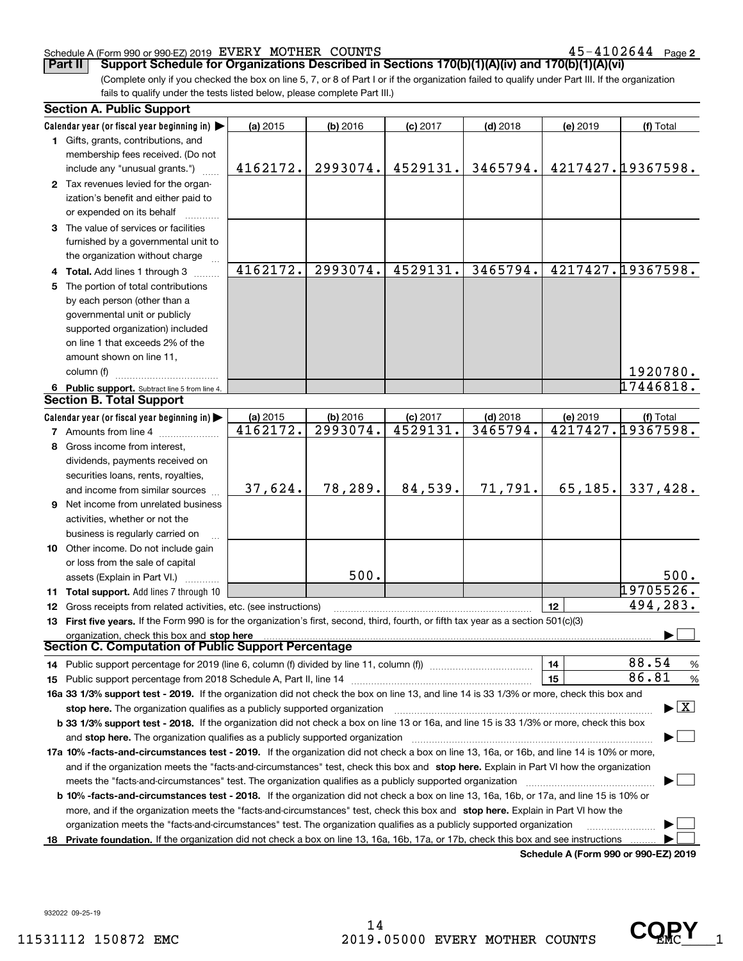#### Schedule A (Form 990 or 990-EZ) 2019 Page EVERY MOTHER COUNTS 45-4102644

**2**

(Complete only if you checked the box on line 5, 7, or 8 of Part I or if the organization failed to qualify under Part III. If the organization fails to qualify under the tests listed below, please complete Part III.) **Part II** | Support Schedule for Organizations Described in Sections 170(b)(1)(A)(iv) and 170(b)(1)(A)(vi)

| Calendar year (or fiscal year beginning in)<br>(a) 2015<br>$(b)$ 2016<br>$(c)$ 2017<br>$(d)$ 2018<br>(e) 2019<br>(f) Total<br>1 Gifts, grants, contributions, and<br>membership fees received. (Do not<br>4217427.19367598.<br>2993074.<br>4529131.<br>3465794.<br>4162172.<br>include any "unusual grants.")<br>2 Tax revenues levied for the organ-<br>ization's benefit and either paid to<br>or expended on its behalf<br>3 The value of services or facilities<br>furnished by a governmental unit to<br>the organization without charge<br>4162172.<br>4217427.19367598.<br>2993074.<br>4529131.<br>3465794.<br>4 Total. Add lines 1 through 3<br>5 The portion of total contributions<br>by each person (other than a<br>governmental unit or publicly<br>supported organization) included<br>on line 1 that exceeds 2% of the<br>amount shown on line 11,<br>1920780.<br>column (f)<br>17446818.<br>6 Public support. Subtract line 5 from line 4.<br><b>Section B. Total Support</b><br>Calendar year (or fiscal year beginning in)<br>(b) 2016<br>$(d)$ 2018<br>(a) 2015<br>$(c)$ 2017<br>(e) 2019<br>(f) Total<br>4217427.19367598.<br>4162172.<br>2993074.<br>4529131.<br>3465794.<br><b>7</b> Amounts from line 4<br>8 Gross income from interest,<br>dividends, payments received on<br>securities loans, rents, royalties,<br>65, 185.<br>37,624.<br>78,289.<br>84,539.<br>71,791.<br>337,428.<br>and income from similar sources<br>9 Net income from unrelated business<br>activities, whether or not the<br>business is regularly carried on<br>10 Other income. Do not include gain<br>or loss from the sale of capital<br>500.<br>500.<br>assets (Explain in Part VI.)<br>19705526.<br>11 Total support. Add lines 7 through 10<br>494,283.<br>12<br>12 Gross receipts from related activities, etc. (see instructions)<br>13 First five years. If the Form 990 is for the organization's first, second, third, fourth, or fifth tax year as a section 501(c)(3)<br>organization, check this box and stop here<br>Section C. Computation of Public Support Percentage | <b>Section A. Public Support</b> |  |  |               |
|-------------------------------------------------------------------------------------------------------------------------------------------------------------------------------------------------------------------------------------------------------------------------------------------------------------------------------------------------------------------------------------------------------------------------------------------------------------------------------------------------------------------------------------------------------------------------------------------------------------------------------------------------------------------------------------------------------------------------------------------------------------------------------------------------------------------------------------------------------------------------------------------------------------------------------------------------------------------------------------------------------------------------------------------------------------------------------------------------------------------------------------------------------------------------------------------------------------------------------------------------------------------------------------------------------------------------------------------------------------------------------------------------------------------------------------------------------------------------------------------------------------------------------------------------------------------------------------------------------------------------------------------------------------------------------------------------------------------------------------------------------------------------------------------------------------------------------------------------------------------------------------------------------------------------------------------------------------------------------------------------------------------------------------------------------------------------------------------|----------------------------------|--|--|---------------|
|                                                                                                                                                                                                                                                                                                                                                                                                                                                                                                                                                                                                                                                                                                                                                                                                                                                                                                                                                                                                                                                                                                                                                                                                                                                                                                                                                                                                                                                                                                                                                                                                                                                                                                                                                                                                                                                                                                                                                                                                                                                                                           |                                  |  |  |               |
|                                                                                                                                                                                                                                                                                                                                                                                                                                                                                                                                                                                                                                                                                                                                                                                                                                                                                                                                                                                                                                                                                                                                                                                                                                                                                                                                                                                                                                                                                                                                                                                                                                                                                                                                                                                                                                                                                                                                                                                                                                                                                           |                                  |  |  |               |
|                                                                                                                                                                                                                                                                                                                                                                                                                                                                                                                                                                                                                                                                                                                                                                                                                                                                                                                                                                                                                                                                                                                                                                                                                                                                                                                                                                                                                                                                                                                                                                                                                                                                                                                                                                                                                                                                                                                                                                                                                                                                                           |                                  |  |  |               |
|                                                                                                                                                                                                                                                                                                                                                                                                                                                                                                                                                                                                                                                                                                                                                                                                                                                                                                                                                                                                                                                                                                                                                                                                                                                                                                                                                                                                                                                                                                                                                                                                                                                                                                                                                                                                                                                                                                                                                                                                                                                                                           |                                  |  |  |               |
|                                                                                                                                                                                                                                                                                                                                                                                                                                                                                                                                                                                                                                                                                                                                                                                                                                                                                                                                                                                                                                                                                                                                                                                                                                                                                                                                                                                                                                                                                                                                                                                                                                                                                                                                                                                                                                                                                                                                                                                                                                                                                           |                                  |  |  |               |
|                                                                                                                                                                                                                                                                                                                                                                                                                                                                                                                                                                                                                                                                                                                                                                                                                                                                                                                                                                                                                                                                                                                                                                                                                                                                                                                                                                                                                                                                                                                                                                                                                                                                                                                                                                                                                                                                                                                                                                                                                                                                                           |                                  |  |  |               |
|                                                                                                                                                                                                                                                                                                                                                                                                                                                                                                                                                                                                                                                                                                                                                                                                                                                                                                                                                                                                                                                                                                                                                                                                                                                                                                                                                                                                                                                                                                                                                                                                                                                                                                                                                                                                                                                                                                                                                                                                                                                                                           |                                  |  |  |               |
|                                                                                                                                                                                                                                                                                                                                                                                                                                                                                                                                                                                                                                                                                                                                                                                                                                                                                                                                                                                                                                                                                                                                                                                                                                                                                                                                                                                                                                                                                                                                                                                                                                                                                                                                                                                                                                                                                                                                                                                                                                                                                           |                                  |  |  |               |
|                                                                                                                                                                                                                                                                                                                                                                                                                                                                                                                                                                                                                                                                                                                                                                                                                                                                                                                                                                                                                                                                                                                                                                                                                                                                                                                                                                                                                                                                                                                                                                                                                                                                                                                                                                                                                                                                                                                                                                                                                                                                                           |                                  |  |  |               |
|                                                                                                                                                                                                                                                                                                                                                                                                                                                                                                                                                                                                                                                                                                                                                                                                                                                                                                                                                                                                                                                                                                                                                                                                                                                                                                                                                                                                                                                                                                                                                                                                                                                                                                                                                                                                                                                                                                                                                                                                                                                                                           |                                  |  |  |               |
|                                                                                                                                                                                                                                                                                                                                                                                                                                                                                                                                                                                                                                                                                                                                                                                                                                                                                                                                                                                                                                                                                                                                                                                                                                                                                                                                                                                                                                                                                                                                                                                                                                                                                                                                                                                                                                                                                                                                                                                                                                                                                           |                                  |  |  |               |
|                                                                                                                                                                                                                                                                                                                                                                                                                                                                                                                                                                                                                                                                                                                                                                                                                                                                                                                                                                                                                                                                                                                                                                                                                                                                                                                                                                                                                                                                                                                                                                                                                                                                                                                                                                                                                                                                                                                                                                                                                                                                                           |                                  |  |  |               |
|                                                                                                                                                                                                                                                                                                                                                                                                                                                                                                                                                                                                                                                                                                                                                                                                                                                                                                                                                                                                                                                                                                                                                                                                                                                                                                                                                                                                                                                                                                                                                                                                                                                                                                                                                                                                                                                                                                                                                                                                                                                                                           |                                  |  |  |               |
|                                                                                                                                                                                                                                                                                                                                                                                                                                                                                                                                                                                                                                                                                                                                                                                                                                                                                                                                                                                                                                                                                                                                                                                                                                                                                                                                                                                                                                                                                                                                                                                                                                                                                                                                                                                                                                                                                                                                                                                                                                                                                           |                                  |  |  |               |
|                                                                                                                                                                                                                                                                                                                                                                                                                                                                                                                                                                                                                                                                                                                                                                                                                                                                                                                                                                                                                                                                                                                                                                                                                                                                                                                                                                                                                                                                                                                                                                                                                                                                                                                                                                                                                                                                                                                                                                                                                                                                                           |                                  |  |  |               |
|                                                                                                                                                                                                                                                                                                                                                                                                                                                                                                                                                                                                                                                                                                                                                                                                                                                                                                                                                                                                                                                                                                                                                                                                                                                                                                                                                                                                                                                                                                                                                                                                                                                                                                                                                                                                                                                                                                                                                                                                                                                                                           |                                  |  |  |               |
|                                                                                                                                                                                                                                                                                                                                                                                                                                                                                                                                                                                                                                                                                                                                                                                                                                                                                                                                                                                                                                                                                                                                                                                                                                                                                                                                                                                                                                                                                                                                                                                                                                                                                                                                                                                                                                                                                                                                                                                                                                                                                           |                                  |  |  |               |
|                                                                                                                                                                                                                                                                                                                                                                                                                                                                                                                                                                                                                                                                                                                                                                                                                                                                                                                                                                                                                                                                                                                                                                                                                                                                                                                                                                                                                                                                                                                                                                                                                                                                                                                                                                                                                                                                                                                                                                                                                                                                                           |                                  |  |  |               |
|                                                                                                                                                                                                                                                                                                                                                                                                                                                                                                                                                                                                                                                                                                                                                                                                                                                                                                                                                                                                                                                                                                                                                                                                                                                                                                                                                                                                                                                                                                                                                                                                                                                                                                                                                                                                                                                                                                                                                                                                                                                                                           |                                  |  |  |               |
|                                                                                                                                                                                                                                                                                                                                                                                                                                                                                                                                                                                                                                                                                                                                                                                                                                                                                                                                                                                                                                                                                                                                                                                                                                                                                                                                                                                                                                                                                                                                                                                                                                                                                                                                                                                                                                                                                                                                                                                                                                                                                           |                                  |  |  |               |
|                                                                                                                                                                                                                                                                                                                                                                                                                                                                                                                                                                                                                                                                                                                                                                                                                                                                                                                                                                                                                                                                                                                                                                                                                                                                                                                                                                                                                                                                                                                                                                                                                                                                                                                                                                                                                                                                                                                                                                                                                                                                                           |                                  |  |  |               |
|                                                                                                                                                                                                                                                                                                                                                                                                                                                                                                                                                                                                                                                                                                                                                                                                                                                                                                                                                                                                                                                                                                                                                                                                                                                                                                                                                                                                                                                                                                                                                                                                                                                                                                                                                                                                                                                                                                                                                                                                                                                                                           |                                  |  |  |               |
|                                                                                                                                                                                                                                                                                                                                                                                                                                                                                                                                                                                                                                                                                                                                                                                                                                                                                                                                                                                                                                                                                                                                                                                                                                                                                                                                                                                                                                                                                                                                                                                                                                                                                                                                                                                                                                                                                                                                                                                                                                                                                           |                                  |  |  |               |
|                                                                                                                                                                                                                                                                                                                                                                                                                                                                                                                                                                                                                                                                                                                                                                                                                                                                                                                                                                                                                                                                                                                                                                                                                                                                                                                                                                                                                                                                                                                                                                                                                                                                                                                                                                                                                                                                                                                                                                                                                                                                                           |                                  |  |  |               |
|                                                                                                                                                                                                                                                                                                                                                                                                                                                                                                                                                                                                                                                                                                                                                                                                                                                                                                                                                                                                                                                                                                                                                                                                                                                                                                                                                                                                                                                                                                                                                                                                                                                                                                                                                                                                                                                                                                                                                                                                                                                                                           |                                  |  |  |               |
|                                                                                                                                                                                                                                                                                                                                                                                                                                                                                                                                                                                                                                                                                                                                                                                                                                                                                                                                                                                                                                                                                                                                                                                                                                                                                                                                                                                                                                                                                                                                                                                                                                                                                                                                                                                                                                                                                                                                                                                                                                                                                           |                                  |  |  |               |
|                                                                                                                                                                                                                                                                                                                                                                                                                                                                                                                                                                                                                                                                                                                                                                                                                                                                                                                                                                                                                                                                                                                                                                                                                                                                                                                                                                                                                                                                                                                                                                                                                                                                                                                                                                                                                                                                                                                                                                                                                                                                                           |                                  |  |  |               |
|                                                                                                                                                                                                                                                                                                                                                                                                                                                                                                                                                                                                                                                                                                                                                                                                                                                                                                                                                                                                                                                                                                                                                                                                                                                                                                                                                                                                                                                                                                                                                                                                                                                                                                                                                                                                                                                                                                                                                                                                                                                                                           |                                  |  |  |               |
|                                                                                                                                                                                                                                                                                                                                                                                                                                                                                                                                                                                                                                                                                                                                                                                                                                                                                                                                                                                                                                                                                                                                                                                                                                                                                                                                                                                                                                                                                                                                                                                                                                                                                                                                                                                                                                                                                                                                                                                                                                                                                           |                                  |  |  |               |
|                                                                                                                                                                                                                                                                                                                                                                                                                                                                                                                                                                                                                                                                                                                                                                                                                                                                                                                                                                                                                                                                                                                                                                                                                                                                                                                                                                                                                                                                                                                                                                                                                                                                                                                                                                                                                                                                                                                                                                                                                                                                                           |                                  |  |  |               |
|                                                                                                                                                                                                                                                                                                                                                                                                                                                                                                                                                                                                                                                                                                                                                                                                                                                                                                                                                                                                                                                                                                                                                                                                                                                                                                                                                                                                                                                                                                                                                                                                                                                                                                                                                                                                                                                                                                                                                                                                                                                                                           |                                  |  |  |               |
|                                                                                                                                                                                                                                                                                                                                                                                                                                                                                                                                                                                                                                                                                                                                                                                                                                                                                                                                                                                                                                                                                                                                                                                                                                                                                                                                                                                                                                                                                                                                                                                                                                                                                                                                                                                                                                                                                                                                                                                                                                                                                           |                                  |  |  |               |
|                                                                                                                                                                                                                                                                                                                                                                                                                                                                                                                                                                                                                                                                                                                                                                                                                                                                                                                                                                                                                                                                                                                                                                                                                                                                                                                                                                                                                                                                                                                                                                                                                                                                                                                                                                                                                                                                                                                                                                                                                                                                                           |                                  |  |  |               |
|                                                                                                                                                                                                                                                                                                                                                                                                                                                                                                                                                                                                                                                                                                                                                                                                                                                                                                                                                                                                                                                                                                                                                                                                                                                                                                                                                                                                                                                                                                                                                                                                                                                                                                                                                                                                                                                                                                                                                                                                                                                                                           |                                  |  |  |               |
|                                                                                                                                                                                                                                                                                                                                                                                                                                                                                                                                                                                                                                                                                                                                                                                                                                                                                                                                                                                                                                                                                                                                                                                                                                                                                                                                                                                                                                                                                                                                                                                                                                                                                                                                                                                                                                                                                                                                                                                                                                                                                           |                                  |  |  |               |
|                                                                                                                                                                                                                                                                                                                                                                                                                                                                                                                                                                                                                                                                                                                                                                                                                                                                                                                                                                                                                                                                                                                                                                                                                                                                                                                                                                                                                                                                                                                                                                                                                                                                                                                                                                                                                                                                                                                                                                                                                                                                                           |                                  |  |  |               |
|                                                                                                                                                                                                                                                                                                                                                                                                                                                                                                                                                                                                                                                                                                                                                                                                                                                                                                                                                                                                                                                                                                                                                                                                                                                                                                                                                                                                                                                                                                                                                                                                                                                                                                                                                                                                                                                                                                                                                                                                                                                                                           |                                  |  |  |               |
| 88.54                                                                                                                                                                                                                                                                                                                                                                                                                                                                                                                                                                                                                                                                                                                                                                                                                                                                                                                                                                                                                                                                                                                                                                                                                                                                                                                                                                                                                                                                                                                                                                                                                                                                                                                                                                                                                                                                                                                                                                                                                                                                                     |                                  |  |  |               |
| 14<br>14 Public support percentage for 2019 (line 6, column (f) divided by line 11, column (f) <i>manumeronominimi</i> ng.                                                                                                                                                                                                                                                                                                                                                                                                                                                                                                                                                                                                                                                                                                                                                                                                                                                                                                                                                                                                                                                                                                                                                                                                                                                                                                                                                                                                                                                                                                                                                                                                                                                                                                                                                                                                                                                                                                                                                                |                                  |  |  | $\frac{9}{6}$ |
| 86.81<br>15                                                                                                                                                                                                                                                                                                                                                                                                                                                                                                                                                                                                                                                                                                                                                                                                                                                                                                                                                                                                                                                                                                                                                                                                                                                                                                                                                                                                                                                                                                                                                                                                                                                                                                                                                                                                                                                                                                                                                                                                                                                                               |                                  |  |  | %             |
| 16a 33 1/3% support test - 2019. If the organization did not check the box on line 13, and line 14 is 33 1/3% or more, check this box and                                                                                                                                                                                                                                                                                                                                                                                                                                                                                                                                                                                                                                                                                                                                                                                                                                                                                                                                                                                                                                                                                                                                                                                                                                                                                                                                                                                                                                                                                                                                                                                                                                                                                                                                                                                                                                                                                                                                                 |                                  |  |  |               |
| $\blacktriangleright$ $\vert$ X $\vert$<br>stop here. The organization qualifies as a publicly supported organization                                                                                                                                                                                                                                                                                                                                                                                                                                                                                                                                                                                                                                                                                                                                                                                                                                                                                                                                                                                                                                                                                                                                                                                                                                                                                                                                                                                                                                                                                                                                                                                                                                                                                                                                                                                                                                                                                                                                                                     |                                  |  |  |               |
| b 33 1/3% support test - 2018. If the organization did not check a box on line 13 or 16a, and line 15 is 33 1/3% or more, check this box                                                                                                                                                                                                                                                                                                                                                                                                                                                                                                                                                                                                                                                                                                                                                                                                                                                                                                                                                                                                                                                                                                                                                                                                                                                                                                                                                                                                                                                                                                                                                                                                                                                                                                                                                                                                                                                                                                                                                  |                                  |  |  |               |
| and stop here. The organization qualifies as a publicly supported organization                                                                                                                                                                                                                                                                                                                                                                                                                                                                                                                                                                                                                                                                                                                                                                                                                                                                                                                                                                                                                                                                                                                                                                                                                                                                                                                                                                                                                                                                                                                                                                                                                                                                                                                                                                                                                                                                                                                                                                                                            |                                  |  |  |               |
| 17a 10% -facts-and-circumstances test - 2019. If the organization did not check a box on line 13, 16a, or 16b, and line 14 is 10% or more,                                                                                                                                                                                                                                                                                                                                                                                                                                                                                                                                                                                                                                                                                                                                                                                                                                                                                                                                                                                                                                                                                                                                                                                                                                                                                                                                                                                                                                                                                                                                                                                                                                                                                                                                                                                                                                                                                                                                                |                                  |  |  |               |
| and if the organization meets the "facts-and-circumstances" test, check this box and stop here. Explain in Part VI how the organization                                                                                                                                                                                                                                                                                                                                                                                                                                                                                                                                                                                                                                                                                                                                                                                                                                                                                                                                                                                                                                                                                                                                                                                                                                                                                                                                                                                                                                                                                                                                                                                                                                                                                                                                                                                                                                                                                                                                                   |                                  |  |  |               |
| meets the "facts-and-circumstances" test. The organization qualifies as a publicly supported organization <i>marroummumumumum</i>                                                                                                                                                                                                                                                                                                                                                                                                                                                                                                                                                                                                                                                                                                                                                                                                                                                                                                                                                                                                                                                                                                                                                                                                                                                                                                                                                                                                                                                                                                                                                                                                                                                                                                                                                                                                                                                                                                                                                         |                                  |  |  |               |
| <b>b 10% -facts-and-circumstances test - 2018.</b> If the organization did not check a box on line 13, 16a, 16b, or 17a, and line 15 is 10% or                                                                                                                                                                                                                                                                                                                                                                                                                                                                                                                                                                                                                                                                                                                                                                                                                                                                                                                                                                                                                                                                                                                                                                                                                                                                                                                                                                                                                                                                                                                                                                                                                                                                                                                                                                                                                                                                                                                                            |                                  |  |  |               |
| more, and if the organization meets the "facts-and-circumstances" test, check this box and stop here. Explain in Part VI how the                                                                                                                                                                                                                                                                                                                                                                                                                                                                                                                                                                                                                                                                                                                                                                                                                                                                                                                                                                                                                                                                                                                                                                                                                                                                                                                                                                                                                                                                                                                                                                                                                                                                                                                                                                                                                                                                                                                                                          |                                  |  |  |               |
| organization meets the "facts-and-circumstances" test. The organization qualifies as a publicly supported organization                                                                                                                                                                                                                                                                                                                                                                                                                                                                                                                                                                                                                                                                                                                                                                                                                                                                                                                                                                                                                                                                                                                                                                                                                                                                                                                                                                                                                                                                                                                                                                                                                                                                                                                                                                                                                                                                                                                                                                    |                                  |  |  |               |
| 18 Private foundation. If the organization did not check a box on line 13, 16a, 16b, 17a, or 17b, check this box and see instructions<br><b>Cohodulo A (Form 000 or 000 EZ) 2010</b>                                                                                                                                                                                                                                                                                                                                                                                                                                                                                                                                                                                                                                                                                                                                                                                                                                                                                                                                                                                                                                                                                                                                                                                                                                                                                                                                                                                                                                                                                                                                                                                                                                                                                                                                                                                                                                                                                                      |                                  |  |  |               |

**Schedule A (Form 990 or 990-EZ) 2019**

CQRY<sub>1</sub>

932022 09-25-19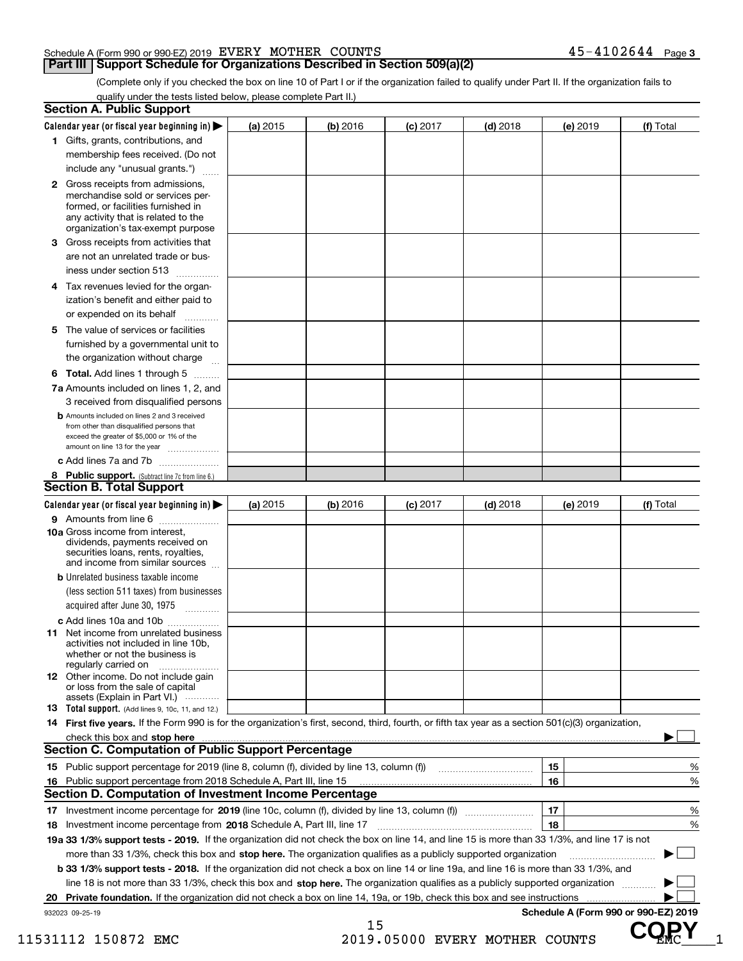#### Schedule A (Form 990 or 990-EZ) 2019 Page EVERY MOTHER COUNTS 45-4102644

#### **Part III** | Support Schedule for Organizations Described in Section 509(a)(2)

**3**

(Complete only if you checked the box on line 10 of Part I or if the organization failed to qualify under Part II. If the organization fails to qualify under the tests listed below, please complete Part II.)

| 1 Gifts, grants, contributions, and<br>membership fees received. (Do not<br>include any "unusual grants.")<br>2 Gross receipts from admissions,<br>merchandise sold or services per-<br>formed, or facilities furnished in<br>any activity that is related to the<br>organization's tax-exempt purpose<br>3 Gross receipts from activities that<br>are not an unrelated trade or bus-<br>iness under section 513<br>Tax revenues levied for the organ-<br>4<br>ization's benefit and either paid to<br>or expended on its behalf<br>The value of services or facilities<br>5<br>furnished by a governmental unit to<br>the organization without charge<br>6 Total. Add lines 1 through 5<br>7a Amounts included on lines 1, 2, and<br>3 received from disqualified persons<br><b>b</b> Amounts included on lines 2 and 3 received<br>from other than disqualified persons that<br>exceed the greater of \$5,000 or 1% of the<br>amount on line 13 for the year<br>c Add lines 7a and 7b<br>8 Public support. (Subtract line 7c from line 6.)<br><b>Section B. Total Support</b><br>Calendar year (or fiscal year beginning in)<br>9 Amounts from line 6<br>10a Gross income from interest,<br>dividends, payments received on<br>securities loans, rents, royalties,<br>and income from similar sources<br><b>b</b> Unrelated business taxable income<br>(less section 511 taxes) from businesses<br>acquired after June 30, 1975 [10001]<br>c Add lines 10a and 10b<br><b>11</b> Net income from unrelated business<br>activities not included in line 10b,<br>whether or not the business is<br>regularly carried on<br>12 Other income. Do not include gain<br>or loss from the sale of capital<br>assets (Explain in Part VI.)<br>13 Total support. (Add lines 9, 10c, 11, and 12.) | .                                                                                                                               | (a) 2015 | (b) 2016 | (c) 2017 | $(d)$ 2018 | (e) 2019 | (f) Total                            |
|-----------------------------------------------------------------------------------------------------------------------------------------------------------------------------------------------------------------------------------------------------------------------------------------------------------------------------------------------------------------------------------------------------------------------------------------------------------------------------------------------------------------------------------------------------------------------------------------------------------------------------------------------------------------------------------------------------------------------------------------------------------------------------------------------------------------------------------------------------------------------------------------------------------------------------------------------------------------------------------------------------------------------------------------------------------------------------------------------------------------------------------------------------------------------------------------------------------------------------------------------------------------------------------------------------------------------------------------------------------------------------------------------------------------------------------------------------------------------------------------------------------------------------------------------------------------------------------------------------------------------------------------------------------------------------------------------------------------------------------------------------------------------------------------|---------------------------------------------------------------------------------------------------------------------------------|----------|----------|----------|------------|----------|--------------------------------------|
|                                                                                                                                                                                                                                                                                                                                                                                                                                                                                                                                                                                                                                                                                                                                                                                                                                                                                                                                                                                                                                                                                                                                                                                                                                                                                                                                                                                                                                                                                                                                                                                                                                                                                                                                                                                         |                                                                                                                                 |          |          |          |            |          |                                      |
|                                                                                                                                                                                                                                                                                                                                                                                                                                                                                                                                                                                                                                                                                                                                                                                                                                                                                                                                                                                                                                                                                                                                                                                                                                                                                                                                                                                                                                                                                                                                                                                                                                                                                                                                                                                         |                                                                                                                                 |          |          |          |            |          |                                      |
|                                                                                                                                                                                                                                                                                                                                                                                                                                                                                                                                                                                                                                                                                                                                                                                                                                                                                                                                                                                                                                                                                                                                                                                                                                                                                                                                                                                                                                                                                                                                                                                                                                                                                                                                                                                         |                                                                                                                                 |          |          |          |            |          |                                      |
|                                                                                                                                                                                                                                                                                                                                                                                                                                                                                                                                                                                                                                                                                                                                                                                                                                                                                                                                                                                                                                                                                                                                                                                                                                                                                                                                                                                                                                                                                                                                                                                                                                                                                                                                                                                         |                                                                                                                                 |          |          |          |            |          |                                      |
|                                                                                                                                                                                                                                                                                                                                                                                                                                                                                                                                                                                                                                                                                                                                                                                                                                                                                                                                                                                                                                                                                                                                                                                                                                                                                                                                                                                                                                                                                                                                                                                                                                                                                                                                                                                         |                                                                                                                                 |          |          |          |            |          |                                      |
|                                                                                                                                                                                                                                                                                                                                                                                                                                                                                                                                                                                                                                                                                                                                                                                                                                                                                                                                                                                                                                                                                                                                                                                                                                                                                                                                                                                                                                                                                                                                                                                                                                                                                                                                                                                         |                                                                                                                                 |          |          |          |            |          |                                      |
|                                                                                                                                                                                                                                                                                                                                                                                                                                                                                                                                                                                                                                                                                                                                                                                                                                                                                                                                                                                                                                                                                                                                                                                                                                                                                                                                                                                                                                                                                                                                                                                                                                                                                                                                                                                         |                                                                                                                                 |          |          |          |            |          |                                      |
|                                                                                                                                                                                                                                                                                                                                                                                                                                                                                                                                                                                                                                                                                                                                                                                                                                                                                                                                                                                                                                                                                                                                                                                                                                                                                                                                                                                                                                                                                                                                                                                                                                                                                                                                                                                         |                                                                                                                                 |          |          |          |            |          |                                      |
|                                                                                                                                                                                                                                                                                                                                                                                                                                                                                                                                                                                                                                                                                                                                                                                                                                                                                                                                                                                                                                                                                                                                                                                                                                                                                                                                                                                                                                                                                                                                                                                                                                                                                                                                                                                         |                                                                                                                                 |          |          |          |            |          |                                      |
|                                                                                                                                                                                                                                                                                                                                                                                                                                                                                                                                                                                                                                                                                                                                                                                                                                                                                                                                                                                                                                                                                                                                                                                                                                                                                                                                                                                                                                                                                                                                                                                                                                                                                                                                                                                         |                                                                                                                                 |          |          |          |            |          |                                      |
|                                                                                                                                                                                                                                                                                                                                                                                                                                                                                                                                                                                                                                                                                                                                                                                                                                                                                                                                                                                                                                                                                                                                                                                                                                                                                                                                                                                                                                                                                                                                                                                                                                                                                                                                                                                         |                                                                                                                                 |          |          |          |            |          |                                      |
|                                                                                                                                                                                                                                                                                                                                                                                                                                                                                                                                                                                                                                                                                                                                                                                                                                                                                                                                                                                                                                                                                                                                                                                                                                                                                                                                                                                                                                                                                                                                                                                                                                                                                                                                                                                         |                                                                                                                                 |          |          |          |            |          |                                      |
|                                                                                                                                                                                                                                                                                                                                                                                                                                                                                                                                                                                                                                                                                                                                                                                                                                                                                                                                                                                                                                                                                                                                                                                                                                                                                                                                                                                                                                                                                                                                                                                                                                                                                                                                                                                         |                                                                                                                                 |          |          |          |            |          |                                      |
|                                                                                                                                                                                                                                                                                                                                                                                                                                                                                                                                                                                                                                                                                                                                                                                                                                                                                                                                                                                                                                                                                                                                                                                                                                                                                                                                                                                                                                                                                                                                                                                                                                                                                                                                                                                         |                                                                                                                                 |          |          |          |            |          |                                      |
|                                                                                                                                                                                                                                                                                                                                                                                                                                                                                                                                                                                                                                                                                                                                                                                                                                                                                                                                                                                                                                                                                                                                                                                                                                                                                                                                                                                                                                                                                                                                                                                                                                                                                                                                                                                         |                                                                                                                                 |          |          |          |            |          |                                      |
|                                                                                                                                                                                                                                                                                                                                                                                                                                                                                                                                                                                                                                                                                                                                                                                                                                                                                                                                                                                                                                                                                                                                                                                                                                                                                                                                                                                                                                                                                                                                                                                                                                                                                                                                                                                         |                                                                                                                                 |          |          |          |            |          |                                      |
|                                                                                                                                                                                                                                                                                                                                                                                                                                                                                                                                                                                                                                                                                                                                                                                                                                                                                                                                                                                                                                                                                                                                                                                                                                                                                                                                                                                                                                                                                                                                                                                                                                                                                                                                                                                         |                                                                                                                                 |          |          |          |            |          |                                      |
|                                                                                                                                                                                                                                                                                                                                                                                                                                                                                                                                                                                                                                                                                                                                                                                                                                                                                                                                                                                                                                                                                                                                                                                                                                                                                                                                                                                                                                                                                                                                                                                                                                                                                                                                                                                         |                                                                                                                                 |          |          |          |            |          |                                      |
|                                                                                                                                                                                                                                                                                                                                                                                                                                                                                                                                                                                                                                                                                                                                                                                                                                                                                                                                                                                                                                                                                                                                                                                                                                                                                                                                                                                                                                                                                                                                                                                                                                                                                                                                                                                         |                                                                                                                                 |          |          |          |            |          |                                      |
|                                                                                                                                                                                                                                                                                                                                                                                                                                                                                                                                                                                                                                                                                                                                                                                                                                                                                                                                                                                                                                                                                                                                                                                                                                                                                                                                                                                                                                                                                                                                                                                                                                                                                                                                                                                         |                                                                                                                                 |          |          |          |            |          |                                      |
|                                                                                                                                                                                                                                                                                                                                                                                                                                                                                                                                                                                                                                                                                                                                                                                                                                                                                                                                                                                                                                                                                                                                                                                                                                                                                                                                                                                                                                                                                                                                                                                                                                                                                                                                                                                         |                                                                                                                                 |          |          |          |            |          |                                      |
|                                                                                                                                                                                                                                                                                                                                                                                                                                                                                                                                                                                                                                                                                                                                                                                                                                                                                                                                                                                                                                                                                                                                                                                                                                                                                                                                                                                                                                                                                                                                                                                                                                                                                                                                                                                         |                                                                                                                                 |          |          |          |            |          |                                      |
|                                                                                                                                                                                                                                                                                                                                                                                                                                                                                                                                                                                                                                                                                                                                                                                                                                                                                                                                                                                                                                                                                                                                                                                                                                                                                                                                                                                                                                                                                                                                                                                                                                                                                                                                                                                         |                                                                                                                                 |          |          |          |            |          |                                      |
|                                                                                                                                                                                                                                                                                                                                                                                                                                                                                                                                                                                                                                                                                                                                                                                                                                                                                                                                                                                                                                                                                                                                                                                                                                                                                                                                                                                                                                                                                                                                                                                                                                                                                                                                                                                         |                                                                                                                                 |          |          |          |            |          |                                      |
|                                                                                                                                                                                                                                                                                                                                                                                                                                                                                                                                                                                                                                                                                                                                                                                                                                                                                                                                                                                                                                                                                                                                                                                                                                                                                                                                                                                                                                                                                                                                                                                                                                                                                                                                                                                         |                                                                                                                                 |          |          |          |            |          |                                      |
|                                                                                                                                                                                                                                                                                                                                                                                                                                                                                                                                                                                                                                                                                                                                                                                                                                                                                                                                                                                                                                                                                                                                                                                                                                                                                                                                                                                                                                                                                                                                                                                                                                                                                                                                                                                         |                                                                                                                                 |          |          |          |            |          |                                      |
|                                                                                                                                                                                                                                                                                                                                                                                                                                                                                                                                                                                                                                                                                                                                                                                                                                                                                                                                                                                                                                                                                                                                                                                                                                                                                                                                                                                                                                                                                                                                                                                                                                                                                                                                                                                         |                                                                                                                                 |          |          |          |            |          |                                      |
|                                                                                                                                                                                                                                                                                                                                                                                                                                                                                                                                                                                                                                                                                                                                                                                                                                                                                                                                                                                                                                                                                                                                                                                                                                                                                                                                                                                                                                                                                                                                                                                                                                                                                                                                                                                         |                                                                                                                                 |          |          |          |            |          |                                      |
|                                                                                                                                                                                                                                                                                                                                                                                                                                                                                                                                                                                                                                                                                                                                                                                                                                                                                                                                                                                                                                                                                                                                                                                                                                                                                                                                                                                                                                                                                                                                                                                                                                                                                                                                                                                         |                                                                                                                                 |          |          |          |            |          |                                      |
| 14 First five years. If the Form 990 is for the organization's first, second, third, fourth, or fifth tax year as a section 501(c)(3) organization,                                                                                                                                                                                                                                                                                                                                                                                                                                                                                                                                                                                                                                                                                                                                                                                                                                                                                                                                                                                                                                                                                                                                                                                                                                                                                                                                                                                                                                                                                                                                                                                                                                     |                                                                                                                                 |          |          |          |            |          |                                      |
|                                                                                                                                                                                                                                                                                                                                                                                                                                                                                                                                                                                                                                                                                                                                                                                                                                                                                                                                                                                                                                                                                                                                                                                                                                                                                                                                                                                                                                                                                                                                                                                                                                                                                                                                                                                         |                                                                                                                                 |          |          |          |            |          |                                      |
| <b>Section C. Computation of Public Support Percentage</b>                                                                                                                                                                                                                                                                                                                                                                                                                                                                                                                                                                                                                                                                                                                                                                                                                                                                                                                                                                                                                                                                                                                                                                                                                                                                                                                                                                                                                                                                                                                                                                                                                                                                                                                              |                                                                                                                                 |          |          |          |            |          |                                      |
| 15 Public support percentage for 2019 (line 8, column (f), divided by line 13, column (f))                                                                                                                                                                                                                                                                                                                                                                                                                                                                                                                                                                                                                                                                                                                                                                                                                                                                                                                                                                                                                                                                                                                                                                                                                                                                                                                                                                                                                                                                                                                                                                                                                                                                                              |                                                                                                                                 |          |          |          |            | 15       | %                                    |
| 16 Public support percentage from 2018 Schedule A, Part III, line 15                                                                                                                                                                                                                                                                                                                                                                                                                                                                                                                                                                                                                                                                                                                                                                                                                                                                                                                                                                                                                                                                                                                                                                                                                                                                                                                                                                                                                                                                                                                                                                                                                                                                                                                    |                                                                                                                                 |          |          |          |            | 16       | %                                    |
| Section D. Computation of Investment Income Percentage                                                                                                                                                                                                                                                                                                                                                                                                                                                                                                                                                                                                                                                                                                                                                                                                                                                                                                                                                                                                                                                                                                                                                                                                                                                                                                                                                                                                                                                                                                                                                                                                                                                                                                                                  |                                                                                                                                 |          |          |          |            |          |                                      |
| 17 Investment income percentage for 2019 (line 10c, column (f), divided by line 13, column (f))                                                                                                                                                                                                                                                                                                                                                                                                                                                                                                                                                                                                                                                                                                                                                                                                                                                                                                                                                                                                                                                                                                                                                                                                                                                                                                                                                                                                                                                                                                                                                                                                                                                                                         |                                                                                                                                 |          |          |          |            | 17       | %                                    |
| 18                                                                                                                                                                                                                                                                                                                                                                                                                                                                                                                                                                                                                                                                                                                                                                                                                                                                                                                                                                                                                                                                                                                                                                                                                                                                                                                                                                                                                                                                                                                                                                                                                                                                                                                                                                                      | Investment income percentage from 2018 Schedule A, Part III, line 17                                                            |          |          |          |            | 18       | %                                    |
| 19a 33 1/3% support tests - 2019. If the organization did not check the box on line 14, and line 15 is more than 33 1/3%, and line 17 is not                                                                                                                                                                                                                                                                                                                                                                                                                                                                                                                                                                                                                                                                                                                                                                                                                                                                                                                                                                                                                                                                                                                                                                                                                                                                                                                                                                                                                                                                                                                                                                                                                                            |                                                                                                                                 |          |          |          |            |          |                                      |
|                                                                                                                                                                                                                                                                                                                                                                                                                                                                                                                                                                                                                                                                                                                                                                                                                                                                                                                                                                                                                                                                                                                                                                                                                                                                                                                                                                                                                                                                                                                                                                                                                                                                                                                                                                                         | more than 33 1/3%, check this box and stop here. The organization qualifies as a publicly supported organization                |          |          |          |            |          |                                      |
| <b>b 33 1/3% support tests - 2018.</b> If the organization did not check a box on line 14 or line 19a, and line 16 is more than 33 1/3%, and                                                                                                                                                                                                                                                                                                                                                                                                                                                                                                                                                                                                                                                                                                                                                                                                                                                                                                                                                                                                                                                                                                                                                                                                                                                                                                                                                                                                                                                                                                                                                                                                                                            |                                                                                                                                 |          |          |          |            |          |                                      |
|                                                                                                                                                                                                                                                                                                                                                                                                                                                                                                                                                                                                                                                                                                                                                                                                                                                                                                                                                                                                                                                                                                                                                                                                                                                                                                                                                                                                                                                                                                                                                                                                                                                                                                                                                                                         | line 18 is not more than 33 1/3%, check this box and stop here. The organization qualifies as a publicly supported organization |          |          |          |            |          |                                      |
|                                                                                                                                                                                                                                                                                                                                                                                                                                                                                                                                                                                                                                                                                                                                                                                                                                                                                                                                                                                                                                                                                                                                                                                                                                                                                                                                                                                                                                                                                                                                                                                                                                                                                                                                                                                         |                                                                                                                                 |          |          |          |            |          |                                      |
| 932023 09-25-19                                                                                                                                                                                                                                                                                                                                                                                                                                                                                                                                                                                                                                                                                                                                                                                                                                                                                                                                                                                                                                                                                                                                                                                                                                                                                                                                                                                                                                                                                                                                                                                                                                                                                                                                                                         |                                                                                                                                 |          |          |          |            |          | Schedule A (Form 990 or 990-EZ) 2019 |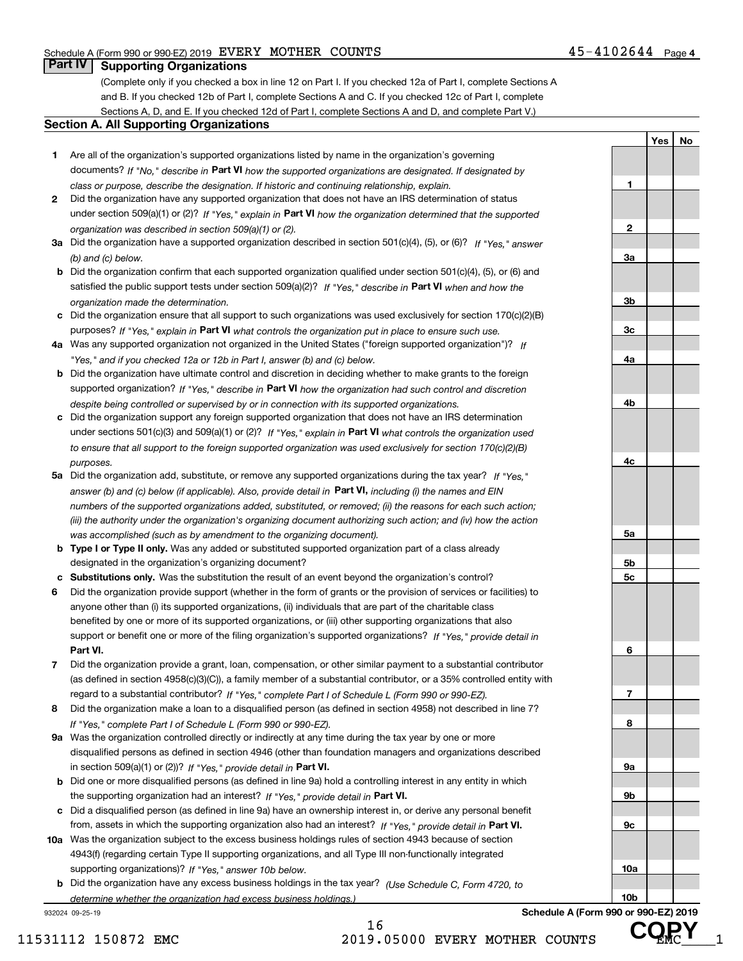**1**

**2**

**3a**

**3b**

**3c**

**4a**

**4b**

**4c**

**5a**

**5b5c**

**6**

**7**

**8**

**9a**

**9b**

**9c**

**10a**

**10b**

**Yes No**

#### **Part IV Supporting Organizations**

(Complete only if you checked a box in line 12 on Part I. If you checked 12a of Part I, complete Sections A and B. If you checked 12b of Part I, complete Sections A and C. If you checked 12c of Part I, complete Sections A, D, and E. If you checked 12d of Part I, complete Sections A and D, and complete Part V.)

#### **Section A. All Supporting Organizations**

- **1** Are all of the organization's supported organizations listed by name in the organization's governing documents? If "No," describe in **Part VI** how the supported organizations are designated. If designated by *class or purpose, describe the designation. If historic and continuing relationship, explain.*
- **2** Did the organization have any supported organization that does not have an IRS determination of status under section 509(a)(1) or (2)? If "Yes," explain in Part VI how the organization determined that the supported *organization was described in section 509(a)(1) or (2).*
- **3a** Did the organization have a supported organization described in section 501(c)(4), (5), or (6)? If "Yes," answer *(b) and (c) below.*
- **b** Did the organization confirm that each supported organization qualified under section 501(c)(4), (5), or (6) and satisfied the public support tests under section 509(a)(2)? If "Yes," describe in **Part VI** when and how the *organization made the determination.*
- **c**Did the organization ensure that all support to such organizations was used exclusively for section 170(c)(2)(B) purposes? If "Yes," explain in **Part VI** what controls the organization put in place to ensure such use.
- **4a***If* Was any supported organization not organized in the United States ("foreign supported organization")? *"Yes," and if you checked 12a or 12b in Part I, answer (b) and (c) below.*
- **b** Did the organization have ultimate control and discretion in deciding whether to make grants to the foreign supported organization? If "Yes," describe in **Part VI** how the organization had such control and discretion *despite being controlled or supervised by or in connection with its supported organizations.*
- **c** Did the organization support any foreign supported organization that does not have an IRS determination under sections 501(c)(3) and 509(a)(1) or (2)? If "Yes," explain in **Part VI** what controls the organization used *to ensure that all support to the foreign supported organization was used exclusively for section 170(c)(2)(B) purposes.*
- **5a** Did the organization add, substitute, or remove any supported organizations during the tax year? If "Yes," answer (b) and (c) below (if applicable). Also, provide detail in **Part VI,** including (i) the names and EIN *numbers of the supported organizations added, substituted, or removed; (ii) the reasons for each such action; (iii) the authority under the organization's organizing document authorizing such action; and (iv) how the action was accomplished (such as by amendment to the organizing document).*
- **b** Type I or Type II only. Was any added or substituted supported organization part of a class already designated in the organization's organizing document?
- **cSubstitutions only.**  Was the substitution the result of an event beyond the organization's control?
- **6** Did the organization provide support (whether in the form of grants or the provision of services or facilities) to **Part VI.** *If "Yes," provide detail in* support or benefit one or more of the filing organization's supported organizations? anyone other than (i) its supported organizations, (ii) individuals that are part of the charitable class benefited by one or more of its supported organizations, or (iii) other supporting organizations that also
- **7**Did the organization provide a grant, loan, compensation, or other similar payment to a substantial contributor *If "Yes," complete Part I of Schedule L (Form 990 or 990-EZ).* regard to a substantial contributor? (as defined in section 4958(c)(3)(C)), a family member of a substantial contributor, or a 35% controlled entity with
- **8** Did the organization make a loan to a disqualified person (as defined in section 4958) not described in line 7? *If "Yes," complete Part I of Schedule L (Form 990 or 990-EZ).*
- **9a** Was the organization controlled directly or indirectly at any time during the tax year by one or more in section 509(a)(1) or (2))? If "Yes," *provide detail in* <code>Part VI.</code> disqualified persons as defined in section 4946 (other than foundation managers and organizations described
- **b** Did one or more disqualified persons (as defined in line 9a) hold a controlling interest in any entity in which the supporting organization had an interest? If "Yes," provide detail in P**art VI**.
- **c**Did a disqualified person (as defined in line 9a) have an ownership interest in, or derive any personal benefit from, assets in which the supporting organization also had an interest? If "Yes," provide detail in P**art VI.**
- **10a** Was the organization subject to the excess business holdings rules of section 4943 because of section supporting organizations)? If "Yes," answer 10b below. 4943(f) (regarding certain Type II supporting organizations, and all Type III non-functionally integrated
- **b** Did the organization have any excess business holdings in the tax year? (Use Schedule C, Form 4720, to *determine whether the organization had excess business holdings.)*

16

932024 09-25-19



**Schedule A (Form 990 or 990-EZ) 2019 COPY**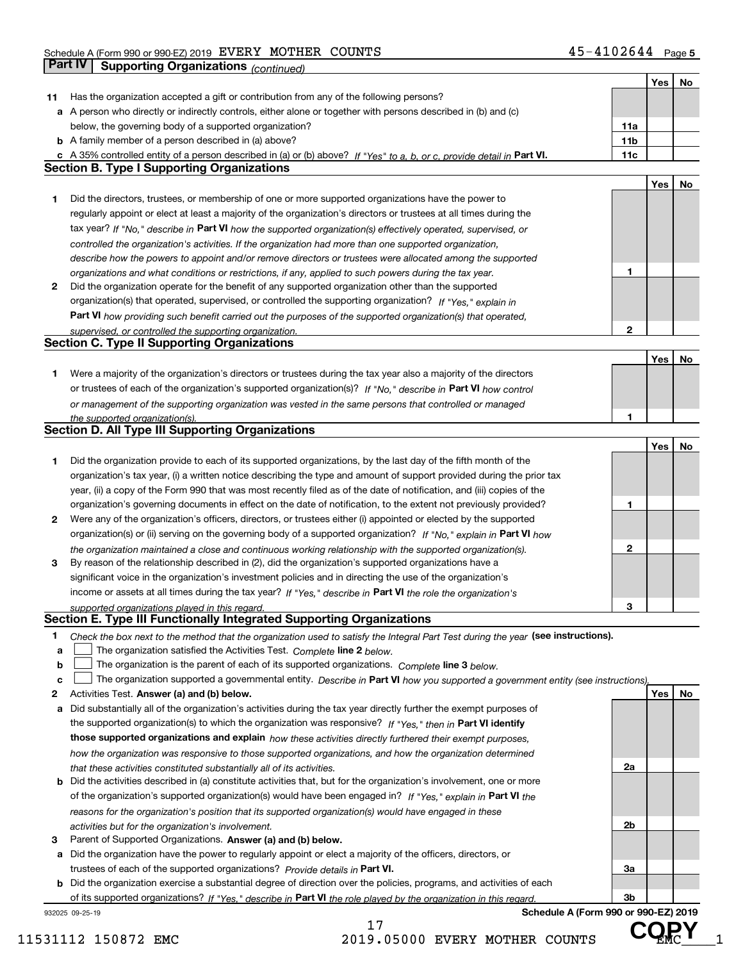|    |                                                                                                                                                                              |                 | Yes | No |
|----|------------------------------------------------------------------------------------------------------------------------------------------------------------------------------|-----------------|-----|----|
| 11 | Has the organization accepted a gift or contribution from any of the following persons?                                                                                      |                 |     |    |
|    | a A person who directly or indirectly controls, either alone or together with persons described in (b) and (c)                                                               |                 |     |    |
|    | below, the governing body of a supported organization?                                                                                                                       | 11a             |     |    |
|    | <b>b</b> A family member of a person described in (a) above?                                                                                                                 | 11 <sub>b</sub> |     |    |
|    | c A 35% controlled entity of a person described in (a) or (b) above? If "Yes" to a, b, or c, provide detail in Part VI.                                                      | 11c             |     |    |
|    | <b>Section B. Type I Supporting Organizations</b>                                                                                                                            |                 |     |    |
|    |                                                                                                                                                                              |                 | Yes | No |
| 1  | Did the directors, trustees, or membership of one or more supported organizations have the power to                                                                          |                 |     |    |
|    | regularly appoint or elect at least a majority of the organization's directors or trustees at all times during the                                                           |                 |     |    |
|    | tax year? If "No," describe in Part VI how the supported organization(s) effectively operated, supervised, or                                                                |                 |     |    |
|    | controlled the organization's activities. If the organization had more than one supported organization,                                                                      |                 |     |    |
|    | describe how the powers to appoint and/or remove directors or trustees were allocated among the supported                                                                    |                 |     |    |
|    | organizations and what conditions or restrictions, if any, applied to such powers during the tax year.                                                                       | 1               |     |    |
| 2  | Did the organization operate for the benefit of any supported organization other than the supported                                                                          |                 |     |    |
|    | organization(s) that operated, supervised, or controlled the supporting organization? If "Yes," explain in                                                                   |                 |     |    |
|    | Part VI how providing such benefit carried out the purposes of the supported organization(s) that operated,                                                                  |                 |     |    |
|    | supervised, or controlled the supporting organization.                                                                                                                       | $\mathbf{2}$    |     |    |
|    | <b>Section C. Type II Supporting Organizations</b>                                                                                                                           |                 |     |    |
|    |                                                                                                                                                                              |                 | Yes | No |
| 1  | Were a majority of the organization's directors or trustees during the tax year also a majority of the directors                                                             |                 |     |    |
|    | or trustees of each of the organization's supported organization(s)? If "No," describe in Part VI how control                                                                |                 |     |    |
|    | or management of the supporting organization was vested in the same persons that controlled or managed                                                                       |                 |     |    |
|    | the supported organization(s).                                                                                                                                               | 1               |     |    |
|    | <b>Section D. All Type III Supporting Organizations</b>                                                                                                                      |                 |     |    |
|    |                                                                                                                                                                              |                 | Yes | No |
| 1  | Did the organization provide to each of its supported organizations, by the last day of the fifth month of the                                                               |                 |     |    |
|    | organization's tax year, (i) a written notice describing the type and amount of support provided during the prior tax                                                        |                 |     |    |
|    | year, (ii) a copy of the Form 990 that was most recently filed as of the date of notification, and (iii) copies of the                                                       |                 |     |    |
|    | organization's governing documents in effect on the date of notification, to the extent not previously provided?                                                             | 1               |     |    |
| 2  | Were any of the organization's officers, directors, or trustees either (i) appointed or elected by the supported                                                             |                 |     |    |
|    | organization(s) or (ii) serving on the governing body of a supported organization? If "No," explain in Part VI how                                                           |                 |     |    |
|    | the organization maintained a close and continuous working relationship with the supported organization(s).                                                                  | $\mathbf{2}$    |     |    |
| 3  | By reason of the relationship described in (2), did the organization's supported organizations have a                                                                        |                 |     |    |
|    | significant voice in the organization's investment policies and in directing the use of the organization's                                                                   |                 |     |    |
|    | income or assets at all times during the tax year? If "Yes," describe in Part VI the role the organization's                                                                 |                 |     |    |
|    | supported organizations played in this regard.                                                                                                                               | З               |     |    |
|    | Section E. Type III Functionally Integrated Supporting Organizations                                                                                                         |                 |     |    |
| 1  | Check the box next to the method that the organization used to satisfy the Integral Part Test during the year (see instructions).                                            |                 |     |    |
| a  | The organization satisfied the Activities Test. Complete line 2 below.                                                                                                       |                 |     |    |
| b  | The organization is the parent of each of its supported organizations. Complete line 3 below.                                                                                |                 |     |    |
| c  | The organization supported a governmental entity. Describe in Part VI how you supported a government entity (see instructions),                                              |                 |     |    |
| 2  | Activities Test. Answer (a) and (b) below.                                                                                                                                   |                 | Yes | No |
| а  | Did substantially all of the organization's activities during the tax year directly further the exempt purposes of                                                           |                 |     |    |
|    | the supported organization(s) to which the organization was responsive? If "Yes." then in Part VI identify                                                                   |                 |     |    |
|    | those supported organizations and explain how these activities directly furthered their exempt purposes,                                                                     |                 |     |    |
|    | how the organization was responsive to those supported organizations, and how the organization determined                                                                    |                 |     |    |
|    | that these activities constituted substantially all of its activities.                                                                                                       | 2a              |     |    |
|    | <b>b</b> Did the activities described in (a) constitute activities that, but for the organization's involvement, one or more                                                 |                 |     |    |
|    | of the organization's supported organization(s) would have been engaged in? If "Yes," explain in Part VI the                                                                 |                 |     |    |
|    | reasons for the organization's position that its supported organization(s) would have engaged in these                                                                       |                 |     |    |
|    | activities but for the organization's involvement.                                                                                                                           | 2b              |     |    |
| з  | Parent of Supported Organizations. Answer (a) and (b) below.                                                                                                                 |                 |     |    |
|    | a Did the organization have the power to regularly appoint or elect a majority of the officers, directors, or                                                                |                 |     |    |
|    | trustees of each of the supported organizations? Provide details in Part VI.                                                                                                 | За              |     |    |
|    | <b>b</b> Did the organization exercise a substantial degree of direction over the policies, programs, and activities of each                                                 |                 |     |    |
|    |                                                                                                                                                                              | 3b              |     |    |
|    | of its supported organizations? If "Yes," describe in Part VI the role played by the organization in this regard.<br>Schedule A (Form 990 or 990-EZ) 2019<br>932025 09-25-19 |                 |     |    |
|    |                                                                                                                                                                              |                 |     |    |

17

11531112 150872 EMC 2019.05000 EVERY MOTHER COUNTS UP MC 1

**COPY**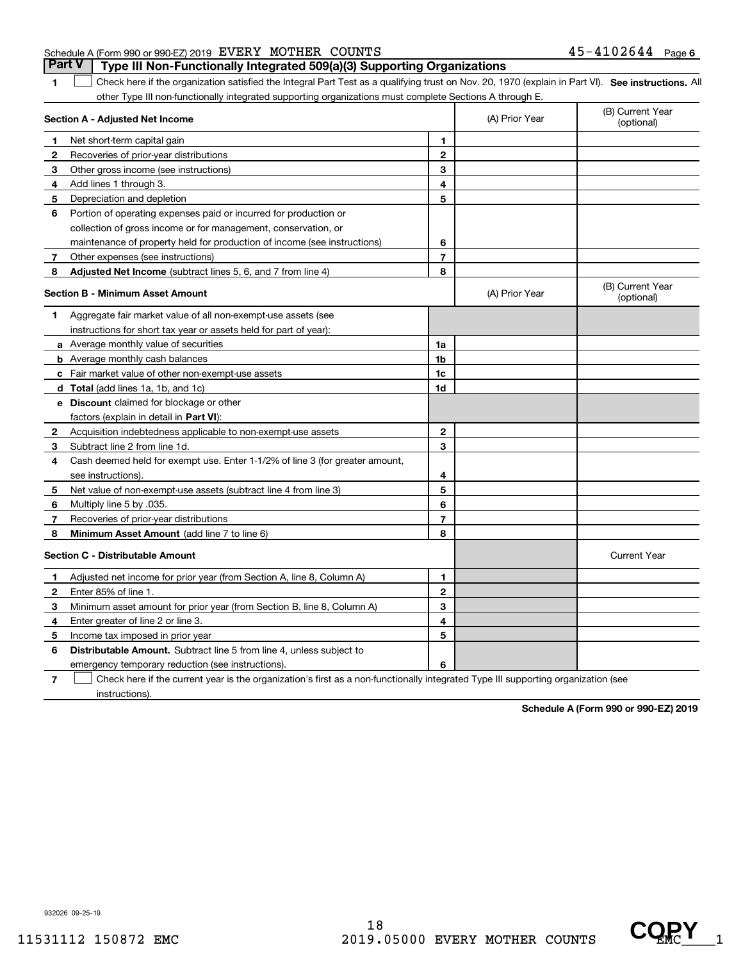#### Schedule A (Form 990 or 990-EZ) 2019 Page EVERY MOTHER COUNTS 45-4102644 **Part V Type III Non-Functionally Integrated 509(a)(3) Supporting Organizations**

**1**

1 Check here if the organization satisfied the Integral Part Test as a qualifying trust on Nov. 20, 1970 (explain in Part VI). See instructions. All other Type III non-functionally integrated supporting organizations must complete Sections A through E.

|              | Section A - Adjusted Net Income                                                                                                   |                | (A) Prior Year | (B) Current Year<br>(optional) |
|--------------|-----------------------------------------------------------------------------------------------------------------------------------|----------------|----------------|--------------------------------|
| 1            | Net short-term capital gain                                                                                                       | 1              |                |                                |
| 2            | Recoveries of prior-year distributions                                                                                            | $\overline{2}$ |                |                                |
| 3            | Other gross income (see instructions)                                                                                             | 3              |                |                                |
| 4            | Add lines 1 through 3.                                                                                                            | 4              |                |                                |
| 5            | Depreciation and depletion                                                                                                        | 5              |                |                                |
| 6            | Portion of operating expenses paid or incurred for production or                                                                  |                |                |                                |
|              | collection of gross income or for management, conservation, or                                                                    |                |                |                                |
|              | maintenance of property held for production of income (see instructions)                                                          | 6              |                |                                |
| 7            | Other expenses (see instructions)                                                                                                 | $\overline{7}$ |                |                                |
| 8            | Adjusted Net Income (subtract lines 5, 6, and 7 from line 4)                                                                      | 8              |                |                                |
|              | <b>Section B - Minimum Asset Amount</b>                                                                                           |                | (A) Prior Year | (B) Current Year<br>(optional) |
| 1            | Aggregate fair market value of all non-exempt-use assets (see                                                                     |                |                |                                |
|              | instructions for short tax year or assets held for part of year):                                                                 |                |                |                                |
|              | <b>a</b> Average monthly value of securities                                                                                      | 1a             |                |                                |
|              | <b>b</b> Average monthly cash balances                                                                                            | 1b             |                |                                |
|              | <b>c</b> Fair market value of other non-exempt-use assets                                                                         | 1c             |                |                                |
|              | d Total (add lines 1a, 1b, and 1c)                                                                                                | 1d             |                |                                |
|              | <b>e</b> Discount claimed for blockage or other                                                                                   |                |                |                                |
|              | factors (explain in detail in Part VI):                                                                                           |                |                |                                |
| 2            | Acquisition indebtedness applicable to non-exempt-use assets                                                                      | $\mathbf{2}$   |                |                                |
| 3            | Subtract line 2 from line 1d.                                                                                                     | 3              |                |                                |
| 4            | Cash deemed held for exempt use. Enter 1-1/2% of line 3 (for greater amount,                                                      |                |                |                                |
|              | see instructions).                                                                                                                | 4              |                |                                |
| 5            | Net value of non-exempt-use assets (subtract line 4 from line 3)                                                                  | 5              |                |                                |
| 6            | Multiply line 5 by .035.                                                                                                          | 6              |                |                                |
| 7            | Recoveries of prior-year distributions                                                                                            | $\overline{7}$ |                |                                |
| 8            | Minimum Asset Amount (add line 7 to line 6)                                                                                       | 8              |                |                                |
|              | <b>Section C - Distributable Amount</b>                                                                                           |                |                | <b>Current Year</b>            |
| $\mathbf{1}$ | Adjusted net income for prior year (from Section A, line 8, Column A)                                                             | 1              |                |                                |
| 2            | Enter 85% of line 1.                                                                                                              | $\overline{2}$ |                |                                |
| З            | Minimum asset amount for prior year (from Section B, line 8, Column A)                                                            | 3              |                |                                |
| 4            | Enter greater of line 2 or line 3.                                                                                                | 4              |                |                                |
| 5            | Income tax imposed in prior year                                                                                                  | 5              |                |                                |
| 6            | <b>Distributable Amount.</b> Subtract line 5 from line 4, unless subject to                                                       |                |                |                                |
|              | emergency temporary reduction (see instructions).                                                                                 | 6              |                |                                |
| 7            | Check here if the current year is the organization's first as a non-functionally integrated Type III supporting organization (see |                |                |                                |

instructions).

**Schedule A (Form 990 or 990-EZ) 2019**

932026 09-25-19

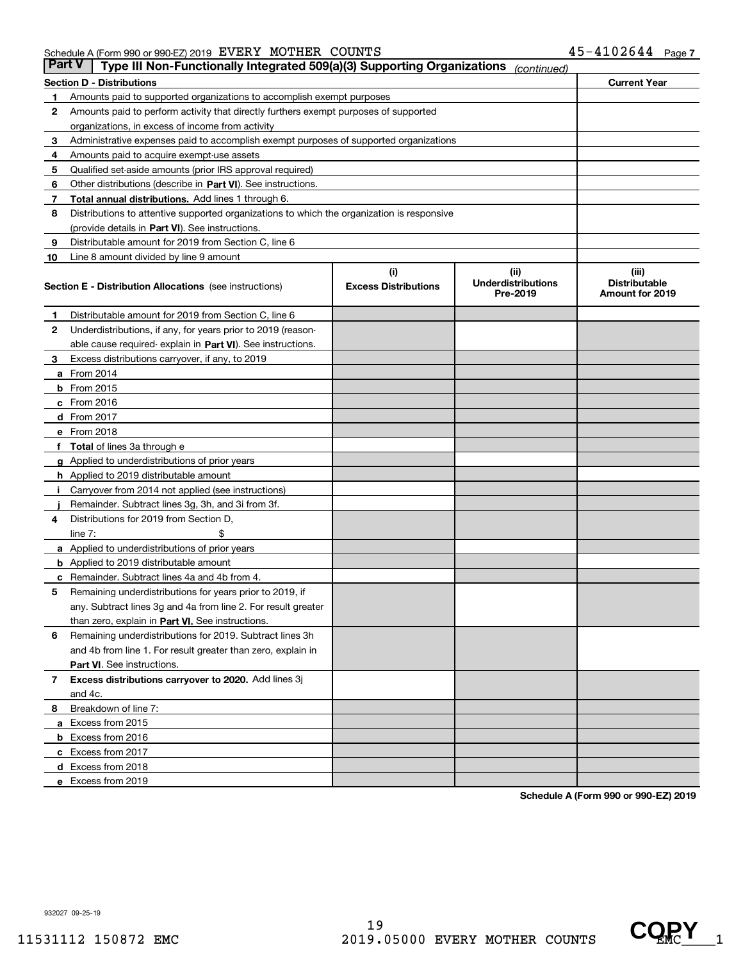#### Schedule A (Form 990 or 990-EZ) 2019 Page EVERY MOTHER COUNTS 45-4102644

| Part V | Type III Non-Functionally Integrated 509(a)(3) Supporting Organizations                    |                             | (continued)                           |                                                |  |  |  |
|--------|--------------------------------------------------------------------------------------------|-----------------------------|---------------------------------------|------------------------------------------------|--|--|--|
|        | <b>Section D - Distributions</b>                                                           |                             |                                       | <b>Current Year</b>                            |  |  |  |
| 1      | Amounts paid to supported organizations to accomplish exempt purposes                      |                             |                                       |                                                |  |  |  |
| 2      | Amounts paid to perform activity that directly furthers exempt purposes of supported       |                             |                                       |                                                |  |  |  |
|        | organizations, in excess of income from activity                                           |                             |                                       |                                                |  |  |  |
| з      | Administrative expenses paid to accomplish exempt purposes of supported organizations      |                             |                                       |                                                |  |  |  |
| 4      | Amounts paid to acquire exempt-use assets                                                  |                             |                                       |                                                |  |  |  |
| 5      | Qualified set-aside amounts (prior IRS approval required)                                  |                             |                                       |                                                |  |  |  |
| 6      | Other distributions (describe in Part VI). See instructions.                               |                             |                                       |                                                |  |  |  |
| 7      | Total annual distributions. Add lines 1 through 6.                                         |                             |                                       |                                                |  |  |  |
| 8      | Distributions to attentive supported organizations to which the organization is responsive |                             |                                       |                                                |  |  |  |
|        | (provide details in Part VI). See instructions.                                            |                             |                                       |                                                |  |  |  |
| 9      | Distributable amount for 2019 from Section C, line 6                                       |                             |                                       |                                                |  |  |  |
| 10     | Line 8 amount divided by line 9 amount                                                     |                             |                                       |                                                |  |  |  |
|        |                                                                                            | (i)                         | (ii)                                  | (iii)                                          |  |  |  |
|        | <b>Section E - Distribution Allocations</b> (see instructions)                             | <b>Excess Distributions</b> | <b>Underdistributions</b><br>Pre-2019 | <b>Distributable</b><br><b>Amount for 2019</b> |  |  |  |
| 1      | Distributable amount for 2019 from Section C, line 6                                       |                             |                                       |                                                |  |  |  |
| 2      | Underdistributions, if any, for years prior to 2019 (reason-                               |                             |                                       |                                                |  |  |  |
|        | able cause required- explain in <b>Part VI</b> ). See instructions.                        |                             |                                       |                                                |  |  |  |
| 3      | Excess distributions carryover, if any, to 2019                                            |                             |                                       |                                                |  |  |  |
|        | <b>a</b> From 2014                                                                         |                             |                                       |                                                |  |  |  |
|        | <b>b</b> From 2015                                                                         |                             |                                       |                                                |  |  |  |
|        | $c$ From 2016                                                                              |                             |                                       |                                                |  |  |  |
|        | d From 2017                                                                                |                             |                                       |                                                |  |  |  |
|        | e From 2018                                                                                |                             |                                       |                                                |  |  |  |
| f      | Total of lines 3a through e                                                                |                             |                                       |                                                |  |  |  |
|        | <b>g</b> Applied to underdistributions of prior years                                      |                             |                                       |                                                |  |  |  |
|        | <b>h</b> Applied to 2019 distributable amount                                              |                             |                                       |                                                |  |  |  |
|        | Carryover from 2014 not applied (see instructions)                                         |                             |                                       |                                                |  |  |  |
|        | Remainder. Subtract lines 3g, 3h, and 3i from 3f.                                          |                             |                                       |                                                |  |  |  |
| 4      | Distributions for 2019 from Section D,                                                     |                             |                                       |                                                |  |  |  |
|        | line $7:$                                                                                  |                             |                                       |                                                |  |  |  |
|        | <b>a</b> Applied to underdistributions of prior years                                      |                             |                                       |                                                |  |  |  |
|        | <b>b</b> Applied to 2019 distributable amount                                              |                             |                                       |                                                |  |  |  |
| c      | Remainder. Subtract lines 4a and 4b from 4.                                                |                             |                                       |                                                |  |  |  |
| 5      | Remaining underdistributions for years prior to 2019, if                                   |                             |                                       |                                                |  |  |  |
|        | any. Subtract lines 3g and 4a from line 2. For result greater                              |                             |                                       |                                                |  |  |  |
|        | than zero, explain in Part VI. See instructions.                                           |                             |                                       |                                                |  |  |  |
| 6      | Remaining underdistributions for 2019. Subtract lines 3h                                   |                             |                                       |                                                |  |  |  |
|        | and 4b from line 1. For result greater than zero, explain in                               |                             |                                       |                                                |  |  |  |
|        | <b>Part VI.</b> See instructions.                                                          |                             |                                       |                                                |  |  |  |
|        | Excess distributions carryover to 2020. Add lines 3j                                       |                             |                                       |                                                |  |  |  |
| 7      | and 4c.                                                                                    |                             |                                       |                                                |  |  |  |
|        |                                                                                            |                             |                                       |                                                |  |  |  |
| 8      | Breakdown of line 7:                                                                       |                             |                                       |                                                |  |  |  |
|        | a Excess from 2015                                                                         |                             |                                       |                                                |  |  |  |
|        | <b>b</b> Excess from 2016                                                                  |                             |                                       |                                                |  |  |  |
|        | c Excess from 2017                                                                         |                             |                                       |                                                |  |  |  |
|        | d Excess from 2018                                                                         |                             |                                       |                                                |  |  |  |
|        | e Excess from 2019                                                                         |                             |                                       |                                                |  |  |  |

**Schedule A (Form 990 or 990-EZ) 2019**

932027 09-25-19

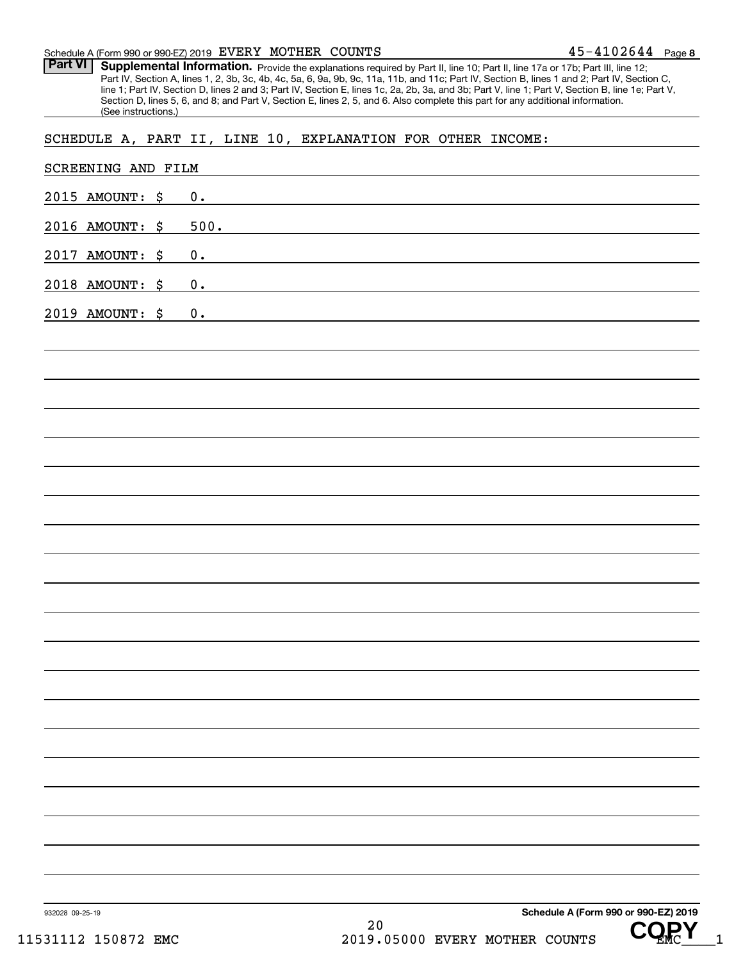#### Schedule A (Form 990 or 990-EZ) 2019 Page EVERY MOTHER COUNTS

Part VI | Supplemental Information. Provide the explanations required by Part II, line 10; Part II, line 17a or 17b; Part III, line 12; Part IV, Section A, lines 1, 2, 3b, 3c, 4b, 4c, 5a, 6, 9a, 9b, 9c, 11a, 11b, and 11c; Part IV, Section B, lines 1 and 2; Part IV, Section C, line 1; Part IV, Section D, lines 2 and 3; Part IV, Section E, lines 1c, 2a, 2b, 3a, and 3b; Part V, line 1; Part V, Section B, line 1e; Part V, Section D, lines 5, 6, and 8; and Part V, Section E, lines 2, 5, and 6. Also complete this part for any additional information. (See instructions.)

#### SCHEDULE A, PART II, LINE 10, EXPLANATION FOR OTHER INCOME:

| 0.<br>500.<br>2016 AMOUNT: \$<br>2017 AMOUNT: \$<br>0.<br>2018 AMOUNT: \$<br>0.<br>0. | 932028 09-25-19<br>31112 150872 EMC | 20<br>2019.05000 EVERY MOTHER COUNTS<br>1 |
|---------------------------------------------------------------------------------------|-------------------------------------|-------------------------------------------|
| 2015 AMOUNT: \$<br>2019 AMOUNT: \$                                                    |                                     | Schedule A (Form 990 or 990-EZ) 2019      |
|                                                                                       |                                     |                                           |
|                                                                                       |                                     |                                           |
|                                                                                       |                                     |                                           |
|                                                                                       |                                     |                                           |
|                                                                                       |                                     |                                           |
|                                                                                       |                                     |                                           |
|                                                                                       |                                     |                                           |
|                                                                                       |                                     |                                           |
|                                                                                       |                                     |                                           |
|                                                                                       |                                     |                                           |
|                                                                                       |                                     |                                           |
|                                                                                       |                                     |                                           |
|                                                                                       |                                     |                                           |
|                                                                                       |                                     |                                           |
|                                                                                       |                                     |                                           |
|                                                                                       |                                     |                                           |
|                                                                                       |                                     |                                           |
|                                                                                       |                                     |                                           |
|                                                                                       |                                     |                                           |
|                                                                                       |                                     |                                           |
|                                                                                       |                                     |                                           |
| SCREENING AND FILM                                                                    |                                     |                                           |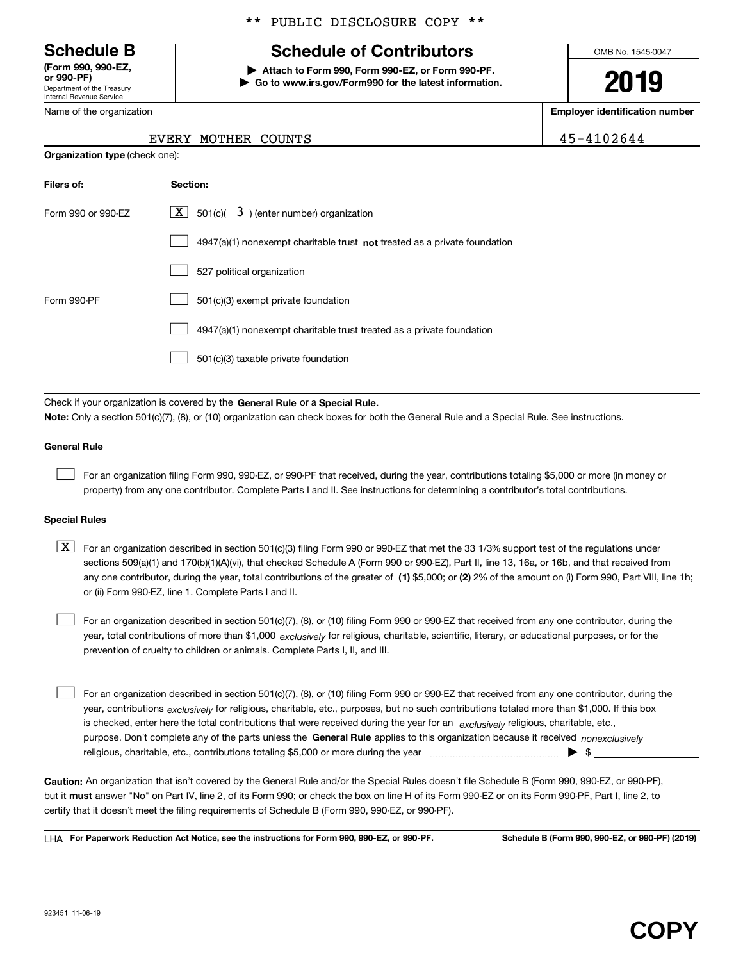Department of the Treasury Internal Revenue Service **(Form 990, 990-EZ, or 990-PF)**

Name of

\*\* PUBLIC DISCLOSURE COPY \*\*

## **Schedule B Schedule of Contributors**

**| Attach to Form 990, Form 990-EZ, or Form 990-PF. | Go to www.irs.gov/Form990 for the latest information.** OMB No. 1545-0047

**2019**

**Employer identification number**

EVERY MOTHER COUNTS 45-4102644

| the organization |  |
|------------------|--|
|                  |  |

| <b>Organization type</b> (check one): |                                                                           |  |  |  |  |
|---------------------------------------|---------------------------------------------------------------------------|--|--|--|--|
| Filers of:                            | Section:                                                                  |  |  |  |  |
| Form 990 or 990-EZ                    | $\underline{X}$ 501(c)( 3) (enter number) organization                    |  |  |  |  |
|                                       | 4947(a)(1) nonexempt charitable trust not treated as a private foundation |  |  |  |  |
|                                       | 527 political organization                                                |  |  |  |  |
| Form 990-PF                           | 501(c)(3) exempt private foundation                                       |  |  |  |  |
|                                       | 4947(a)(1) nonexempt charitable trust treated as a private foundation     |  |  |  |  |
|                                       | 501(c)(3) taxable private foundation                                      |  |  |  |  |
|                                       |                                                                           |  |  |  |  |

Check if your organization is covered by the **General Rule** or a **Special Rule.**<br>Nota: Only a section 501(c)(7), (8), or (10) erganization can chock boxes for be **Note:**  Only a section 501(c)(7), (8), or (10) organization can check boxes for both the General Rule and a Special Rule. See instructions.

#### **General Rule**

For an organization filing Form 990, 990-EZ, or 990-PF that received, during the year, contributions totaling \$5,000 or more (in money or property) from any one contributor. Complete Parts I and II. See instructions for determining a contributor's total contributions.

#### **Special Rules**

any one contributor, during the year, total contributions of the greater of  $\,$  (1) \$5,000; or **(2)** 2% of the amount on (i) Form 990, Part VIII, line 1h;  $\boxed{\textbf{X}}$  For an organization described in section 501(c)(3) filing Form 990 or 990-EZ that met the 33 1/3% support test of the regulations under sections 509(a)(1) and 170(b)(1)(A)(vi), that checked Schedule A (Form 990 or 990-EZ), Part II, line 13, 16a, or 16b, and that received from or (ii) Form 990-EZ, line 1. Complete Parts I and II.

year, total contributions of more than \$1,000 *exclusively* for religious, charitable, scientific, literary, or educational purposes, or for the For an organization described in section 501(c)(7), (8), or (10) filing Form 990 or 990-EZ that received from any one contributor, during the prevention of cruelty to children or animals. Complete Parts I, II, and III.  $\mathcal{L}^{\text{max}}$ 

purpose. Don't complete any of the parts unless the **General Rule** applies to this organization because it received *nonexclusively* year, contributions <sub>exclusively</sub> for religious, charitable, etc., purposes, but no such contributions totaled more than \$1,000. If this box is checked, enter here the total contributions that were received during the year for an  $\;$ exclusively religious, charitable, etc., For an organization described in section 501(c)(7), (8), or (10) filing Form 990 or 990-EZ that received from any one contributor, during the religious, charitable, etc., contributions totaling \$5,000 or more during the year  $\Box$ — $\Box$   $\Box$  $\mathcal{L}^{\text{max}}$ 

**Caution:**  An organization that isn't covered by the General Rule and/or the Special Rules doesn't file Schedule B (Form 990, 990-EZ, or 990-PF), but it **must** answer "No" on Part IV, line 2, of its Form 990; or check the box on line H of its Form 990-EZ or on its Form 990-PF, Part I, line 2, to<br>cortify that it doesn't meet the filipe requirements of Schodule B (Fer certify that it doesn't meet the filing requirements of Schedule B (Form 990, 990-EZ, or 990-PF).

**For Paperwork Reduction Act Notice, see the instructions for Form 990, 990-EZ, or 990-PF. Schedule B (Form 990, 990-EZ, or 990-PF) (2019)** LHA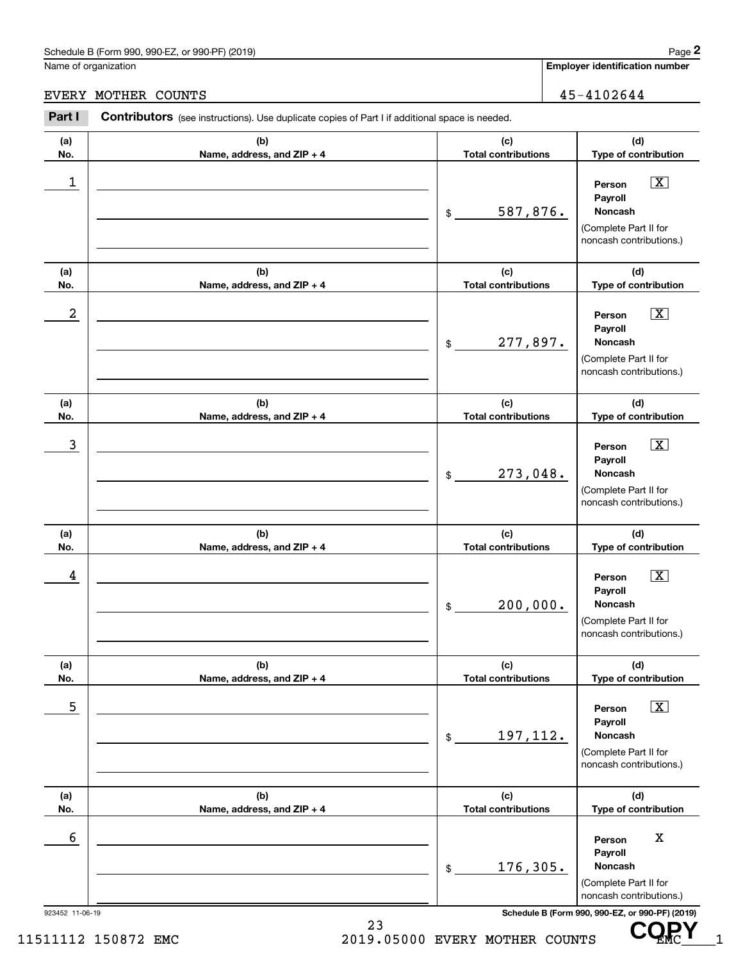## Schedule B (Form 990, 990-EZ, or 990-PF) (2019) Page 2

#### EVERY MOTHER COUNTS 45-4102644

|                 | Schedule B (Form 990, 990-EZ, or 990-PF) (2019)                                                |                                   | Page 2                                                                                                 |
|-----------------|------------------------------------------------------------------------------------------------|-----------------------------------|--------------------------------------------------------------------------------------------------------|
|                 | Name of organization                                                                           |                                   | <b>Employer identification number</b>                                                                  |
| <b>EVERY</b>    | 45-4102644<br>MOTHER COUNTS                                                                    |                                   |                                                                                                        |
| Part I          | Contributors (see instructions). Use duplicate copies of Part I if additional space is needed. |                                   |                                                                                                        |
| (a)<br>No.      | (b)<br>Name, address, and ZIP + 4                                                              | (c)<br><b>Total contributions</b> | (d)<br>Type of contribution                                                                            |
| 1               |                                                                                                | 587,876.<br>\$                    | $\boxed{\text{X}}$<br>Person<br>Payroll<br>Noncash<br>(Complete Part II for<br>noncash contributions.) |
| (a)<br>No.      | (b)<br>Name, address, and ZIP + 4                                                              | (c)<br><b>Total contributions</b> | (d)<br>Type of contribution                                                                            |
| 2               |                                                                                                | 277,897.<br>\$                    | $\boxed{\text{X}}$<br>Person<br>Payroll<br>Noncash<br>(Complete Part II for<br>noncash contributions.) |
| (a)<br>No.      | (b)<br>Name, address, and ZIP + 4                                                              | (c)<br><b>Total contributions</b> | (d)<br>Type of contribution                                                                            |
| 3               |                                                                                                | 273,048.<br>\$                    | $\boxed{\text{X}}$<br>Person<br>Payroll<br>Noncash<br>(Complete Part II for<br>noncash contributions.) |
| (a)<br>No.      | (b)<br>Name, address, and ZIP + 4                                                              | (c)<br><b>Total contributions</b> | (d)<br>Type of contribution                                                                            |
| 4               |                                                                                                | 200,000.<br>\$                    | $\boxed{\text{X}}$<br>Person<br>Payroll<br>Noncash<br>(Complete Part II for<br>noncash contributions.) |
| (a)<br>No.      | (b)<br>Name, address, and ZIP + 4                                                              | (c)<br><b>Total contributions</b> | (d)<br>Type of contribution                                                                            |
| 5               |                                                                                                | 197,112.<br>\$                    | $\boxed{\text{X}}$<br>Person<br>Payroll<br>Noncash<br>(Complete Part II for<br>noncash contributions.) |
| (a)<br>No.      | (b)<br>Name, address, and ZIP + 4                                                              | (c)<br><b>Total contributions</b> | (d)<br>Type of contribution                                                                            |
| 6               |                                                                                                | 176,305.<br>\$                    | X<br>Person<br>Payroll<br>Noncash<br>(Complete Part II for<br>noncash contributions.)                  |
| 923452 11-06-19 |                                                                                                |                                   | Schedule B (Form 990, 990-EZ, or 990-PF) (2019)                                                        |

23

CQRY<sub>1</sub>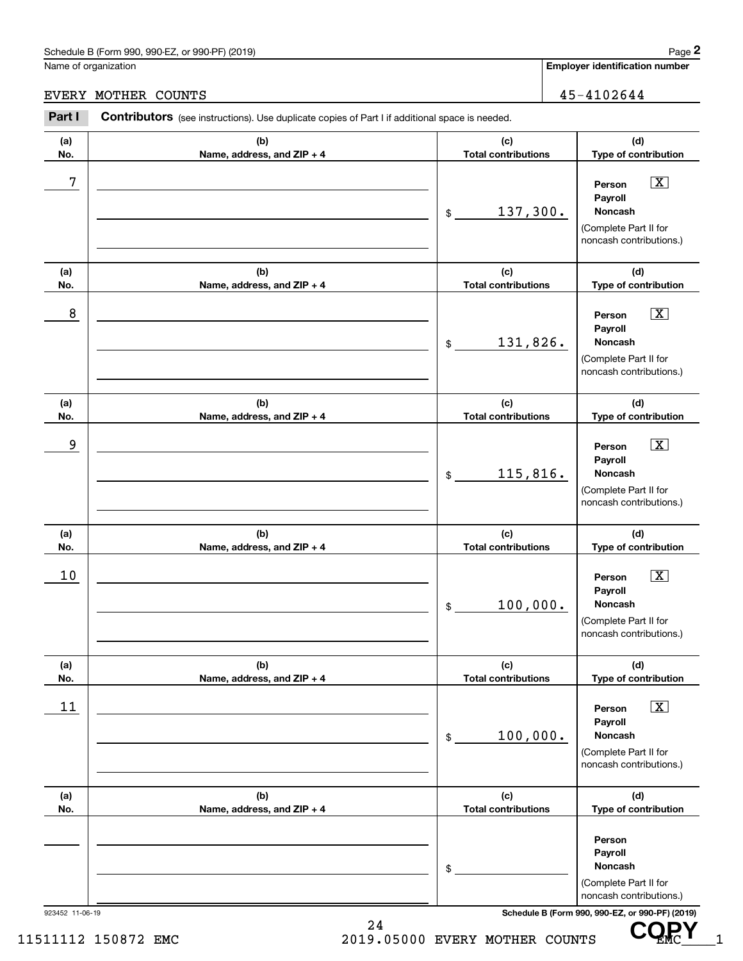## Schedule B (Form 990, 990-EZ, or 990-PF) (2019) Page 2

|                 | Schedule B (Form 990, 990-EZ, or 990-PF) (2019)                                                |                                   | Page 2                                                                                                                              |
|-----------------|------------------------------------------------------------------------------------------------|-----------------------------------|-------------------------------------------------------------------------------------------------------------------------------------|
|                 | Name of organization                                                                           |                                   | <b>Employer identification number</b>                                                                                               |
|                 | EVERY MOTHER COUNTS                                                                            | 45-4102644                        |                                                                                                                                     |
| Part I          | Contributors (see instructions). Use duplicate copies of Part I if additional space is needed. |                                   |                                                                                                                                     |
| (a)<br>No.      | (b)<br>Name, address, and ZIP + 4                                                              | (c)<br><b>Total contributions</b> | (d)<br>Type of contribution                                                                                                         |
| 7               |                                                                                                | 137,300.<br>\$                    | $\boxed{\text{X}}$<br>Person<br>Payroll<br>Noncash<br>(Complete Part II for<br>noncash contributions.)                              |
| (a)<br>No.      | (b)<br>Name, address, and ZIP + 4                                                              | (c)<br><b>Total contributions</b> | (d)<br>Type of contribution                                                                                                         |
| 8               |                                                                                                | 131,826.<br>\$                    | $\boxed{\text{X}}$<br>Person<br>Payroll<br>Noncash<br>(Complete Part II for<br>noncash contributions.)                              |
| (a)<br>No.      | (b)<br>Name, address, and ZIP + 4                                                              | (c)<br><b>Total contributions</b> | (d)<br>Type of contribution                                                                                                         |
| 9               |                                                                                                | 115,816.<br>\$                    | $\boxed{\text{X}}$<br>Person<br>Payroll<br>Noncash<br>(Complete Part II for<br>noncash contributions.)                              |
| (a)<br>No.      | (b)<br>Name, address, and ZIP + 4                                                              | (c)<br><b>Total contributions</b> | (d)<br>Type of contribution                                                                                                         |
| 10              |                                                                                                | 100,000.<br>\$                    | $\boxed{\text{X}}$<br>Person<br>Payroll<br>Noncash<br>(Complete Part II for<br>noncash contributions.)                              |
| (a)<br>No.      | (b)<br>Name, address, and ZIP + 4                                                              | (c)<br><b>Total contributions</b> | (d)<br>Type of contribution                                                                                                         |
| 11              |                                                                                                | 100,000.<br>\$                    | $\boxed{\textbf{X}}$<br>Person<br>Payroll<br>Noncash<br>(Complete Part II for<br>noncash contributions.)                            |
| (a)<br>No.      | (b)<br>Name, address, and ZIP + 4                                                              | (c)<br><b>Total contributions</b> | (d)<br>Type of contribution                                                                                                         |
| 923452 11-06-19 |                                                                                                | \$                                | Person<br>Payroll<br>Noncash<br>(Complete Part II for<br>noncash contributions.)<br>Schedule B (Form 990, 990-EZ, or 990-PF) (2019) |

24 11511112 150872 EMC 2019.05000 EVERY MOTHER COUNTS UP MC 1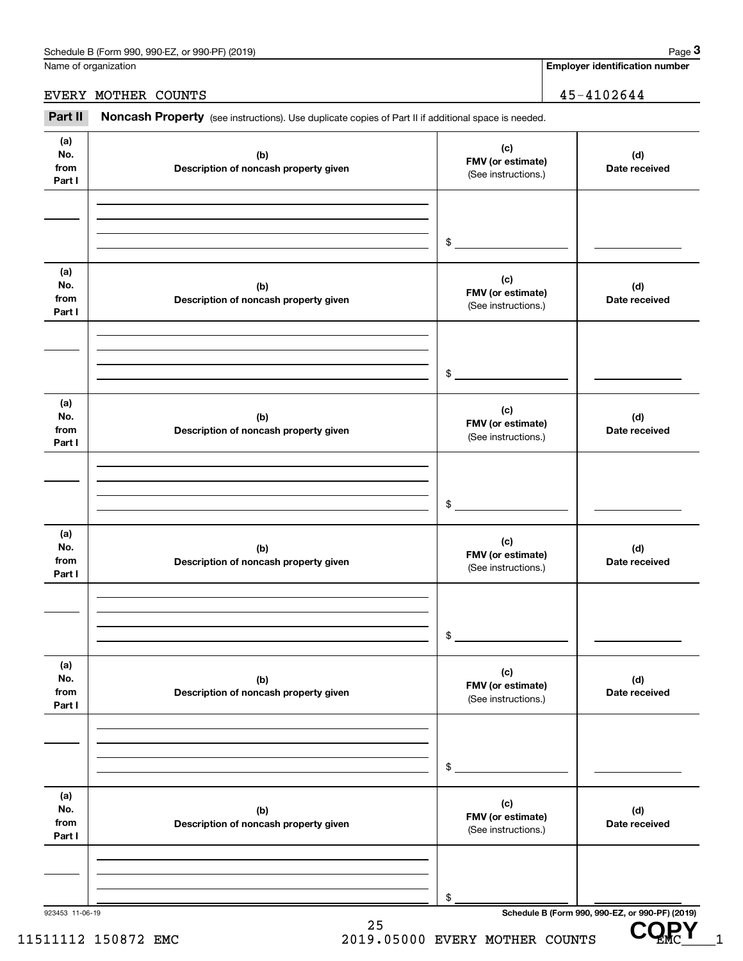| Schedule B (Form 990, 990-EZ, or 990-PF) (2019)<br>Page |  |
|---------------------------------------------------------|--|
|---------------------------------------------------------|--|

**COPY**

|                              | Schedule B (Form 990, 990-EZ, or 990-PF) (2019)                                                     |                                                 | Page 3                                          |
|------------------------------|-----------------------------------------------------------------------------------------------------|-------------------------------------------------|-------------------------------------------------|
|                              | Name of organization                                                                                |                                                 | <b>Employer identification number</b>           |
| EVERY MOTHER COUNTS          |                                                                                                     | 45-4102644                                      |                                                 |
| Part II                      | Noncash Property (see instructions). Use duplicate copies of Part II if additional space is needed. |                                                 |                                                 |
| (a)<br>No.<br>from<br>Part I | (b)<br>Description of noncash property given                                                        | (c)<br>FMV (or estimate)<br>(See instructions.) | (d)<br>Date received                            |
|                              |                                                                                                     | \$                                              |                                                 |
| (a)<br>No.<br>from<br>Part I | (b)<br>Description of noncash property given                                                        | (c)<br>FMV (or estimate)<br>(See instructions.) | (d)<br>Date received                            |
|                              |                                                                                                     | \$                                              |                                                 |
| (a)<br>No.<br>from<br>Part I | (b)<br>Description of noncash property given                                                        | (c)<br>FMV (or estimate)<br>(See instructions.) | (d)<br>Date received                            |
|                              |                                                                                                     | \$                                              |                                                 |
| (a)<br>No.<br>from<br>Part I | (b)<br>Description of noncash property given                                                        | (c)<br>FMV (or estimate)<br>(See instructions.) | (d)<br>Date received                            |
|                              |                                                                                                     | \$                                              |                                                 |
| (a)<br>No.<br>from<br>Part I | (b)<br>Description of noncash property given                                                        | (c)<br>FMV (or estimate)<br>(See instructions.) | (d)<br>Date received                            |
|                              |                                                                                                     | \$                                              |                                                 |
| (a)<br>No.<br>from<br>Part I | (b)<br>Description of noncash property given                                                        | (c)<br>FMV (or estimate)<br>(See instructions.) | (d)<br>Date received                            |
|                              |                                                                                                     | \$                                              |                                                 |
| 923453 11-06-19              |                                                                                                     |                                                 | Schedule B (Form 990, 990-EZ, or 990-PF) (2019) |

25 11511112 150872 EMC 2019.05000 EVERY MOTHER COUNTS UP MC 1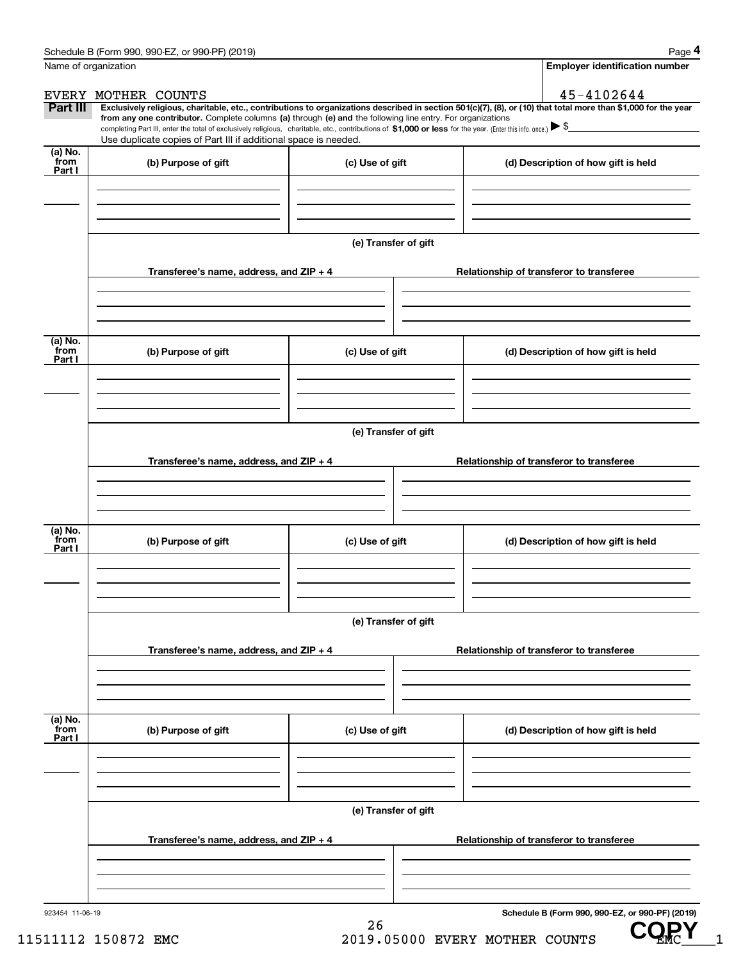$CQ_{MC}^{P}$ 

|                           | Schedule B (Form 990, 990-EZ, or 990-PF) (2019)                                                                                                                                                                                 |                                          |                                                                                                                                                                | Page 4 |  |  |
|---------------------------|---------------------------------------------------------------------------------------------------------------------------------------------------------------------------------------------------------------------------------|------------------------------------------|----------------------------------------------------------------------------------------------------------------------------------------------------------------|--------|--|--|
| Name of organization      |                                                                                                                                                                                                                                 |                                          | <b>Employer identification number</b>                                                                                                                          |        |  |  |
|                           | EVERY MOTHER COUNTS                                                                                                                                                                                                             |                                          | 45-4102644                                                                                                                                                     |        |  |  |
| Part III                  | from any one contributor. Complete columns (a) through (e) and the following line entry. For organizations                                                                                                                      |                                          | Exclusively religious, charitable, etc., contributions to organizations described in section 501(c)(7), (8), or (10) that total more than \$1,000 for the year |        |  |  |
|                           | completing Part III, enter the total of exclusively religious, charitable, etc., contributions of \$1,000 or less for the year. (Enter this info. once.) \\$<br>Use duplicate copies of Part III if additional space is needed. |                                          |                                                                                                                                                                |        |  |  |
| (a) No.<br>from           |                                                                                                                                                                                                                                 |                                          |                                                                                                                                                                |        |  |  |
| Part I                    | (b) Purpose of gift                                                                                                                                                                                                             | (c) Use of gift                          | (d) Description of how gift is held                                                                                                                            |        |  |  |
|                           |                                                                                                                                                                                                                                 |                                          |                                                                                                                                                                |        |  |  |
|                           |                                                                                                                                                                                                                                 |                                          |                                                                                                                                                                |        |  |  |
|                           |                                                                                                                                                                                                                                 | (e) Transfer of gift                     |                                                                                                                                                                |        |  |  |
|                           | Transferee's name, address, and ZIP + 4                                                                                                                                                                                         |                                          | Relationship of transferor to transferee                                                                                                                       |        |  |  |
|                           |                                                                                                                                                                                                                                 |                                          |                                                                                                                                                                |        |  |  |
|                           |                                                                                                                                                                                                                                 |                                          |                                                                                                                                                                |        |  |  |
| (a) No.<br>from<br>Part I | (b) Purpose of gift                                                                                                                                                                                                             | (c) Use of gift                          | (d) Description of how gift is held                                                                                                                            |        |  |  |
|                           |                                                                                                                                                                                                                                 |                                          |                                                                                                                                                                |        |  |  |
|                           |                                                                                                                                                                                                                                 |                                          |                                                                                                                                                                |        |  |  |
|                           | (e) Transfer of gift                                                                                                                                                                                                            |                                          |                                                                                                                                                                |        |  |  |
|                           | Transferee's name, address, and ZIP + 4                                                                                                                                                                                         |                                          | Relationship of transferor to transferee                                                                                                                       |        |  |  |
|                           |                                                                                                                                                                                                                                 |                                          |                                                                                                                                                                |        |  |  |
|                           |                                                                                                                                                                                                                                 |                                          |                                                                                                                                                                |        |  |  |
| (a) No.<br>from<br>Part I | (b) Purpose of gift                                                                                                                                                                                                             | (c) Use of gift                          | (d) Description of how gift is held                                                                                                                            |        |  |  |
|                           |                                                                                                                                                                                                                                 |                                          |                                                                                                                                                                |        |  |  |
|                           |                                                                                                                                                                                                                                 |                                          |                                                                                                                                                                |        |  |  |
|                           |                                                                                                                                                                                                                                 | (e) Transfer of gift                     |                                                                                                                                                                |        |  |  |
|                           | Transferee's name, address, and $ZIP + 4$                                                                                                                                                                                       |                                          | Relationship of transferor to transferee                                                                                                                       |        |  |  |
|                           |                                                                                                                                                                                                                                 |                                          |                                                                                                                                                                |        |  |  |
|                           |                                                                                                                                                                                                                                 |                                          |                                                                                                                                                                |        |  |  |
| (a) No.<br>from           | (b) Purpose of gift                                                                                                                                                                                                             | (c) Use of gift                          | (d) Description of how gift is held                                                                                                                            |        |  |  |
| Part I                    |                                                                                                                                                                                                                                 |                                          |                                                                                                                                                                |        |  |  |
|                           |                                                                                                                                                                                                                                 |                                          |                                                                                                                                                                |        |  |  |
|                           | (e) Transfer of gift                                                                                                                                                                                                            |                                          |                                                                                                                                                                |        |  |  |
|                           | Transferee's name, address, and $ZIP + 4$                                                                                                                                                                                       | Relationship of transferor to transferee |                                                                                                                                                                |        |  |  |
|                           |                                                                                                                                                                                                                                 |                                          |                                                                                                                                                                |        |  |  |
|                           |                                                                                                                                                                                                                                 |                                          |                                                                                                                                                                |        |  |  |
| 923454 11-06-19           |                                                                                                                                                                                                                                 |                                          | Schedule B (Form 990, 990-EZ, or 990-PF) (2019)                                                                                                                |        |  |  |
|                           |                                                                                                                                                                                                                                 | 26                                       |                                                                                                                                                                | CODV   |  |  |

11511112 150872 EMC 2019.05000 EVERY MOTHER COUNTS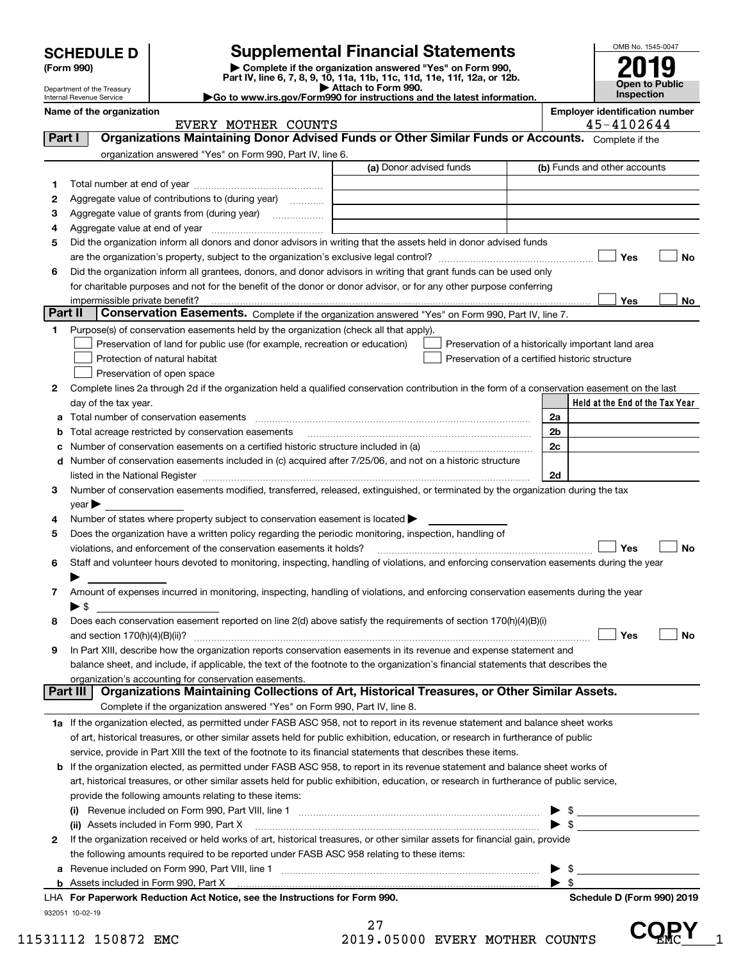|                                          | <b>SCHEDULE D</b>              |                                                                                                                                                                                                                            | <b>Supplemental Financial Statements</b>                                                                                                                    |  |                      | OMB No. 1545-0047                                   |
|------------------------------------------|--------------------------------|----------------------------------------------------------------------------------------------------------------------------------------------------------------------------------------------------------------------------|-------------------------------------------------------------------------------------------------------------------------------------------------------------|--|----------------------|-----------------------------------------------------|
| (Form 990)<br>Department of the Treasury |                                |                                                                                                                                                                                                                            | Complete if the organization answered "Yes" on Form 990,<br>Part IV, line 6, 7, 8, 9, 10, 11a, 11b, 11c, 11d, 11e, 11f, 12a, or 12b.<br>Attach to Form 990. |  |                      | Open to Public                                      |
|                                          | Internal Revenue Service       |                                                                                                                                                                                                                            | Go to www.irs.gov/Form990 for instructions and the latest information.                                                                                      |  |                      | <b>Inspection</b>                                   |
|                                          | Name of the organization       | EVERY MOTHER COUNTS                                                                                                                                                                                                        |                                                                                                                                                             |  |                      | <b>Employer identification number</b><br>45-4102644 |
| Part I                                   |                                | Organizations Maintaining Donor Advised Funds or Other Similar Funds or Accounts. Complete if the                                                                                                                          |                                                                                                                                                             |  |                      |                                                     |
|                                          |                                | organization answered "Yes" on Form 990, Part IV, line 6.                                                                                                                                                                  |                                                                                                                                                             |  |                      |                                                     |
|                                          |                                |                                                                                                                                                                                                                            | (a) Donor advised funds                                                                                                                                     |  |                      | (b) Funds and other accounts                        |
| 1                                        |                                |                                                                                                                                                                                                                            |                                                                                                                                                             |  |                      |                                                     |
| 2                                        |                                | Aggregate value of contributions to (during year)                                                                                                                                                                          |                                                                                                                                                             |  |                      |                                                     |
| з                                        |                                | Aggregate value of grants from (during year) <i></i>                                                                                                                                                                       |                                                                                                                                                             |  |                      |                                                     |
| 4                                        |                                |                                                                                                                                                                                                                            |                                                                                                                                                             |  |                      |                                                     |
| 5                                        |                                | Did the organization inform all donors and donor advisors in writing that the assets held in donor advised funds                                                                                                           |                                                                                                                                                             |  |                      |                                                     |
|                                          |                                |                                                                                                                                                                                                                            |                                                                                                                                                             |  |                      | Yes<br>No                                           |
| 6                                        |                                | Did the organization inform all grantees, donors, and donor advisors in writing that grant funds can be used only                                                                                                          |                                                                                                                                                             |  |                      |                                                     |
|                                          |                                | for charitable purposes and not for the benefit of the donor or donor advisor, or for any other purpose conferring                                                                                                         |                                                                                                                                                             |  |                      |                                                     |
|                                          | impermissible private benefit? |                                                                                                                                                                                                                            |                                                                                                                                                             |  |                      | <b>Yes</b><br>No                                    |
| Part II                                  |                                | Conservation Easements. Complete if the organization answered "Yes" on Form 990, Part IV, line 7.                                                                                                                          |                                                                                                                                                             |  |                      |                                                     |
| 1                                        |                                | Purpose(s) of conservation easements held by the organization (check all that apply).                                                                                                                                      |                                                                                                                                                             |  |                      |                                                     |
|                                          |                                | Preservation of land for public use (for example, recreation or education)                                                                                                                                                 | Preservation of a historically important land area                                                                                                          |  |                      |                                                     |
|                                          |                                | Protection of natural habitat                                                                                                                                                                                              | Preservation of a certified historic structure                                                                                                              |  |                      |                                                     |
|                                          |                                | Preservation of open space                                                                                                                                                                                                 |                                                                                                                                                             |  |                      |                                                     |
| 2                                        |                                | Complete lines 2a through 2d if the organization held a qualified conservation contribution in the form of a conservation easement on the last                                                                             |                                                                                                                                                             |  |                      |                                                     |
|                                          | day of the tax year.           |                                                                                                                                                                                                                            |                                                                                                                                                             |  |                      | Held at the End of the Tax Year                     |
| а                                        |                                | Total number of conservation easements                                                                                                                                                                                     |                                                                                                                                                             |  | 2a                   |                                                     |
|                                          |                                | Total acreage restricted by conservation easements                                                                                                                                                                         |                                                                                                                                                             |  | 2 <sub>b</sub><br>2c |                                                     |
|                                          |                                | Number of conservation easements on a certified historic structure included in (a) manufacture included in (a)<br>Number of conservation easements included in (c) acquired after 7/25/06, and not on a historic structure |                                                                                                                                                             |  |                      |                                                     |
| d                                        |                                |                                                                                                                                                                                                                            |                                                                                                                                                             |  | 2d                   |                                                     |
| 3                                        |                                | Number of conservation easements modified, transferred, released, extinguished, or terminated by the organization during the tax                                                                                           |                                                                                                                                                             |  |                      |                                                     |
|                                          | $\vee$ ear                     |                                                                                                                                                                                                                            |                                                                                                                                                             |  |                      |                                                     |
| 4                                        |                                | Number of states where property subject to conservation easement is located $\blacktriangleright$                                                                                                                          |                                                                                                                                                             |  |                      |                                                     |
| 5                                        |                                | Does the organization have a written policy regarding the periodic monitoring, inspection, handling of                                                                                                                     |                                                                                                                                                             |  |                      |                                                     |
|                                          |                                | violations, and enforcement of the conservation easements it holds?                                                                                                                                                        |                                                                                                                                                             |  |                      | No<br>Yes                                           |
| 6                                        |                                | Staff and volunteer hours devoted to monitoring, inspecting, handling of violations, and enforcing conservation easements during the year                                                                                  |                                                                                                                                                             |  |                      |                                                     |
|                                          |                                |                                                                                                                                                                                                                            |                                                                                                                                                             |  |                      |                                                     |
| 7                                        |                                | Amount of expenses incurred in monitoring, inspecting, handling of violations, and enforcing conservation easements during the year                                                                                        |                                                                                                                                                             |  |                      |                                                     |
|                                          | $\blacktriangleright$ \$       |                                                                                                                                                                                                                            |                                                                                                                                                             |  |                      |                                                     |
| 8                                        |                                | Does each conservation easement reported on line 2(d) above satisfy the requirements of section 170(h)(4)(B)(i)                                                                                                            |                                                                                                                                                             |  |                      |                                                     |
|                                          |                                |                                                                                                                                                                                                                            |                                                                                                                                                             |  |                      | Yes<br>No                                           |
| 9                                        |                                | In Part XIII, describe how the organization reports conservation easements in its revenue and expense statement and                                                                                                        |                                                                                                                                                             |  |                      |                                                     |
|                                          |                                | balance sheet, and include, if applicable, the text of the footnote to the organization's financial statements that describes the                                                                                          |                                                                                                                                                             |  |                      |                                                     |
|                                          | Part III                       | organization's accounting for conservation easements.<br>Organizations Maintaining Collections of Art, Historical Treasures, or Other Similar Assets.                                                                      |                                                                                                                                                             |  |                      |                                                     |
|                                          |                                |                                                                                                                                                                                                                            |                                                                                                                                                             |  |                      |                                                     |
|                                          |                                | Complete if the organization answered "Yes" on Form 990, Part IV, line 8.                                                                                                                                                  |                                                                                                                                                             |  |                      |                                                     |
|                                          |                                | 1a If the organization elected, as permitted under FASB ASC 958, not to report in its revenue statement and balance sheet works                                                                                            |                                                                                                                                                             |  |                      |                                                     |
|                                          |                                | of art, historical treasures, or other similar assets held for public exhibition, education, or research in furtherance of public                                                                                          |                                                                                                                                                             |  |                      |                                                     |
|                                          |                                | service, provide in Part XIII the text of the footnote to its financial statements that describes these items.                                                                                                             |                                                                                                                                                             |  |                      |                                                     |
|                                          |                                | <b>b</b> If the organization elected, as permitted under FASB ASC 958, to report in its revenue statement and balance sheet works of                                                                                       |                                                                                                                                                             |  |                      |                                                     |
|                                          |                                | art, historical treasures, or other similar assets held for public exhibition, education, or research in furtherance of public service,                                                                                    |                                                                                                                                                             |  |                      |                                                     |
|                                          |                                | provide the following amounts relating to these items:                                                                                                                                                                     |                                                                                                                                                             |  |                      |                                                     |
|                                          |                                | (ii) Assets included in Form 990, Part X                                                                                                                                                                                   |                                                                                                                                                             |  |                      |                                                     |
| 2                                        |                                | If the organization received or held works of art, historical treasures, or other similar assets for financial gain, provide                                                                                               |                                                                                                                                                             |  |                      |                                                     |

|              | LHA For Paperwork Reduction Act Notice, see the Instructions for Form 990.                                                   | Schedule D (Form 990) 2019 |
|--------------|------------------------------------------------------------------------------------------------------------------------------|----------------------------|
|              |                                                                                                                              |                            |
|              | a Revenue included on Form 990, Part VIII, line 1                                                                            |                            |
|              | the following amounts required to be reported under FASB ASC 958 relating to these items:                                    |                            |
| $\mathbf{2}$ | If the organization received or held works of art, historical treasures, or other similar assets for financial gain, provide |                            |

932051 10-02-19

27 11531112 150872 EMC  $\frac{27}{2019.05000}$  EVERY MOTHER COUNTS  $\mathbf{CQ}_{MC}^{\mathbf{P}}$   $\mathbf{Y}_{1}$ 

**COPY**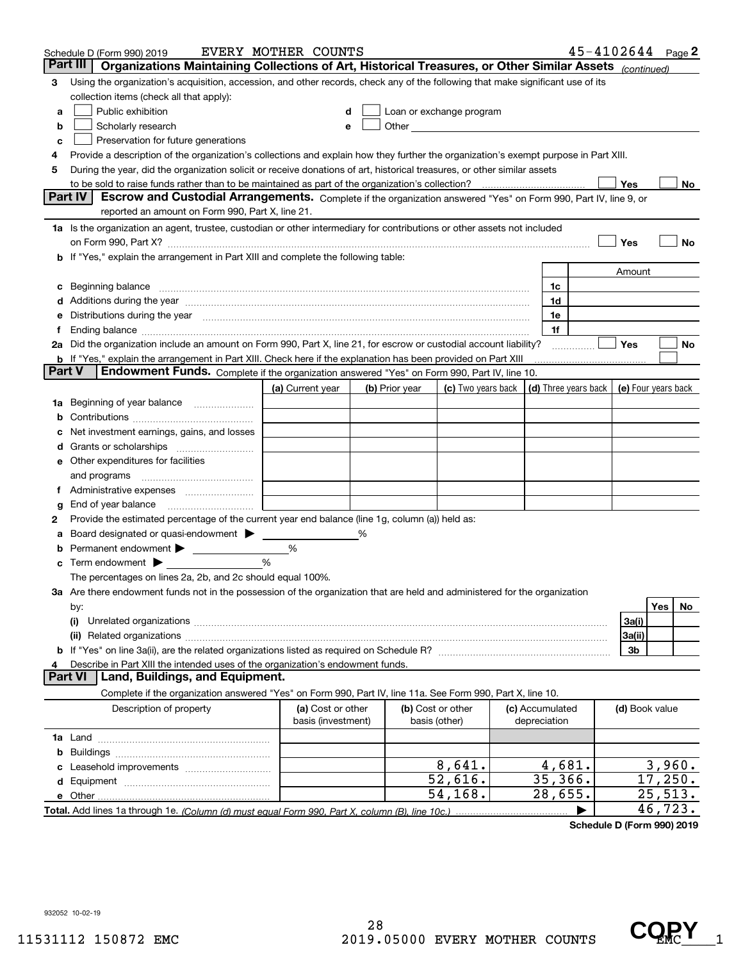|        | $45 - 4102644$ Page 2<br>EVERY MOTHER COUNTS<br>Schedule D (Form 990) 2019                                                                                                                                                     |                                         |   |                                    |                                                                                                                                                                                                                                |  |                                 |                                            |                |         |     |
|--------|--------------------------------------------------------------------------------------------------------------------------------------------------------------------------------------------------------------------------------|-----------------------------------------|---|------------------------------------|--------------------------------------------------------------------------------------------------------------------------------------------------------------------------------------------------------------------------------|--|---------------------------------|--------------------------------------------|----------------|---------|-----|
|        | Part III<br>Organizations Maintaining Collections of Art, Historical Treasures, or Other Similar Assets (continued)                                                                                                            |                                         |   |                                    |                                                                                                                                                                                                                                |  |                                 |                                            |                |         |     |
| З      | Using the organization's acquisition, accession, and other records, check any of the following that make significant use of its                                                                                                |                                         |   |                                    |                                                                                                                                                                                                                                |  |                                 |                                            |                |         |     |
|        | collection items (check all that apply):                                                                                                                                                                                       |                                         |   |                                    |                                                                                                                                                                                                                                |  |                                 |                                            |                |         |     |
| a      | Public exhibition                                                                                                                                                                                                              |                                         |   |                                    | Loan or exchange program                                                                                                                                                                                                       |  |                                 |                                            |                |         |     |
| b      | Scholarly research                                                                                                                                                                                                             |                                         |   |                                    | Other and the control of the control of the control of the control of the control of the control of the control of the control of the control of the control of the control of the control of the control of the control of th |  |                                 |                                            |                |         |     |
| c      | Preservation for future generations                                                                                                                                                                                            |                                         |   |                                    |                                                                                                                                                                                                                                |  |                                 |                                            |                |         |     |
| 4      | Provide a description of the organization's collections and explain how they further the organization's exempt purpose in Part XIII.                                                                                           |                                         |   |                                    |                                                                                                                                                                                                                                |  |                                 |                                            |                |         |     |
| 5      | During the year, did the organization solicit or receive donations of art, historical treasures, or other similar assets                                                                                                       |                                         |   |                                    |                                                                                                                                                                                                                                |  |                                 |                                            |                |         |     |
|        | to be sold to raise funds rather than to be maintained as part of the organization's collection?                                                                                                                               |                                         |   |                                    |                                                                                                                                                                                                                                |  |                                 |                                            | Yes            |         | No. |
|        | <b>Part IV</b><br>Escrow and Custodial Arrangements. Complete if the organization answered "Yes" on Form 990, Part IV, line 9, or                                                                                              |                                         |   |                                    |                                                                                                                                                                                                                                |  |                                 |                                            |                |         |     |
|        | reported an amount on Form 990, Part X, line 21.                                                                                                                                                                               |                                         |   |                                    |                                                                                                                                                                                                                                |  |                                 |                                            |                |         |     |
|        | 1a Is the organization an agent, trustee, custodian or other intermediary for contributions or other assets not included                                                                                                       |                                         |   |                                    |                                                                                                                                                                                                                                |  |                                 |                                            |                |         |     |
|        |                                                                                                                                                                                                                                |                                         |   |                                    |                                                                                                                                                                                                                                |  |                                 |                                            | Yes            |         | No  |
|        | <b>b</b> If "Yes," explain the arrangement in Part XIII and complete the following table:                                                                                                                                      |                                         |   |                                    |                                                                                                                                                                                                                                |  |                                 |                                            |                |         |     |
|        |                                                                                                                                                                                                                                |                                         |   |                                    |                                                                                                                                                                                                                                |  |                                 |                                            | Amount         |         |     |
|        | Beginning balance measurements and the contract of the contract of the contract of the contract of the contract of the contract of the contract of the contract of the contract of the contract of the contract of the contrac |                                         |   |                                    |                                                                                                                                                                                                                                |  | 1c                              |                                            |                |         |     |
|        | Additions during the year manufactured and an account of the year and account of the year manufactured and account of the year and account of the year and account of the year and account of the state of the state of the st |                                         |   |                                    |                                                                                                                                                                                                                                |  | 1d                              |                                            |                |         |     |
|        | Distributions during the year manufactured and continuum and the year manufactured and the year manufactured and the year manufactured and the year manufactured and the year manufactured and the year manufactured and the y |                                         |   |                                    |                                                                                                                                                                                                                                |  | 1e                              |                                            |                |         |     |
|        |                                                                                                                                                                                                                                |                                         |   |                                    |                                                                                                                                                                                                                                |  | 1f                              |                                            |                |         |     |
|        | 2a Did the organization include an amount on Form 990, Part X, line 21, for escrow or custodial account liability?                                                                                                             |                                         |   |                                    |                                                                                                                                                                                                                                |  |                                 |                                            | Yes            |         | No  |
| Part V | b If "Yes," explain the arrangement in Part XIII. Check here if the explanation has been provided on Part XIII<br>Endowment Funds. Complete if the organization answered "Yes" on Form 990, Part IV, line 10.                  |                                         |   |                                    |                                                                                                                                                                                                                                |  |                                 |                                            |                |         |     |
|        |                                                                                                                                                                                                                                |                                         |   |                                    |                                                                                                                                                                                                                                |  |                                 |                                            |                |         |     |
|        |                                                                                                                                                                                                                                | (a) Current year                        |   | (b) Prior year                     | (c) Two years back                                                                                                                                                                                                             |  |                                 | (d) Three years back   (e) Four years back |                |         |     |
| 1a     | Beginning of year balance                                                                                                                                                                                                      |                                         |   |                                    |                                                                                                                                                                                                                                |  |                                 |                                            |                |         |     |
|        |                                                                                                                                                                                                                                |                                         |   |                                    |                                                                                                                                                                                                                                |  |                                 |                                            |                |         |     |
|        | Net investment earnings, gains, and losses                                                                                                                                                                                     |                                         |   |                                    |                                                                                                                                                                                                                                |  |                                 |                                            |                |         |     |
|        |                                                                                                                                                                                                                                |                                         |   |                                    |                                                                                                                                                                                                                                |  |                                 |                                            |                |         |     |
| е      | Other expenditures for facilities                                                                                                                                                                                              |                                         |   |                                    |                                                                                                                                                                                                                                |  |                                 |                                            |                |         |     |
|        | and programs                                                                                                                                                                                                                   |                                         |   |                                    |                                                                                                                                                                                                                                |  |                                 |                                            |                |         |     |
|        | Administrative expenses<br>End of year balance                                                                                                                                                                                 |                                         |   |                                    |                                                                                                                                                                                                                                |  |                                 |                                            |                |         |     |
| g<br>2 | Provide the estimated percentage of the current year end balance (line 1g, column (a)) held as:                                                                                                                                |                                         |   |                                    |                                                                                                                                                                                                                                |  |                                 |                                            |                |         |     |
|        | Board designated or quasi-endowment                                                                                                                                                                                            |                                         | % |                                    |                                                                                                                                                                                                                                |  |                                 |                                            |                |         |     |
|        | Permanent endowment                                                                                                                                                                                                            | %                                       |   |                                    |                                                                                                                                                                                                                                |  |                                 |                                            |                |         |     |
| с      | Term endowment $\blacktriangleright$                                                                                                                                                                                           | %                                       |   |                                    |                                                                                                                                                                                                                                |  |                                 |                                            |                |         |     |
|        | The percentages on lines 2a, 2b, and 2c should equal 100%.                                                                                                                                                                     |                                         |   |                                    |                                                                                                                                                                                                                                |  |                                 |                                            |                |         |     |
|        | 3a Are there endowment funds not in the possession of the organization that are held and administered for the organization                                                                                                     |                                         |   |                                    |                                                                                                                                                                                                                                |  |                                 |                                            |                |         |     |
|        | by:                                                                                                                                                                                                                            |                                         |   |                                    |                                                                                                                                                                                                                                |  |                                 |                                            |                | Yes     | No  |
|        | (i)                                                                                                                                                                                                                            |                                         |   |                                    |                                                                                                                                                                                                                                |  |                                 |                                            | 3a(i)          |         |     |
|        |                                                                                                                                                                                                                                |                                         |   |                                    |                                                                                                                                                                                                                                |  |                                 |                                            | 3a(ii)         |         |     |
|        |                                                                                                                                                                                                                                |                                         |   |                                    |                                                                                                                                                                                                                                |  |                                 |                                            | 3b             |         |     |
|        | Describe in Part XIII the intended uses of the organization's endowment funds.                                                                                                                                                 |                                         |   |                                    |                                                                                                                                                                                                                                |  |                                 |                                            |                |         |     |
|        | Land, Buildings, and Equipment.<br>Part VI                                                                                                                                                                                     |                                         |   |                                    |                                                                                                                                                                                                                                |  |                                 |                                            |                |         |     |
|        | Complete if the organization answered "Yes" on Form 990, Part IV, line 11a. See Form 990, Part X, line 10.                                                                                                                     |                                         |   |                                    |                                                                                                                                                                                                                                |  |                                 |                                            |                |         |     |
|        | Description of property                                                                                                                                                                                                        | (a) Cost or other<br>basis (investment) |   | (b) Cost or other<br>basis (other) |                                                                                                                                                                                                                                |  | (c) Accumulated<br>depreciation |                                            | (d) Book value |         |     |
|        |                                                                                                                                                                                                                                |                                         |   |                                    |                                                                                                                                                                                                                                |  |                                 |                                            |                |         |     |
| b      |                                                                                                                                                                                                                                |                                         |   |                                    |                                                                                                                                                                                                                                |  |                                 |                                            |                |         |     |
|        |                                                                                                                                                                                                                                |                                         |   |                                    | 8,641.                                                                                                                                                                                                                         |  | 4,681.                          |                                            |                | 3,960.  |     |
| d      |                                                                                                                                                                                                                                |                                         |   |                                    | 52,616.                                                                                                                                                                                                                        |  | 35,366.                         |                                            |                | 17,250. |     |
|        |                                                                                                                                                                                                                                |                                         |   |                                    | 54,168.                                                                                                                                                                                                                        |  | $\overline{28}$ , 655.          |                                            |                | 25,513. |     |
|        |                                                                                                                                                                                                                                |                                         |   |                                    |                                                                                                                                                                                                                                |  |                                 |                                            |                | 46,723. |     |

**Schedule D (Form 990) 2019**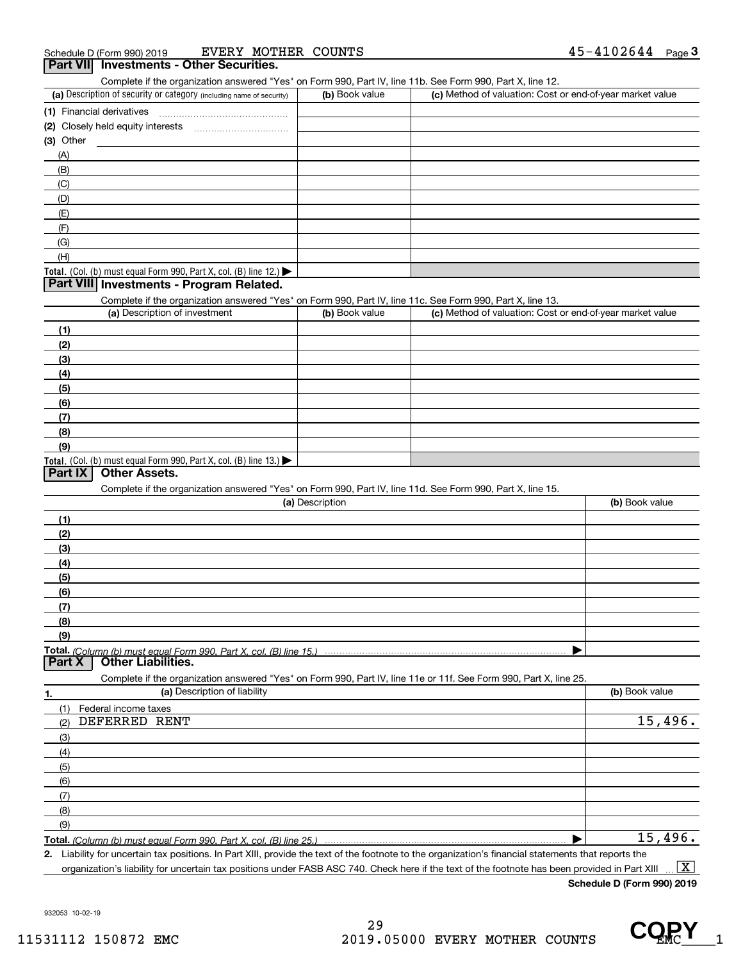#### (a) Description of security or category (including name of security)  $\vert$  (b) Book value  $\vert$  (c) Total. (Col. (b) must equal Form 990, Part X, col. (B) line 12.) **(1)** Financial derivatives ~~~~~~~~~~~~~~~ **(2)** Closely held equity interests **(3)** Other (a) Description of investment **b (b)** Book value **(1)(2) (3)(4)** Complete if the organization answered "Yes" on Form 990, Part IV, line 11b. See Form 990, Part X, line 12. **3Part VII Investments - Other Securities.**  $(b)$  Book value  $\vert$  (c) Method of valuation: Cost or end-of-year market value ~~~~~~~~~~~(A)(B)(C)(D)(E)(F)(G)(H)Complete if the organization answered "Yes" on Form 990, Part IV, line 11c. See Form 990, Part X, line 13. (c) Method of valuation: Cost or end-of-year market value **Part VIII Investments - Program Related.**

Total. (Col. (b) must equal Form 990, Part X, col. (B) line 13.) **(5)(6)(7)(8)(9)**

#### **Part IX Other Assets.**

Complete if the organization answered "Yes" on Form 990, Part IV, line 11d. See Form 990, Part X, line 15.

| (a) Description                                                                                                   | (b) Book value |
|-------------------------------------------------------------------------------------------------------------------|----------------|
| (1)                                                                                                               |                |
| (2)                                                                                                               |                |
| $\frac{1}{2}$                                                                                                     |                |
| (4)                                                                                                               |                |
| (5)                                                                                                               |                |
| (6)                                                                                                               |                |
| (7)                                                                                                               |                |
| (8)                                                                                                               |                |
| (9)                                                                                                               |                |
|                                                                                                                   |                |
| <b>Other Liabilities.</b><br><b>Part X</b>                                                                        |                |
| Complete if the organization answered "Yes" on Form 990, Part IV, line 11e or 11f. See Form 990, Part X, line 25. |                |

**1.(a)** Description of liability **Book value** Book value Book value Book value Book value **Total.**  *(Column (b) must equal Form 990, Part X, col. (B) line 25.)* (1)(2)(3)(4)(5)(6)(7)(8)(9)Federal income taxes DEFERRED RENT 15,496. 15,496.

**2.**| Liability for uncertain tax positions. In Part XIII, provide the text of the footnote to the organization's financial statements that reports the

organization's liability for uncertain tax positions under FASB ASC 740. Check here if the text of the footnote has been provided in Part XIII  $\boxed{\text{X}}$ 

**Schedule D (Form 990) 2019**

932053 10-02-19

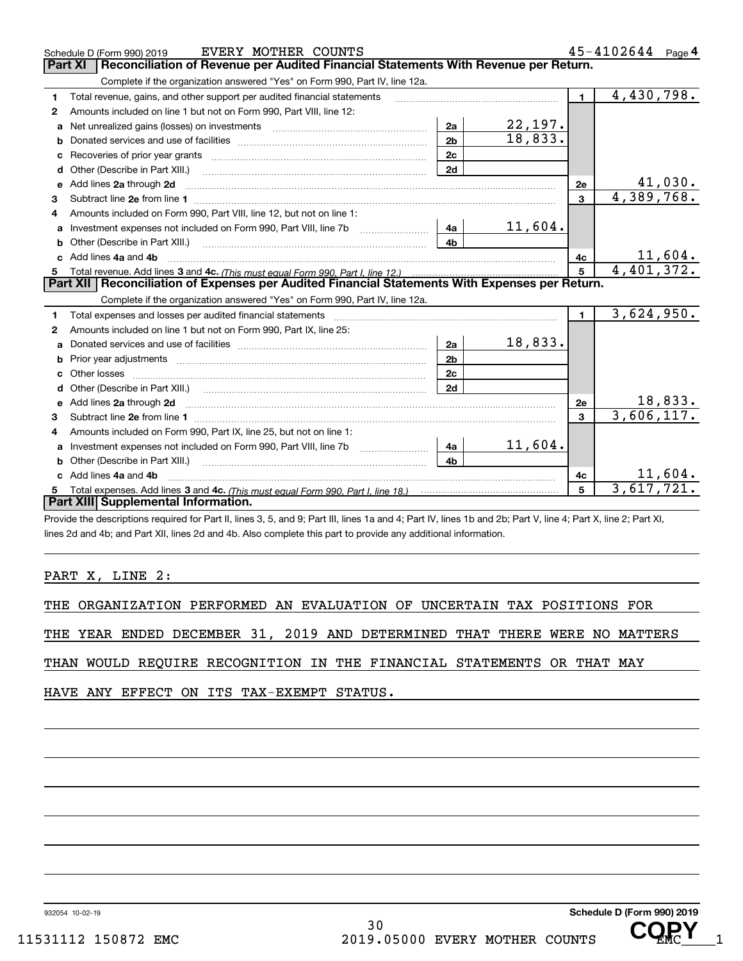|   | EVERY MOTHER COUNTS<br>Schedule D (Form 990) 2019                                                                                                                                                                                   |                |                           |                | $45 - 4102644$ Page 4 |
|---|-------------------------------------------------------------------------------------------------------------------------------------------------------------------------------------------------------------------------------------|----------------|---------------------------|----------------|-----------------------|
|   | Reconciliation of Revenue per Audited Financial Statements With Revenue per Return.<br>Part XI                                                                                                                                      |                |                           |                |                       |
|   | Complete if the organization answered "Yes" on Form 990, Part IV, line 12a.                                                                                                                                                         |                |                           |                |                       |
| 1 | Total revenue, gains, and other support per audited financial statements                                                                                                                                                            |                |                           | $\blacksquare$ | 4,430,798.            |
| 2 | Amounts included on line 1 but not on Form 990, Part VIII, line 12:                                                                                                                                                                 |                |                           |                |                       |
| a |                                                                                                                                                                                                                                     | 2a             | $\frac{22,197.}{18,833.}$ |                |                       |
| b |                                                                                                                                                                                                                                     | 2 <sub>b</sub> |                           |                |                       |
| c |                                                                                                                                                                                                                                     | 2c             |                           |                |                       |
|   | <b>d</b> Other (Describe in Part XIII.)                                                                                                                                                                                             | 2d             |                           |                |                       |
| e | Add lines 2a through 2d                                                                                                                                                                                                             |                |                           | 2e             | 41,030.               |
| 3 |                                                                                                                                                                                                                                     |                |                           | $\overline{3}$ | 4,389,768.            |
| 4 | Amounts included on Form 990, Part VIII, line 12, but not on line 1:                                                                                                                                                                |                |                           |                |                       |
| a | Investment expenses not included on Form 990, Part VIII, line 7b [111] [11] [12]                                                                                                                                                    | 4a             | 11,604.                   |                |                       |
| b |                                                                                                                                                                                                                                     | 4h.            |                           |                |                       |
|   | c Add lines 4a and 4b                                                                                                                                                                                                               |                |                           | 4c             | 11,604.               |
| 5 |                                                                                                                                                                                                                                     |                |                           | 5              | 4,401,372.            |
|   | Part XII   Reconciliation of Expenses per Audited Financial Statements With Expenses per Return.                                                                                                                                    |                |                           |                |                       |
|   | Complete if the organization answered "Yes" on Form 990, Part IV, line 12a.                                                                                                                                                         |                |                           |                |                       |
| 1 |                                                                                                                                                                                                                                     |                |                           | $\blacksquare$ | 3,624,950.            |
| 2 | Amounts included on line 1 but not on Form 990, Part IX, line 25:                                                                                                                                                                   |                |                           |                |                       |
| a |                                                                                                                                                                                                                                     | 2a             | 18,833.                   |                |                       |
| b |                                                                                                                                                                                                                                     | 2 <sub>b</sub> |                           |                |                       |
|   |                                                                                                                                                                                                                                     | 2c             |                           |                |                       |
|   |                                                                                                                                                                                                                                     | 2d             |                           |                |                       |
|   | e Add lines 2a through 2d <b>contract and a contract and a contract a</b> contract a contract and a contract a contract a contract a contract a contract a contract a contract a contract a contract a contract a contract a contra |                |                           | 2e             | 18,833.               |
| 3 |                                                                                                                                                                                                                                     |                |                           | $\mathbf{3}$   | 3,606,117.            |
| 4 | Amounts included on Form 990, Part IX, line 25, but not on line 1:                                                                                                                                                                  |                |                           |                |                       |
| a |                                                                                                                                                                                                                                     | 4a             | 11,604.                   |                |                       |
| b | Other (Describe in Part XIII.) <b>Construction Contract Construction</b> Chemical Construction Chemical Chemical Chemical Chemical Chemical Chemical Chemical Chemical Chemical Chemical Chemical Chemical Chemical Chemical Chemic | 4 <sub>h</sub> |                           |                |                       |
|   | Add lines 4a and 4b                                                                                                                                                                                                                 |                |                           | 4с             | 11,604.               |
| 5 |                                                                                                                                                                                                                                     |                |                           | 5              | 3,617,721.            |
|   | Part XIII Supplemental Information.                                                                                                                                                                                                 |                |                           |                |                       |
|   | Provide the descriptions required for Part II, lines 3, 5, and 9; Part III, lines 1a and 4; Part IV, lines 1b and 2b; Part V, line 4; Part X, line 2; Part XI,                                                                      |                |                           |                |                       |

lines 2d and 4b; and Part XII, lines 2d and 4b. Also complete this part to provide any additional information.

#### PART X, LINE 2:

THE ORGANIZATION PERFORMED AN EVALUATION OF UNCERTAIN TAX POSITIONS FOR

THE YEAR ENDED DECEMBER 31, 2019 AND DETERMINED THAT THERE WERE NO MATTERS

THAN WOULD REQUIRE RECOGNITION IN THE FINANCIAL STATEMENTS OR THAT MAY

HAVE ANY EFFECT ON ITS TAX-EXEMPT STATUS.

932054 10-02-19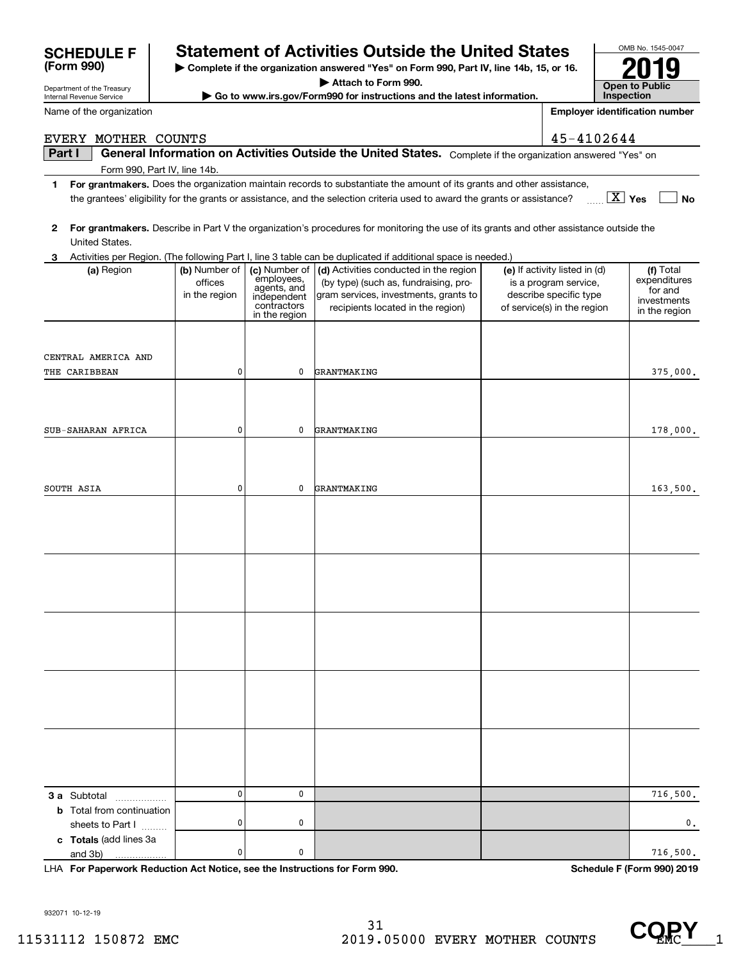| I | Part I                                                                                                                 |                          |                             | General Information on Activities Outside the United States. Complete if the organization answered "Yes" on                                            |                                                        |                              |  |  |  |
|---|------------------------------------------------------------------------------------------------------------------------|--------------------------|-----------------------------|--------------------------------------------------------------------------------------------------------------------------------------------------------|--------------------------------------------------------|------------------------------|--|--|--|
|   | Form 990, Part IV, line 14b.                                                                                           |                          |                             |                                                                                                                                                        |                                                        |                              |  |  |  |
| 1 | For grantmakers. Does the organization maintain records to substantiate the amount of its grants and other assistance, |                          |                             |                                                                                                                                                        |                                                        |                              |  |  |  |
|   |                                                                                                                        |                          |                             | the grantees' eligibility for the grants or assistance, and the selection criteria used to award the grants or assistance?                             |                                                        | $\boxed{\text{X}}$ Yes<br>No |  |  |  |
|   |                                                                                                                        |                          |                             |                                                                                                                                                        |                                                        |                              |  |  |  |
| 2 |                                                                                                                        |                          |                             | For grantmakers. Describe in Part V the organization's procedures for monitoring the use of its grants and other assistance outside the                |                                                        |                              |  |  |  |
|   | United States.                                                                                                         |                          |                             |                                                                                                                                                        |                                                        |                              |  |  |  |
| 3 |                                                                                                                        |                          |                             | Activities per Region. (The following Part I, line 3 table can be duplicated if additional space is needed.)<br>(d) Activities conducted in the region |                                                        |                              |  |  |  |
|   | (a) Region                                                                                                             | (b) Number of<br>offices | (c) Number of<br>employees, | (by type) (such as, fundraising, pro-                                                                                                                  | (e) If activity listed in (d)<br>is a program service, | (f) Total<br>expenditures    |  |  |  |
|   |                                                                                                                        | in the region            | agents, and<br>independent  | gram services, investments, grants to                                                                                                                  | describe specific type                                 | for and                      |  |  |  |
|   |                                                                                                                        |                          | contractors                 | recipients located in the region)                                                                                                                      | of service(s) in the region                            | investments<br>in the region |  |  |  |
|   |                                                                                                                        |                          | in the region               |                                                                                                                                                        |                                                        |                              |  |  |  |
|   |                                                                                                                        |                          |                             |                                                                                                                                                        |                                                        |                              |  |  |  |
|   | CENTRAL AMERICA AND                                                                                                    |                          |                             |                                                                                                                                                        |                                                        |                              |  |  |  |
|   | THE CARIBBEAN                                                                                                          | 0                        | 0                           | GRANTMAKING                                                                                                                                            |                                                        | 375,000.                     |  |  |  |
|   |                                                                                                                        |                          |                             |                                                                                                                                                        |                                                        |                              |  |  |  |
|   |                                                                                                                        |                          |                             |                                                                                                                                                        |                                                        |                              |  |  |  |
|   |                                                                                                                        |                          |                             |                                                                                                                                                        |                                                        |                              |  |  |  |
|   | SUB-SAHARAN AFRICA                                                                                                     | 0                        | 0                           | GRANTMAKING                                                                                                                                            |                                                        | 178,000.                     |  |  |  |
|   |                                                                                                                        |                          |                             |                                                                                                                                                        |                                                        |                              |  |  |  |
|   |                                                                                                                        |                          |                             |                                                                                                                                                        |                                                        |                              |  |  |  |
|   | SOUTH ASIA                                                                                                             | 0                        | 0                           | GRANTMAKING                                                                                                                                            |                                                        | 163,500.                     |  |  |  |
|   |                                                                                                                        |                          |                             |                                                                                                                                                        |                                                        |                              |  |  |  |
|   |                                                                                                                        |                          |                             |                                                                                                                                                        |                                                        |                              |  |  |  |
|   |                                                                                                                        |                          |                             |                                                                                                                                                        |                                                        |                              |  |  |  |
|   |                                                                                                                        |                          |                             |                                                                                                                                                        |                                                        |                              |  |  |  |
|   |                                                                                                                        |                          |                             |                                                                                                                                                        |                                                        |                              |  |  |  |
|   |                                                                                                                        |                          |                             |                                                                                                                                                        |                                                        |                              |  |  |  |
|   |                                                                                                                        |                          |                             |                                                                                                                                                        |                                                        |                              |  |  |  |
|   |                                                                                                                        |                          |                             |                                                                                                                                                        |                                                        |                              |  |  |  |
|   |                                                                                                                        |                          |                             |                                                                                                                                                        |                                                        |                              |  |  |  |
|   |                                                                                                                        |                          |                             |                                                                                                                                                        |                                                        |                              |  |  |  |
|   |                                                                                                                        |                          |                             |                                                                                                                                                        |                                                        |                              |  |  |  |
|   |                                                                                                                        |                          |                             |                                                                                                                                                        |                                                        |                              |  |  |  |
|   |                                                                                                                        |                          |                             |                                                                                                                                                        |                                                        |                              |  |  |  |
|   |                                                                                                                        |                          |                             |                                                                                                                                                        |                                                        |                              |  |  |  |
|   |                                                                                                                        |                          |                             |                                                                                                                                                        |                                                        |                              |  |  |  |
|   |                                                                                                                        |                          |                             |                                                                                                                                                        |                                                        |                              |  |  |  |
|   |                                                                                                                        |                          |                             |                                                                                                                                                        |                                                        |                              |  |  |  |
|   |                                                                                                                        |                          |                             |                                                                                                                                                        |                                                        |                              |  |  |  |
|   |                                                                                                                        | 0                        | 0                           |                                                                                                                                                        |                                                        | 716,500.                     |  |  |  |
|   | <b>3 a</b> Subtotal<br><b>b</b> Total from continuation                                                                |                          |                             |                                                                                                                                                        |                                                        |                              |  |  |  |
|   | sheets to Part I                                                                                                       | 0                        | 0                           |                                                                                                                                                        |                                                        | 0.                           |  |  |  |
|   | c Totals (add lines 3a                                                                                                 |                          |                             |                                                                                                                                                        |                                                        |                              |  |  |  |
|   | and 3b)                                                                                                                | 0                        | 0                           |                                                                                                                                                        |                                                        | 716,500.                     |  |  |  |
|   | LHA For Paperwork Reduction Act Notice, see the Instructions for Form 990.                                             |                          |                             |                                                                                                                                                        |                                                        | Schedule F (Form 990) 2019   |  |  |  |

**SCHEDULE F Statement of Activities Outside the United States**

EVERY MOTHER COUNTS 45-4102644

**| Complete if the organization answered "Yes" on Form 990, Part IV, line 14b, 15, or 16.**

**| Attach to Form 990.**

**| Go to www.irs.gov/Form990 for instructions and the latest information.**

932071 10-12-19

Department of the Treasury Internal Revenue Service

**(Form 990)**

Name of the organization



OMB No. 1545-0047

**2019**

**Open to Public InspectionEmployer identification number**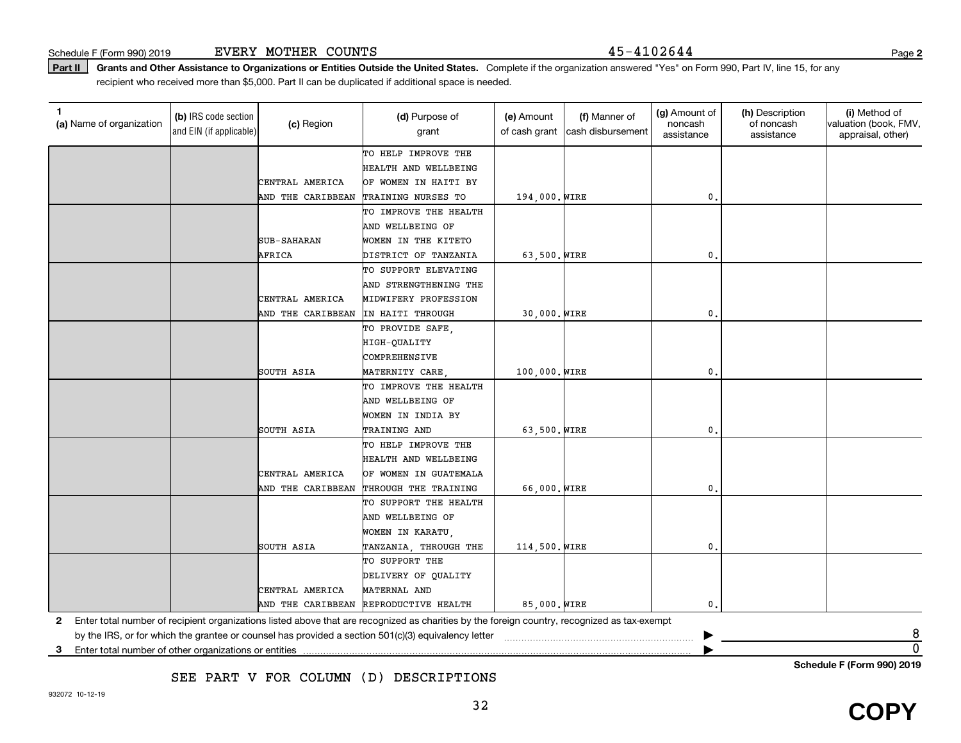**Part II** Grants and Other Assistance to Organizations or Entities Outside the United States. Complete if the organization answered "Yes" on Form 990, Part IV, line 15, for any<br>recisiont who received more than \$5,000. Part recipient who received more than \$5,000. Part II can be duplicated if additional space is needed.

| TO HELP IMPROVE THE<br>HEALTH AND WELLBEING<br>CENTRAL AMERICA<br>OF WOMEN IN HAITI BY<br>AND THE CARIBBEAN<br>TRAINING NURSES TO<br>194,000. WIRE<br>$\mathbf{0}$ .<br>TO IMPROVE THE HEALTH<br>AND WELLBEING OF<br><b>SUB-SAHARAN</b><br>WOMEN IN THE KITETO<br>63,500. WIRE<br>AFRICA<br>DISTRICT OF TANZANIA<br>$\mathbf{0}$<br>TO SUPPORT ELEVATING<br>AND STRENGTHENING THE<br>CENTRAL AMERICA<br>MIDWIFERY PROFESSION<br>30,000. WIRE<br>AND THE CARIBBEAN<br>IN HAITI THROUGH<br>$\mathbf{0}$<br>TO PROVIDE SAFE,<br>HIGH-QUALITY<br>COMPREHENSIVE<br>SOUTH ASIA<br>100,000. WIRE<br>$\mathbf{0}$ .<br>MATERNITY CARE<br>TO IMPROVE THE HEALTH<br>AND WELLBEING OF<br>WOMEN IN INDIA BY<br>63,500. WIRE<br>SOUTH ASIA<br>TRAINING AND<br>0.<br>TO HELP IMPROVE THE<br>HEALTH AND WELLBEING<br>CENTRAL AMERICA<br>OF WOMEN IN GUATEMALA<br>66,000. WIRE<br>$\mathbf{0}$ .<br>AND THE CARIBBEAN<br>THROUGH THE TRAINING<br>TO SUPPORT THE HEALTH<br>AND WELLBEING OF<br>WOMEN IN KARATU,<br>SOUTH ASIA<br>TANZANIA, THROUGH THE<br>114,500. WIRE<br>$\mathbf{0}$<br>TO SUPPORT THE<br>DELIVERY OF QUALITY<br>CENTRAL AMERICA<br>MATERNAL AND<br>85,000. WIRE<br>$\mathbf{0}$ .<br>AND THE CARIBBEAN REPRODUCTIVE HEALTH<br>Enter total number of recipient organizations listed above that are recognized as charities by the foreign country, recognized as tax-exempt<br>2<br>8<br>by the IRS, or for which the grantee or counsel has provided a section 501(c)(3) equivalency letter<br>$\overline{0}$<br>Enter total number of other organizations or entities<br>3 | (a) Name of organization | (b) IRS code section<br>and EIN (if applicable) | (c) Region | (d) Purpose of<br>grant | (e) Amount<br>of cash grant | (f) Manner of<br>cash disbursement | (g) Amount of<br>noncash<br>assistance | (h) Description<br>of noncash<br>assistance | (i) Method of<br>valuation (book, FMV,<br>appraisal, other) |
|--------------------------------------------------------------------------------------------------------------------------------------------------------------------------------------------------------------------------------------------------------------------------------------------------------------------------------------------------------------------------------------------------------------------------------------------------------------------------------------------------------------------------------------------------------------------------------------------------------------------------------------------------------------------------------------------------------------------------------------------------------------------------------------------------------------------------------------------------------------------------------------------------------------------------------------------------------------------------------------------------------------------------------------------------------------------------------------------------------------------------------------------------------------------------------------------------------------------------------------------------------------------------------------------------------------------------------------------------------------------------------------------------------------------------------------------------------------------------------------------------------------------------------------------------------------------------------|--------------------------|-------------------------------------------------|------------|-------------------------|-----------------------------|------------------------------------|----------------------------------------|---------------------------------------------|-------------------------------------------------------------|
|                                                                                                                                                                                                                                                                                                                                                                                                                                                                                                                                                                                                                                                                                                                                                                                                                                                                                                                                                                                                                                                                                                                                                                                                                                                                                                                                                                                                                                                                                                                                                                                |                          |                                                 |            |                         |                             |                                    |                                        |                                             |                                                             |
|                                                                                                                                                                                                                                                                                                                                                                                                                                                                                                                                                                                                                                                                                                                                                                                                                                                                                                                                                                                                                                                                                                                                                                                                                                                                                                                                                                                                                                                                                                                                                                                |                          |                                                 |            |                         |                             |                                    |                                        |                                             |                                                             |
|                                                                                                                                                                                                                                                                                                                                                                                                                                                                                                                                                                                                                                                                                                                                                                                                                                                                                                                                                                                                                                                                                                                                                                                                                                                                                                                                                                                                                                                                                                                                                                                |                          |                                                 |            |                         |                             |                                    |                                        |                                             |                                                             |
|                                                                                                                                                                                                                                                                                                                                                                                                                                                                                                                                                                                                                                                                                                                                                                                                                                                                                                                                                                                                                                                                                                                                                                                                                                                                                                                                                                                                                                                                                                                                                                                |                          |                                                 |            |                         |                             |                                    |                                        |                                             |                                                             |
|                                                                                                                                                                                                                                                                                                                                                                                                                                                                                                                                                                                                                                                                                                                                                                                                                                                                                                                                                                                                                                                                                                                                                                                                                                                                                                                                                                                                                                                                                                                                                                                |                          |                                                 |            |                         |                             |                                    |                                        |                                             |                                                             |
|                                                                                                                                                                                                                                                                                                                                                                                                                                                                                                                                                                                                                                                                                                                                                                                                                                                                                                                                                                                                                                                                                                                                                                                                                                                                                                                                                                                                                                                                                                                                                                                |                          |                                                 |            |                         |                             |                                    |                                        |                                             |                                                             |
|                                                                                                                                                                                                                                                                                                                                                                                                                                                                                                                                                                                                                                                                                                                                                                                                                                                                                                                                                                                                                                                                                                                                                                                                                                                                                                                                                                                                                                                                                                                                                                                |                          |                                                 |            |                         |                             |                                    |                                        |                                             |                                                             |
|                                                                                                                                                                                                                                                                                                                                                                                                                                                                                                                                                                                                                                                                                                                                                                                                                                                                                                                                                                                                                                                                                                                                                                                                                                                                                                                                                                                                                                                                                                                                                                                |                          |                                                 |            |                         |                             |                                    |                                        |                                             |                                                             |
|                                                                                                                                                                                                                                                                                                                                                                                                                                                                                                                                                                                                                                                                                                                                                                                                                                                                                                                                                                                                                                                                                                                                                                                                                                                                                                                                                                                                                                                                                                                                                                                |                          |                                                 |            |                         |                             |                                    |                                        |                                             |                                                             |
|                                                                                                                                                                                                                                                                                                                                                                                                                                                                                                                                                                                                                                                                                                                                                                                                                                                                                                                                                                                                                                                                                                                                                                                                                                                                                                                                                                                                                                                                                                                                                                                |                          |                                                 |            |                         |                             |                                    |                                        |                                             |                                                             |
|                                                                                                                                                                                                                                                                                                                                                                                                                                                                                                                                                                                                                                                                                                                                                                                                                                                                                                                                                                                                                                                                                                                                                                                                                                                                                                                                                                                                                                                                                                                                                                                |                          |                                                 |            |                         |                             |                                    |                                        |                                             |                                                             |
|                                                                                                                                                                                                                                                                                                                                                                                                                                                                                                                                                                                                                                                                                                                                                                                                                                                                                                                                                                                                                                                                                                                                                                                                                                                                                                                                                                                                                                                                                                                                                                                |                          |                                                 |            |                         |                             |                                    |                                        |                                             |                                                             |
|                                                                                                                                                                                                                                                                                                                                                                                                                                                                                                                                                                                                                                                                                                                                                                                                                                                                                                                                                                                                                                                                                                                                                                                                                                                                                                                                                                                                                                                                                                                                                                                |                          |                                                 |            |                         |                             |                                    |                                        |                                             |                                                             |
|                                                                                                                                                                                                                                                                                                                                                                                                                                                                                                                                                                                                                                                                                                                                                                                                                                                                                                                                                                                                                                                                                                                                                                                                                                                                                                                                                                                                                                                                                                                                                                                |                          |                                                 |            |                         |                             |                                    |                                        |                                             |                                                             |
|                                                                                                                                                                                                                                                                                                                                                                                                                                                                                                                                                                                                                                                                                                                                                                                                                                                                                                                                                                                                                                                                                                                                                                                                                                                                                                                                                                                                                                                                                                                                                                                |                          |                                                 |            |                         |                             |                                    |                                        |                                             |                                                             |
|                                                                                                                                                                                                                                                                                                                                                                                                                                                                                                                                                                                                                                                                                                                                                                                                                                                                                                                                                                                                                                                                                                                                                                                                                                                                                                                                                                                                                                                                                                                                                                                |                          |                                                 |            |                         |                             |                                    |                                        |                                             |                                                             |
|                                                                                                                                                                                                                                                                                                                                                                                                                                                                                                                                                                                                                                                                                                                                                                                                                                                                                                                                                                                                                                                                                                                                                                                                                                                                                                                                                                                                                                                                                                                                                                                |                          |                                                 |            |                         |                             |                                    |                                        |                                             |                                                             |
|                                                                                                                                                                                                                                                                                                                                                                                                                                                                                                                                                                                                                                                                                                                                                                                                                                                                                                                                                                                                                                                                                                                                                                                                                                                                                                                                                                                                                                                                                                                                                                                |                          |                                                 |            |                         |                             |                                    |                                        |                                             |                                                             |
|                                                                                                                                                                                                                                                                                                                                                                                                                                                                                                                                                                                                                                                                                                                                                                                                                                                                                                                                                                                                                                                                                                                                                                                                                                                                                                                                                                                                                                                                                                                                                                                |                          |                                                 |            |                         |                             |                                    |                                        |                                             |                                                             |
|                                                                                                                                                                                                                                                                                                                                                                                                                                                                                                                                                                                                                                                                                                                                                                                                                                                                                                                                                                                                                                                                                                                                                                                                                                                                                                                                                                                                                                                                                                                                                                                |                          |                                                 |            |                         |                             |                                    |                                        |                                             |                                                             |
|                                                                                                                                                                                                                                                                                                                                                                                                                                                                                                                                                                                                                                                                                                                                                                                                                                                                                                                                                                                                                                                                                                                                                                                                                                                                                                                                                                                                                                                                                                                                                                                |                          |                                                 |            |                         |                             |                                    |                                        |                                             |                                                             |
|                                                                                                                                                                                                                                                                                                                                                                                                                                                                                                                                                                                                                                                                                                                                                                                                                                                                                                                                                                                                                                                                                                                                                                                                                                                                                                                                                                                                                                                                                                                                                                                |                          |                                                 |            |                         |                             |                                    |                                        |                                             |                                                             |
|                                                                                                                                                                                                                                                                                                                                                                                                                                                                                                                                                                                                                                                                                                                                                                                                                                                                                                                                                                                                                                                                                                                                                                                                                                                                                                                                                                                                                                                                                                                                                                                |                          |                                                 |            |                         |                             |                                    |                                        |                                             |                                                             |
|                                                                                                                                                                                                                                                                                                                                                                                                                                                                                                                                                                                                                                                                                                                                                                                                                                                                                                                                                                                                                                                                                                                                                                                                                                                                                                                                                                                                                                                                                                                                                                                |                          |                                                 |            |                         |                             |                                    |                                        |                                             |                                                             |
|                                                                                                                                                                                                                                                                                                                                                                                                                                                                                                                                                                                                                                                                                                                                                                                                                                                                                                                                                                                                                                                                                                                                                                                                                                                                                                                                                                                                                                                                                                                                                                                |                          |                                                 |            |                         |                             |                                    |                                        |                                             |                                                             |
|                                                                                                                                                                                                                                                                                                                                                                                                                                                                                                                                                                                                                                                                                                                                                                                                                                                                                                                                                                                                                                                                                                                                                                                                                                                                                                                                                                                                                                                                                                                                                                                |                          |                                                 |            |                         |                             |                                    |                                        |                                             |                                                             |
|                                                                                                                                                                                                                                                                                                                                                                                                                                                                                                                                                                                                                                                                                                                                                                                                                                                                                                                                                                                                                                                                                                                                                                                                                                                                                                                                                                                                                                                                                                                                                                                |                          |                                                 |            |                         |                             |                                    |                                        |                                             |                                                             |
|                                                                                                                                                                                                                                                                                                                                                                                                                                                                                                                                                                                                                                                                                                                                                                                                                                                                                                                                                                                                                                                                                                                                                                                                                                                                                                                                                                                                                                                                                                                                                                                |                          |                                                 |            |                         |                             |                                    |                                        |                                             |                                                             |
|                                                                                                                                                                                                                                                                                                                                                                                                                                                                                                                                                                                                                                                                                                                                                                                                                                                                                                                                                                                                                                                                                                                                                                                                                                                                                                                                                                                                                                                                                                                                                                                |                          |                                                 |            |                         |                             |                                    |                                        |                                             |                                                             |
|                                                                                                                                                                                                                                                                                                                                                                                                                                                                                                                                                                                                                                                                                                                                                                                                                                                                                                                                                                                                                                                                                                                                                                                                                                                                                                                                                                                                                                                                                                                                                                                |                          |                                                 |            |                         |                             |                                    |                                        |                                             |                                                             |
|                                                                                                                                                                                                                                                                                                                                                                                                                                                                                                                                                                                                                                                                                                                                                                                                                                                                                                                                                                                                                                                                                                                                                                                                                                                                                                                                                                                                                                                                                                                                                                                |                          |                                                 |            |                         |                             |                                    |                                        |                                             |                                                             |
|                                                                                                                                                                                                                                                                                                                                                                                                                                                                                                                                                                                                                                                                                                                                                                                                                                                                                                                                                                                                                                                                                                                                                                                                                                                                                                                                                                                                                                                                                                                                                                                |                          |                                                 |            |                         |                             |                                    |                                        |                                             |                                                             |
|                                                                                                                                                                                                                                                                                                                                                                                                                                                                                                                                                                                                                                                                                                                                                                                                                                                                                                                                                                                                                                                                                                                                                                                                                                                                                                                                                                                                                                                                                                                                                                                |                          |                                                 |            |                         |                             |                                    |                                        |                                             |                                                             |
|                                                                                                                                                                                                                                                                                                                                                                                                                                                                                                                                                                                                                                                                                                                                                                                                                                                                                                                                                                                                                                                                                                                                                                                                                                                                                                                                                                                                                                                                                                                                                                                |                          |                                                 |            |                         |                             |                                    |                                        |                                             |                                                             |
|                                                                                                                                                                                                                                                                                                                                                                                                                                                                                                                                                                                                                                                                                                                                                                                                                                                                                                                                                                                                                                                                                                                                                                                                                                                                                                                                                                                                                                                                                                                                                                                |                          |                                                 |            |                         |                             |                                    |                                        |                                             |                                                             |

32

SEE PART V FOR COLUMN (D) DESCRIPTIONS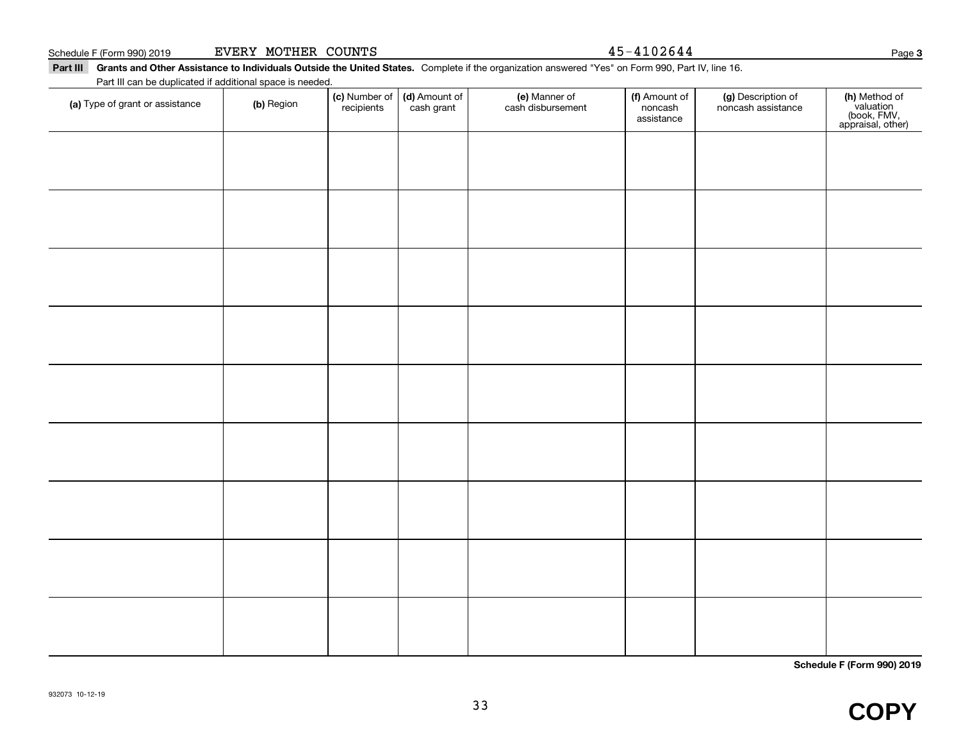#### **Part III Grants and Other Assistance to Individuals Outside the United States.**  Complete if the organization answered "Yes" on Form 990, Part IV, line 16. Schedule F (Form 990) 2019 Page EVERY MOTHER COUNTS 45-4102644 Part III can be duplicated if additional space is needed.

| (a) Type of grant or assistance | (b) Region | (c) Number of<br>recipients | (d) Amount of<br>cash grant | (e) Manner of<br>cash disbursement | (f) Amount of<br>noncash<br>assistance | (g) Description of<br>noncash assistance | (h) Method of<br>valuation<br>(book, FMV,<br>appraisal, other) |
|---------------------------------|------------|-----------------------------|-----------------------------|------------------------------------|----------------------------------------|------------------------------------------|----------------------------------------------------------------|
|                                 |            |                             |                             |                                    |                                        |                                          |                                                                |
|                                 |            |                             |                             |                                    |                                        |                                          |                                                                |
|                                 |            |                             |                             |                                    |                                        |                                          |                                                                |
|                                 |            |                             |                             |                                    |                                        |                                          |                                                                |
|                                 |            |                             |                             |                                    |                                        |                                          |                                                                |
|                                 |            |                             |                             |                                    |                                        |                                          |                                                                |
|                                 |            |                             |                             |                                    |                                        |                                          |                                                                |
|                                 |            |                             |                             |                                    |                                        |                                          |                                                                |
|                                 |            |                             |                             |                                    |                                        |                                          |                                                                |
|                                 |            |                             |                             |                                    |                                        |                                          |                                                                |
|                                 |            |                             |                             |                                    |                                        |                                          |                                                                |
|                                 |            |                             |                             |                                    |                                        |                                          |                                                                |
|                                 |            |                             |                             |                                    |                                        |                                          |                                                                |
|                                 |            |                             |                             |                                    |                                        |                                          |                                                                |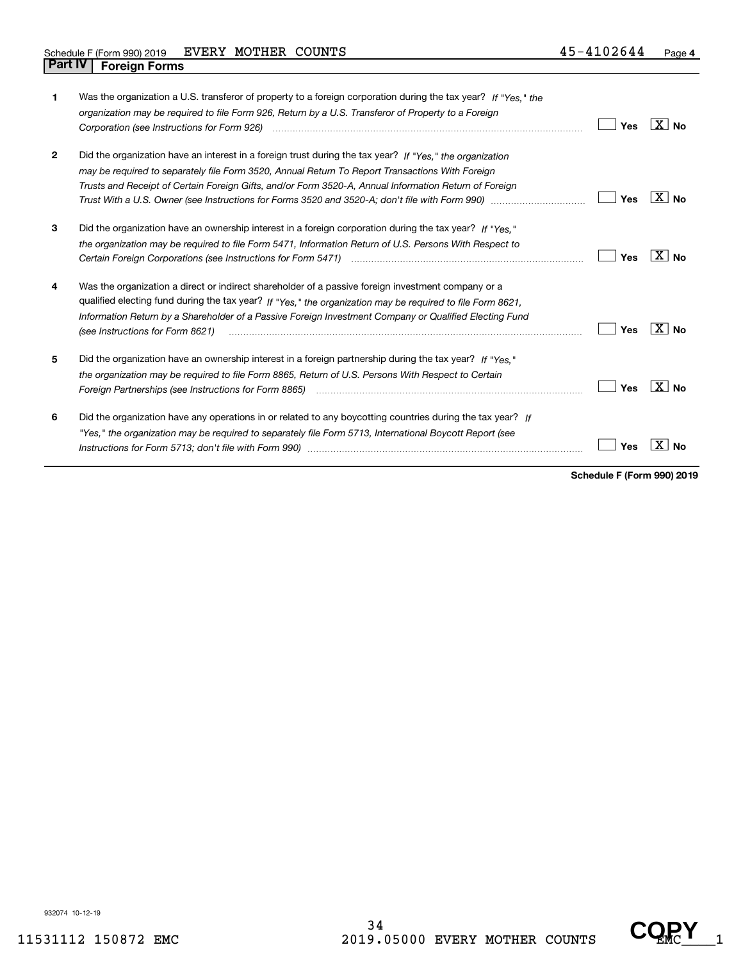| 1            | Was the organization a U.S. transferor of property to a foreign corporation during the tax year? If "Yes." the<br>organization may be required to file Form 926, Return by a U.S. Transferor of Property to a Foreign                                                                                                                                          | Yes | $X \mid N_{\Omega}$ |
|--------------|----------------------------------------------------------------------------------------------------------------------------------------------------------------------------------------------------------------------------------------------------------------------------------------------------------------------------------------------------------------|-----|---------------------|
| $\mathbf{2}$ | Did the organization have an interest in a foreign trust during the tax year? If "Yes." the organization<br>may be required to separately file Form 3520, Annual Return To Report Transactions With Foreign<br>Trusts and Receipt of Certain Foreign Gifts, and/or Form 3520-A, Annual Information Return of Foreign                                           | Yes | X∣No                |
| 3            | Did the organization have an ownership interest in a foreign corporation during the tax year? If "Yes."<br>the organization may be required to file Form 5471, Information Return of U.S. Persons With Respect to                                                                                                                                              | Yes | X∣No                |
| 4            | Was the organization a direct or indirect shareholder of a passive foreign investment company or a<br>qualified electing fund during the tax year? If "Yes," the organization may be required to file Form 8621,<br>Information Return by a Shareholder of a Passive Foreign Investment Company or Qualified Electing Fund<br>(see Instructions for Form 8621) | Yes | ∣X∣No               |
| 5            | Did the organization have an ownership interest in a foreign partnership during the tax year? If "Yes."<br>the organization may be required to file Form 8865, Return of U.S. Persons With Respect to Certain                                                                                                                                                  | Yes | $X \mid N_0$        |
| 6            | Did the organization have any operations in or related to any boycotting countries during the tax year? If<br>"Yes," the organization may be required to separately file Form 5713, International Boycott Report (see                                                                                                                                          | Yes |                     |

**Schedule F (Form 990) 2019**

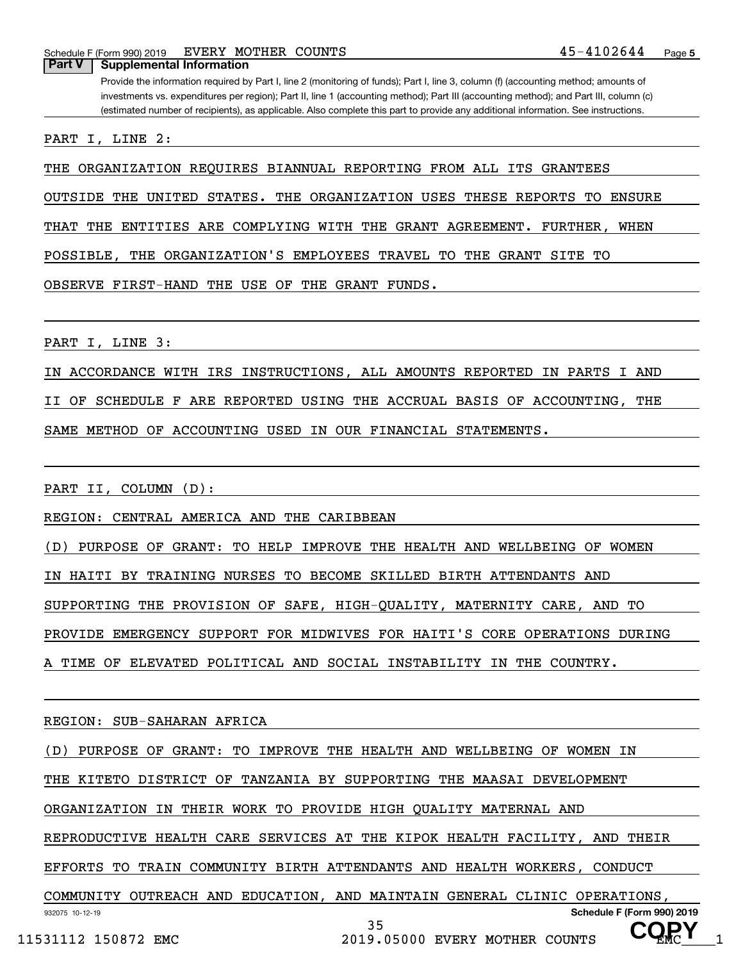**Part V Supplemental Information**

Provide the information required by Part I, line 2 (monitoring of funds); Part I, line 3, column (f) (accounting method; amounts of investments vs. expenditures per region); Part II, line 1 (accounting method); Part III (accounting method); and Part III, column (c) (estimated number of recipients), as applicable. Also complete this part to provide any additional information. See instructions.

PART I, LINE 2:

THE ORGANIZATION REQUIRES BIANNUAL REPORTING FROM ALL ITS GRANTEES

OUTSIDE THE UNITED STATES. THE ORGANIZATION USES THESE REPORTS TO ENSURE

THAT THE ENTITIES ARE COMPLYING WITH THE GRANT AGREEMENT. FURTHER, WHEN

POSSIBLE, THE ORGANIZATION'S EMPLOYEES TRAVEL TO THE GRANT SITE TO

OBSERVE FIRST-HAND THE USE OF THE GRANT FUNDS.

PART I, LINE 3:

IN ACCORDANCE WITH IRS INSTRUCTIONS, ALL AMOUNTS REPORTED IN PARTS I AND

II OF SCHEDULE F ARE REPORTED USING THE ACCRUAL BASIS OF ACCOUNTING, THE

SAME METHOD OF ACCOUNTING USED IN OUR FINANCIAL STATEMENTS.

PART II, COLUMN (D):

REGION: CENTRAL AMERICA AND THE CARIBBEAN

(D) PURPOSE OF GRANT: TO HELP IMPROVE THE HEALTH AND WELLBEING OF WOMEN

IN HAITI BY TRAINING NURSES TO BECOME SKILLED BIRTH ATTENDANTS AND

SUPPORTING THE PROVISION OF SAFE, HIGH-QUALITY, MATERNITY CARE, AND TO

PROVIDE EMERGENCY SUPPORT FOR MIDWIVES FOR HAITI'S CORE OPERATIONS DURING

A TIME OF ELEVATED POLITICAL AND SOCIAL INSTABILITY IN THE COUNTRY.

REGION: SUB-SAHARAN AFRICA

(D) PURPOSE OF GRANT: TO IMPROVE THE HEALTH AND WELLBEING OF WOMEN IN

THE KITETO DISTRICT OF TANZANIA BY SUPPORTING THE MAASAI DEVELOPMENT

ORGANIZATION IN THEIR WORK TO PROVIDE HIGH QUALITY MATERNAL AND

REPRODUCTIVE HEALTH CARE SERVICES AT THE KIPOK HEALTH FACILITY, AND THEIR

EFFORTS TO TRAIN COMMUNITY BIRTH ATTENDANTS AND HEALTH WORKERS, CONDUCT

COMMUNITY OUTREACH AND EDUCATION, AND MAINTAIN GENERAL CLINIC OPERATIONS,

35

**COPY**

932075 10-12-19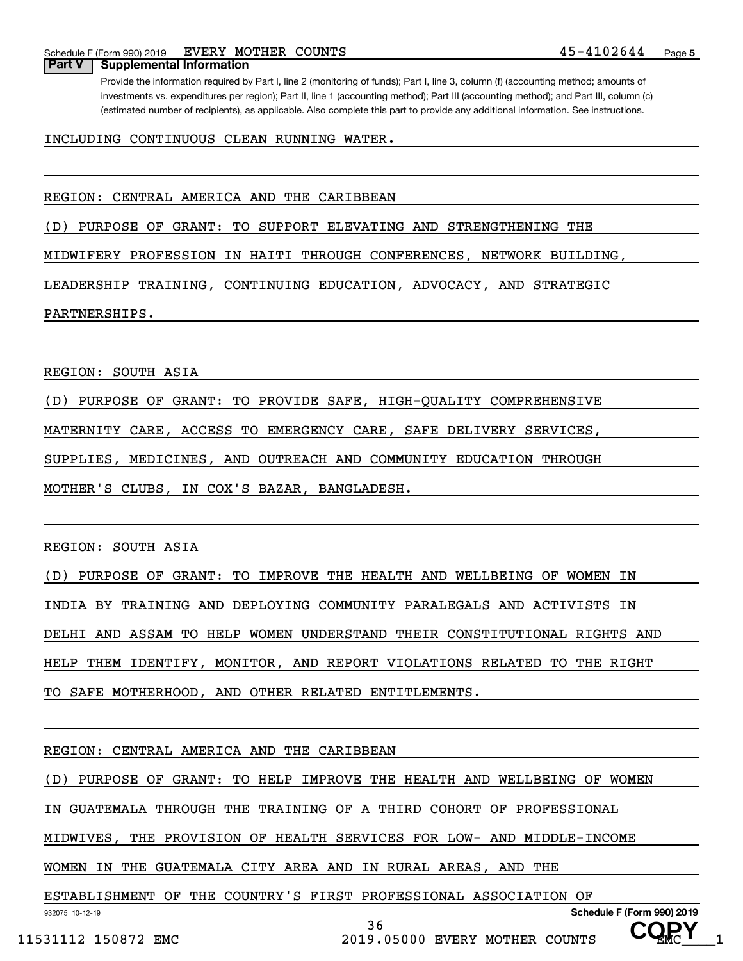#### **Part V Supplemental Information**

Provide the information required by Part I, line 2 (monitoring of funds); Part I, line 3, column (f) (accounting method; amounts of investments vs. expenditures per region); Part II, line 1 (accounting method); Part III (accounting method); and Part III, column (c) (estimated number of recipients), as applicable. Also complete this part to provide any additional information. See instructions.

#### INCLUDING CONTINUOUS CLEAN RUNNING WATER.

#### REGION: CENTRAL AMERICA AND THE CARIBBEAN

(D) PURPOSE OF GRANT: TO SUPPORT ELEVATING AND STRENGTHENING THE

MIDWIFERY PROFESSION IN HAITI THROUGH CONFERENCES, NETWORK BUILDING,

LEADERSHIP TRAINING, CONTINUING EDUCATION, ADVOCACY, AND STRATEGIC

#### PARTNERSHIPS.

REGION: SOUTH ASIA

(D) PURPOSE OF GRANT: TO PROVIDE SAFE, HIGH-QUALITY COMPREHENSIVE

MATERNITY CARE, ACCESS TO EMERGENCY CARE, SAFE DELIVERY SERVICES,

SUPPLIES, MEDICINES, AND OUTREACH AND COMMUNITY EDUCATION THROUGH

MOTHER'S CLUBS, IN COX'S BAZAR, BANGLADESH.

REGION: SOUTH ASIA

(D) PURPOSE OF GRANT: TO IMPROVE THE HEALTH AND WELLBEING OF WOMEN IN INDIA BY TRAINING AND DEPLOYING COMMUNITY PARALEGALS AND ACTIVISTS IN DELHI AND ASSAM TO HELP WOMEN UNDERSTAND THEIR CONSTITUTIONAL RIGHTS AND HELP THEM IDENTIFY, MONITOR, AND REPORT VIOLATIONS RELATED TO THE RIGHT TO SAFE MOTHERHOOD, AND OTHER RELATED ENTITLEMENTS.

#### REGION: CENTRAL AMERICA AND THE CARIBBEAN

(D) PURPOSE OF GRANT: TO HELP IMPROVE THE HEALTH AND WELLBEING OF WOMEN

IN GUATEMALA THROUGH THE TRAINING OF A THIRD COHORT OF PROFESSIONAL

MIDWIVES, THE PROVISION OF HEALTH SERVICES FOR LOW- AND MIDDLE-INCOME

36

WOMEN IN THE GUATEMALA CITY AREA AND IN RURAL AREAS, AND THE

ESTABLISHMENT OF THE COUNTRY'S FIRST PROFESSIONAL ASSOCIATION OF

**COPY**

932075 10-12-19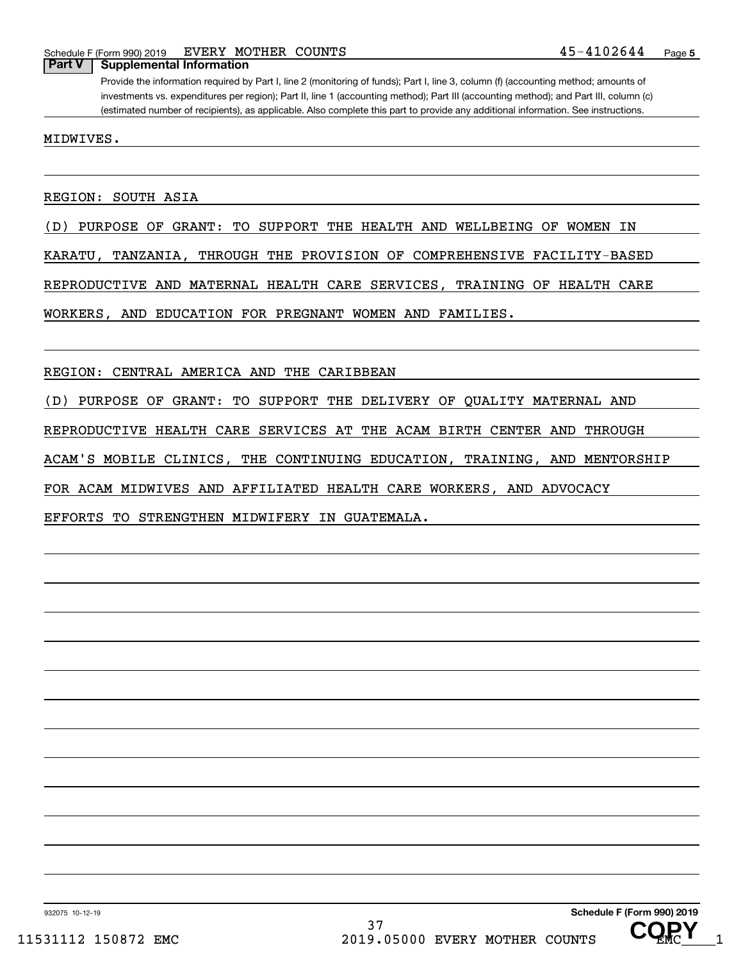#### **Part V Supplemental Information**

Provide the information required by Part I, line 2 (monitoring of funds); Part I, line 3, column (f) (accounting method; amounts of investments vs. expenditures per region); Part II, line 1 (accounting method); Part III (accounting method); and Part III, column (c) (estimated number of recipients), as applicable. Also complete this part to provide any additional information. See instructions.

MIDWIVES.

REGION: SOUTH ASIA

(D) PURPOSE OF GRANT: TO SUPPORT THE HEALTH AND WELLBEING OF WOMEN IN

KARATU, TANZANIA, THROUGH THE PROVISION OF COMPREHENSIVE FACILITY-BASED

REPRODUCTIVE AND MATERNAL HEALTH CARE SERVICES, TRAINING OF HEALTH CARE

WORKERS, AND EDUCATION FOR PREGNANT WOMEN AND FAMILIES.

REGION: CENTRAL AMERICA AND THE CARIBBEAN

(D) PURPOSE OF GRANT: TO SUPPORT THE DELIVERY OF QUALITY MATERNAL AND

REPRODUCTIVE HEALTH CARE SERVICES AT THE ACAM BIRTH CENTER AND THROUGH

ACAM'S MOBILE CLINICS, THE CONTINUING EDUCATION, TRAINING, AND MENTORSHIP

FOR ACAM MIDWIVES AND AFFILIATED HEALTH CARE WORKERS, AND ADVOCACY

EFFORTS TO STRENGTHEN MIDWIFERY IN GUATEMALA.

932075 10-12-19

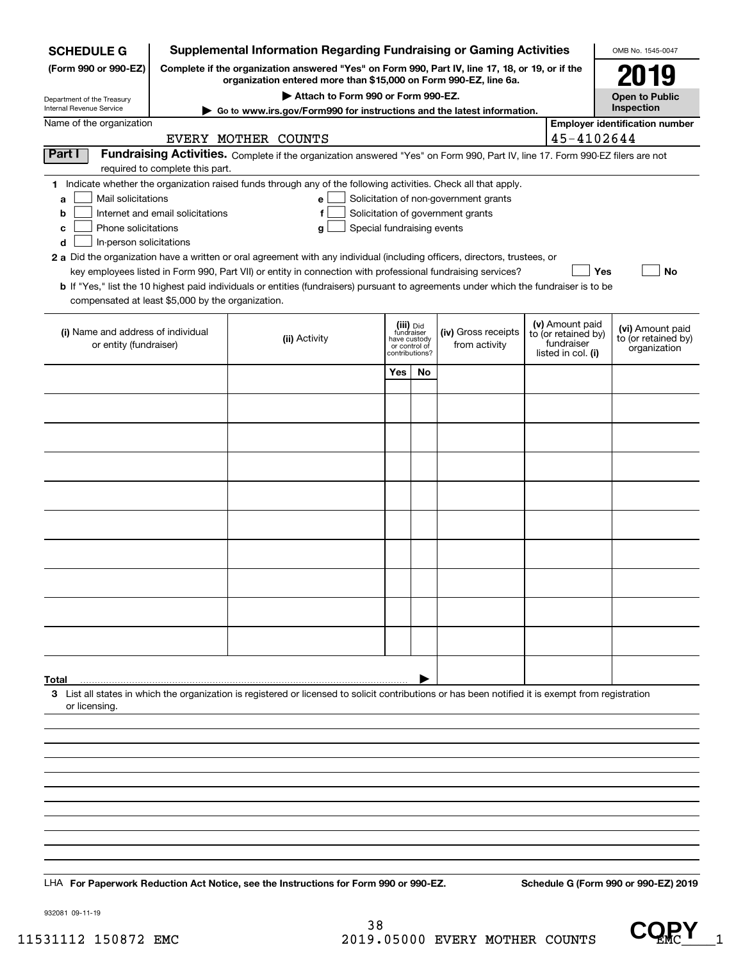| <b>Supplemental Information Regarding Fundraising or Gaming Activities</b><br><b>SCHEDULE G</b>                                               |                                                                                                                                                                     |                                                                                                                                                                                                                                                                                                                                                                                                                                                                                                                                                    |                                                                            |    |                                                                            |  |                                                                            | OMB No. 1545-0047                                       |  |
|-----------------------------------------------------------------------------------------------------------------------------------------------|---------------------------------------------------------------------------------------------------------------------------------------------------------------------|----------------------------------------------------------------------------------------------------------------------------------------------------------------------------------------------------------------------------------------------------------------------------------------------------------------------------------------------------------------------------------------------------------------------------------------------------------------------------------------------------------------------------------------------------|----------------------------------------------------------------------------|----|----------------------------------------------------------------------------|--|----------------------------------------------------------------------------|---------------------------------------------------------|--|
| (Form 990 or 990-EZ)                                                                                                                          | Complete if the organization answered "Yes" on Form 990, Part IV, line 17, 18, or 19, or if the<br>organization entered more than \$15,000 on Form 990-EZ, line 6a. |                                                                                                                                                                                                                                                                                                                                                                                                                                                                                                                                                    |                                                                            |    |                                                                            |  |                                                                            |                                                         |  |
|                                                                                                                                               | Attach to Form 990 or Form 990-EZ.<br>Department of the Treasury                                                                                                    |                                                                                                                                                                                                                                                                                                                                                                                                                                                                                                                                                    |                                                                            |    |                                                                            |  |                                                                            |                                                         |  |
| <b>Open to Public</b><br>Inspection<br>Internal Revenue Service<br>► Go to www.irs.gov/Form990 for instructions and the latest information.   |                                                                                                                                                                     |                                                                                                                                                                                                                                                                                                                                                                                                                                                                                                                                                    |                                                                            |    |                                                                            |  |                                                                            |                                                         |  |
| <b>Employer identification number</b><br>Name of the organization<br>45-4102644<br>EVERY MOTHER COUNTS                                        |                                                                                                                                                                     |                                                                                                                                                                                                                                                                                                                                                                                                                                                                                                                                                    |                                                                            |    |                                                                            |  |                                                                            |                                                         |  |
| Part I                                                                                                                                        | required to complete this part.                                                                                                                                     | Fundraising Activities. Complete if the organization answered "Yes" on Form 990, Part IV, line 17. Form 990-EZ filers are not                                                                                                                                                                                                                                                                                                                                                                                                                      |                                                                            |    |                                                                            |  |                                                                            |                                                         |  |
| Mail solicitations<br>a<br>b<br>Phone solicitations<br>с<br>In-person solicitations<br>d<br>compensated at least \$5,000 by the organization. | Internet and email solicitations                                                                                                                                    | 1 Indicate whether the organization raised funds through any of the following activities. Check all that apply.<br>е<br>f<br>Special fundraising events<br>g<br>2 a Did the organization have a written or oral agreement with any individual (including officers, directors, trustees, or<br>key employees listed in Form 990, Part VII) or entity in connection with professional fundraising services?<br>b If "Yes," list the 10 highest paid individuals or entities (fundraisers) pursuant to agreements under which the fundraiser is to be |                                                                            |    | Solicitation of non-government grants<br>Solicitation of government grants |  | Yes                                                                        | No                                                      |  |
| (i) Name and address of individual<br>or entity (fundraiser)                                                                                  |                                                                                                                                                                     | (ii) Activity                                                                                                                                                                                                                                                                                                                                                                                                                                                                                                                                      | (iii) Did<br>fundraiser<br>have custody<br>or control of<br>contributions? |    | (iv) Gross receipts<br>from activity                                       |  | (v) Amount paid<br>to (or retained by)<br>fundraiser<br>listed in col. (i) | (vi) Amount paid<br>to (or retained by)<br>organization |  |
|                                                                                                                                               |                                                                                                                                                                     |                                                                                                                                                                                                                                                                                                                                                                                                                                                                                                                                                    | Yes                                                                        | No |                                                                            |  |                                                                            |                                                         |  |
|                                                                                                                                               |                                                                                                                                                                     |                                                                                                                                                                                                                                                                                                                                                                                                                                                                                                                                                    |                                                                            |    |                                                                            |  |                                                                            |                                                         |  |
|                                                                                                                                               |                                                                                                                                                                     |                                                                                                                                                                                                                                                                                                                                                                                                                                                                                                                                                    |                                                                            |    |                                                                            |  |                                                                            |                                                         |  |
|                                                                                                                                               |                                                                                                                                                                     |                                                                                                                                                                                                                                                                                                                                                                                                                                                                                                                                                    |                                                                            |    |                                                                            |  |                                                                            |                                                         |  |
|                                                                                                                                               |                                                                                                                                                                     |                                                                                                                                                                                                                                                                                                                                                                                                                                                                                                                                                    |                                                                            |    |                                                                            |  |                                                                            |                                                         |  |
|                                                                                                                                               |                                                                                                                                                                     |                                                                                                                                                                                                                                                                                                                                                                                                                                                                                                                                                    |                                                                            |    |                                                                            |  |                                                                            |                                                         |  |
|                                                                                                                                               |                                                                                                                                                                     |                                                                                                                                                                                                                                                                                                                                                                                                                                                                                                                                                    |                                                                            |    |                                                                            |  |                                                                            |                                                         |  |
|                                                                                                                                               |                                                                                                                                                                     |                                                                                                                                                                                                                                                                                                                                                                                                                                                                                                                                                    |                                                                            |    |                                                                            |  |                                                                            |                                                         |  |
|                                                                                                                                               |                                                                                                                                                                     |                                                                                                                                                                                                                                                                                                                                                                                                                                                                                                                                                    |                                                                            |    |                                                                            |  |                                                                            |                                                         |  |
|                                                                                                                                               |                                                                                                                                                                     |                                                                                                                                                                                                                                                                                                                                                                                                                                                                                                                                                    |                                                                            |    |                                                                            |  |                                                                            |                                                         |  |
|                                                                                                                                               |                                                                                                                                                                     |                                                                                                                                                                                                                                                                                                                                                                                                                                                                                                                                                    |                                                                            |    |                                                                            |  |                                                                            |                                                         |  |
|                                                                                                                                               |                                                                                                                                                                     |                                                                                                                                                                                                                                                                                                                                                                                                                                                                                                                                                    |                                                                            |    |                                                                            |  |                                                                            |                                                         |  |
| Total                                                                                                                                         |                                                                                                                                                                     |                                                                                                                                                                                                                                                                                                                                                                                                                                                                                                                                                    |                                                                            |    |                                                                            |  |                                                                            |                                                         |  |
| or licensing.                                                                                                                                 |                                                                                                                                                                     | 3 List all states in which the organization is registered or licensed to solicit contributions or has been notified it is exempt from registration                                                                                                                                                                                                                                                                                                                                                                                                 |                                                                            |    |                                                                            |  |                                                                            |                                                         |  |
|                                                                                                                                               |                                                                                                                                                                     |                                                                                                                                                                                                                                                                                                                                                                                                                                                                                                                                                    |                                                                            |    |                                                                            |  |                                                                            |                                                         |  |
|                                                                                                                                               |                                                                                                                                                                     |                                                                                                                                                                                                                                                                                                                                                                                                                                                                                                                                                    |                                                                            |    |                                                                            |  |                                                                            |                                                         |  |
|                                                                                                                                               |                                                                                                                                                                     |                                                                                                                                                                                                                                                                                                                                                                                                                                                                                                                                                    |                                                                            |    |                                                                            |  |                                                                            |                                                         |  |
|                                                                                                                                               |                                                                                                                                                                     |                                                                                                                                                                                                                                                                                                                                                                                                                                                                                                                                                    |                                                                            |    |                                                                            |  |                                                                            |                                                         |  |
|                                                                                                                                               |                                                                                                                                                                     |                                                                                                                                                                                                                                                                                                                                                                                                                                                                                                                                                    |                                                                            |    |                                                                            |  |                                                                            |                                                         |  |
|                                                                                                                                               |                                                                                                                                                                     |                                                                                                                                                                                                                                                                                                                                                                                                                                                                                                                                                    |                                                                            |    |                                                                            |  |                                                                            |                                                         |  |
|                                                                                                                                               |                                                                                                                                                                     |                                                                                                                                                                                                                                                                                                                                                                                                                                                                                                                                                    |                                                                            |    |                                                                            |  |                                                                            |                                                         |  |
|                                                                                                                                               |                                                                                                                                                                     |                                                                                                                                                                                                                                                                                                                                                                                                                                                                                                                                                    |                                                                            |    |                                                                            |  |                                                                            |                                                         |  |
|                                                                                                                                               |                                                                                                                                                                     | LHA For Paperwork Reduction Act Notice, see the Instructions for Form 990 or 990-EZ.                                                                                                                                                                                                                                                                                                                                                                                                                                                               |                                                                            |    |                                                                            |  |                                                                            | Schedule G (Form 990 or 990-EZ) 2019                    |  |

932081 09-11-19

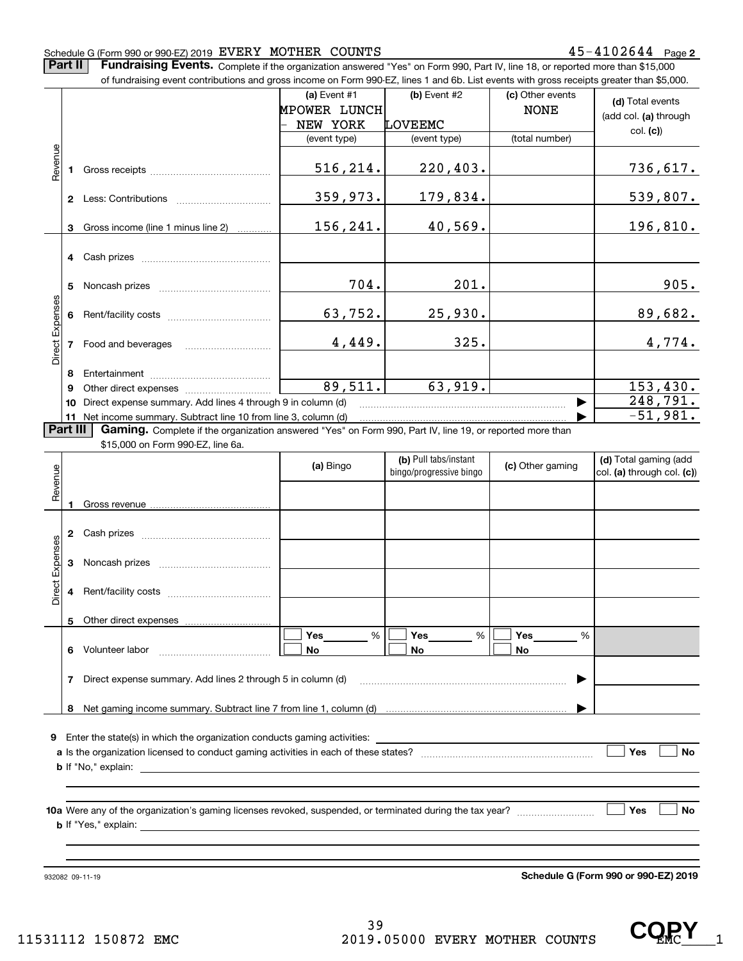#### Schedule G (Form 990 or 990-EZ) 2019 Page EVERY MOTHER COUNTS 45-4102644

**Part II Fundraising Events.** Complete if the organization answered "Yes" on Form 990, Part IV, line 18, or reported more than \$15,000<br>15.000 of fundraising event contributions and gross income on Form 990-EZ. lines 1 an

|                 |              | of fundraising event contributions and gross income on Form 990-EZ, lines 1 and 6b. List events with gross receipts greater than \$5,000.                                                                                                                                                                                                                                          |              |                         |                  |                            |
|-----------------|--------------|------------------------------------------------------------------------------------------------------------------------------------------------------------------------------------------------------------------------------------------------------------------------------------------------------------------------------------------------------------------------------------|--------------|-------------------------|------------------|----------------------------|
|                 |              |                                                                                                                                                                                                                                                                                                                                                                                    | (a) Event #1 | (b) Event #2            | (c) Other events | (d) Total events           |
|                 |              |                                                                                                                                                                                                                                                                                                                                                                                    | MPOWER LUNCH |                         | <b>NONE</b>      | (add col. (a) through      |
|                 |              |                                                                                                                                                                                                                                                                                                                                                                                    | NEW YORK     | LOVEEMC                 |                  | col. (c)                   |
|                 |              |                                                                                                                                                                                                                                                                                                                                                                                    | (event type) | (event type)            | (total number)   |                            |
| Revenue         |              |                                                                                                                                                                                                                                                                                                                                                                                    |              |                         |                  |                            |
|                 |              |                                                                                                                                                                                                                                                                                                                                                                                    | 516,214.     | 220, 403.               |                  | 736,617.                   |
|                 |              |                                                                                                                                                                                                                                                                                                                                                                                    |              |                         |                  |                            |
|                 |              |                                                                                                                                                                                                                                                                                                                                                                                    | 359,973.     | 179,834.                |                  | 539,807.                   |
|                 |              |                                                                                                                                                                                                                                                                                                                                                                                    |              |                         |                  |                            |
|                 |              | 3 Gross income (line 1 minus line 2)                                                                                                                                                                                                                                                                                                                                               | 156,241.     | 40,569.                 |                  | 196,810.                   |
|                 |              |                                                                                                                                                                                                                                                                                                                                                                                    |              |                         |                  |                            |
|                 |              |                                                                                                                                                                                                                                                                                                                                                                                    |              |                         |                  |                            |
|                 |              |                                                                                                                                                                                                                                                                                                                                                                                    | 704.         | 201.                    |                  | 905.                       |
|                 | 5            |                                                                                                                                                                                                                                                                                                                                                                                    |              |                         |                  |                            |
|                 |              |                                                                                                                                                                                                                                                                                                                                                                                    | 63,752.      | 25,930.                 |                  | 89,682.                    |
|                 |              |                                                                                                                                                                                                                                                                                                                                                                                    |              |                         |                  |                            |
| Direct Expenses |              |                                                                                                                                                                                                                                                                                                                                                                                    | 4,449.       | 325.                    |                  | 4,774.                     |
|                 |              |                                                                                                                                                                                                                                                                                                                                                                                    |              |                         |                  |                            |
|                 | 8            |                                                                                                                                                                                                                                                                                                                                                                                    |              |                         |                  |                            |
|                 | 9            |                                                                                                                                                                                                                                                                                                                                                                                    | 89,511.      | 63,919.                 |                  | 153,430.                   |
|                 | 10           | Direct expense summary. Add lines 4 through 9 in column (d)                                                                                                                                                                                                                                                                                                                        |              |                         |                  | $\overline{248,791}$ .     |
|                 | 11           | Net income summary. Subtract line 10 from line 3, column (d)                                                                                                                                                                                                                                                                                                                       |              |                         |                  | $-51,981.$                 |
|                 | Part III     | Gaming. Complete if the organization answered "Yes" on Form 990, Part IV, line 19, or reported more than                                                                                                                                                                                                                                                                           |              |                         |                  |                            |
|                 |              | \$15,000 on Form 990-EZ, line 6a.                                                                                                                                                                                                                                                                                                                                                  |              |                         |                  |                            |
|                 |              |                                                                                                                                                                                                                                                                                                                                                                                    | (a) Bingo    | (b) Pull tabs/instant   | (c) Other gaming | (d) Total gaming (add      |
| Revenue         |              |                                                                                                                                                                                                                                                                                                                                                                                    |              | bingo/progressive bingo |                  | col. (a) through col. (c)) |
|                 |              |                                                                                                                                                                                                                                                                                                                                                                                    |              |                         |                  |                            |
|                 | 1            |                                                                                                                                                                                                                                                                                                                                                                                    |              |                         |                  |                            |
|                 |              |                                                                                                                                                                                                                                                                                                                                                                                    |              |                         |                  |                            |
|                 |              |                                                                                                                                                                                                                                                                                                                                                                                    |              |                         |                  |                            |
| Expenses        | $\mathbf{3}$ |                                                                                                                                                                                                                                                                                                                                                                                    |              |                         |                  |                            |
|                 |              |                                                                                                                                                                                                                                                                                                                                                                                    |              |                         |                  |                            |
| Direct          |              |                                                                                                                                                                                                                                                                                                                                                                                    |              |                         |                  |                            |
|                 |              |                                                                                                                                                                                                                                                                                                                                                                                    |              |                         |                  |                            |
|                 |              | Other direct expenses                                                                                                                                                                                                                                                                                                                                                              |              |                         |                  |                            |
|                 |              |                                                                                                                                                                                                                                                                                                                                                                                    | Yes<br>%     | Yes<br>$\%$             | Yes<br>%         |                            |
|                 |              | 6 Volunteer labor<br>$\mathcal{L} = \{1, 2, \ldots, 2, \ldots, 2, \ldots, 2, \ldots, 2, \ldots, 2, \ldots, 2, \ldots, 2, \ldots, 2, \ldots, 2, \ldots, 2, \ldots, 2, \ldots, 2, \ldots, 2, \ldots, 2, \ldots, 2, \ldots, 2, \ldots, 2, \ldots, 2, \ldots, 2, \ldots, 2, \ldots, 2, \ldots, 2, \ldots, 2, \ldots, 2, \ldots, 2, \ldots, 2, \ldots, 2, \ldots, 2, \ldots, 2, \ldots$ | No           | No                      | No               |                            |
|                 |              |                                                                                                                                                                                                                                                                                                                                                                                    |              |                         |                  |                            |
|                 |              | 7 Direct expense summary. Add lines 2 through 5 in column (d)                                                                                                                                                                                                                                                                                                                      |              |                         |                  |                            |
|                 |              |                                                                                                                                                                                                                                                                                                                                                                                    |              |                         |                  |                            |
|                 |              |                                                                                                                                                                                                                                                                                                                                                                                    |              |                         |                  |                            |
|                 |              |                                                                                                                                                                                                                                                                                                                                                                                    |              |                         |                  |                            |
|                 |              |                                                                                                                                                                                                                                                                                                                                                                                    |              |                         |                  |                            |
|                 |              |                                                                                                                                                                                                                                                                                                                                                                                    |              |                         |                  | Yes<br><b>No</b>           |
|                 |              |                                                                                                                                                                                                                                                                                                                                                                                    |              |                         |                  |                            |
|                 |              |                                                                                                                                                                                                                                                                                                                                                                                    |              |                         |                  |                            |
|                 |              |                                                                                                                                                                                                                                                                                                                                                                                    |              |                         |                  | Yes<br><b>No</b>           |
|                 |              |                                                                                                                                                                                                                                                                                                                                                                                    |              |                         |                  |                            |
|                 |              |                                                                                                                                                                                                                                                                                                                                                                                    |              |                         |                  |                            |
|                 |              |                                                                                                                                                                                                                                                                                                                                                                                    |              |                         |                  |                            |
|                 |              |                                                                                                                                                                                                                                                                                                                                                                                    |              |                         |                  |                            |

932082 09-11-19

**Schedule G (Form 990 or 990-EZ) 2019**

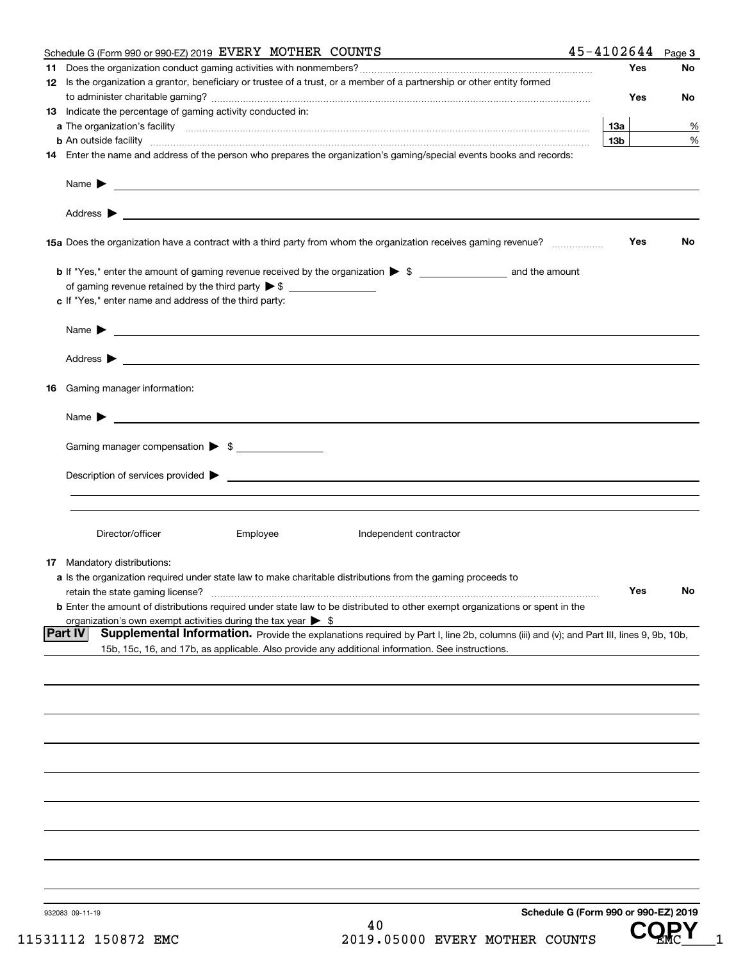| Schedule G (Form 990 or 990-EZ) 2019 EVERY MOTHER COUNTS                                                                                                                                                                                  | 45-4102644                           |     | Page 3 |
|-------------------------------------------------------------------------------------------------------------------------------------------------------------------------------------------------------------------------------------------|--------------------------------------|-----|--------|
|                                                                                                                                                                                                                                           |                                      | Yes | No     |
| 12 Is the organization a grantor, beneficiary or trustee of a trust, or a member of a partnership or other entity formed                                                                                                                  |                                      |     |        |
|                                                                                                                                                                                                                                           |                                      | Yes | No     |
| 13 Indicate the percentage of gaming activity conducted in:                                                                                                                                                                               |                                      |     |        |
|                                                                                                                                                                                                                                           | 13a                                  |     | %      |
|                                                                                                                                                                                                                                           | 13 <sub>b</sub>                      |     |        |
| <b>b</b> An outside facility <b>contained and the contract of the contract of the contract of the contract of the contract of the contract of the contract of the contract of the contract of the contract of the contract of the con</b> |                                      |     | %      |
| 14 Enter the name and address of the person who prepares the organization's gaming/special events books and records:                                                                                                                      |                                      |     |        |
|                                                                                                                                                                                                                                           |                                      |     |        |
| Name $\blacktriangleright$                                                                                                                                                                                                                |                                      |     |        |
|                                                                                                                                                                                                                                           |                                      |     |        |
|                                                                                                                                                                                                                                           |                                      |     |        |
|                                                                                                                                                                                                                                           |                                      |     |        |
| 15a Does the organization have a contract with a third party from whom the organization receives gaming revenue?                                                                                                                          |                                      | Yes | No     |
|                                                                                                                                                                                                                                           |                                      |     |        |
|                                                                                                                                                                                                                                           |                                      |     |        |
| of gaming revenue retained by the third party $\triangleright$ \$                                                                                                                                                                         |                                      |     |        |
| c If "Yes," enter name and address of the third party:                                                                                                                                                                                    |                                      |     |        |
|                                                                                                                                                                                                                                           |                                      |     |        |
| Name $\blacktriangleright$                                                                                                                                                                                                                |                                      |     |        |
|                                                                                                                                                                                                                                           |                                      |     |        |
|                                                                                                                                                                                                                                           |                                      |     |        |
|                                                                                                                                                                                                                                           |                                      |     |        |
|                                                                                                                                                                                                                                           |                                      |     |        |
| <b>16</b> Gaming manager information:                                                                                                                                                                                                     |                                      |     |        |
|                                                                                                                                                                                                                                           |                                      |     |        |
| $Name \rightarrow$                                                                                                                                                                                                                        |                                      |     |        |
|                                                                                                                                                                                                                                           |                                      |     |        |
| Gaming manager compensation > \$                                                                                                                                                                                                          |                                      |     |        |
|                                                                                                                                                                                                                                           |                                      |     |        |
|                                                                                                                                                                                                                                           |                                      |     |        |
|                                                                                                                                                                                                                                           |                                      |     |        |
|                                                                                                                                                                                                                                           |                                      |     |        |
|                                                                                                                                                                                                                                           |                                      |     |        |
| Director/officer<br>Employee<br>Independent contractor                                                                                                                                                                                    |                                      |     |        |
|                                                                                                                                                                                                                                           |                                      |     |        |
| <b>17</b> Mandatory distributions:                                                                                                                                                                                                        |                                      |     |        |
| a Is the organization required under state law to make charitable distributions from the gaming proceeds to                                                                                                                               |                                      |     |        |
| retain the state gaming license?                                                                                                                                                                                                          |                                      | Yes | No     |
| <b>b</b> Enter the amount of distributions required under state law to be distributed to other exempt organizations or spent in the                                                                                                       |                                      |     |        |
| organization's own exempt activities during the tax year $\triangleright$ \$                                                                                                                                                              |                                      |     |        |
| <b>Part IV</b><br>Supplemental Information. Provide the explanations required by Part I, line 2b, columns (iii) and (v); and Part III, lines 9, 9b, 10b,                                                                                  |                                      |     |        |
| 15b, 15c, 16, and 17b, as applicable. Also provide any additional information. See instructions.                                                                                                                                          |                                      |     |        |
|                                                                                                                                                                                                                                           |                                      |     |        |
|                                                                                                                                                                                                                                           |                                      |     |        |
|                                                                                                                                                                                                                                           |                                      |     |        |
|                                                                                                                                                                                                                                           |                                      |     |        |
|                                                                                                                                                                                                                                           |                                      |     |        |
|                                                                                                                                                                                                                                           |                                      |     |        |
|                                                                                                                                                                                                                                           |                                      |     |        |
|                                                                                                                                                                                                                                           |                                      |     |        |
|                                                                                                                                                                                                                                           |                                      |     |        |
|                                                                                                                                                                                                                                           |                                      |     |        |
|                                                                                                                                                                                                                                           |                                      |     |        |
|                                                                                                                                                                                                                                           |                                      |     |        |
|                                                                                                                                                                                                                                           |                                      |     |        |
|                                                                                                                                                                                                                                           |                                      |     |        |
|                                                                                                                                                                                                                                           |                                      |     |        |
|                                                                                                                                                                                                                                           |                                      |     |        |
|                                                                                                                                                                                                                                           |                                      |     |        |
|                                                                                                                                                                                                                                           |                                      |     |        |
| 932083 09-11-19                                                                                                                                                                                                                           | Schedule G (Form 990 or 990-EZ) 2019 |     |        |
|                                                                                                                                                                                                                                           |                                      |     |        |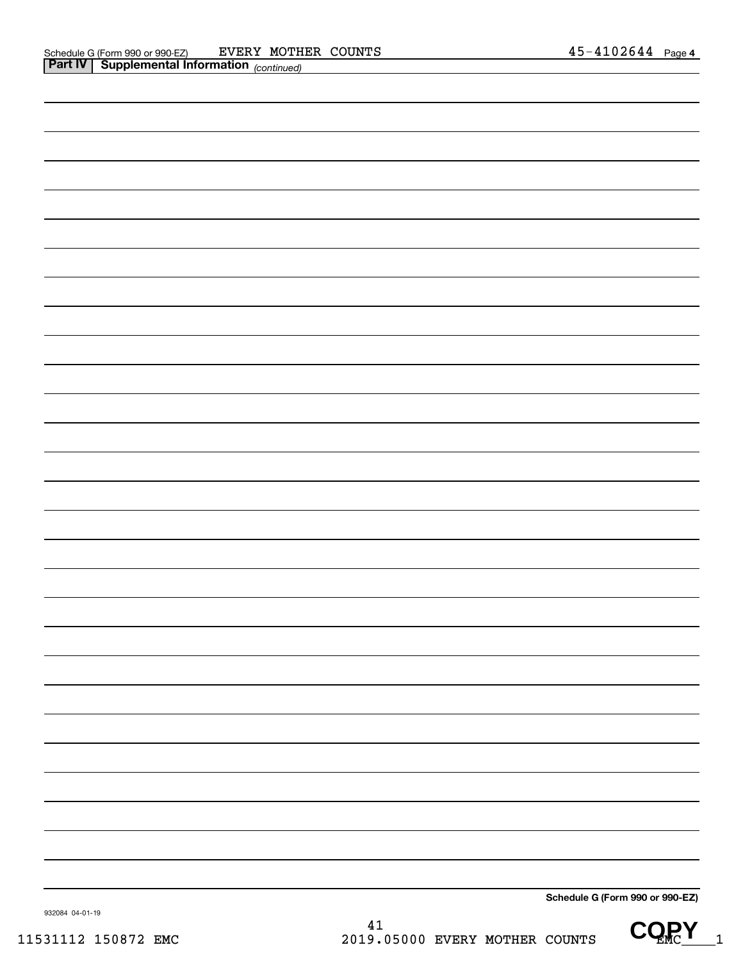| Schedule G (Form 990 or 990-EZ) |
|---------------------------------|

932084 04-01-19

CQRY<sub>1</sub>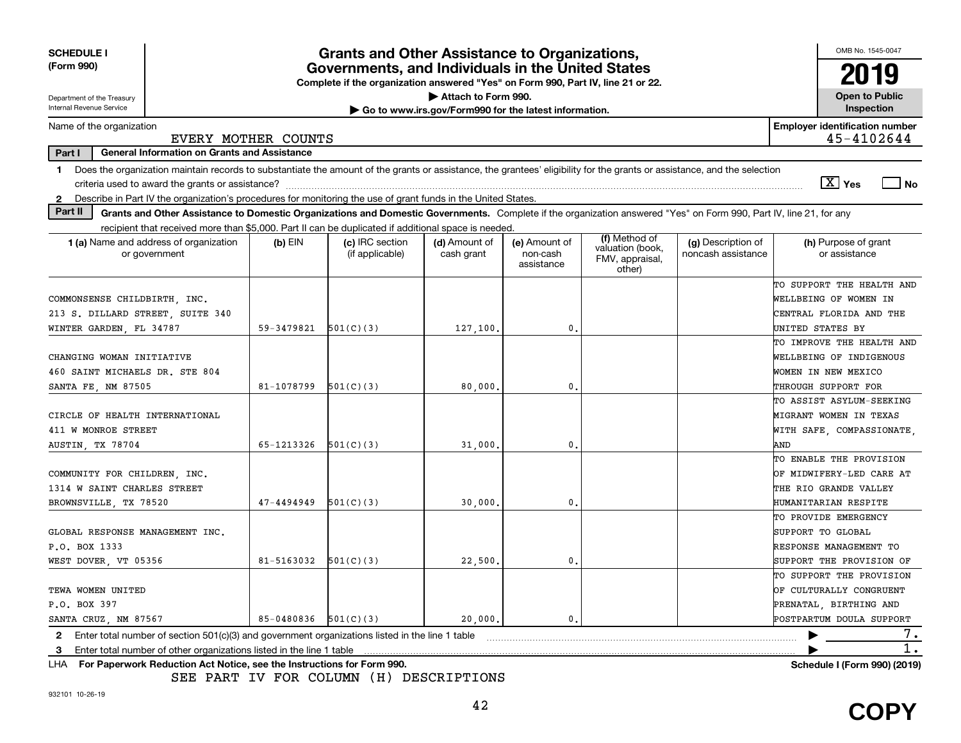| <b>SCHEDULE I</b>                                                                                                                                                              |                                                                                                                                       | <b>Grants and Other Assistance to Organizations,</b> |                             |                                         |                                                                |                                          | OMB No. 1545-0047                                   |  |  |  |
|--------------------------------------------------------------------------------------------------------------------------------------------------------------------------------|---------------------------------------------------------------------------------------------------------------------------------------|------------------------------------------------------|-----------------------------|-----------------------------------------|----------------------------------------------------------------|------------------------------------------|-----------------------------------------------------|--|--|--|
| (Form 990)                                                                                                                                                                     | Governments, and Individuals in the United States<br>Complete if the organization answered "Yes" on Form 990, Part IV, line 21 or 22. |                                                      |                             |                                         |                                                                |                                          |                                                     |  |  |  |
| Attach to Form 990.<br>Department of the Treasury<br>Go to www.irs.gov/Form990 for the latest information.                                                                     |                                                                                                                                       |                                                      |                             |                                         |                                                                |                                          |                                                     |  |  |  |
| Internal Revenue Service                                                                                                                                                       |                                                                                                                                       |                                                      |                             |                                         |                                                                |                                          | Inspection                                          |  |  |  |
| Name of the organization                                                                                                                                                       | EVERY MOTHER COUNTS                                                                                                                   |                                                      |                             |                                         |                                                                |                                          | <b>Employer identification number</b><br>45-4102644 |  |  |  |
| Part I<br><b>General Information on Grants and Assistance</b>                                                                                                                  |                                                                                                                                       |                                                      |                             |                                         |                                                                |                                          |                                                     |  |  |  |
| Does the organization maintain records to substantiate the amount of the grants or assistance, the grantees' eligibility for the grants or assistance, and the selection<br>1. |                                                                                                                                       |                                                      |                             |                                         |                                                                |                                          | $\sqrt{X}$ Yes<br>l No                              |  |  |  |
| Describe in Part IV the organization's procedures for monitoring the use of grant funds in the United States.<br>$\mathbf{2}$                                                  |                                                                                                                                       |                                                      |                             |                                         |                                                                |                                          |                                                     |  |  |  |
| Part II<br>Grants and Other Assistance to Domestic Organizations and Domestic Governments. Complete if the organization answered "Yes" on Form 990, Part IV, line 21, for any  |                                                                                                                                       |                                                      |                             |                                         |                                                                |                                          |                                                     |  |  |  |
| recipient that received more than \$5,000. Part II can be duplicated if additional space is needed.                                                                            |                                                                                                                                       |                                                      |                             |                                         |                                                                |                                          |                                                     |  |  |  |
| 1 (a) Name and address of organization<br>or government                                                                                                                        | $(b)$ EIN                                                                                                                             | (c) IRC section<br>(if applicable)                   | (d) Amount of<br>cash grant | (e) Amount of<br>non-cash<br>assistance | (f) Method of<br>valuation (book,<br>FMV, appraisal,<br>other) | (g) Description of<br>noncash assistance | (h) Purpose of grant<br>or assistance               |  |  |  |
|                                                                                                                                                                                |                                                                                                                                       |                                                      |                             |                                         |                                                                |                                          | TO SUPPORT THE HEALTH AND                           |  |  |  |
| COMMONSENSE CHILDBIRTH, INC.                                                                                                                                                   |                                                                                                                                       |                                                      |                             |                                         |                                                                |                                          | WELLBEING OF WOMEN IN                               |  |  |  |
| 213 S. DILLARD STREET, SUITE 340                                                                                                                                               |                                                                                                                                       |                                                      |                             |                                         |                                                                |                                          | CENTRAL FLORIDA AND THE                             |  |  |  |
| WINTER GARDEN, FL 34787                                                                                                                                                        | 59-3479821                                                                                                                            | 501(C)(3)                                            | 127,100.                    | 0.                                      |                                                                |                                          | UNITED STATES BY                                    |  |  |  |
|                                                                                                                                                                                |                                                                                                                                       |                                                      |                             |                                         |                                                                |                                          | TO IMPROVE THE HEALTH AND                           |  |  |  |
| CHANGING WOMAN INITIATIVE                                                                                                                                                      |                                                                                                                                       |                                                      |                             |                                         |                                                                |                                          | WELLBEING OF INDIGENOUS                             |  |  |  |
| 460 SAINT MICHAELS DR. STE 804                                                                                                                                                 |                                                                                                                                       |                                                      |                             |                                         |                                                                |                                          | WOMEN IN NEW MEXICO                                 |  |  |  |
| SANTA FE, NM 87505                                                                                                                                                             | 81-1078799                                                                                                                            | 501(C)(3)                                            | 80,000.                     | $\mathbf{0}$                            |                                                                |                                          | THROUGH SUPPORT FOR                                 |  |  |  |
|                                                                                                                                                                                |                                                                                                                                       |                                                      |                             |                                         |                                                                |                                          | TO ASSIST ASYLUM-SEEKING                            |  |  |  |
| CIRCLE OF HEALTH INTERNATIONAL                                                                                                                                                 |                                                                                                                                       |                                                      |                             |                                         |                                                                |                                          | MIGRANT WOMEN IN TEXAS                              |  |  |  |
| 411 W MONROE STREET                                                                                                                                                            |                                                                                                                                       |                                                      |                             |                                         |                                                                |                                          | WITH SAFE, COMPASSIONATE,                           |  |  |  |
| AUSTIN, TX 78704                                                                                                                                                               | 65-1213326                                                                                                                            | 501(C)(3)                                            | 31,000                      | $\mathbf{0}$                            |                                                                |                                          | AND                                                 |  |  |  |
|                                                                                                                                                                                |                                                                                                                                       |                                                      |                             |                                         |                                                                |                                          | TO ENABLE THE PROVISION                             |  |  |  |
| COMMUNITY FOR CHILDREN, INC.                                                                                                                                                   |                                                                                                                                       |                                                      |                             |                                         |                                                                |                                          | OF MIDWIFERY-LED CARE AT                            |  |  |  |
| 1314 W SAINT CHARLES STREET                                                                                                                                                    |                                                                                                                                       |                                                      |                             |                                         |                                                                |                                          | THE RIO GRANDE VALLEY                               |  |  |  |
| BROWNSVILLE, TX 78520                                                                                                                                                          | 47-4494949                                                                                                                            | 501(C)(3)                                            | 30,000.                     | 0.                                      |                                                                |                                          | HUMANITARIAN RESPITE                                |  |  |  |
|                                                                                                                                                                                |                                                                                                                                       |                                                      |                             |                                         |                                                                |                                          | TO PROVIDE EMERGENCY                                |  |  |  |
| GLOBAL RESPONSE MANAGEMENT INC.                                                                                                                                                |                                                                                                                                       |                                                      |                             |                                         |                                                                |                                          | SUPPORT TO GLOBAL                                   |  |  |  |
| P.O. BOX 1333                                                                                                                                                                  |                                                                                                                                       |                                                      |                             |                                         |                                                                |                                          | <b>RESPONSE MANAGEMENT TO</b>                       |  |  |  |
| WEST DOVER, VT 05356                                                                                                                                                           | 81-5163032                                                                                                                            | 501(C)(3)                                            | 22,500                      | 0.                                      |                                                                |                                          | SUPPORT THE PROVISION OF                            |  |  |  |
|                                                                                                                                                                                |                                                                                                                                       |                                                      |                             |                                         |                                                                |                                          | TO SUPPORT THE PROVISION                            |  |  |  |
| TEWA WOMEN UNITED                                                                                                                                                              |                                                                                                                                       |                                                      |                             |                                         |                                                                |                                          | OF CULTURALLY CONGRUENT                             |  |  |  |
| P.O. BOX 397                                                                                                                                                                   |                                                                                                                                       |                                                      |                             |                                         |                                                                |                                          | PRENATAL, BIRTHING AND                              |  |  |  |
| SANTA CRUZ, NM 87567                                                                                                                                                           | 85-0480836                                                                                                                            | 501(C)(3)                                            | 20,000,                     | 0.                                      |                                                                |                                          | POSTPARTUM DOULA SUPPORT                            |  |  |  |
| Enter total number of section $501(c)(3)$ and government organizations listed in the line 1 table<br>$\mathbf{2}$                                                              |                                                                                                                                       |                                                      |                             |                                         |                                                                |                                          | $\prime\cdot$                                       |  |  |  |
| Enter total number of other organizations listed in the line 1 table<br>3                                                                                                      |                                                                                                                                       |                                                      |                             |                                         |                                                                |                                          |                                                     |  |  |  |
| LHA For Paperwork Reduction Act Notice, see the Instructions for Form 990.                                                                                                     |                                                                                                                                       |                                                      |                             |                                         |                                                                |                                          | Schedule I (Form 990) (2019)                        |  |  |  |

SEE PART IV FOR COLUMN (H) DESCRIPTIONS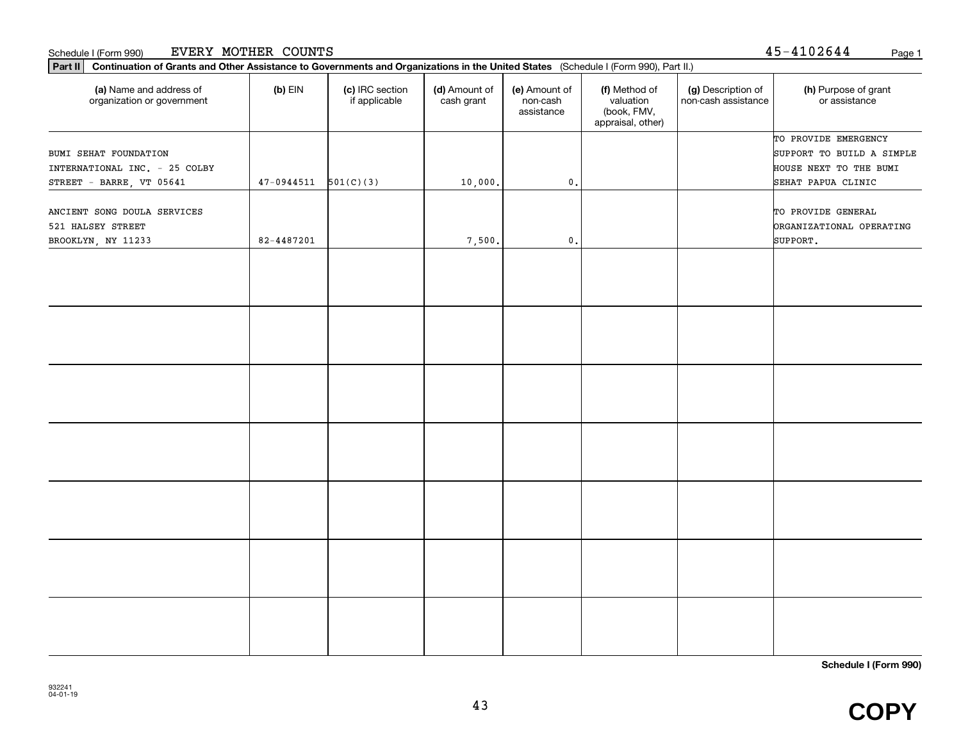#### Schedule I (Form 990) Page 1 EVERY MOTHER COUNTS

|  |  | 45-4102644 | Page |
|--|--|------------|------|
|--|--|------------|------|

| $(b)$ EIN  | (c) IRC section<br>if applicable | (d) Amount of<br>cash grant | (e) Amount of<br>non-cash<br>assistance | (f) Method of<br>valuation<br>(book, FMV,<br>appraisal, other) | (g) Description of<br>non-cash assistance | (h) Purpose of grant<br>or assistance                                                             |
|------------|----------------------------------|-----------------------------|-----------------------------------------|----------------------------------------------------------------|-------------------------------------------|---------------------------------------------------------------------------------------------------|
| 47-0944511 |                                  |                             |                                         |                                                                |                                           | TO PROVIDE EMERGENCY<br>SUPPORT TO BUILD A SIMPLE<br>HOUSE NEXT TO THE BUMI<br>SEHAT PAPUA CLINIC |
| 82-4487201 |                                  | 7,500.                      | $\mathbf{0}$ .                          |                                                                |                                           | TO PROVIDE GENERAL<br><b>DRGANIZATIONAL OPERATING</b><br>SUPPORT.                                 |
|            |                                  |                             |                                         |                                                                |                                           |                                                                                                   |
|            |                                  |                             |                                         |                                                                |                                           |                                                                                                   |
|            |                                  |                             |                                         |                                                                |                                           |                                                                                                   |
|            |                                  |                             |                                         |                                                                |                                           |                                                                                                   |
|            |                                  |                             |                                         |                                                                |                                           |                                                                                                   |
|            |                                  |                             |                                         |                                                                |                                           |                                                                                                   |
|            |                                  |                             |                                         |                                                                |                                           |                                                                                                   |
|            |                                  |                             |                                         |                                                                |                                           |                                                                                                   |
|            |                                  | 501(C)(3)                   | 10,000.                                 | $\mathsf{0}$ .                                                 |                                           |                                                                                                   |

**Schedule I (Form 990)**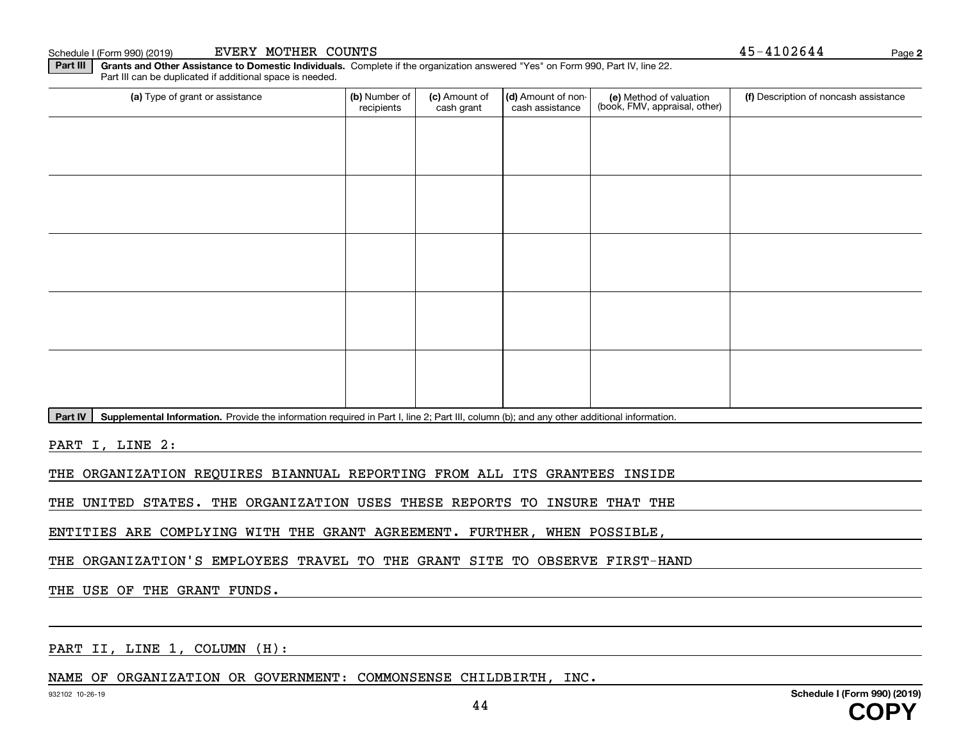**Part III | Grants and Other Assistance to Domestic Individuals. Complete if the organization answered "Yes" on Form 990, Part IV, line 22.** Part III can be duplicated if additional space is needed.

| (a) Type of grant or assistance | (b) Number of<br>recipients | (c) Amount of<br>cash grant | (d) Amount of non-<br>cash assistance | (e) Method of valuation<br>(book, FMV, appraisal, other) | (f) Description of noncash assistance |
|---------------------------------|-----------------------------|-----------------------------|---------------------------------------|----------------------------------------------------------|---------------------------------------|
|                                 |                             |                             |                                       |                                                          |                                       |
|                                 |                             |                             |                                       |                                                          |                                       |
|                                 |                             |                             |                                       |                                                          |                                       |
|                                 |                             |                             |                                       |                                                          |                                       |
|                                 |                             |                             |                                       |                                                          |                                       |
|                                 |                             |                             |                                       |                                                          |                                       |
|                                 |                             |                             |                                       |                                                          |                                       |
|                                 |                             |                             |                                       |                                                          |                                       |
|                                 |                             |                             |                                       |                                                          |                                       |
|                                 |                             |                             |                                       |                                                          |                                       |
| $\sim$<br>$\sim$                |                             |                             |                                       |                                                          |                                       |

**Part IV** | Supplemental Information. Provide the information required in Part I, line 2; Part III, column (b); and any other additional information.<br>

PART I, LINE 2:

THE ORGANIZATION REQUIRES BIANNUAL REPORTING FROM ALL ITS GRANTEES INSIDE

THE UNITED STATES. THE ORGANIZATION USES THESE REPORTS TO INSURE THAT THE

ENTITIES ARE COMPLYING WITH THE GRANT AGREEMENT. FURTHER, WHEN POSSIBLE,

THE ORGANIZATION'S EMPLOYEES TRAVEL TO THE GRANT SITE TO OBSERVE FIRST-HAND

THE USE OF THE GRANT FUNDS.

PART II, LINE 1, COLUMN (H):

NAME OF ORGANIZATION OR GOVERNMENT: COMMONSENSE CHILDBIRTH, INC.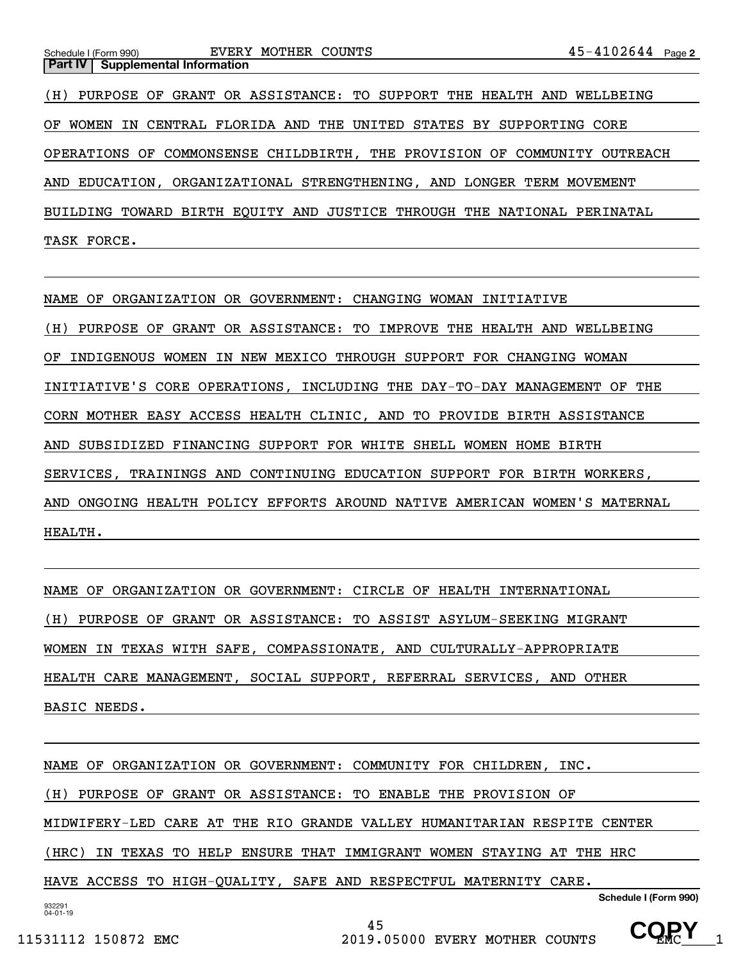| Schedule I (Form 990) EVERY MOTHER COUNTS                                 | $45 - 4102644$ Page 2 |
|---------------------------------------------------------------------------|-----------------------|
| <b>Part IV   Supplemental Information</b>                                 |                       |
| (H) PURPOSE OF GRANT OR ASSISTANCE: TO SUPPORT THE HEALTH AND WELLBEING   |                       |
| OF WOMEN IN CENTRAL FLORIDA AND THE UNITED STATES BY SUPPORTING CORE      |                       |
| OPERATIONS OF COMMONSENSE CHILDBIRTH, THE PROVISION OF COMMUNITY OUTREACH |                       |
| AND EDUCATION, ORGANIZATIONAL STRENGTHENING, AND LONGER TERM MOVEMENT     |                       |
| BUILDING TOWARD BIRTH EQUITY AND JUSTICE THROUGH THE NATIONAL PERINATAL   |                       |

TASK FORCE.

NAME OF ORGANIZATION OR GOVERNMENT: CHANGING WOMAN INITIATIVE

(H) PURPOSE OF GRANT OR ASSISTANCE: TO IMPROVE THE HEALTH AND WELLBEING OF INDIGENOUS WOMEN IN NEW MEXICO THROUGH SUPPORT FOR CHANGING WOMAN INITIATIVE'S CORE OPERATIONS, INCLUDING THE DAY-TO-DAY MANAGEMENT OF THE CORN MOTHER EASY ACCESS HEALTH CLINIC, AND TO PROVIDE BIRTH ASSISTANCE AND SUBSIDIZED FINANCING SUPPORT FOR WHITE SHELL WOMEN HOME BIRTH SERVICES, TRAININGS AND CONTINUING EDUCATION SUPPORT FOR BIRTH WORKERS, AND ONGOING HEALTH POLICY EFFORTS AROUND NATIVE AMERICAN WOMEN'S MATERNAL HEALTH.

NAME OF ORGANIZATION OR GOVERNMENT: CIRCLE OF HEALTH INTERNATIONAL (H) PURPOSE OF GRANT OR ASSISTANCE: TO ASSIST ASYLUM-SEEKING MIGRANT WOMEN IN TEXAS WITH SAFE, COMPASSIONATE, AND CULTURALLY-APPROPRIATE HEALTH CARE MANAGEMENT, SOCIAL SUPPORT, REFERRAL SERVICES, AND OTHER BASIC NEEDS.

932291 04-01-19**Schedule I (Form 990)** NAME OF ORGANIZATION OR GOVERNMENT: COMMUNITY FOR CHILDREN, INC. (H) PURPOSE OF GRANT OR ASSISTANCE: TO ENABLE THE PROVISION OF MIDWIFERY-LED CARE AT THE RIO GRANDE VALLEY HUMANITARIAN RESPITE CENTER (HRC) IN TEXAS TO HELP ENSURE THAT IMMIGRANT WOMEN STAYING AT THE HRC HAVE ACCESS TO HIGH-QUALITY, SAFE AND RESPECTFUL MATERNITY CARE.

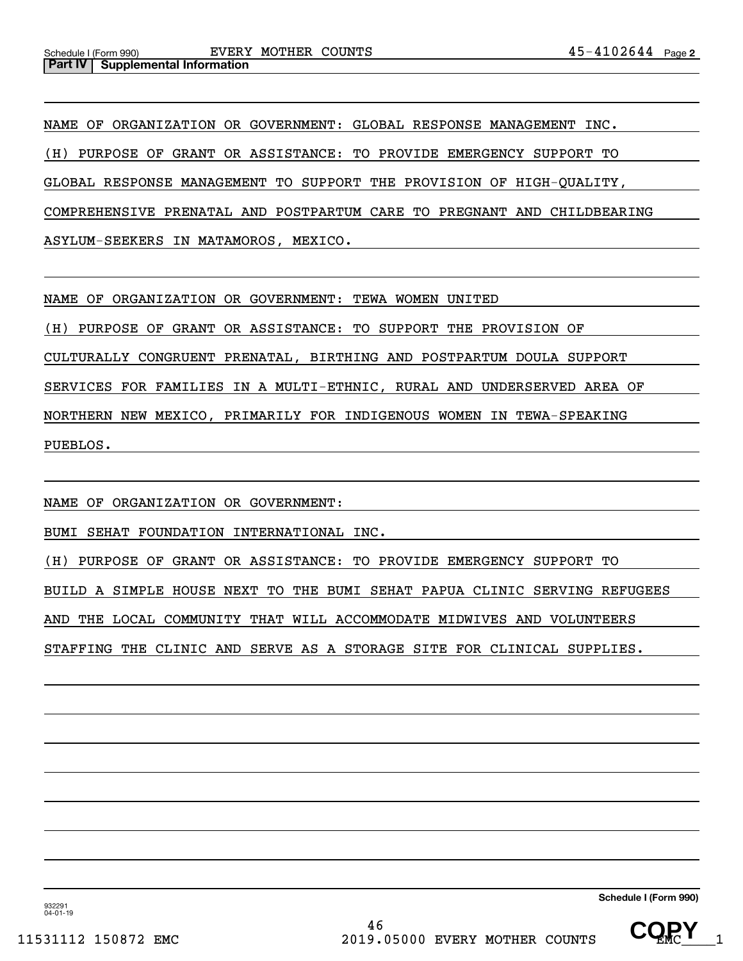NAME OF ORGANIZATION OR GOVERNMENT: GLOBAL RESPONSE MANAGEMENT INC. (H) PURPOSE OF GRANT OR ASSISTANCE: TO PROVIDE EMERGENCY SUPPORT TO GLOBAL RESPONSE MANAGEMENT TO SUPPORT THE PROVISION OF HIGH-QUALITY, COMPREHENSIVE PRENATAL AND POSTPARTUM CARE TO PREGNANT AND CHILDBEARING ASYLUM-SEEKERS IN MATAMOROS, MEXICO.

NAME OF ORGANIZATION OR GOVERNMENT: TEWA WOMEN UNITED

(H) PURPOSE OF GRANT OR ASSISTANCE: TO SUPPORT THE PROVISION OF

CULTURALLY CONGRUENT PRENATAL, BIRTHING AND POSTPARTUM DOULA SUPPORT

SERVICES FOR FAMILIES IN A MULTI-ETHNIC, RURAL AND UNDERSERVED AREA OF

NORTHERN NEW MEXICO, PRIMARILY FOR INDIGENOUS WOMEN IN TEWA-SPEAKING

PUEBLOS.

NAME OF ORGANIZATION OR GOVERNMENT:

BUMI SEHAT FOUNDATION INTERNATIONAL INC.

(H) PURPOSE OF GRANT OR ASSISTANCE: TO PROVIDE EMERGENCY SUPPORT TO

BUILD A SIMPLE HOUSE NEXT TO THE BUMI SEHAT PAPUA CLINIC SERVING REFUGEES

AND THE LOCAL COMMUNITY THAT WILL ACCOMMODATE MIDWIVES AND VOLUNTEERS

STAFFING THE CLINIC AND SERVE AS A STORAGE SITE FOR CLINICAL SUPPLIES.

**Schedule I (Form 990)**

932291 04-01-19

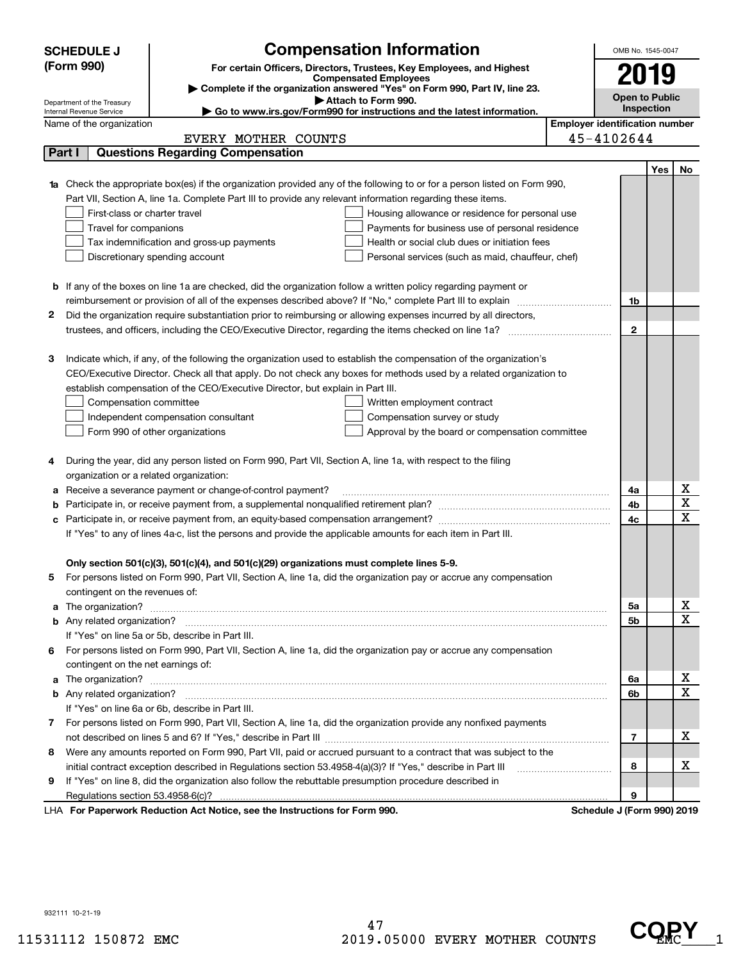| <b>Compensation Information</b><br>(Form 990)<br>For certain Officers, Directors, Trustees, Key Employees, and Highest<br>2019<br><b>Compensated Employees</b><br>Complete if the organization answered "Yes" on Form 990, Part IV, line 23.<br><b>Open to Public</b><br>Attach to Form 990.<br>Department of the Treasury<br>Inspection<br>► Go to www.irs.gov/Form990 for instructions and the latest information.<br>Internal Revenue Service<br><b>Employer identification number</b><br>Name of the organization<br>45-4102644<br>EVERY MOTHER COUNTS<br><b>Questions Regarding Compensation</b><br>Part I<br>Yes<br>No<br><b>1a</b> Check the appropriate box(es) if the organization provided any of the following to or for a person listed on Form 990,<br>Part VII, Section A, line 1a. Complete Part III to provide any relevant information regarding these items.<br>First-class or charter travel<br>Housing allowance or residence for personal use<br>Travel for companions<br>Payments for business use of personal residence<br>Health or social club dues or initiation fees<br>Tax indemnification and gross-up payments<br>Discretionary spending account<br>Personal services (such as maid, chauffeur, chef)<br><b>b</b> If any of the boxes on line 1a are checked, did the organization follow a written policy regarding payment or<br>1b<br>Did the organization require substantiation prior to reimbursing or allowing expenses incurred by all directors,<br>2<br>$\mathbf{2}$<br>Indicate which, if any, of the following the organization used to establish the compensation of the organization's<br>З<br>CEO/Executive Director. Check all that apply. Do not check any boxes for methods used by a related organization to<br>establish compensation of the CEO/Executive Director, but explain in Part III.<br>Compensation committee<br>Written employment contract<br>Compensation survey or study<br>Independent compensation consultant<br>Approval by the board or compensation committee<br>Form 990 of other organizations<br>During the year, did any person listed on Form 990, Part VII, Section A, line 1a, with respect to the filing<br>4<br>organization or a related organization:<br>х<br>Receive a severance payment or change-of-control payment?<br>4a<br>а<br>$\overline{\textbf{X}}$<br>4b<br>b<br>$\mathbf X$<br>4c<br>с<br>If "Yes" to any of lines 4a-c, list the persons and provide the applicable amounts for each item in Part III.<br>Only section 501(c)(3), 501(c)(4), and 501(c)(29) organizations must complete lines 5-9.<br>For persons listed on Form 990, Part VII, Section A, line 1a, did the organization pay or accrue any compensation<br>contingent on the revenues of:<br>x<br>a The organization? <b>Entitation</b> and the organization?<br>5а<br>$\overline{\mathbf{x}}$ |
|-------------------------------------------------------------------------------------------------------------------------------------------------------------------------------------------------------------------------------------------------------------------------------------------------------------------------------------------------------------------------------------------------------------------------------------------------------------------------------------------------------------------------------------------------------------------------------------------------------------------------------------------------------------------------------------------------------------------------------------------------------------------------------------------------------------------------------------------------------------------------------------------------------------------------------------------------------------------------------------------------------------------------------------------------------------------------------------------------------------------------------------------------------------------------------------------------------------------------------------------------------------------------------------------------------------------------------------------------------------------------------------------------------------------------------------------------------------------------------------------------------------------------------------------------------------------------------------------------------------------------------------------------------------------------------------------------------------------------------------------------------------------------------------------------------------------------------------------------------------------------------------------------------------------------------------------------------------------------------------------------------------------------------------------------------------------------------------------------------------------------------------------------------------------------------------------------------------------------------------------------------------------------------------------------------------------------------------------------------------------------------------------------------------------------------------------------------------------------------------------------------------------------------------------------------------------------------------------------------------------------------------------------------------------------------------------------------------------------------------------------------------------------------------------------------------------------------------------------------------|
|                                                                                                                                                                                                                                                                                                                                                                                                                                                                                                                                                                                                                                                                                                                                                                                                                                                                                                                                                                                                                                                                                                                                                                                                                                                                                                                                                                                                                                                                                                                                                                                                                                                                                                                                                                                                                                                                                                                                                                                                                                                                                                                                                                                                                                                                                                                                                                                                                                                                                                                                                                                                                                                                                                                                                                                                                                                             |
|                                                                                                                                                                                                                                                                                                                                                                                                                                                                                                                                                                                                                                                                                                                                                                                                                                                                                                                                                                                                                                                                                                                                                                                                                                                                                                                                                                                                                                                                                                                                                                                                                                                                                                                                                                                                                                                                                                                                                                                                                                                                                                                                                                                                                                                                                                                                                                                                                                                                                                                                                                                                                                                                                                                                                                                                                                                             |
|                                                                                                                                                                                                                                                                                                                                                                                                                                                                                                                                                                                                                                                                                                                                                                                                                                                                                                                                                                                                                                                                                                                                                                                                                                                                                                                                                                                                                                                                                                                                                                                                                                                                                                                                                                                                                                                                                                                                                                                                                                                                                                                                                                                                                                                                                                                                                                                                                                                                                                                                                                                                                                                                                                                                                                                                                                                             |
|                                                                                                                                                                                                                                                                                                                                                                                                                                                                                                                                                                                                                                                                                                                                                                                                                                                                                                                                                                                                                                                                                                                                                                                                                                                                                                                                                                                                                                                                                                                                                                                                                                                                                                                                                                                                                                                                                                                                                                                                                                                                                                                                                                                                                                                                                                                                                                                                                                                                                                                                                                                                                                                                                                                                                                                                                                                             |
|                                                                                                                                                                                                                                                                                                                                                                                                                                                                                                                                                                                                                                                                                                                                                                                                                                                                                                                                                                                                                                                                                                                                                                                                                                                                                                                                                                                                                                                                                                                                                                                                                                                                                                                                                                                                                                                                                                                                                                                                                                                                                                                                                                                                                                                                                                                                                                                                                                                                                                                                                                                                                                                                                                                                                                                                                                                             |
|                                                                                                                                                                                                                                                                                                                                                                                                                                                                                                                                                                                                                                                                                                                                                                                                                                                                                                                                                                                                                                                                                                                                                                                                                                                                                                                                                                                                                                                                                                                                                                                                                                                                                                                                                                                                                                                                                                                                                                                                                                                                                                                                                                                                                                                                                                                                                                                                                                                                                                                                                                                                                                                                                                                                                                                                                                                             |
|                                                                                                                                                                                                                                                                                                                                                                                                                                                                                                                                                                                                                                                                                                                                                                                                                                                                                                                                                                                                                                                                                                                                                                                                                                                                                                                                                                                                                                                                                                                                                                                                                                                                                                                                                                                                                                                                                                                                                                                                                                                                                                                                                                                                                                                                                                                                                                                                                                                                                                                                                                                                                                                                                                                                                                                                                                                             |
|                                                                                                                                                                                                                                                                                                                                                                                                                                                                                                                                                                                                                                                                                                                                                                                                                                                                                                                                                                                                                                                                                                                                                                                                                                                                                                                                                                                                                                                                                                                                                                                                                                                                                                                                                                                                                                                                                                                                                                                                                                                                                                                                                                                                                                                                                                                                                                                                                                                                                                                                                                                                                                                                                                                                                                                                                                                             |
|                                                                                                                                                                                                                                                                                                                                                                                                                                                                                                                                                                                                                                                                                                                                                                                                                                                                                                                                                                                                                                                                                                                                                                                                                                                                                                                                                                                                                                                                                                                                                                                                                                                                                                                                                                                                                                                                                                                                                                                                                                                                                                                                                                                                                                                                                                                                                                                                                                                                                                                                                                                                                                                                                                                                                                                                                                                             |
|                                                                                                                                                                                                                                                                                                                                                                                                                                                                                                                                                                                                                                                                                                                                                                                                                                                                                                                                                                                                                                                                                                                                                                                                                                                                                                                                                                                                                                                                                                                                                                                                                                                                                                                                                                                                                                                                                                                                                                                                                                                                                                                                                                                                                                                                                                                                                                                                                                                                                                                                                                                                                                                                                                                                                                                                                                                             |
|                                                                                                                                                                                                                                                                                                                                                                                                                                                                                                                                                                                                                                                                                                                                                                                                                                                                                                                                                                                                                                                                                                                                                                                                                                                                                                                                                                                                                                                                                                                                                                                                                                                                                                                                                                                                                                                                                                                                                                                                                                                                                                                                                                                                                                                                                                                                                                                                                                                                                                                                                                                                                                                                                                                                                                                                                                                             |
|                                                                                                                                                                                                                                                                                                                                                                                                                                                                                                                                                                                                                                                                                                                                                                                                                                                                                                                                                                                                                                                                                                                                                                                                                                                                                                                                                                                                                                                                                                                                                                                                                                                                                                                                                                                                                                                                                                                                                                                                                                                                                                                                                                                                                                                                                                                                                                                                                                                                                                                                                                                                                                                                                                                                                                                                                                                             |
|                                                                                                                                                                                                                                                                                                                                                                                                                                                                                                                                                                                                                                                                                                                                                                                                                                                                                                                                                                                                                                                                                                                                                                                                                                                                                                                                                                                                                                                                                                                                                                                                                                                                                                                                                                                                                                                                                                                                                                                                                                                                                                                                                                                                                                                                                                                                                                                                                                                                                                                                                                                                                                                                                                                                                                                                                                                             |
|                                                                                                                                                                                                                                                                                                                                                                                                                                                                                                                                                                                                                                                                                                                                                                                                                                                                                                                                                                                                                                                                                                                                                                                                                                                                                                                                                                                                                                                                                                                                                                                                                                                                                                                                                                                                                                                                                                                                                                                                                                                                                                                                                                                                                                                                                                                                                                                                                                                                                                                                                                                                                                                                                                                                                                                                                                                             |
|                                                                                                                                                                                                                                                                                                                                                                                                                                                                                                                                                                                                                                                                                                                                                                                                                                                                                                                                                                                                                                                                                                                                                                                                                                                                                                                                                                                                                                                                                                                                                                                                                                                                                                                                                                                                                                                                                                                                                                                                                                                                                                                                                                                                                                                                                                                                                                                                                                                                                                                                                                                                                                                                                                                                                                                                                                                             |
|                                                                                                                                                                                                                                                                                                                                                                                                                                                                                                                                                                                                                                                                                                                                                                                                                                                                                                                                                                                                                                                                                                                                                                                                                                                                                                                                                                                                                                                                                                                                                                                                                                                                                                                                                                                                                                                                                                                                                                                                                                                                                                                                                                                                                                                                                                                                                                                                                                                                                                                                                                                                                                                                                                                                                                                                                                                             |
|                                                                                                                                                                                                                                                                                                                                                                                                                                                                                                                                                                                                                                                                                                                                                                                                                                                                                                                                                                                                                                                                                                                                                                                                                                                                                                                                                                                                                                                                                                                                                                                                                                                                                                                                                                                                                                                                                                                                                                                                                                                                                                                                                                                                                                                                                                                                                                                                                                                                                                                                                                                                                                                                                                                                                                                                                                                             |
|                                                                                                                                                                                                                                                                                                                                                                                                                                                                                                                                                                                                                                                                                                                                                                                                                                                                                                                                                                                                                                                                                                                                                                                                                                                                                                                                                                                                                                                                                                                                                                                                                                                                                                                                                                                                                                                                                                                                                                                                                                                                                                                                                                                                                                                                                                                                                                                                                                                                                                                                                                                                                                                                                                                                                                                                                                                             |
|                                                                                                                                                                                                                                                                                                                                                                                                                                                                                                                                                                                                                                                                                                                                                                                                                                                                                                                                                                                                                                                                                                                                                                                                                                                                                                                                                                                                                                                                                                                                                                                                                                                                                                                                                                                                                                                                                                                                                                                                                                                                                                                                                                                                                                                                                                                                                                                                                                                                                                                                                                                                                                                                                                                                                                                                                                                             |
|                                                                                                                                                                                                                                                                                                                                                                                                                                                                                                                                                                                                                                                                                                                                                                                                                                                                                                                                                                                                                                                                                                                                                                                                                                                                                                                                                                                                                                                                                                                                                                                                                                                                                                                                                                                                                                                                                                                                                                                                                                                                                                                                                                                                                                                                                                                                                                                                                                                                                                                                                                                                                                                                                                                                                                                                                                                             |
|                                                                                                                                                                                                                                                                                                                                                                                                                                                                                                                                                                                                                                                                                                                                                                                                                                                                                                                                                                                                                                                                                                                                                                                                                                                                                                                                                                                                                                                                                                                                                                                                                                                                                                                                                                                                                                                                                                                                                                                                                                                                                                                                                                                                                                                                                                                                                                                                                                                                                                                                                                                                                                                                                                                                                                                                                                                             |
|                                                                                                                                                                                                                                                                                                                                                                                                                                                                                                                                                                                                                                                                                                                                                                                                                                                                                                                                                                                                                                                                                                                                                                                                                                                                                                                                                                                                                                                                                                                                                                                                                                                                                                                                                                                                                                                                                                                                                                                                                                                                                                                                                                                                                                                                                                                                                                                                                                                                                                                                                                                                                                                                                                                                                                                                                                                             |
|                                                                                                                                                                                                                                                                                                                                                                                                                                                                                                                                                                                                                                                                                                                                                                                                                                                                                                                                                                                                                                                                                                                                                                                                                                                                                                                                                                                                                                                                                                                                                                                                                                                                                                                                                                                                                                                                                                                                                                                                                                                                                                                                                                                                                                                                                                                                                                                                                                                                                                                                                                                                                                                                                                                                                                                                                                                             |
|                                                                                                                                                                                                                                                                                                                                                                                                                                                                                                                                                                                                                                                                                                                                                                                                                                                                                                                                                                                                                                                                                                                                                                                                                                                                                                                                                                                                                                                                                                                                                                                                                                                                                                                                                                                                                                                                                                                                                                                                                                                                                                                                                                                                                                                                                                                                                                                                                                                                                                                                                                                                                                                                                                                                                                                                                                                             |
|                                                                                                                                                                                                                                                                                                                                                                                                                                                                                                                                                                                                                                                                                                                                                                                                                                                                                                                                                                                                                                                                                                                                                                                                                                                                                                                                                                                                                                                                                                                                                                                                                                                                                                                                                                                                                                                                                                                                                                                                                                                                                                                                                                                                                                                                                                                                                                                                                                                                                                                                                                                                                                                                                                                                                                                                                                                             |
|                                                                                                                                                                                                                                                                                                                                                                                                                                                                                                                                                                                                                                                                                                                                                                                                                                                                                                                                                                                                                                                                                                                                                                                                                                                                                                                                                                                                                                                                                                                                                                                                                                                                                                                                                                                                                                                                                                                                                                                                                                                                                                                                                                                                                                                                                                                                                                                                                                                                                                                                                                                                                                                                                                                                                                                                                                                             |
|                                                                                                                                                                                                                                                                                                                                                                                                                                                                                                                                                                                                                                                                                                                                                                                                                                                                                                                                                                                                                                                                                                                                                                                                                                                                                                                                                                                                                                                                                                                                                                                                                                                                                                                                                                                                                                                                                                                                                                                                                                                                                                                                                                                                                                                                                                                                                                                                                                                                                                                                                                                                                                                                                                                                                                                                                                                             |
|                                                                                                                                                                                                                                                                                                                                                                                                                                                                                                                                                                                                                                                                                                                                                                                                                                                                                                                                                                                                                                                                                                                                                                                                                                                                                                                                                                                                                                                                                                                                                                                                                                                                                                                                                                                                                                                                                                                                                                                                                                                                                                                                                                                                                                                                                                                                                                                                                                                                                                                                                                                                                                                                                                                                                                                                                                                             |
|                                                                                                                                                                                                                                                                                                                                                                                                                                                                                                                                                                                                                                                                                                                                                                                                                                                                                                                                                                                                                                                                                                                                                                                                                                                                                                                                                                                                                                                                                                                                                                                                                                                                                                                                                                                                                                                                                                                                                                                                                                                                                                                                                                                                                                                                                                                                                                                                                                                                                                                                                                                                                                                                                                                                                                                                                                                             |
|                                                                                                                                                                                                                                                                                                                                                                                                                                                                                                                                                                                                                                                                                                                                                                                                                                                                                                                                                                                                                                                                                                                                                                                                                                                                                                                                                                                                                                                                                                                                                                                                                                                                                                                                                                                                                                                                                                                                                                                                                                                                                                                                                                                                                                                                                                                                                                                                                                                                                                                                                                                                                                                                                                                                                                                                                                                             |
|                                                                                                                                                                                                                                                                                                                                                                                                                                                                                                                                                                                                                                                                                                                                                                                                                                                                                                                                                                                                                                                                                                                                                                                                                                                                                                                                                                                                                                                                                                                                                                                                                                                                                                                                                                                                                                                                                                                                                                                                                                                                                                                                                                                                                                                                                                                                                                                                                                                                                                                                                                                                                                                                                                                                                                                                                                                             |
|                                                                                                                                                                                                                                                                                                                                                                                                                                                                                                                                                                                                                                                                                                                                                                                                                                                                                                                                                                                                                                                                                                                                                                                                                                                                                                                                                                                                                                                                                                                                                                                                                                                                                                                                                                                                                                                                                                                                                                                                                                                                                                                                                                                                                                                                                                                                                                                                                                                                                                                                                                                                                                                                                                                                                                                                                                                             |
|                                                                                                                                                                                                                                                                                                                                                                                                                                                                                                                                                                                                                                                                                                                                                                                                                                                                                                                                                                                                                                                                                                                                                                                                                                                                                                                                                                                                                                                                                                                                                                                                                                                                                                                                                                                                                                                                                                                                                                                                                                                                                                                                                                                                                                                                                                                                                                                                                                                                                                                                                                                                                                                                                                                                                                                                                                                             |
|                                                                                                                                                                                                                                                                                                                                                                                                                                                                                                                                                                                                                                                                                                                                                                                                                                                                                                                                                                                                                                                                                                                                                                                                                                                                                                                                                                                                                                                                                                                                                                                                                                                                                                                                                                                                                                                                                                                                                                                                                                                                                                                                                                                                                                                                                                                                                                                                                                                                                                                                                                                                                                                                                                                                                                                                                                                             |
|                                                                                                                                                                                                                                                                                                                                                                                                                                                                                                                                                                                                                                                                                                                                                                                                                                                                                                                                                                                                                                                                                                                                                                                                                                                                                                                                                                                                                                                                                                                                                                                                                                                                                                                                                                                                                                                                                                                                                                                                                                                                                                                                                                                                                                                                                                                                                                                                                                                                                                                                                                                                                                                                                                                                                                                                                                                             |
|                                                                                                                                                                                                                                                                                                                                                                                                                                                                                                                                                                                                                                                                                                                                                                                                                                                                                                                                                                                                                                                                                                                                                                                                                                                                                                                                                                                                                                                                                                                                                                                                                                                                                                                                                                                                                                                                                                                                                                                                                                                                                                                                                                                                                                                                                                                                                                                                                                                                                                                                                                                                                                                                                                                                                                                                                                                             |
|                                                                                                                                                                                                                                                                                                                                                                                                                                                                                                                                                                                                                                                                                                                                                                                                                                                                                                                                                                                                                                                                                                                                                                                                                                                                                                                                                                                                                                                                                                                                                                                                                                                                                                                                                                                                                                                                                                                                                                                                                                                                                                                                                                                                                                                                                                                                                                                                                                                                                                                                                                                                                                                                                                                                                                                                                                                             |
|                                                                                                                                                                                                                                                                                                                                                                                                                                                                                                                                                                                                                                                                                                                                                                                                                                                                                                                                                                                                                                                                                                                                                                                                                                                                                                                                                                                                                                                                                                                                                                                                                                                                                                                                                                                                                                                                                                                                                                                                                                                                                                                                                                                                                                                                                                                                                                                                                                                                                                                                                                                                                                                                                                                                                                                                                                                             |
| <b>5b</b>                                                                                                                                                                                                                                                                                                                                                                                                                                                                                                                                                                                                                                                                                                                                                                                                                                                                                                                                                                                                                                                                                                                                                                                                                                                                                                                                                                                                                                                                                                                                                                                                                                                                                                                                                                                                                                                                                                                                                                                                                                                                                                                                                                                                                                                                                                                                                                                                                                                                                                                                                                                                                                                                                                                                                                                                                                                   |
| If "Yes" on line 5a or 5b, describe in Part III.                                                                                                                                                                                                                                                                                                                                                                                                                                                                                                                                                                                                                                                                                                                                                                                                                                                                                                                                                                                                                                                                                                                                                                                                                                                                                                                                                                                                                                                                                                                                                                                                                                                                                                                                                                                                                                                                                                                                                                                                                                                                                                                                                                                                                                                                                                                                                                                                                                                                                                                                                                                                                                                                                                                                                                                                            |
| For persons listed on Form 990, Part VII, Section A, line 1a, did the organization pay or accrue any compensation<br>6.                                                                                                                                                                                                                                                                                                                                                                                                                                                                                                                                                                                                                                                                                                                                                                                                                                                                                                                                                                                                                                                                                                                                                                                                                                                                                                                                                                                                                                                                                                                                                                                                                                                                                                                                                                                                                                                                                                                                                                                                                                                                                                                                                                                                                                                                                                                                                                                                                                                                                                                                                                                                                                                                                                                                     |
| contingent on the net earnings of:                                                                                                                                                                                                                                                                                                                                                                                                                                                                                                                                                                                                                                                                                                                                                                                                                                                                                                                                                                                                                                                                                                                                                                                                                                                                                                                                                                                                                                                                                                                                                                                                                                                                                                                                                                                                                                                                                                                                                                                                                                                                                                                                                                                                                                                                                                                                                                                                                                                                                                                                                                                                                                                                                                                                                                                                                          |
| х<br>a The organization? <b>Entitled Strategies and Strategies and Strategies</b> and The organization?<br>6a<br>$\mathbf x$                                                                                                                                                                                                                                                                                                                                                                                                                                                                                                                                                                                                                                                                                                                                                                                                                                                                                                                                                                                                                                                                                                                                                                                                                                                                                                                                                                                                                                                                                                                                                                                                                                                                                                                                                                                                                                                                                                                                                                                                                                                                                                                                                                                                                                                                                                                                                                                                                                                                                                                                                                                                                                                                                                                                |
| 6b                                                                                                                                                                                                                                                                                                                                                                                                                                                                                                                                                                                                                                                                                                                                                                                                                                                                                                                                                                                                                                                                                                                                                                                                                                                                                                                                                                                                                                                                                                                                                                                                                                                                                                                                                                                                                                                                                                                                                                                                                                                                                                                                                                                                                                                                                                                                                                                                                                                                                                                                                                                                                                                                                                                                                                                                                                                          |
| If "Yes" on line 6a or 6b, describe in Part III.                                                                                                                                                                                                                                                                                                                                                                                                                                                                                                                                                                                                                                                                                                                                                                                                                                                                                                                                                                                                                                                                                                                                                                                                                                                                                                                                                                                                                                                                                                                                                                                                                                                                                                                                                                                                                                                                                                                                                                                                                                                                                                                                                                                                                                                                                                                                                                                                                                                                                                                                                                                                                                                                                                                                                                                                            |
| 7 For persons listed on Form 990, Part VII, Section A, line 1a, did the organization provide any nonfixed payments<br>х                                                                                                                                                                                                                                                                                                                                                                                                                                                                                                                                                                                                                                                                                                                                                                                                                                                                                                                                                                                                                                                                                                                                                                                                                                                                                                                                                                                                                                                                                                                                                                                                                                                                                                                                                                                                                                                                                                                                                                                                                                                                                                                                                                                                                                                                                                                                                                                                                                                                                                                                                                                                                                                                                                                                     |
| $\overline{7}$                                                                                                                                                                                                                                                                                                                                                                                                                                                                                                                                                                                                                                                                                                                                                                                                                                                                                                                                                                                                                                                                                                                                                                                                                                                                                                                                                                                                                                                                                                                                                                                                                                                                                                                                                                                                                                                                                                                                                                                                                                                                                                                                                                                                                                                                                                                                                                                                                                                                                                                                                                                                                                                                                                                                                                                                                                              |
| Were any amounts reported on Form 990, Part VII, paid or accrued pursuant to a contract that was subject to the<br>8<br>х                                                                                                                                                                                                                                                                                                                                                                                                                                                                                                                                                                                                                                                                                                                                                                                                                                                                                                                                                                                                                                                                                                                                                                                                                                                                                                                                                                                                                                                                                                                                                                                                                                                                                                                                                                                                                                                                                                                                                                                                                                                                                                                                                                                                                                                                                                                                                                                                                                                                                                                                                                                                                                                                                                                                   |
| initial contract exception described in Regulations section 53.4958-4(a)(3)? If "Yes," describe in Part III<br>8                                                                                                                                                                                                                                                                                                                                                                                                                                                                                                                                                                                                                                                                                                                                                                                                                                                                                                                                                                                                                                                                                                                                                                                                                                                                                                                                                                                                                                                                                                                                                                                                                                                                                                                                                                                                                                                                                                                                                                                                                                                                                                                                                                                                                                                                                                                                                                                                                                                                                                                                                                                                                                                                                                                                            |
| If "Yes" on line 8, did the organization also follow the rebuttable presumption procedure described in<br>9<br>9                                                                                                                                                                                                                                                                                                                                                                                                                                                                                                                                                                                                                                                                                                                                                                                                                                                                                                                                                                                                                                                                                                                                                                                                                                                                                                                                                                                                                                                                                                                                                                                                                                                                                                                                                                                                                                                                                                                                                                                                                                                                                                                                                                                                                                                                                                                                                                                                                                                                                                                                                                                                                                                                                                                                            |
| LHA For Paperwork Reduction Act Notice, see the Instructions for Form 990.<br>Schedule J (Form 990) 2019                                                                                                                                                                                                                                                                                                                                                                                                                                                                                                                                                                                                                                                                                                                                                                                                                                                                                                                                                                                                                                                                                                                                                                                                                                                                                                                                                                                                                                                                                                                                                                                                                                                                                                                                                                                                                                                                                                                                                                                                                                                                                                                                                                                                                                                                                                                                                                                                                                                                                                                                                                                                                                                                                                                                                    |

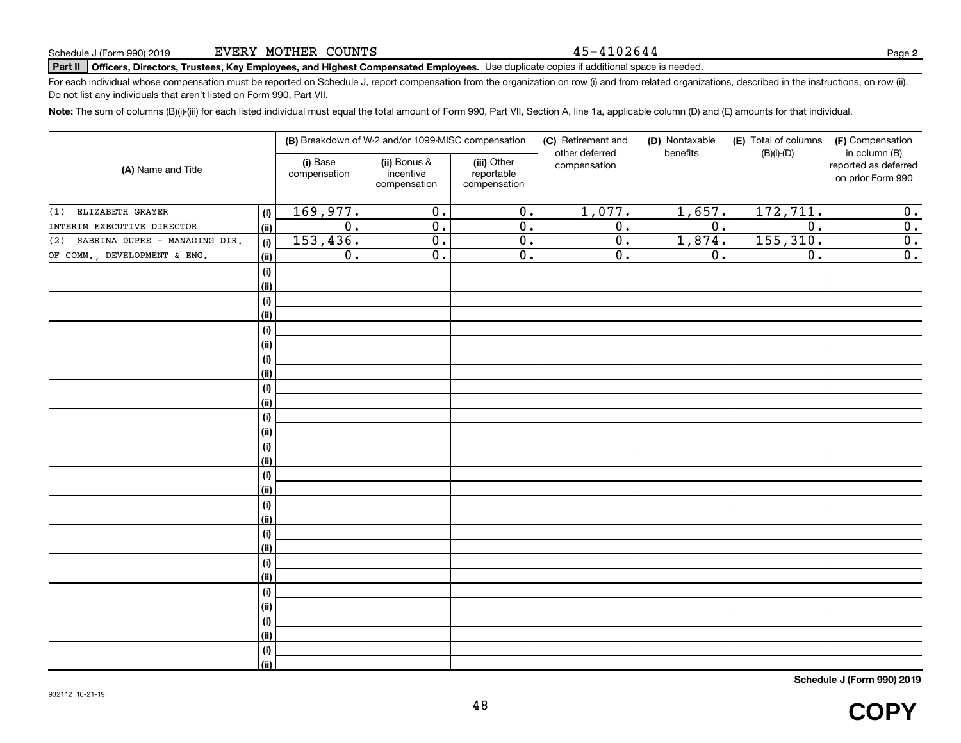#### 45-4102644

# **Part II Officers, Directors, Trustees, Key Employees, and Highest Compensated Employees.**  Schedule J (Form 990) 2019 Page Use duplicate copies if additional space is needed.

For each individual whose compensation must be reported on Schedule J, report compensation from the organization on row (i) and from related organizations, described in the instructions, on row (ii). Do not list any individuals that aren't listed on Form 990, Part VII.

**Note:**  The sum of columns (B)(i)-(iii) for each listed individual must equal the total amount of Form 990, Part VII, Section A, line 1a, applicable column (D) and (E) amounts for that individual.

| (B) Breakdown of W-2 and/or 1099-MISC compensation<br>(i) Base<br>(A) Name and Title<br>compensation |                              |                  |                                           | (C) Retirement and<br>other deferred      | (D) Nontaxable<br>benefits | (E) Total of columns<br>$(B)(i)-(D)$ | (F) Compensation<br>in column (B) |                                           |
|------------------------------------------------------------------------------------------------------|------------------------------|------------------|-------------------------------------------|-------------------------------------------|----------------------------|--------------------------------------|-----------------------------------|-------------------------------------------|
|                                                                                                      |                              |                  | (ii) Bonus &<br>incentive<br>compensation | (iii) Other<br>reportable<br>compensation | compensation               |                                      |                                   | reported as deferred<br>on prior Form 990 |
| ELIZABETH GRAYER<br>(1)                                                                              | $(\sf{i})$                   | 169,977.         | $\overline{0}$ .                          | $\overline{0}$ .                          | 1,077.                     | 1,657.                               | 172,711.                          | 0.                                        |
| INTERIM EXECUTIVE DIRECTOR                                                                           | (ii)                         | $\overline{0}$ . | $\overline{0}$ .                          | 0.                                        | $\overline{0}$ .           | $\overline{0}$ .                     | $\overline{0}$ .                  | $\overline{0}$ .                          |
| SABRINA DUPRE - MANAGING DIR.<br>(2)                                                                 | (i)                          | 153,436.         | $\overline{0}$ .                          | 0.                                        | $\overline{0}$ .           | 1,874.                               | 155, 310.                         | $\overline{0}$ .                          |
| OF COMM., DEVELOPMENT & ENG.                                                                         | (ii)                         | $\overline{0}$ . | $\overline{0}$ .                          | $\overline{0}$ .                          | $\overline{0}$ .           | 0.                                   | $\overline{0}$ .                  | $\overline{0}$ .                          |
|                                                                                                      | $(\sf{i})$                   |                  |                                           |                                           |                            |                                      |                                   |                                           |
|                                                                                                      | (ii)                         |                  |                                           |                                           |                            |                                      |                                   |                                           |
|                                                                                                      | $(\sf{i})$                   |                  |                                           |                                           |                            |                                      |                                   |                                           |
|                                                                                                      | (ii)                         |                  |                                           |                                           |                            |                                      |                                   |                                           |
|                                                                                                      | $\qquad \qquad \textbf{(i)}$ |                  |                                           |                                           |                            |                                      |                                   |                                           |
|                                                                                                      | (ii)                         |                  |                                           |                                           |                            |                                      |                                   |                                           |
|                                                                                                      | $(\sf{i})$                   |                  |                                           |                                           |                            |                                      |                                   |                                           |
|                                                                                                      | (ii)                         |                  |                                           |                                           |                            |                                      |                                   |                                           |
|                                                                                                      | $\qquad \qquad \textbf{(i)}$ |                  |                                           |                                           |                            |                                      |                                   |                                           |
|                                                                                                      | (ii)                         |                  |                                           |                                           |                            |                                      |                                   |                                           |
|                                                                                                      | $\qquad \qquad \textbf{(i)}$ |                  |                                           |                                           |                            |                                      |                                   |                                           |
|                                                                                                      | (ii)                         |                  |                                           |                                           |                            |                                      |                                   |                                           |
|                                                                                                      | $(\sf{i})$                   |                  |                                           |                                           |                            |                                      |                                   |                                           |
|                                                                                                      | (ii)                         |                  |                                           |                                           |                            |                                      |                                   |                                           |
|                                                                                                      | $(\sf{i})$<br>(ii)           |                  |                                           |                                           |                            |                                      |                                   |                                           |
|                                                                                                      | $\qquad \qquad \textbf{(i)}$ |                  |                                           |                                           |                            |                                      |                                   |                                           |
|                                                                                                      | (ii)                         |                  |                                           |                                           |                            |                                      |                                   |                                           |
|                                                                                                      | $\qquad \qquad \textbf{(i)}$ |                  |                                           |                                           |                            |                                      |                                   |                                           |
|                                                                                                      | (ii)                         |                  |                                           |                                           |                            |                                      |                                   |                                           |
|                                                                                                      | (i)                          |                  |                                           |                                           |                            |                                      |                                   |                                           |
|                                                                                                      | (ii)                         |                  |                                           |                                           |                            |                                      |                                   |                                           |
|                                                                                                      | $\qquad \qquad \textbf{(i)}$ |                  |                                           |                                           |                            |                                      |                                   |                                           |
|                                                                                                      | (ii)                         |                  |                                           |                                           |                            |                                      |                                   |                                           |
|                                                                                                      | $\qquad \qquad \textbf{(i)}$ |                  |                                           |                                           |                            |                                      |                                   |                                           |
|                                                                                                      | (ii)                         |                  |                                           |                                           |                            |                                      |                                   |                                           |
|                                                                                                      | $(\sf{i})$                   |                  |                                           |                                           |                            |                                      |                                   |                                           |
|                                                                                                      | (ii)                         |                  |                                           |                                           |                            |                                      |                                   |                                           |

**Schedule J (Form 990) 2019**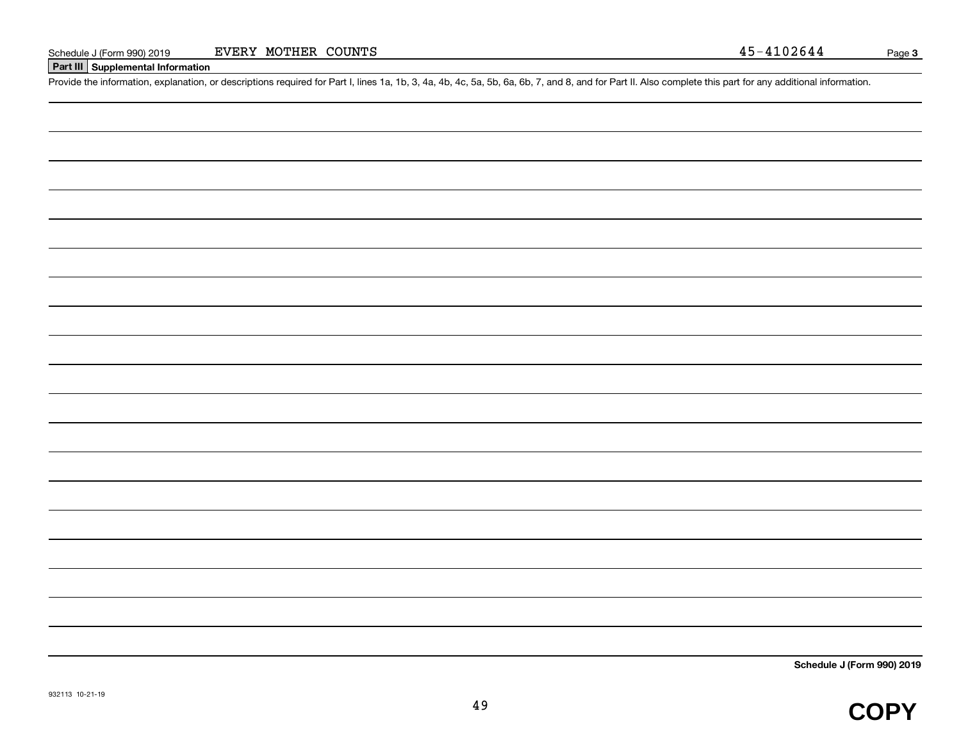#### **Part III Supplemental Information**

Schedule J (Form 990) 2019 EVERY MOTHER COUNTS<br>Part III Supplemental Information<br>Provide the information, explanation, or descriptions required for Part I, lines 1a, 1b, 3, 4a, 4b, 4c, 5a, 5b, 6a, 6b, 7, and 8, and for Par

**Schedule J (Form 990) 2019**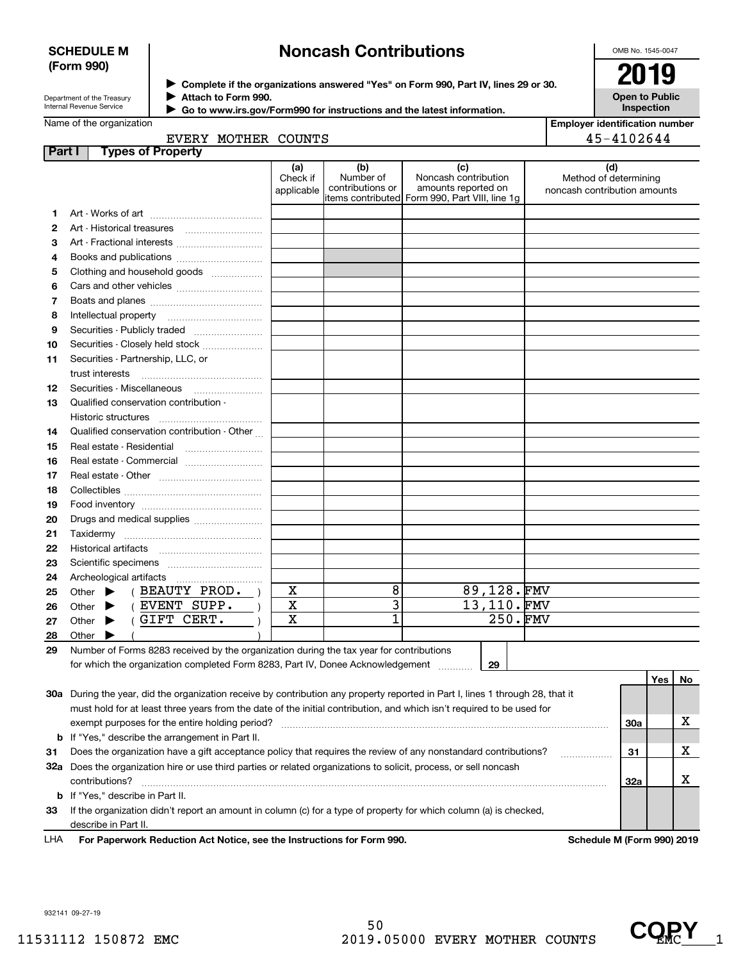#### **SCHEDULE M (Form 990)**

## **Noncash Contributions**

OMB No. 1545-0047

| Department of the Treasury      |  |
|---------------------------------|--|
| <b>Internal Revenue Service</b> |  |

**Complete if the organizations answered "Yes" on Form 990, Part IV, lines 29 or 30.** <sup>J</sup>**2019 Attach to Form 990.** J

 **Go to www.irs.gov/Form990 for instructions and the latest information.** J

| — U. | $\sim$                                     |
|------|--------------------------------------------|
|      | <b>Open to Public</b><br><b>Inspection</b> |

**Employer identification number**

45-4102644

## EVERY MOTHER COUNTS

| Part I | <b>Types of Property</b>                                                                                                       |                               |                                      |                                                                                                      |                                                              |     |    |
|--------|--------------------------------------------------------------------------------------------------------------------------------|-------------------------------|--------------------------------------|------------------------------------------------------------------------------------------------------|--------------------------------------------------------------|-----|----|
|        |                                                                                                                                | (a)<br>Check if<br>applicable | (b)<br>Number of<br>contributions or | (c)<br>Noncash contribution<br>amounts reported on<br>items contributed Form 990, Part VIII, line 1g | (d)<br>Method of determining<br>noncash contribution amounts |     |    |
| 1      |                                                                                                                                |                               |                                      |                                                                                                      |                                                              |     |    |
| 2      | Art - Historical treasures                                                                                                     |                               |                                      |                                                                                                      |                                                              |     |    |
| 3      | Art - Fractional interests                                                                                                     |                               |                                      |                                                                                                      |                                                              |     |    |
| 4      | Books and publications                                                                                                         |                               |                                      |                                                                                                      |                                                              |     |    |
| 5      | Clothing and household goods                                                                                                   |                               |                                      |                                                                                                      |                                                              |     |    |
| 6      |                                                                                                                                |                               |                                      |                                                                                                      |                                                              |     |    |
| 7      |                                                                                                                                |                               |                                      |                                                                                                      |                                                              |     |    |
| 8      | Intellectual property                                                                                                          |                               |                                      |                                                                                                      |                                                              |     |    |
| 9      | Securities - Publicly traded                                                                                                   |                               |                                      |                                                                                                      |                                                              |     |    |
| 10     | Securities - Closely held stock                                                                                                |                               |                                      |                                                                                                      |                                                              |     |    |
| 11     | Securities - Partnership, LLC, or                                                                                              |                               |                                      |                                                                                                      |                                                              |     |    |
|        | trust interests                                                                                                                |                               |                                      |                                                                                                      |                                                              |     |    |
| 12     |                                                                                                                                |                               |                                      |                                                                                                      |                                                              |     |    |
| 13     | Qualified conservation contribution -                                                                                          |                               |                                      |                                                                                                      |                                                              |     |    |
|        | Historic structures                                                                                                            |                               |                                      |                                                                                                      |                                                              |     |    |
| 14     | Qualified conservation contribution - Other                                                                                    |                               |                                      |                                                                                                      |                                                              |     |    |
| 15     | Real estate - Residential                                                                                                      |                               |                                      |                                                                                                      |                                                              |     |    |
| 16     | Real estate - Commercial                                                                                                       |                               |                                      |                                                                                                      |                                                              |     |    |
| 17     |                                                                                                                                |                               |                                      |                                                                                                      |                                                              |     |    |
| 18     |                                                                                                                                |                               |                                      |                                                                                                      |                                                              |     |    |
| 19     |                                                                                                                                |                               |                                      |                                                                                                      |                                                              |     |    |
| 20     | Drugs and medical supplies                                                                                                     |                               |                                      |                                                                                                      |                                                              |     |    |
| 21     |                                                                                                                                |                               |                                      |                                                                                                      |                                                              |     |    |
| 22     |                                                                                                                                |                               |                                      |                                                                                                      |                                                              |     |    |
| 23     |                                                                                                                                |                               |                                      |                                                                                                      |                                                              |     |    |
| 24     | Archeological artifacts                                                                                                        |                               |                                      |                                                                                                      |                                                              |     |    |
| 25     | (BEAUTY PROD. )<br>Other $\blacktriangleright$                                                                                 | X                             | 8                                    | 89,128.FMV                                                                                           |                                                              |     |    |
| 26     | (EVENT SUPP.<br>Other<br>▶                                                                                                     | $\mathbf X$                   | $\overline{\mathbf{3}}$              | 13,110.FMV                                                                                           |                                                              |     |    |
| 27     | (GIFT CERT.<br>Other $\blacktriangleright$                                                                                     | X                             | $\overline{1}$                       | 250.FMV                                                                                              |                                                              |     |    |
| 28     | Other                                                                                                                          |                               |                                      |                                                                                                      |                                                              |     |    |
| 29     | Number of Forms 8283 received by the organization during the tax year for contributions                                        |                               |                                      |                                                                                                      |                                                              |     |    |
|        | for which the organization completed Form 8283, Part IV, Donee Acknowledgement                                                 |                               |                                      | 29                                                                                                   |                                                              |     |    |
|        |                                                                                                                                |                               |                                      |                                                                                                      |                                                              | Yes | No |
|        | 30a During the year, did the organization receive by contribution any property reported in Part I, lines 1 through 28, that it |                               |                                      |                                                                                                      |                                                              |     |    |
|        | must hold for at least three years from the date of the initial contribution, and which isn't required to be used for          |                               |                                      |                                                                                                      |                                                              |     |    |
|        |                                                                                                                                |                               |                                      |                                                                                                      | 30a                                                          |     | x  |
|        | <b>b</b> If "Yes," describe the arrangement in Part II.                                                                        |                               |                                      |                                                                                                      |                                                              |     |    |
| 31     | Does the organization have a gift acceptance policy that requires the review of any nonstandard contributions?                 |                               |                                      |                                                                                                      | 31                                                           |     | х  |

**33**If the organization didn't report an amount in column (c) for a type of property for which column (a) is checked, **b** If "Yes," describe in Part II. contributions? ~~~~~~~~~~~~~~~~~~~~~~~~~~~~~~~~~~~~~~~~~~~~~~~~~~~~~~ describe in Part II.

**32 a** Does the organization hire or use third parties or related organizations to solicit, process, or sell noncash

**For Paperwork Reduction Act Notice, see the Instructions for Form 990. Schedule M (Form 990) 2019** LHA

**32a**

932141 09-27-19

X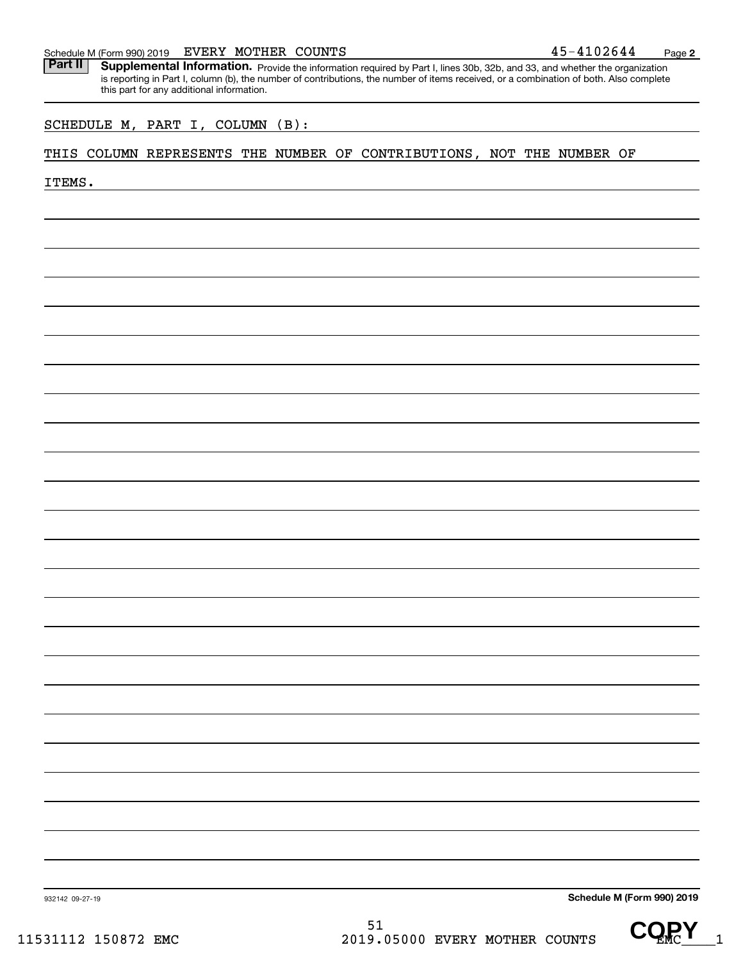#### Schedule M (Form 990) 2019  ${\rm EVERY}$   ${\rm MOTHER}$   ${\rm COUNTS}$   ${\rm 45-4102644}$   ${\rm 24-410264}$

Part II | Supplemental Information. Provide the information required by Part I, lines 30b, 32b, and 33, and whether the organization is reporting in Part I, column (b), the number of contributions, the number of items received, or a combination of both. Also complete this part for any additional information.

#### SCHEDULE M, PART I, COLUMN (B):

#### THIS COLUMN REPRESENTS THE NUMBER OF CONTRIBUTIONS, NOT THE NUMBER OF

ITEMS.

**Schedule M (Form 990) 2019**

932142 09-27-19



**2**

51 11531112 150872 EMC 2019.05000 EVERY MOTHER COUNTS UNITS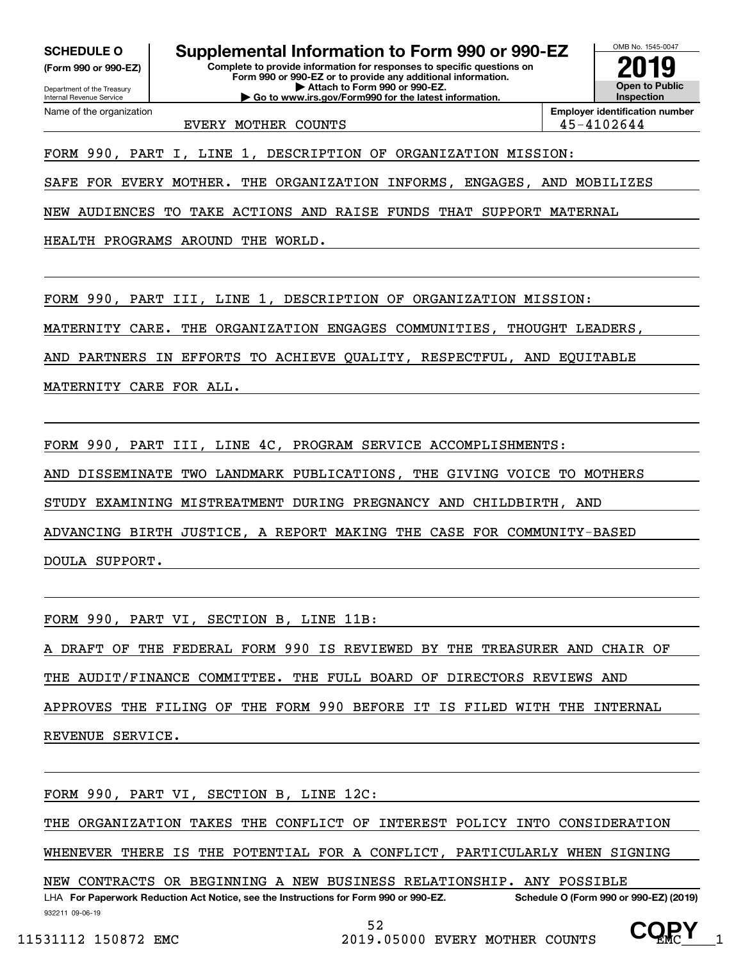**(Form 990 or 990-EZ)**

Department of the Treasury Internal Revenue Service Name of the organization

**Complete to provide information for responses to specific questions on Form 990 or 990-EZ or to provide any additional information. SCHEDULE O Supplemental Information to Form 990 or 990-EZ**

**| Attach to Form 990 or 990-EZ. | Go to www.irs.gov/Form990 for the latest information.**



EVERY MOTHER COUNTS **ALCOUNTS 1997 45-4102644** 

**Employer identification number**

FORM 990, PART I, LINE 1, DESCRIPTION OF ORGANIZATION MISSION:

SAFE FOR EVERY MOTHER. THE ORGANIZATION INFORMS, ENGAGES, AND MOBILIZES

NEW AUDIENCES TO TAKE ACTIONS AND RAISE FUNDS THAT SUPPORT MATERNAL

HEALTH PROGRAMS AROUND THE WORLD.

FORM 990, PART III, LINE 1, DESCRIPTION OF ORGANIZATION MISSION:

MATERNITY CARE. THE ORGANIZATION ENGAGES COMMUNITIES, THOUGHT LEADERS,

AND PARTNERS IN EFFORTS TO ACHIEVE QUALITY, RESPECTFUL, AND EQUITABLE

MATERNITY CARE FOR ALL.

FORM 990, PART III, LINE 4C, PROGRAM SERVICE ACCOMPLISHMENTS:

AND DISSEMINATE TWO LANDMARK PUBLICATIONS, THE GIVING VOICE TO MOTHERS

STUDY EXAMINING MISTREATMENT DURING PREGNANCY AND CHILDBIRTH, AND

ADVANCING BIRTH JUSTICE, A REPORT MAKING THE CASE FOR COMMUNITY-BASED

DOULA SUPPORT.

FORM 990, PART VI, SECTION B, LINE 11B:

DRAFT OF THE FEDERAL FORM 990 IS REVIEWED BY THE TREASURER AND CHAIR OF

THE AUDIT/FINANCE COMMITTEE. THE FULL BOARD OF DIRECTORS REVIEWS AND

APPROVES THE FILING OF THE FORM 990 BEFORE IT IS FILED WITH THE INTERNAL

REVENUE SERVICE.

FORM 990, PART VI, SECTION B, LINE 12C:

THE ORGANIZATION TAKES THE CONFLICT OF INTEREST POLICY INTO CONSIDERATION

WHENEVER THERE IS THE POTENTIAL FOR A CONFLICT, PARTICULARLY WHEN SIGNING

932211 09-06-19 LHA For Paperwork Reduction Act Notice, see the Instructions for Form 990 or 990-EZ. Schedule O (Form 990 or 990-EZ) (2019) NEW CONTRACTS OR BEGINNING A NEW BUSINESS RELATIONSHIP. ANY POSSIBLE

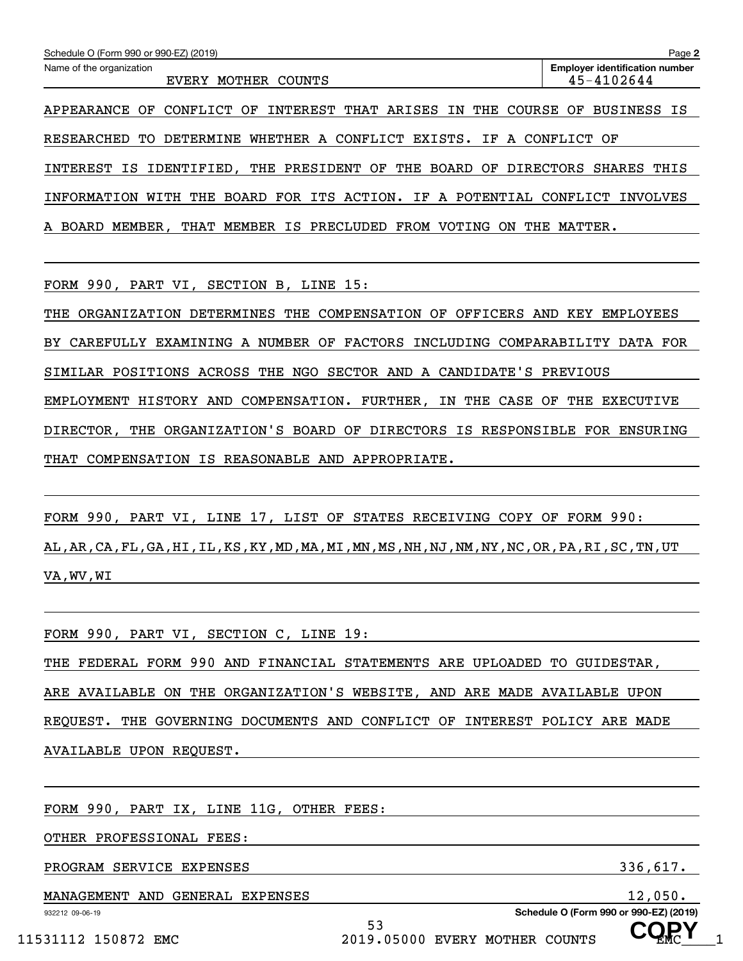| Schedule O (Form 990 or 990-EZ) (2019)                                    | Page 2                                              |
|---------------------------------------------------------------------------|-----------------------------------------------------|
| Name of the organization<br><b>EVERY</b><br>MOTHER<br>COUNTS              | <b>Employer identification number</b><br>45-4102644 |
| INTEREST THAT ARISES IN THE<br>CONFLICT OF<br>COURSE<br>APPEARANCE OF     | <b>BUSINESS IS</b><br>OF                            |
| DETERMINE WHETHER A CONFLICT EXISTS. IF A CONFLICT OF<br>RESEARCHED<br>TО |                                                     |
| INTEREST IS IDENTIFIED, THE PRESIDENT OF THE BOARD OF DIRECTORS           | SHARES THIS                                         |
| BOARD FOR ITS ACTION. IF A POTENTIAL<br>INFORMATION<br>WITH<br>THE        | CONFLICT<br>INVOLVES                                |
| THAT MEMBER IS PRECLUDED FROM VOTING<br>MEMBER .<br>THE<br>A BOARD<br>ON  | MATTER.                                             |

FORM 990, PART VI, SECTION B, LINE 15:

THE ORGANIZATION DETERMINES THE COMPENSATION OF OFFICERS AND KEY EMPLOYEES BY CAREFULLY EXAMINING A NUMBER OF FACTORS INCLUDING COMPARABILITY DATA FOR SIMILAR POSITIONS ACROSS THE NGO SECTOR AND A CANDIDATE'S PREVIOUS EMPLOYMENT HISTORY AND COMPENSATION. FURTHER, IN THE CASE OF THE EXECUTIVE DIRECTOR, THE ORGANIZATION'S BOARD OF DIRECTORS IS RESPONSIBLE FOR ENSURING THAT COMPENSATION IS REASONABLE AND APPROPRIATE.

FORM 990, PART VI, LINE 17, LIST OF STATES RECEIVING COPY OF FORM 990: AL,AR,CA,FL,GA,HI,IL,KS,KY,MD,MA,MI,MN,MS,NH,NJ,NM,NY,NC,OR,PA,RI,SC,TN,UT VA,WV,WI

| FORM 990, PART VI, SECTION C, LINE 19:                                    |
|---------------------------------------------------------------------------|
| THE FEDERAL FORM 990 AND FINANCIAL STATEMENTS ARE UPLOADED TO GUIDESTAR,  |
| ARE AVAILABLE ON THE ORGANIZATION'S WEBSITE, AND ARE MADE AVAILABLE UPON  |
| REQUEST. THE GOVERNING DOCUMENTS AND CONFLICT OF INTEREST POLICY ARE MADE |
| AVAILABLE UPON REQUEST.                                                   |
|                                                                           |

53

FORM 990, PART IX, LINE 11G, OTHER FEES:

OTHER PROFESSIONAL FEES:

PROGRAM SERVICE EXPENSES 336,617.

MANAGEMENT AND GENERAL EXPENSES 12,050.

932212 09-06-19

**Schedule O (Form 990 or 990-EZ) (2019) COPY**

11531112 150872 EMC 2019.05000 EVERY MOTHER COUNTS UP MC 1